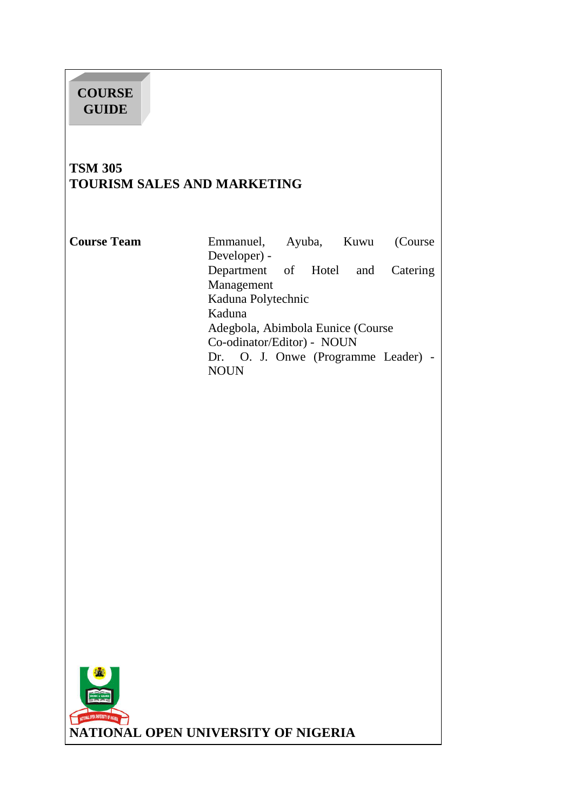# **COURSE GUIDE**

# **TSM 305 TOURISM SALES AND MARKETING**

**Course Team** Emmanuel, Ayuba, Kuwu (Course Developer) - Department of Hotel and Catering Management Kaduna Polytechnic Kaduna Adegbola, Abimbola Eunice (Course Co-odinator/Editor) - NOUN Dr. O. J. Onwe (Programme Leader) - NOUN

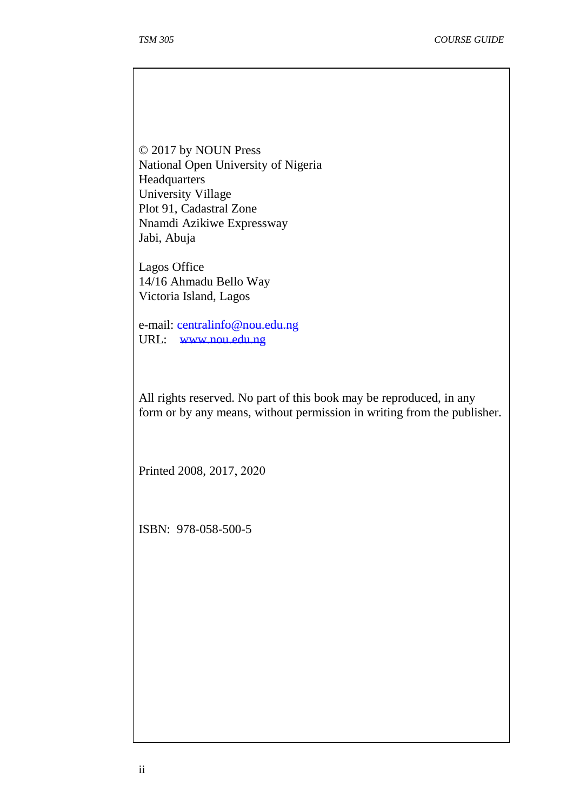© 2017 by NOUN Press National Open University of Nigeria Headquarters University Village Plot 91, Cadastral Zone Nnamdi Azikiwe Expressway Jabi, Abuja

Lagos Office 14/16 Ahmadu Bello Way Victoria Island, Lagos

e-mail: centralinfo@nou.edu.ng URL: www.nou.edu.ng

All rights reserved. No part of this book may be reproduced, in any form or by any means, without permission in writing from the publisher.

Printed 2008, 2017, 2020

ISBN: 978-058-500-5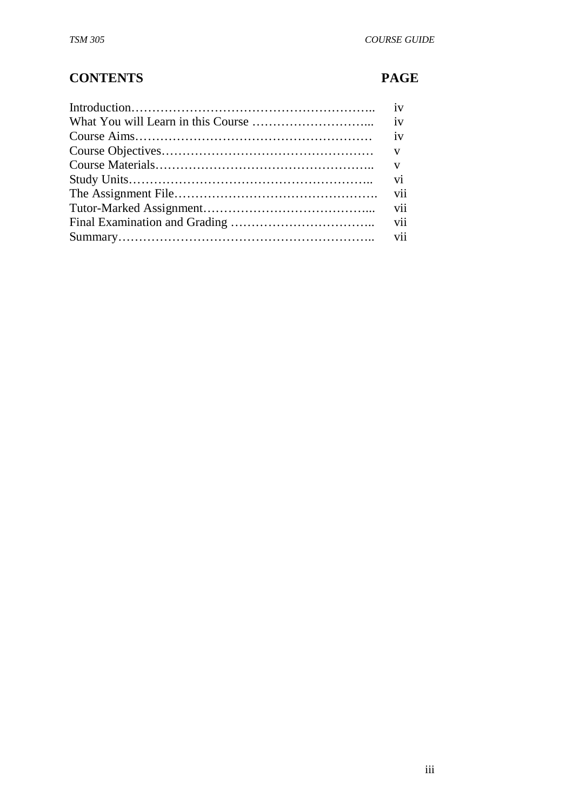# **CONTENTS PAGE**

| iv |
|----|
|    |
|    |
|    |
|    |
|    |
|    |
|    |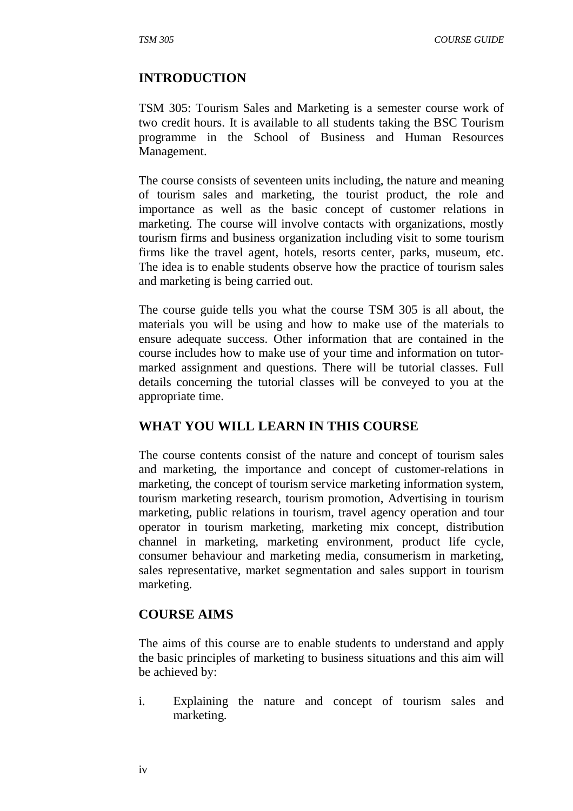## **INTRODUCTION**

TSM 305: Tourism Sales and Marketing is a semester course work of two credit hours. It is available to all students taking the BSC Tourism programme in the School of Business and Human Resources Management.

The course consists of seventeen units including, the nature and meaning of tourism sales and marketing, the tourist product, the role and importance as well as the basic concept of customer relations in marketing. The course will involve contacts with organizations, mostly tourism firms and business organization including visit to some tourism firms like the travel agent, hotels, resorts center, parks, museum, etc. The idea is to enable students observe how the practice of tourism sales and marketing is being carried out.

The course guide tells you what the course TSM 305 is all about, the materials you will be using and how to make use of the materials to ensure adequate success. Other information that are contained in the course includes how to make use of your time and information on tutormarked assignment and questions. There will be tutorial classes. Full details concerning the tutorial classes will be conveyed to you at the appropriate time.

## **WHAT YOU WILL LEARN IN THIS COURSE**

The course contents consist of the nature and concept of tourism sales and marketing, the importance and concept of customer-relations in marketing, the concept of tourism service marketing information system, tourism marketing research, tourism promotion, Advertising in tourism marketing, public relations in tourism, travel agency operation and tour operator in tourism marketing, marketing mix concept, distribution channel in marketing, marketing environment, product life cycle, consumer behaviour and marketing media, consumerism in marketing, sales representative, market segmentation and sales support in tourism marketing.

## **COURSE AIMS**

The aims of this course are to enable students to understand and apply the basic principles of marketing to business situations and this aim will be achieved by:

i. Explaining the nature and concept of tourism sales and marketing.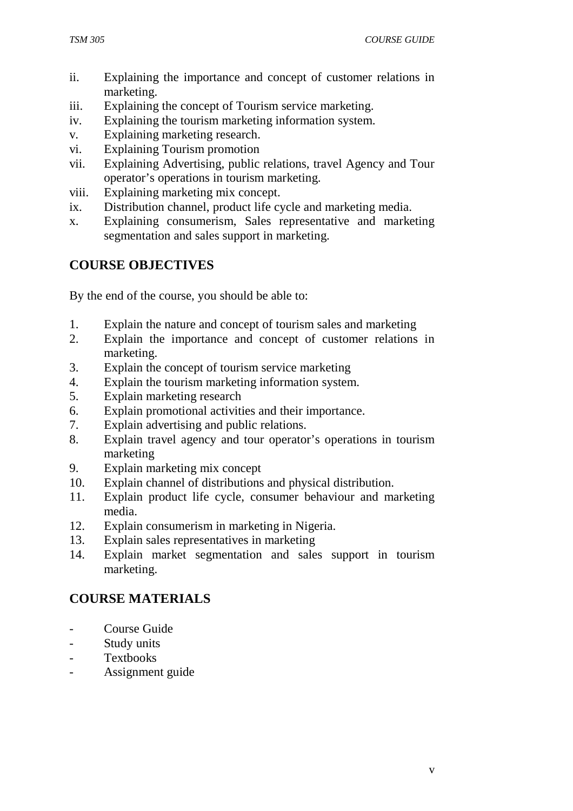- ii. Explaining the importance and concept of customer relations in marketing.
- iii. Explaining the concept of Tourism service marketing.
- iv. Explaining the tourism marketing information system.
- v. Explaining marketing research.
- vi. Explaining Tourism promotion
- vii. Explaining Advertising, public relations, travel Agency and Tour operator's operations in tourism marketing.
- viii. Explaining marketing mix concept.
- ix. Distribution channel, product life cycle and marketing media.
- x. Explaining consumerism, Sales representative and marketing segmentation and sales support in marketing.

# **COURSE OBJECTIVES**

By the end of the course, you should be able to:

- 1. Explain the nature and concept of tourism sales and marketing
- 2. Explain the importance and concept of customer relations in marketing.
- 3. Explain the concept of tourism service marketing
- 4. Explain the tourism marketing information system.
- 5. Explain marketing research
- 6. Explain promotional activities and their importance.
- 7. Explain advertising and public relations.
- 8. Explain travel agency and tour operator's operations in tourism marketing
- 9. Explain marketing mix concept
- 10. Explain channel of distributions and physical distribution.
- 11. Explain product life cycle, consumer behaviour and marketing media.
- 12. Explain consumerism in marketing in Nigeria.
- 13. Explain sales representatives in marketing
- 14. Explain market segmentation and sales support in tourism marketing.

## **COURSE MATERIALS**

- Course Guide
- Study units
- Textbooks
- Assignment guide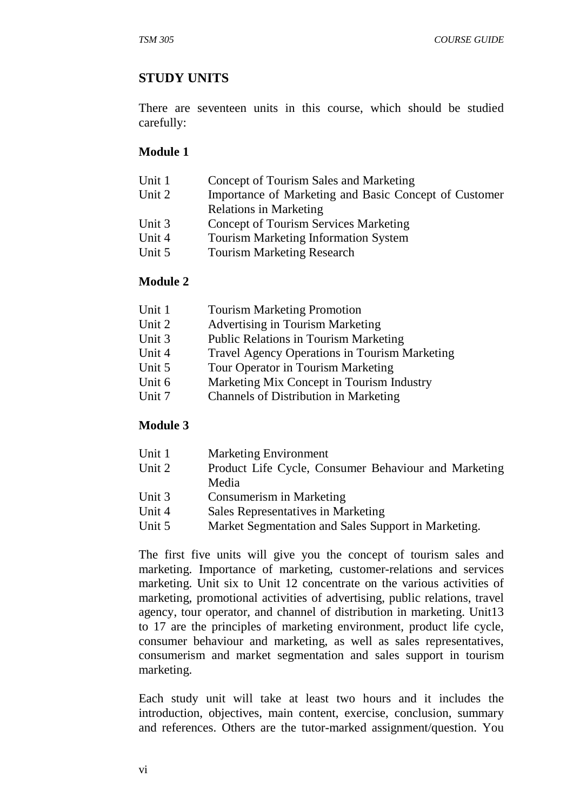## **STUDY UNITS**

There are seventeen units in this course, which should be studied carefully:

## **Module 1**

- Unit 2 Importance of Marketing and Basic Concept of Customer
	- Relations in Marketing
- Unit 3 Concept of Tourism Services Marketing
- Unit 4 Tourism Marketing Information System
- Unit 5 Tourism Marketing Research

## **Module 2**

| <b>Tourism Marketing Promotion</b>                   |
|------------------------------------------------------|
| <b>Advertising in Tourism Marketing</b>              |
| <b>Public Relations in Tourism Marketing</b>         |
| <b>Travel Agency Operations in Tourism Marketing</b> |
| Tour Operator in Tourism Marketing                   |
| Marketing Mix Concept in Tourism Industry            |
| <b>Channels of Distribution in Marketing</b>         |
|                                                      |

## **Module 3**

| Unit 1 | <b>Marketing Environment</b>                         |  |
|--------|------------------------------------------------------|--|
| Unit 2 | Product Life Cycle, Consumer Behaviour and Marketing |  |
|        | Media                                                |  |
| Unit 3 | Consumerism in Marketing                             |  |
| Unit 4 | Sales Representatives in Marketing                   |  |
| Unit 5 | Market Segmentation and Sales Support in Marketing.  |  |

The first five units will give you the concept of tourism sales and marketing. Importance of marketing, customer-relations and services marketing. Unit six to Unit 12 concentrate on the various activities of marketing, promotional activities of advertising, public relations, travel agency, tour operator, and channel of distribution in marketing. Unit13 to 17 are the principles of marketing environment, product life cycle, consumer behaviour and marketing, as well as sales representatives, consumerism and market segmentation and sales support in tourism marketing.

Each study unit will take at least two hours and it includes the introduction, objectives, main content, exercise, conclusion, summary and references. Others are the tutor-marked assignment/question. You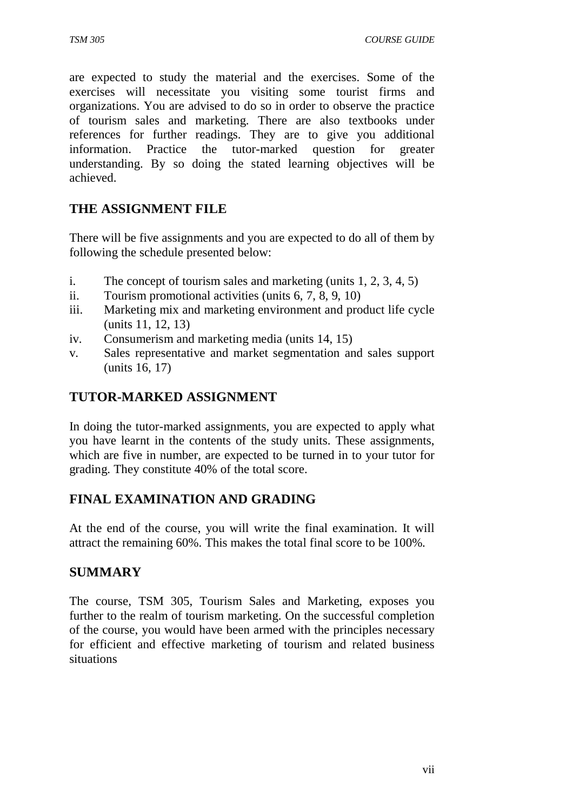are expected to study the material and the exercises. Some of the exercises will necessitate you visiting some tourist firms and organizations. You are advised to do so in order to observe the practice of tourism sales and marketing. There are also textbooks under references for further readings. They are to give you additional information. Practice the tutor-marked question for greater understanding. By so doing the stated learning objectives will be achieved.

## **THE ASSIGNMENT FILE**

There will be five assignments and you are expected to do all of them by following the schedule presented below:

- i. The concept of tourism sales and marketing (units 1, 2, 3, 4, 5)
- ii. Tourism promotional activities (units 6, 7, 8, 9, 10)
- iii. Marketing mix and marketing environment and product life cycle (units 11, 12, 13)
- iv. Consumerism and marketing media (units 14, 15)
- v. Sales representative and market segmentation and sales support (units 16, 17)

## **TUTOR-MARKED ASSIGNMENT**

In doing the tutor-marked assignments, you are expected to apply what you have learnt in the contents of the study units. These assignments, which are five in number, are expected to be turned in to your tutor for grading. They constitute 40% of the total score.

## **FINAL EXAMINATION AND GRADING**

At the end of the course, you will write the final examination. It will attract the remaining 60%. This makes the total final score to be 100%.

## **SUMMARY**

The course, TSM 305, Tourism Sales and Marketing, exposes you further to the realm of tourism marketing. On the successful completion of the course, you would have been armed with the principles necessary for efficient and effective marketing of tourism and related business situations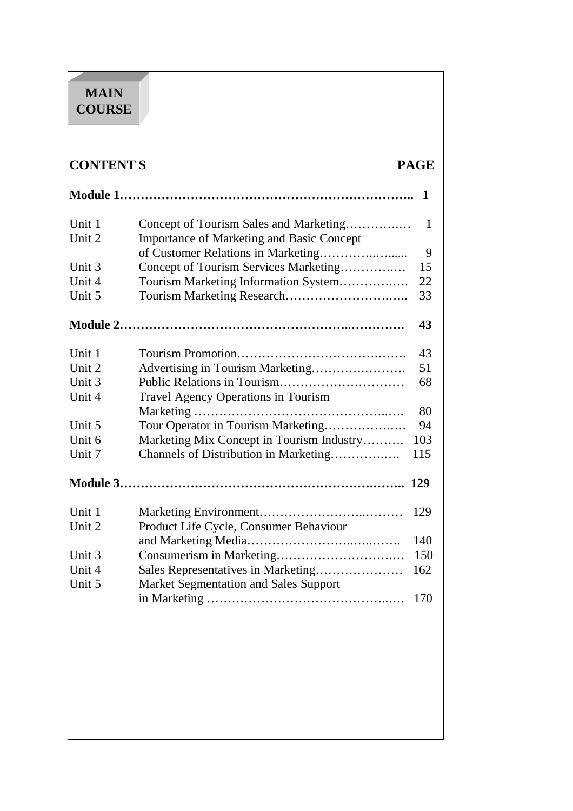# **MAIN COURSE**

| <b>CONTENTS</b> |                                           | <b>PAGE</b> |
|-----------------|-------------------------------------------|-------------|
|                 |                                           | - 1         |
| Unit 1          | Concept of Tourism Sales and Marketing    | $\mathbf 1$ |
| Unit 2          | Importance of Marketing and Basic Concept |             |
|                 |                                           | 9           |
| Unit 3          | Concept of Tourism Services Marketing     | 15          |
| Unit 4          | Tourism Marketing Information System      | 22          |
| Unit 5          |                                           | 33          |
|                 |                                           | 43          |
| Unit 1          |                                           | 43          |
| Unit 2          | Advertising in Tourism Marketing          | 51          |
| Unit 3          | Public Relations in Tourism               | 68          |
| Unit 4          | Travel Agency Operations in Tourism       |             |
|                 |                                           | 80          |
| Unit 5          | Tour Operator in Tourism Marketing        | 94          |
| Unit 6          | Marketing Mix Concept in Tourism Industry | 103         |
| Unit 7          | Channels of Distribution in Marketing     | 115         |
|                 |                                           | <b>129</b>  |
| Unit 1          |                                           | 129         |
| Unit 2          | Product Life Cycle, Consumer Behaviour    |             |
|                 |                                           | 140         |
| Unit 3          |                                           | 150         |
| Unit 4          | Sales Representatives in Marketing        | 162         |
| Unit 5          | Market Segmentation and Sales Support     |             |
|                 |                                           | 170         |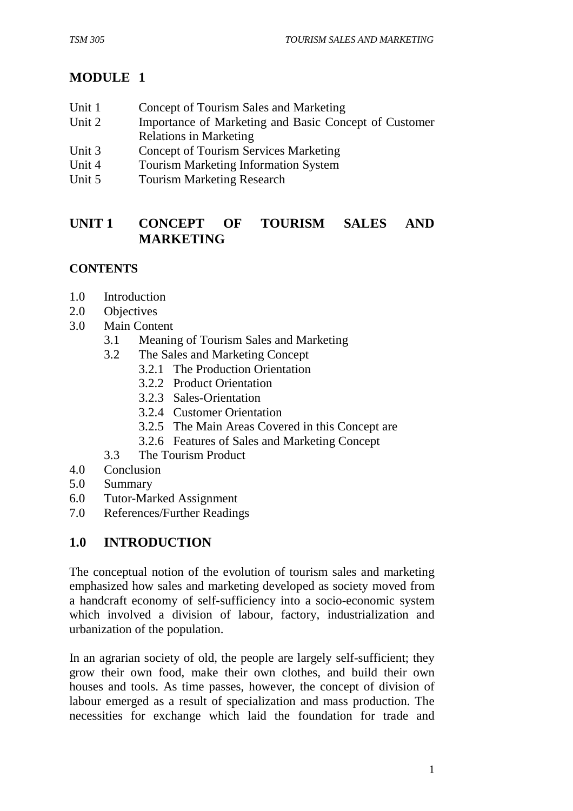# **MODULE 1**

- Unit 1 Concept of Tourism Sales and Marketing
- Unit 2 Importance of Marketing and Basic Concept of Customer Relations in Marketing
- Unit 3 Concept of Tourism Services Marketing
- Unit 4 Tourism Marketing Information System
- Unit 5 Tourism Marketing Research

## **UNIT 1 CONCEPT OF TOURISM SALES AND MARKETING**

## **CONTENTS**

- 1.0 Introduction
- 2.0 Objectives
- 3.0 Main Content
	- 3.1 Meaning of Tourism Sales and Marketing
	- 3.2 The Sales and Marketing Concept
		- 3.2.1 The Production Orientation
		- 3.2.2 Product Orientation
		- 3.2.3 Sales-Orientation
		- 3.2.4 Customer Orientation
		- 3.2.5 The Main Areas Covered in this Concept are
		- 3.2.6 Features of Sales and Marketing Concept
	- 3.3 The Tourism Product
- 4.0 Conclusion
- 5.0 Summary
- 6.0 Tutor-Marked Assignment
- 7.0 References/Further Readings

## **1.0 INTRODUCTION**

The conceptual notion of the evolution of tourism sales and marketing emphasized how sales and marketing developed as society moved from a handcraft economy of self-sufficiency into a socio-economic system which involved a division of labour, factory, industrialization and urbanization of the population.

In an agrarian society of old, the people are largely self-sufficient; they grow their own food, make their own clothes, and build their own houses and tools. As time passes, however, the concept of division of labour emerged as a result of specialization and mass production. The necessities for exchange which laid the foundation for trade and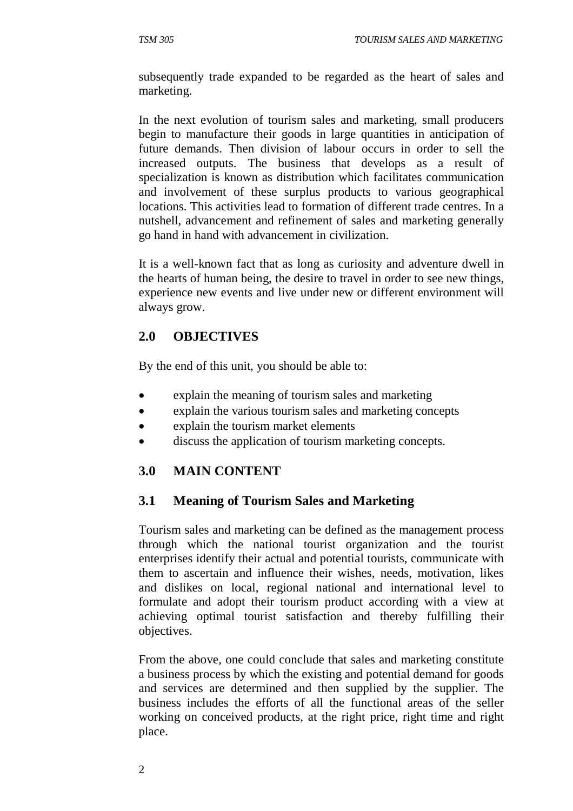subsequently trade expanded to be regarded as the heart of sales and marketing.

In the next evolution of tourism sales and marketing, small producers begin to manufacture their goods in large quantities in anticipation of future demands. Then division of labour occurs in order to sell the increased outputs. The business that develops as a result of specialization is known as distribution which facilitates communication and involvement of these surplus products to various geographical locations. This activities lead to formation of different trade centres. In a nutshell, advancement and refinement of sales and marketing generally go hand in hand with advancement in civilization.

It is a well-known fact that as long as curiosity and adventure dwell in the hearts of human being, the desire to travel in order to see new things, experience new events and live under new or different environment will always grow.

# **2.0 OBJECTIVES**

By the end of this unit, you should be able to:

- explain the meaning of tourism sales and marketing
- explain the various tourism sales and marketing concepts
- explain the tourism market elements
- discuss the application of tourism marketing concepts.

## **3.0 MAIN CONTENT**

## **3.1 Meaning of Tourism Sales and Marketing**

Tourism sales and marketing can be defined as the management process through which the national tourist organization and the tourist enterprises identify their actual and potential tourists, communicate with them to ascertain and influence their wishes, needs, motivation, likes and dislikes on local, regional national and international level to formulate and adopt their tourism product according with a view at achieving optimal tourist satisfaction and thereby fulfilling their objectives.

From the above, one could conclude that sales and marketing constitute a business process by which the existing and potential demand for goods and services are determined and then supplied by the supplier. The business includes the efforts of all the functional areas of the seller working on conceived products, at the right price, right time and right place.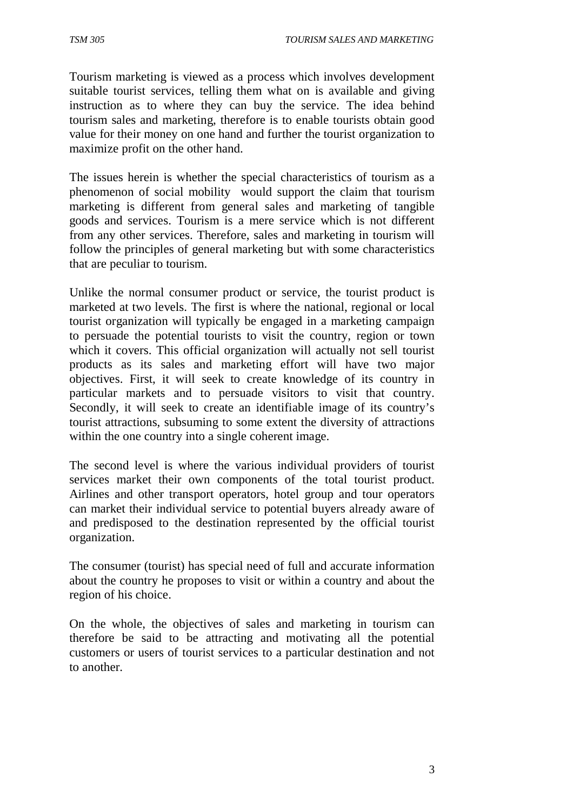Tourism marketing is viewed as a process which involves development suitable tourist services, telling them what on is available and giving instruction as to where they can buy the service. The idea behind tourism sales and marketing, therefore is to enable tourists obtain good value for their money on one hand and further the tourist organization to maximize profit on the other hand.

The issues herein is whether the special characteristics of tourism as a phenomenon of social mobility would support the claim that tourism marketing is different from general sales and marketing of tangible goods and services. Tourism is a mere service which is not different from any other services. Therefore, sales and marketing in tourism will follow the principles of general marketing but with some characteristics that are peculiar to tourism.

Unlike the normal consumer product or service, the tourist product is marketed at two levels. The first is where the national, regional or local tourist organization will typically be engaged in a marketing campaign to persuade the potential tourists to visit the country, region or town which it covers. This official organization will actually not sell tourist products as its sales and marketing effort will have two major objectives. First, it will seek to create knowledge of its country in particular markets and to persuade visitors to visit that country. Secondly, it will seek to create an identifiable image of its country's tourist attractions, subsuming to some extent the diversity of attractions within the one country into a single coherent image.

The second level is where the various individual providers of tourist services market their own components of the total tourist product. Airlines and other transport operators, hotel group and tour operators can market their individual service to potential buyers already aware of and predisposed to the destination represented by the official tourist organization.

The consumer (tourist) has special need of full and accurate information about the country he proposes to visit or within a country and about the region of his choice.

On the whole, the objectives of sales and marketing in tourism can therefore be said to be attracting and motivating all the potential customers or users of tourist services to a particular destination and not to another.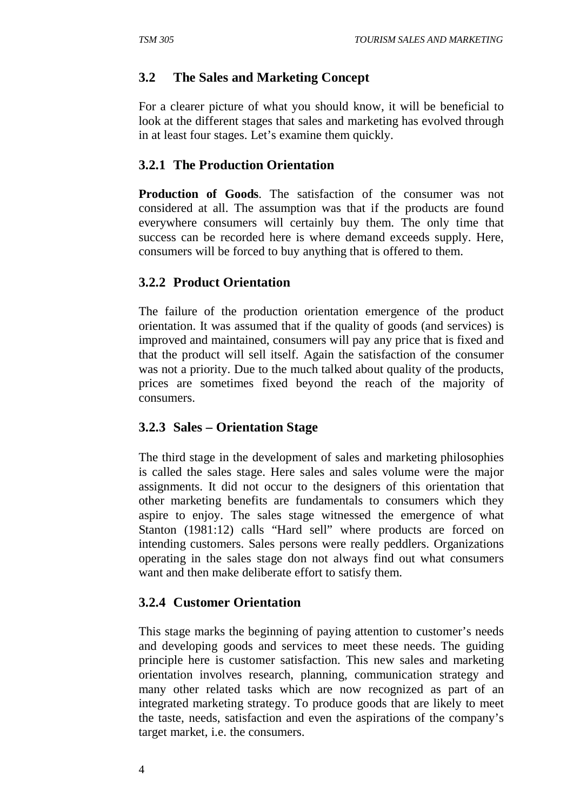# **3.2 The Sales and Marketing Concept**

For a clearer picture of what you should know, it will be beneficial to look at the different stages that sales and marketing has evolved through in at least four stages. Let's examine them quickly.

# **3.2.1 The Production Orientation**

**Production of Goods**. The satisfaction of the consumer was not considered at all. The assumption was that if the products are found everywhere consumers will certainly buy them. The only time that success can be recorded here is where demand exceeds supply. Here, consumers will be forced to buy anything that is offered to them.

# **3.2.2 Product Orientation**

The failure of the production orientation emergence of the product orientation. It was assumed that if the quality of goods (and services) is improved and maintained, consumers will pay any price that is fixed and that the product will sell itself. Again the satisfaction of the consumer was not a priority. Due to the much talked about quality of the products, prices are sometimes fixed beyond the reach of the majority of consumers.

## **3.2.3 Sales – Orientation Stage**

The third stage in the development of sales and marketing philosophies is called the sales stage. Here sales and sales volume were the major assignments. It did not occur to the designers of this orientation that other marketing benefits are fundamentals to consumers which they aspire to enjoy. The sales stage witnessed the emergence of what Stanton (1981:12) calls "Hard sell" where products are forced on intending customers. Sales persons were really peddlers. Organizations operating in the sales stage don not always find out what consumers want and then make deliberate effort to satisfy them.

## **3.2.4 Customer Orientation**

This stage marks the beginning of paying attention to customer's needs and developing goods and services to meet these needs. The guiding principle here is customer satisfaction. This new sales and marketing orientation involves research, planning, communication strategy and many other related tasks which are now recognized as part of an integrated marketing strategy. To produce goods that are likely to meet the taste, needs, satisfaction and even the aspirations of the company's target market, i.e. the consumers.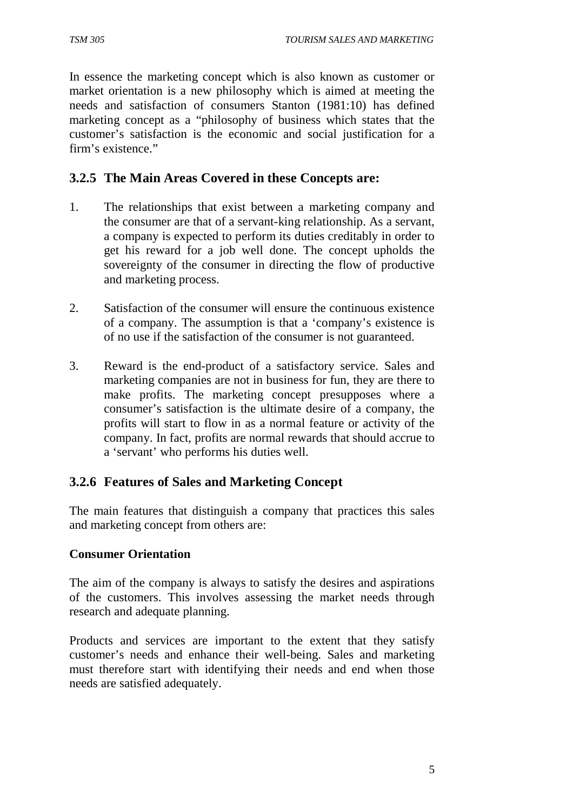In essence the marketing concept which is also known as customer or market orientation is a new philosophy which is aimed at meeting the needs and satisfaction of consumers Stanton (1981:10) has defined marketing concept as a "philosophy of business which states that the customer's satisfaction is the economic and social justification for a firm's existence."

## **3.2.5 The Main Areas Covered in these Concepts are:**

- 1. The relationships that exist between a marketing company and the consumer are that of a servant-king relationship. As a servant, a company is expected to perform its duties creditably in order to get his reward for a job well done. The concept upholds the sovereignty of the consumer in directing the flow of productive and marketing process.
- 2. Satisfaction of the consumer will ensure the continuous existence of a company. The assumption is that a 'company's existence is of no use if the satisfaction of the consumer is not guaranteed.
- 3. Reward is the end-product of a satisfactory service. Sales and marketing companies are not in business for fun, they are there to make profits. The marketing concept presupposes where a consumer's satisfaction is the ultimate desire of a company, the profits will start to flow in as a normal feature or activity of the company. In fact, profits are normal rewards that should accrue to a 'servant' who performs his duties well.

## **3.2.6 Features of Sales and Marketing Concept**

The main features that distinguish a company that practices this sales and marketing concept from others are:

## **Consumer Orientation**

The aim of the company is always to satisfy the desires and aspirations of the customers. This involves assessing the market needs through research and adequate planning.

Products and services are important to the extent that they satisfy customer's needs and enhance their well-being. Sales and marketing must therefore start with identifying their needs and end when those needs are satisfied adequately.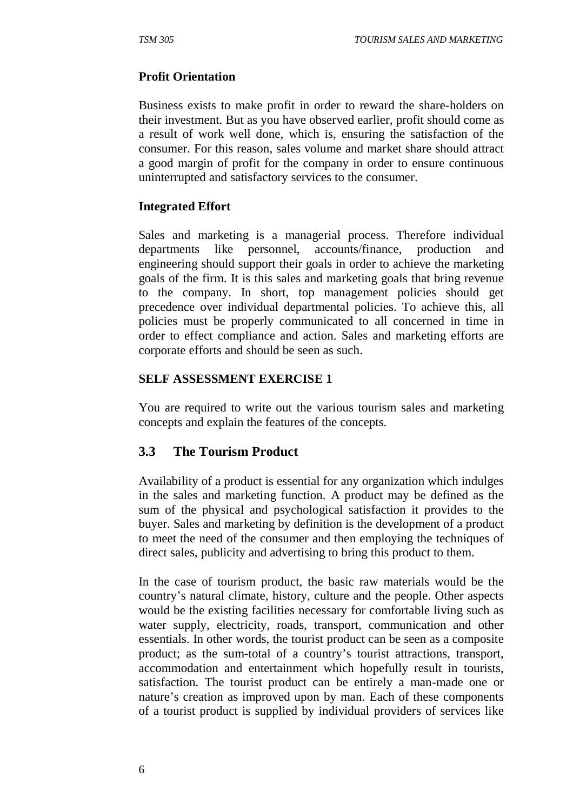## **Profit Orientation**

Business exists to make profit in order to reward the share-holders on their investment. But as you have observed earlier, profit should come as a result of work well done, which is, ensuring the satisfaction of the consumer. For this reason, sales volume and market share should attract a good margin of profit for the company in order to ensure continuous uninterrupted and satisfactory services to the consumer.

## **Integrated Effort**

Sales and marketing is a managerial process. Therefore individual departments like personnel, accounts/finance, production and engineering should support their goals in order to achieve the marketing goals of the firm. It is this sales and marketing goals that bring revenue to the company. In short, top management policies should get precedence over individual departmental policies. To achieve this, all policies must be properly communicated to all concerned in time in order to effect compliance and action. Sales and marketing efforts are corporate efforts and should be seen as such.

## **SELF ASSESSMENT EXERCISE 1**

You are required to write out the various tourism sales and marketing concepts and explain the features of the concepts.

## **3.3 The Tourism Product**

Availability of a product is essential for any organization which indulges in the sales and marketing function. A product may be defined as the sum of the physical and psychological satisfaction it provides to the buyer. Sales and marketing by definition is the development of a product to meet the need of the consumer and then employing the techniques of direct sales, publicity and advertising to bring this product to them.

In the case of tourism product, the basic raw materials would be the country's natural climate, history, culture and the people. Other aspects would be the existing facilities necessary for comfortable living such as water supply, electricity, roads, transport, communication and other essentials. In other words, the tourist product can be seen as a composite product; as the sum-total of a country's tourist attractions, transport, accommodation and entertainment which hopefully result in tourists, satisfaction. The tourist product can be entirely a man-made one or nature's creation as improved upon by man. Each of these components of a tourist product is supplied by individual providers of services like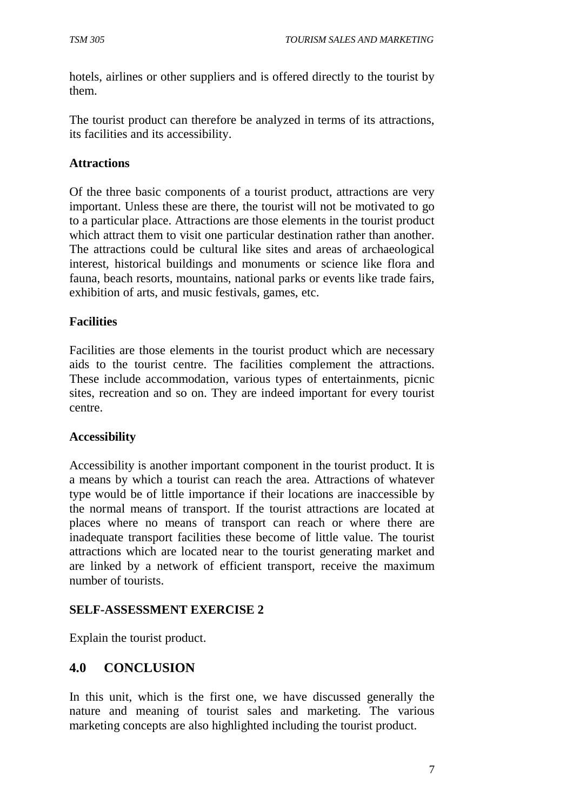hotels, airlines or other suppliers and is offered directly to the tourist by them.

The tourist product can therefore be analyzed in terms of its attractions, its facilities and its accessibility.

#### **Attractions**

Of the three basic components of a tourist product, attractions are very important. Unless these are there, the tourist will not be motivated to go to a particular place. Attractions are those elements in the tourist product which attract them to visit one particular destination rather than another. The attractions could be cultural like sites and areas of archaeological interest, historical buildings and monuments or science like flora and fauna, beach resorts, mountains, national parks or events like trade fairs, exhibition of arts, and music festivals, games, etc.

#### **Facilities**

Facilities are those elements in the tourist product which are necessary aids to the tourist centre. The facilities complement the attractions. These include accommodation, various types of entertainments, picnic sites, recreation and so on. They are indeed important for every tourist centre.

#### **Accessibility**

Accessibility is another important component in the tourist product. It is a means by which a tourist can reach the area. Attractions of whatever type would be of little importance if their locations are inaccessible by the normal means of transport. If the tourist attractions are located at places where no means of transport can reach or where there are inadequate transport facilities these become of little value. The tourist attractions which are located near to the tourist generating market and are linked by a network of efficient transport, receive the maximum number of tourists.

#### **SELF-ASSESSMENT EXERCISE 2**

Explain the tourist product.

## **4.0 CONCLUSION**

In this unit, which is the first one, we have discussed generally the nature and meaning of tourist sales and marketing. The various marketing concepts are also highlighted including the tourist product.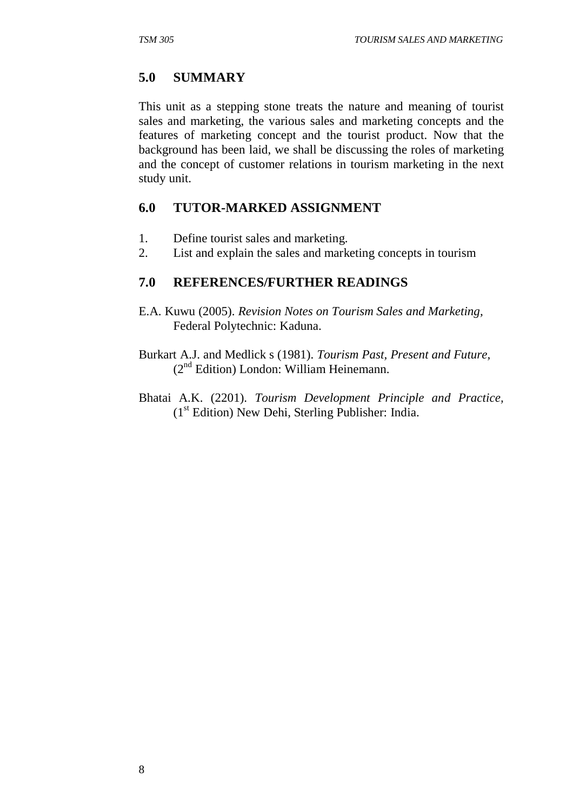## **5.0 SUMMARY**

This unit as a stepping stone treats the nature and meaning of tourist sales and marketing, the various sales and marketing concepts and the features of marketing concept and the tourist product. Now that the background has been laid, we shall be discussing the roles of marketing and the concept of customer relations in tourism marketing in the next study unit.

## **6.0 TUTOR-MARKED ASSIGNMENT**

- 1. Define tourist sales and marketing.
- 2. List and explain the sales and marketing concepts in tourism

#### **7.0 REFERENCES/FURTHER READINGS**

- E.A. Kuwu (2005). *Revision Notes on Tourism Sales and Marketing,*  Federal Polytechnic: Kaduna.
- Burkart A.J. and Medlick s (1981). *Tourism Past, Present and Future,*   $(2^{nd}$  Edition) London: William Heinemann.
- Bhatai A.K. (2201). *Tourism Development Principle and Practice,* (1<sup>st</sup> Edition) New Dehi, Sterling Publisher: India.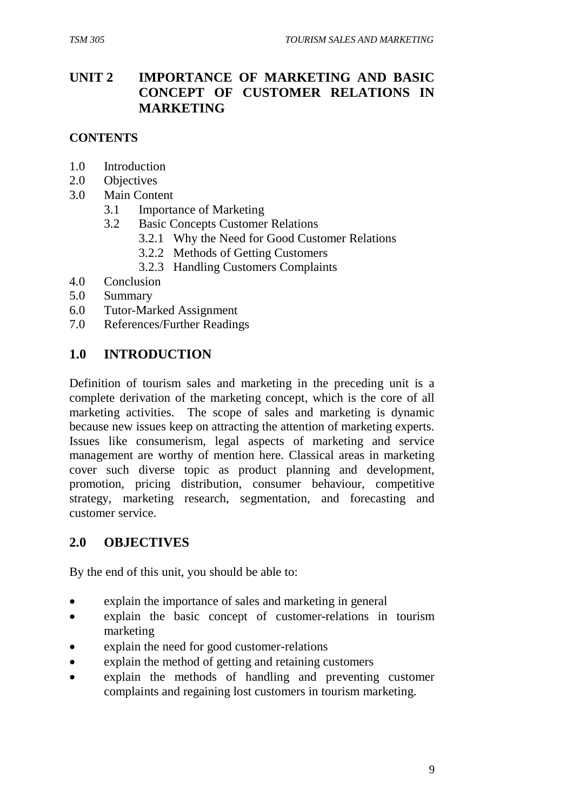# **UNIT 2 IMPORTANCE OF MARKETING AND BASIC CONCEPT OF CUSTOMER RELATIONS IN MARKETING**

## **CONTENTS**

- 1.0 Introduction
- 2.0 Objectives
- 3.0 Main Content
	- 3.1 Importance of Marketing
	- 3.2 Basic Concepts Customer Relations
		- 3.2.1 Why the Need for Good Customer Relations
		- 3.2.2 Methods of Getting Customers
		- 3.2.3 Handling Customers Complaints
- 4.0 Conclusion
- 5.0 Summary
- 6.0 Tutor-Marked Assignment
- 7.0 References/Further Readings

## **1.0 INTRODUCTION**

Definition of tourism sales and marketing in the preceding unit is a complete derivation of the marketing concept, which is the core of all marketing activities. The scope of sales and marketing is dynamic because new issues keep on attracting the attention of marketing experts. Issues like consumerism, legal aspects of marketing and service management are worthy of mention here. Classical areas in marketing cover such diverse topic as product planning and development, promotion, pricing distribution, consumer behaviour, competitive strategy, marketing research, segmentation, and forecasting and customer service.

## **2.0 OBJECTIVES**

By the end of this unit, you should be able to:

- explain the importance of sales and marketing in general
- explain the basic concept of customer-relations in tourism marketing
- explain the need for good customer-relations
- explain the method of getting and retaining customers
- explain the methods of handling and preventing customer complaints and regaining lost customers in tourism marketing.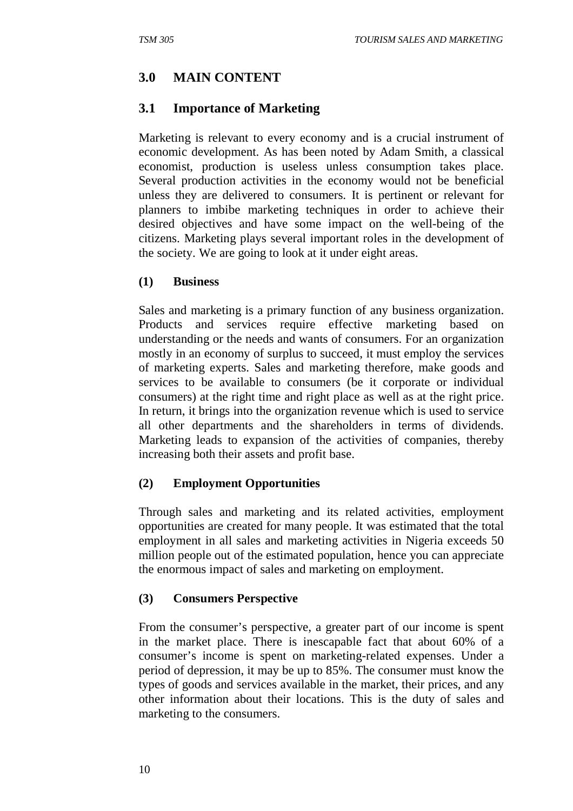# **3.0 MAIN CONTENT**

## **3.1 Importance of Marketing**

Marketing is relevant to every economy and is a crucial instrument of economic development. As has been noted by Adam Smith, a classical economist, production is useless unless consumption takes place. Several production activities in the economy would not be beneficial unless they are delivered to consumers. It is pertinent or relevant for planners to imbibe marketing techniques in order to achieve their desired objectives and have some impact on the well-being of the citizens. Marketing plays several important roles in the development of the society. We are going to look at it under eight areas.

#### **(1) Business**

Sales and marketing is a primary function of any business organization. Products and services require effective marketing based on understanding or the needs and wants of consumers. For an organization mostly in an economy of surplus to succeed, it must employ the services of marketing experts. Sales and marketing therefore, make goods and services to be available to consumers (be it corporate or individual consumers) at the right time and right place as well as at the right price. In return, it brings into the organization revenue which is used to service all other departments and the shareholders in terms of dividends. Marketing leads to expansion of the activities of companies, thereby increasing both their assets and profit base.

## **(2) Employment Opportunities**

Through sales and marketing and its related activities, employment opportunities are created for many people. It was estimated that the total employment in all sales and marketing activities in Nigeria exceeds 50 million people out of the estimated population, hence you can appreciate the enormous impact of sales and marketing on employment.

## **(3) Consumers Perspective**

From the consumer's perspective, a greater part of our income is spent in the market place. There is inescapable fact that about 60% of a consumer's income is spent on marketing-related expenses. Under a period of depression, it may be up to 85%. The consumer must know the types of goods and services available in the market, their prices, and any other information about their locations. This is the duty of sales and marketing to the consumers.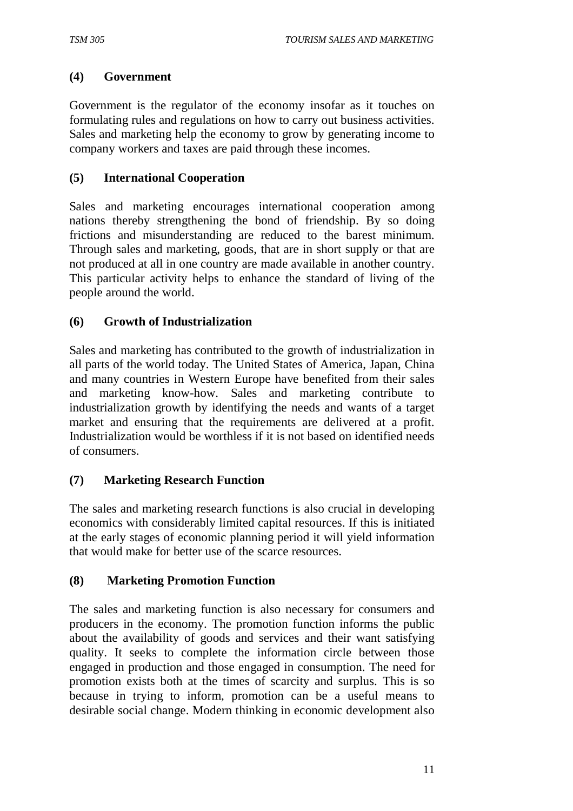#### **(4) Government**

Government is the regulator of the economy insofar as it touches on formulating rules and regulations on how to carry out business activities. Sales and marketing help the economy to grow by generating income to company workers and taxes are paid through these incomes.

#### **(5) International Cooperation**

Sales and marketing encourages international cooperation among nations thereby strengthening the bond of friendship. By so doing frictions and misunderstanding are reduced to the barest minimum. Through sales and marketing, goods, that are in short supply or that are not produced at all in one country are made available in another country. This particular activity helps to enhance the standard of living of the people around the world.

#### **(6) Growth of Industrialization**

Sales and marketing has contributed to the growth of industrialization in all parts of the world today. The United States of America, Japan, China and many countries in Western Europe have benefited from their sales and marketing know-how. Sales and marketing contribute to industrialization growth by identifying the needs and wants of a target market and ensuring that the requirements are delivered at a profit. Industrialization would be worthless if it is not based on identified needs of consumers.

#### **(7) Marketing Research Function**

The sales and marketing research functions is also crucial in developing economics with considerably limited capital resources. If this is initiated at the early stages of economic planning period it will yield information that would make for better use of the scarce resources.

#### **(8) Marketing Promotion Function**

The sales and marketing function is also necessary for consumers and producers in the economy. The promotion function informs the public about the availability of goods and services and their want satisfying quality. It seeks to complete the information circle between those engaged in production and those engaged in consumption. The need for promotion exists both at the times of scarcity and surplus. This is so because in trying to inform, promotion can be a useful means to desirable social change. Modern thinking in economic development also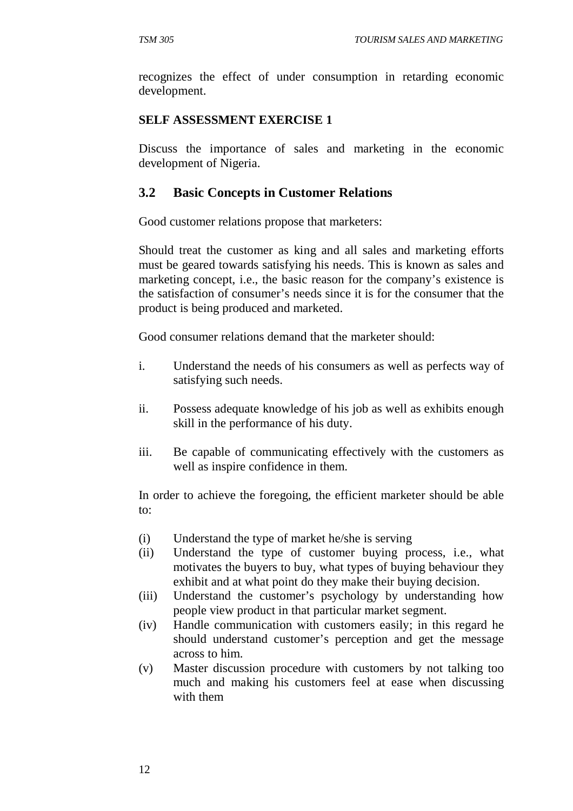recognizes the effect of under consumption in retarding economic development.

#### **SELF ASSESSMENT EXERCISE 1**

Discuss the importance of sales and marketing in the economic development of Nigeria.

## **3.2 Basic Concepts in Customer Relations**

Good customer relations propose that marketers:

Should treat the customer as king and all sales and marketing efforts must be geared towards satisfying his needs. This is known as sales and marketing concept, i.e., the basic reason for the company's existence is the satisfaction of consumer's needs since it is for the consumer that the product is being produced and marketed.

Good consumer relations demand that the marketer should:

- i. Understand the needs of his consumers as well as perfects way of satisfying such needs.
- ii. Possess adequate knowledge of his job as well as exhibits enough skill in the performance of his duty.
- iii. Be capable of communicating effectively with the customers as well as inspire confidence in them.

In order to achieve the foregoing, the efficient marketer should be able to:

- (i) Understand the type of market he/she is serving
- (ii) Understand the type of customer buying process, i.e., what motivates the buyers to buy, what types of buying behaviour they exhibit and at what point do they make their buying decision.
- (iii) Understand the customer's psychology by understanding how people view product in that particular market segment.
- (iv) Handle communication with customers easily; in this regard he should understand customer's perception and get the message across to him.
- (v) Master discussion procedure with customers by not talking too much and making his customers feel at ease when discussing with them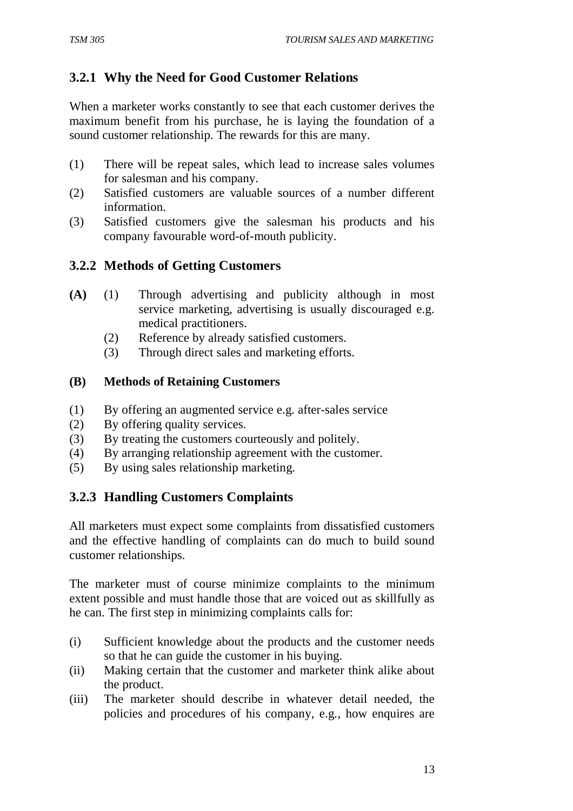## **3.2.1 Why the Need for Good Customer Relations**

When a marketer works constantly to see that each customer derives the maximum benefit from his purchase, he is laying the foundation of a sound customer relationship. The rewards for this are many.

- (1) There will be repeat sales, which lead to increase sales volumes for salesman and his company.
- (2) Satisfied customers are valuable sources of a number different information.
- (3) Satisfied customers give the salesman his products and his company favourable word-of-mouth publicity.

## **3.2.2 Methods of Getting Customers**

- **(A)** (1) Through advertising and publicity although in most service marketing, advertising is usually discouraged e.g. medical practitioners.
	- (2) Reference by already satisfied customers.
	- (3) Through direct sales and marketing efforts.

#### **(B) Methods of Retaining Customers**

- (1) By offering an augmented service e.g. after-sales service
- (2) By offering quality services.
- (3) By treating the customers courteously and politely.
- (4) By arranging relationship agreement with the customer.
- (5) By using sales relationship marketing.

## **3.2.3 Handling Customers Complaints**

All marketers must expect some complaints from dissatisfied customers and the effective handling of complaints can do much to build sound customer relationships.

The marketer must of course minimize complaints to the minimum extent possible and must handle those that are voiced out as skillfully as he can. The first step in minimizing complaints calls for:

- (i) Sufficient knowledge about the products and the customer needs so that he can guide the customer in his buying.
- (ii) Making certain that the customer and marketer think alike about the product.
- (iii) The marketer should describe in whatever detail needed, the policies and procedures of his company, e.g., how enquires are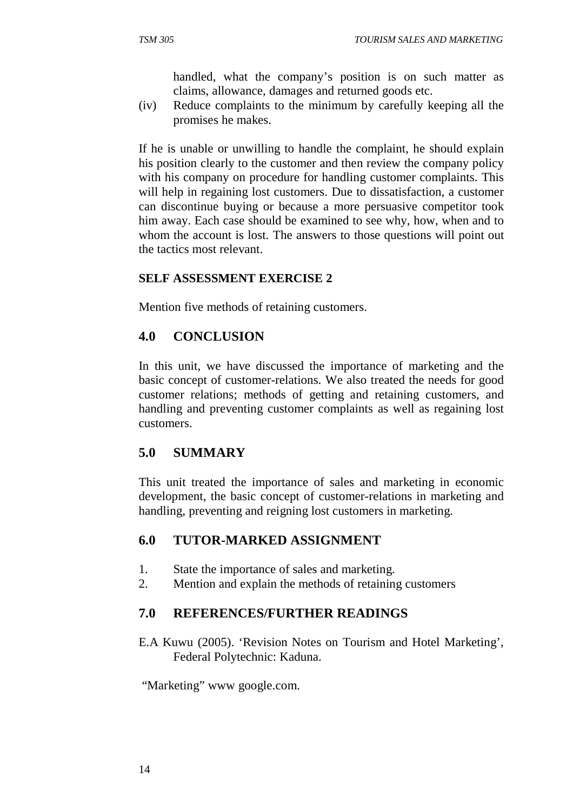handled, what the company's position is on such matter as claims, allowance, damages and returned goods etc.

(iv) Reduce complaints to the minimum by carefully keeping all the promises he makes.

If he is unable or unwilling to handle the complaint, he should explain his position clearly to the customer and then review the company policy with his company on procedure for handling customer complaints. This will help in regaining lost customers. Due to dissatisfaction, a customer can discontinue buying or because a more persuasive competitor took him away. Each case should be examined to see why, how, when and to whom the account is lost. The answers to those questions will point out the tactics most relevant.

## **SELF ASSESSMENT EXERCISE 2**

Mention five methods of retaining customers.

## **4.0 CONCLUSION**

In this unit, we have discussed the importance of marketing and the basic concept of customer-relations. We also treated the needs for good customer relations; methods of getting and retaining customers, and handling and preventing customer complaints as well as regaining lost customers.

## **5.0 SUMMARY**

This unit treated the importance of sales and marketing in economic development, the basic concept of customer-relations in marketing and handling, preventing and reigning lost customers in marketing.

## **6.0 TUTOR-MARKED ASSIGNMENT**

- 1. State the importance of sales and marketing.
- 2. Mention and explain the methods of retaining customers

# **7.0 REFERENCES/FURTHER READINGS**

E.A Kuwu (2005). 'Revision Notes on Tourism and Hotel Marketing', Federal Polytechnic: Kaduna.

"Marketing" www google.com.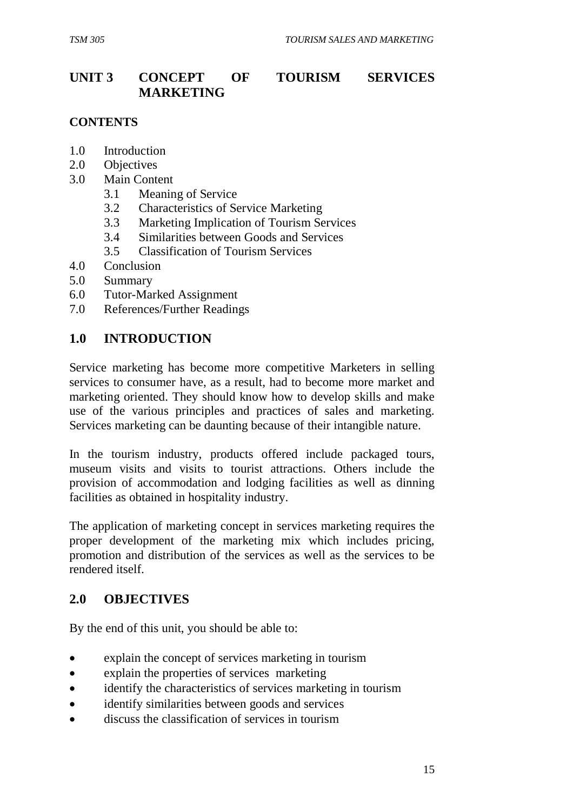# **UNIT 3 CONCEPT OF TOURISM SERVICES MARKETING**

#### **CONTENTS**

- 1.0 Introduction
- 2.0 Objectives
- 3.0 Main Content
	- 3.1 Meaning of Service
	- 3.2 Characteristics of Service Marketing
	- 3.3 Marketing Implication of Tourism Services
	- 3.4 Similarities between Goods and Services
	- 3.5 Classification of Tourism Services
- 4.0 Conclusion
- 5.0 Summary
- 6.0 Tutor-Marked Assignment
- 7.0 References/Further Readings

## **1.0 INTRODUCTION**

Service marketing has become more competitive Marketers in selling services to consumer have, as a result, had to become more market and marketing oriented. They should know how to develop skills and make use of the various principles and practices of sales and marketing. Services marketing can be daunting because of their intangible nature.

In the tourism industry, products offered include packaged tours, museum visits and visits to tourist attractions. Others include the provision of accommodation and lodging facilities as well as dinning facilities as obtained in hospitality industry.

The application of marketing concept in services marketing requires the proper development of the marketing mix which includes pricing, promotion and distribution of the services as well as the services to be rendered itself.

## **2.0 OBJECTIVES**

By the end of this unit, you should be able to:

- explain the concept of services marketing in tourism
- explain the properties of services marketing
- identify the characteristics of services marketing in tourism
- identify similarities between goods and services
- discuss the classification of services in tourism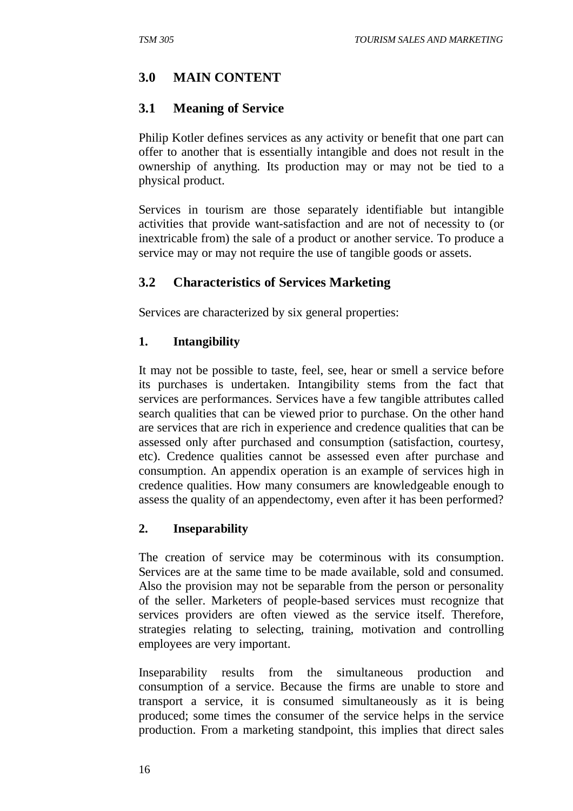# **3.0 MAIN CONTENT**

## **3.1 Meaning of Service**

Philip Kotler defines services as any activity or benefit that one part can offer to another that is essentially intangible and does not result in the ownership of anything. Its production may or may not be tied to a physical product.

Services in tourism are those separately identifiable but intangible activities that provide want-satisfaction and are not of necessity to (or inextricable from) the sale of a product or another service. To produce a service may or may not require the use of tangible goods or assets.

## **3.2 Characteristics of Services Marketing**

Services are characterized by six general properties:

## **1. Intangibility**

It may not be possible to taste, feel, see, hear or smell a service before its purchases is undertaken. Intangibility stems from the fact that services are performances. Services have a few tangible attributes called search qualities that can be viewed prior to purchase. On the other hand are services that are rich in experience and credence qualities that can be assessed only after purchased and consumption (satisfaction, courtesy, etc). Credence qualities cannot be assessed even after purchase and consumption. An appendix operation is an example of services high in credence qualities. How many consumers are knowledgeable enough to assess the quality of an appendectomy, even after it has been performed?

## **2. Inseparability**

The creation of service may be coterminous with its consumption. Services are at the same time to be made available, sold and consumed. Also the provision may not be separable from the person or personality of the seller. Marketers of people-based services must recognize that services providers are often viewed as the service itself. Therefore, strategies relating to selecting, training, motivation and controlling employees are very important.

Inseparability results from the simultaneous production and consumption of a service. Because the firms are unable to store and transport a service, it is consumed simultaneously as it is being produced; some times the consumer of the service helps in the service production. From a marketing standpoint, this implies that direct sales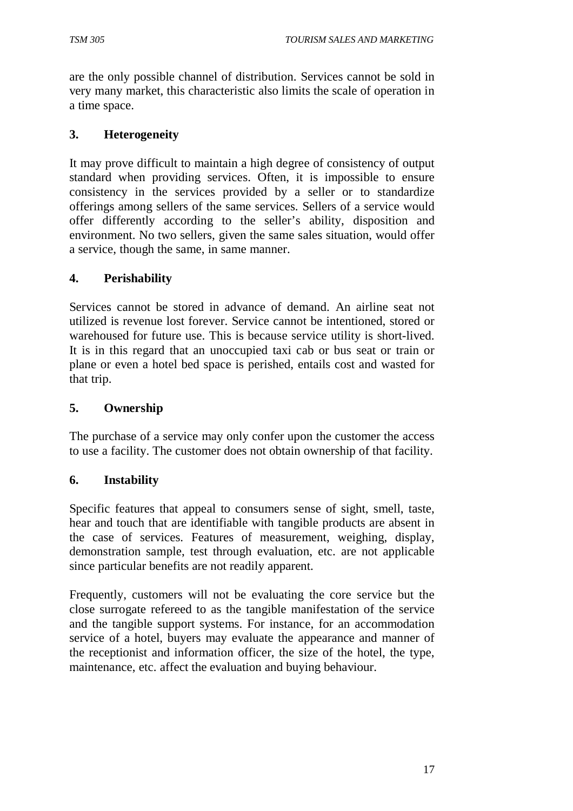are the only possible channel of distribution. Services cannot be sold in very many market, this characteristic also limits the scale of operation in a time space.

#### **3. Heterogeneity**

It may prove difficult to maintain a high degree of consistency of output standard when providing services. Often, it is impossible to ensure consistency in the services provided by a seller or to standardize offerings among sellers of the same services. Sellers of a service would offer differently according to the seller's ability, disposition and environment. No two sellers, given the same sales situation, would offer a service, though the same, in same manner.

#### **4. Perishability**

Services cannot be stored in advance of demand. An airline seat not utilized is revenue lost forever. Service cannot be intentioned, stored or warehoused for future use. This is because service utility is short-lived. It is in this regard that an unoccupied taxi cab or bus seat or train or plane or even a hotel bed space is perished, entails cost and wasted for that trip.

#### **5. Ownership**

The purchase of a service may only confer upon the customer the access to use a facility. The customer does not obtain ownership of that facility.

#### **6. Instability**

Specific features that appeal to consumers sense of sight, smell, taste, hear and touch that are identifiable with tangible products are absent in the case of services. Features of measurement, weighing, display, demonstration sample, test through evaluation, etc. are not applicable since particular benefits are not readily apparent.

 Frequently, customers will not be evaluating the core service but the close surrogate refereed to as the tangible manifestation of the service and the tangible support systems. For instance, for an accommodation service of a hotel, buyers may evaluate the appearance and manner of the receptionist and information officer, the size of the hotel, the type, maintenance, etc. affect the evaluation and buying behaviour.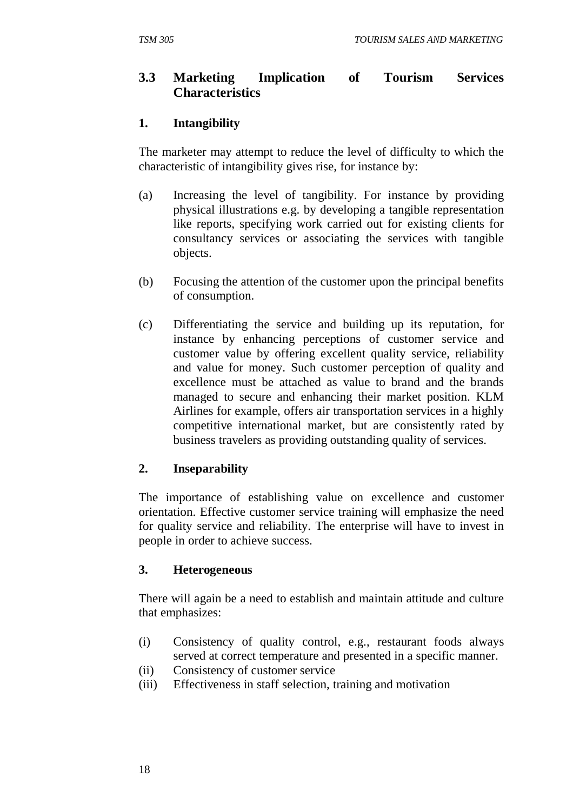# **3.3 Marketing Implication of Tourism Services Characteristics**

## **1. Intangibility**

The marketer may attempt to reduce the level of difficulty to which the characteristic of intangibility gives rise, for instance by:

- (a) Increasing the level of tangibility. For instance by providing physical illustrations e.g. by developing a tangible representation like reports, specifying work carried out for existing clients for consultancy services or associating the services with tangible objects.
- (b) Focusing the attention of the customer upon the principal benefits of consumption.
- (c) Differentiating the service and building up its reputation, for instance by enhancing perceptions of customer service and customer value by offering excellent quality service, reliability and value for money. Such customer perception of quality and excellence must be attached as value to brand and the brands managed to secure and enhancing their market position. KLM Airlines for example, offers air transportation services in a highly competitive international market, but are consistently rated by business travelers as providing outstanding quality of services.

## **2. Inseparability**

The importance of establishing value on excellence and customer orientation. Effective customer service training will emphasize the need for quality service and reliability. The enterprise will have to invest in people in order to achieve success.

## **3. Heterogeneous**

There will again be a need to establish and maintain attitude and culture that emphasizes:

- (i) Consistency of quality control, e.g., restaurant foods always served at correct temperature and presented in a specific manner.
- (ii) Consistency of customer service
- (iii) Effectiveness in staff selection, training and motivation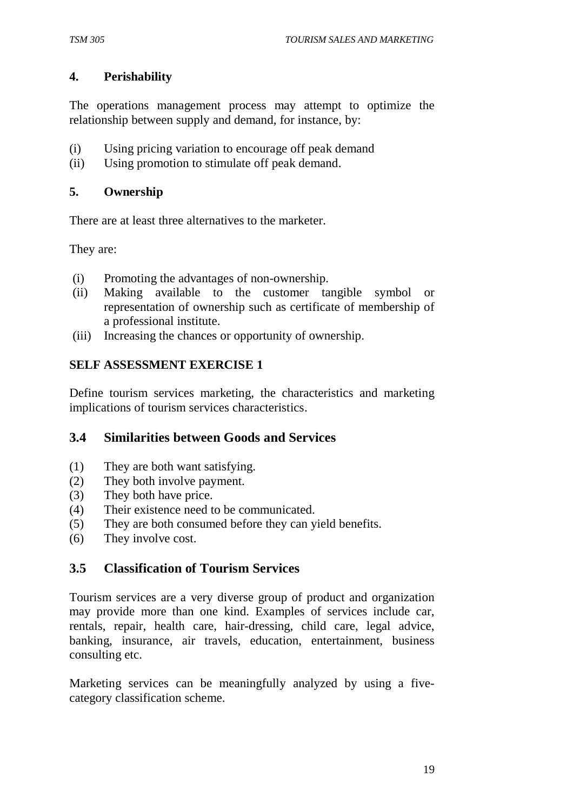## **4. Perishability**

The operations management process may attempt to optimize the relationship between supply and demand, for instance, by:

- (i) Using pricing variation to encourage off peak demand
- (ii) Using promotion to stimulate off peak demand.

## **5. Ownership**

There are at least three alternatives to the marketer.

They are:

- (i) Promoting the advantages of non-ownership.
- (ii) Making available to the customer tangible symbol or representation of ownership such as certificate of membership of a professional institute.
- (iii) Increasing the chances or opportunity of ownership.

## **SELF ASSESSMENT EXERCISE 1**

Define tourism services marketing, the characteristics and marketing implications of tourism services characteristics.

## **3.4 Similarities between Goods and Services**

- (1) They are both want satisfying.
- (2) They both involve payment.
- (3) They both have price.
- (4) Their existence need to be communicated.
- (5) They are both consumed before they can yield benefits.
- (6) They involve cost.

## **3.5 Classification of Tourism Services**

Tourism services are a very diverse group of product and organization may provide more than one kind. Examples of services include car, rentals, repair, health care, hair-dressing, child care, legal advice, banking, insurance, air travels, education, entertainment, business consulting etc.

Marketing services can be meaningfully analyzed by using a fivecategory classification scheme.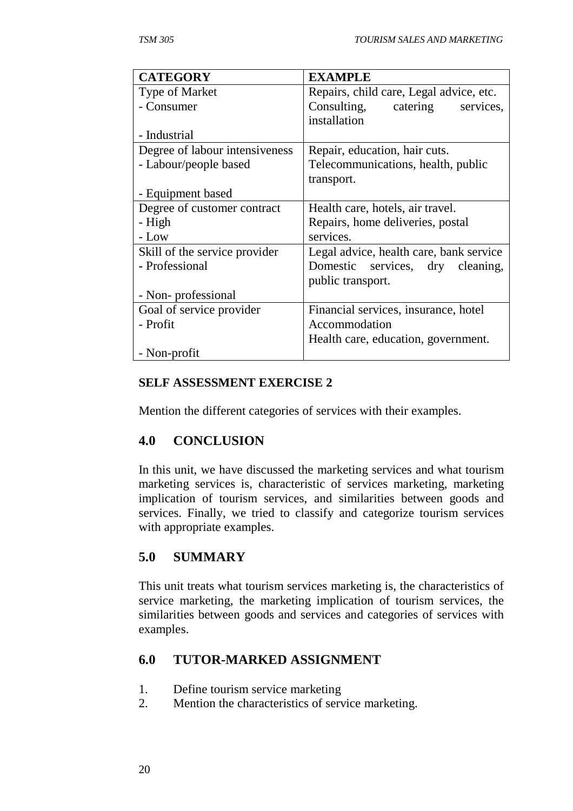| Type of Market<br>Repairs, child care, Legal advice, etc.<br>- Consumer<br>Consulting,<br>catering<br>services,<br>installation<br>- Industrial<br>Degree of labour intensiveness<br>Repair, education, hair cuts.<br>- Labour/people based<br>Telecommunications, health, public<br>transport.<br>- Equipment based<br>Degree of customer contract<br>Health care, hotels, air travel.<br>- High<br>Repairs, home deliveries, postal<br>services.<br>- Low<br>Skill of the service provider<br>Legal advice, health care, bank service<br>- Professional<br>Domestic services, dry<br>cleaning,<br>public transport.<br>- Non-professional<br>Financial services, insurance, hotel<br>Goal of service provider | <b>CATEGORY</b> | <b>EXAMPLE</b> |
|-----------------------------------------------------------------------------------------------------------------------------------------------------------------------------------------------------------------------------------------------------------------------------------------------------------------------------------------------------------------------------------------------------------------------------------------------------------------------------------------------------------------------------------------------------------------------------------------------------------------------------------------------------------------------------------------------------------------|-----------------|----------------|
|                                                                                                                                                                                                                                                                                                                                                                                                                                                                                                                                                                                                                                                                                                                 |                 |                |
|                                                                                                                                                                                                                                                                                                                                                                                                                                                                                                                                                                                                                                                                                                                 |                 |                |
|                                                                                                                                                                                                                                                                                                                                                                                                                                                                                                                                                                                                                                                                                                                 |                 |                |
|                                                                                                                                                                                                                                                                                                                                                                                                                                                                                                                                                                                                                                                                                                                 |                 |                |
|                                                                                                                                                                                                                                                                                                                                                                                                                                                                                                                                                                                                                                                                                                                 |                 |                |
|                                                                                                                                                                                                                                                                                                                                                                                                                                                                                                                                                                                                                                                                                                                 |                 |                |
|                                                                                                                                                                                                                                                                                                                                                                                                                                                                                                                                                                                                                                                                                                                 |                 |                |
|                                                                                                                                                                                                                                                                                                                                                                                                                                                                                                                                                                                                                                                                                                                 |                 |                |
|                                                                                                                                                                                                                                                                                                                                                                                                                                                                                                                                                                                                                                                                                                                 |                 |                |
|                                                                                                                                                                                                                                                                                                                                                                                                                                                                                                                                                                                                                                                                                                                 |                 |                |
|                                                                                                                                                                                                                                                                                                                                                                                                                                                                                                                                                                                                                                                                                                                 |                 |                |
|                                                                                                                                                                                                                                                                                                                                                                                                                                                                                                                                                                                                                                                                                                                 |                 |                |
|                                                                                                                                                                                                                                                                                                                                                                                                                                                                                                                                                                                                                                                                                                                 |                 |                |
|                                                                                                                                                                                                                                                                                                                                                                                                                                                                                                                                                                                                                                                                                                                 |                 |                |
|                                                                                                                                                                                                                                                                                                                                                                                                                                                                                                                                                                                                                                                                                                                 |                 |                |
|                                                                                                                                                                                                                                                                                                                                                                                                                                                                                                                                                                                                                                                                                                                 |                 |                |
| - Profit<br>Accommodation                                                                                                                                                                                                                                                                                                                                                                                                                                                                                                                                                                                                                                                                                       |                 |                |
| Health care, education, government.                                                                                                                                                                                                                                                                                                                                                                                                                                                                                                                                                                                                                                                                             |                 |                |
| - Non-profit                                                                                                                                                                                                                                                                                                                                                                                                                                                                                                                                                                                                                                                                                                    |                 |                |

## **SELF ASSESSMENT EXERCISE 2**

Mention the different categories of services with their examples.

# **4.0 CONCLUSION**

In this unit, we have discussed the marketing services and what tourism marketing services is, characteristic of services marketing, marketing implication of tourism services, and similarities between goods and services. Finally, we tried to classify and categorize tourism services with appropriate examples.

# **5.0 SUMMARY**

This unit treats what tourism services marketing is, the characteristics of service marketing, the marketing implication of tourism services, the similarities between goods and services and categories of services with examples.

## **6.0 TUTOR-MARKED ASSIGNMENT**

- 1. Define tourism service marketing
- 2. Mention the characteristics of service marketing.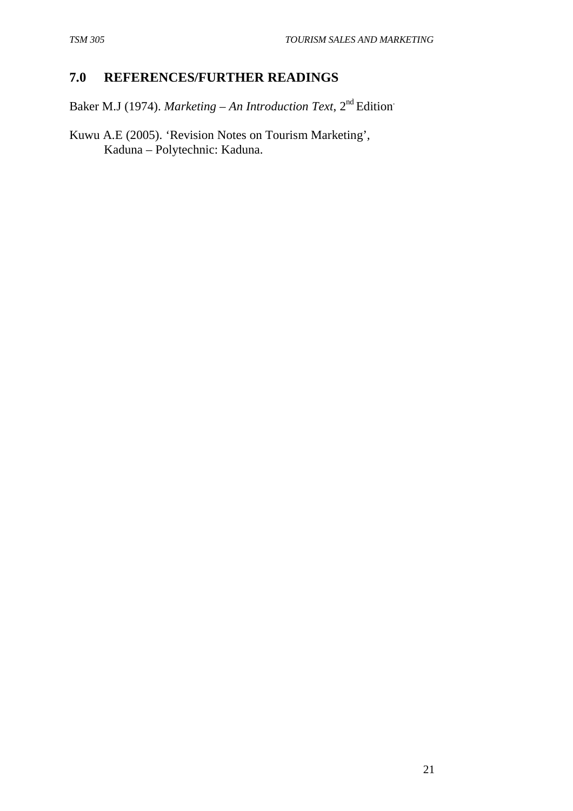# **7.0 REFERENCES/FURTHER READINGS**

Baker M.J (1974). *Marketing – An Introduction Text*, 2<sup>nd</sup> Edition<sup>.</sup>

Kuwu A.E (2005). 'Revision Notes on Tourism Marketing'*,* Kaduna – Polytechnic: Kaduna.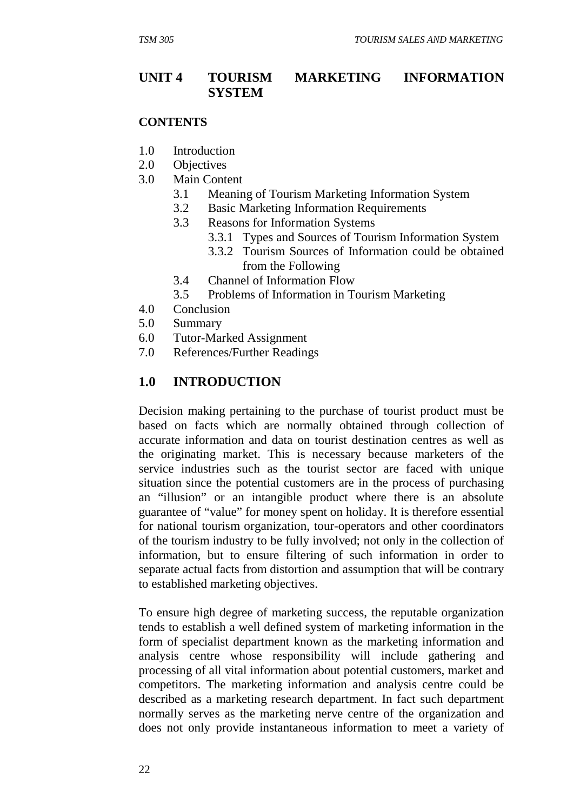## **UNIT 4 TOURISM MARKETING INFORMATION SYSTEM**

#### **CONTENTS**

- 1.0 Introduction
- 2.0 Objectives
- 3.0 Main Content
	- 3.1 Meaning of Tourism Marketing Information System
	- 3.2 Basic Marketing Information Requirements
	- 3.3 Reasons for Information Systems
		- 3.3.1 Types and Sources of Tourism Information System
		- 3.3.2 Tourism Sources of Information could be obtained from the Following
	- 3.4 Channel of Information Flow
	- 3.5 Problems of Information in Tourism Marketing
- 4.0 Conclusion
- 5.0 Summary
- 6.0 Tutor-Marked Assignment
- 7.0 References/Further Readings

## **1.0 INTRODUCTION**

Decision making pertaining to the purchase of tourist product must be based on facts which are normally obtained through collection of accurate information and data on tourist destination centres as well as the originating market. This is necessary because marketers of the service industries such as the tourist sector are faced with unique situation since the potential customers are in the process of purchasing an "illusion" or an intangible product where there is an absolute guarantee of "value" for money spent on holiday. It is therefore essential for national tourism organization, tour-operators and other coordinators of the tourism industry to be fully involved; not only in the collection of information, but to ensure filtering of such information in order to separate actual facts from distortion and assumption that will be contrary to established marketing objectives.

To ensure high degree of marketing success, the reputable organization tends to establish a well defined system of marketing information in the form of specialist department known as the marketing information and analysis centre whose responsibility will include gathering and processing of all vital information about potential customers, market and competitors. The marketing information and analysis centre could be described as a marketing research department. In fact such department normally serves as the marketing nerve centre of the organization and does not only provide instantaneous information to meet a variety of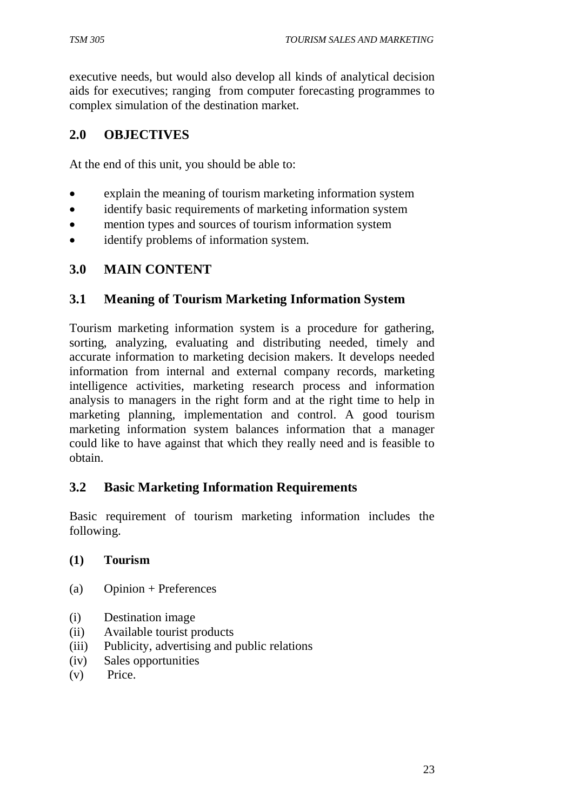executive needs, but would also develop all kinds of analytical decision aids for executives; ranging from computer forecasting programmes to complex simulation of the destination market.

## **2.0 OBJECTIVES**

At the end of this unit, you should be able to:

- explain the meaning of tourism marketing information system
- identify basic requirements of marketing information system
- mention types and sources of tourism information system
- identify problems of information system.

## **3.0 MAIN CONTENT**

## **3.1 Meaning of Tourism Marketing Information System**

Tourism marketing information system is a procedure for gathering, sorting, analyzing, evaluating and distributing needed, timely and accurate information to marketing decision makers. It develops needed information from internal and external company records, marketing intelligence activities, marketing research process and information analysis to managers in the right form and at the right time to help in marketing planning, implementation and control. A good tourism marketing information system balances information that a manager could like to have against that which they really need and is feasible to obtain.

## **3.2 Basic Marketing Information Requirements**

Basic requirement of tourism marketing information includes the following.

#### **(1) Tourism**

- (a) Opinion + Preferences
- (i) Destination image
- (ii) Available tourist products
- (iii) Publicity, advertising and public relations
- (iv) Sales opportunities
- (v) Price.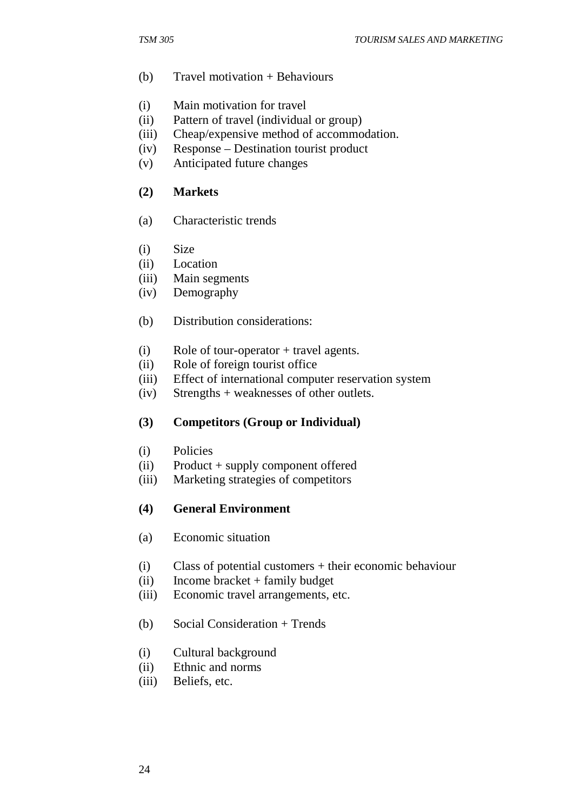- (b) Travel motivation + Behaviours
- (i) Main motivation for travel
- (ii) Pattern of travel (individual or group)
- (iii) Cheap/expensive method of accommodation.
- (iv) Response Destination tourist product
- (v) Anticipated future changes

## **(2) Markets**

- (a) Characteristic trends
- (i) Size
- (ii) Location
- (iii) Main segments
- (iv) Demography
- (b) Distribution considerations:
- (i) Role of tour-operator + travel agents.
- (ii) Role of foreign tourist office
- (iii) Effect of international computer reservation system
- (iv) Strengths + weaknesses of other outlets.

## **(3) Competitors (Group or Individual)**

- (i) Policies
- (ii) Product + supply component offered
- (iii) Marketing strategies of competitors

## **(4) General Environment**

- (a) Economic situation
- (i) Class of potential customers + their economic behaviour
- (ii) Income bracket + family budget
- (iii) Economic travel arrangements, etc.
- (b) Social Consideration + Trends
- (i) Cultural background
- (ii) Ethnic and norms
- (iii) Beliefs, etc.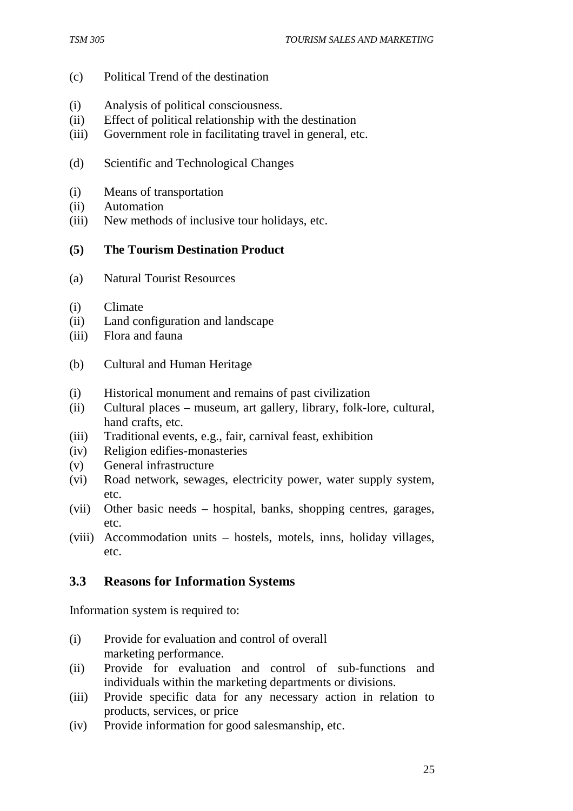#### (c) Political Trend of the destination

- (i) Analysis of political consciousness.
- (ii) Effect of political relationship with the destination
- (iii) Government role in facilitating travel in general, etc.
- (d) Scientific and Technological Changes
- (i) Means of transportation
- (ii) Automation
- (iii) New methods of inclusive tour holidays, etc.

#### **(5) The Tourism Destination Product**

- (a) Natural Tourist Resources
- (i) Climate
- (ii) Land configuration and landscape
- (iii) Flora and fauna
- (b) Cultural and Human Heritage
- (i) Historical monument and remains of past civilization
- (ii) Cultural places museum, art gallery, library, folk-lore, cultural, hand crafts, etc.
- (iii) Traditional events, e.g., fair, carnival feast, exhibition
- (iv) Religion edifies-monasteries
- (v) General infrastructure
- (vi) Road network, sewages, electricity power, water supply system, etc.
- (vii) Other basic needs hospital, banks, shopping centres, garages, etc.
- (viii) Accommodation units hostels, motels, inns, holiday villages, etc.

## **3.3 Reasons for Information Systems**

Information system is required to:

- (i) Provide for evaluation and control of overall marketing performance.
- (ii) Provide for evaluation and control of sub-functions and individuals within the marketing departments or divisions.
- (iii) Provide specific data for any necessary action in relation to products, services, or price
- (iv) Provide information for good salesmanship, etc.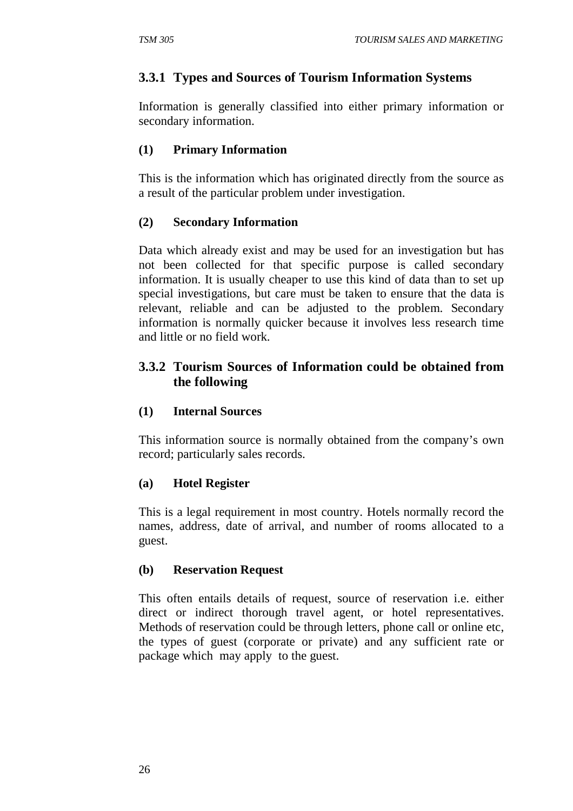# **3.3.1 Types and Sources of Tourism Information Systems**

Information is generally classified into either primary information or secondary information.

## **(1) Primary Information**

This is the information which has originated directly from the source as a result of the particular problem under investigation.

## **(2) Secondary Information**

Data which already exist and may be used for an investigation but has not been collected for that specific purpose is called secondary information. It is usually cheaper to use this kind of data than to set up special investigations, but care must be taken to ensure that the data is relevant, reliable and can be adjusted to the problem. Secondary information is normally quicker because it involves less research time and little or no field work.

# **3.3.2 Tourism Sources of Information could be obtained from the following**

## **(1) Internal Sources**

This information source is normally obtained from the company's own record; particularly sales records.

## **(a) Hotel Register**

This is a legal requirement in most country. Hotels normally record the names, address, date of arrival, and number of rooms allocated to a guest.

## **(b) Reservation Request**

This often entails details of request, source of reservation i.e. either direct or indirect thorough travel agent, or hotel representatives. Methods of reservation could be through letters, phone call or online etc, the types of guest (corporate or private) and any sufficient rate or package which may apply to the guest.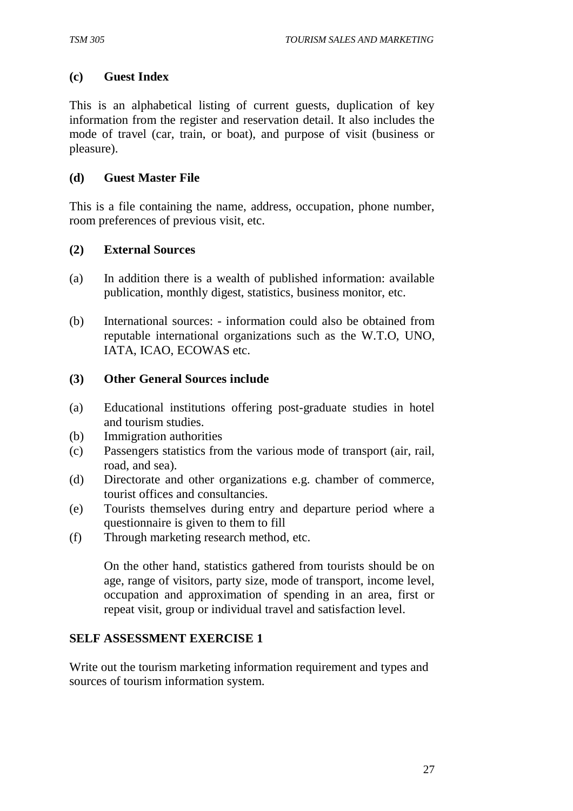#### **(c) Guest Index**

This is an alphabetical listing of current guests, duplication of key information from the register and reservation detail. It also includes the mode of travel (car, train, or boat), and purpose of visit (business or pleasure).

#### **(d) Guest Master File**

This is a file containing the name, address, occupation, phone number, room preferences of previous visit, etc.

#### **(2) External Sources**

- (a) In addition there is a wealth of published information: available publication, monthly digest, statistics, business monitor, etc.
- (b) International sources: information could also be obtained from reputable international organizations such as the W.T.O, UNO, IATA, ICAO, ECOWAS etc.

#### **(3) Other General Sources include**

- (a) Educational institutions offering post-graduate studies in hotel and tourism studies.
- (b) Immigration authorities
- (c) Passengers statistics from the various mode of transport (air, rail, road, and sea).
- (d) Directorate and other organizations e.g. chamber of commerce, tourist offices and consultancies.
- (e) Tourists themselves during entry and departure period where a questionnaire is given to them to fill
- (f) Through marketing research method, etc.

On the other hand, statistics gathered from tourists should be on age, range of visitors, party size, mode of transport, income level, occupation and approximation of spending in an area, first or repeat visit, group or individual travel and satisfaction level.

## **SELF ASSESSMENT EXERCISE 1**

Write out the tourism marketing information requirement and types and sources of tourism information system.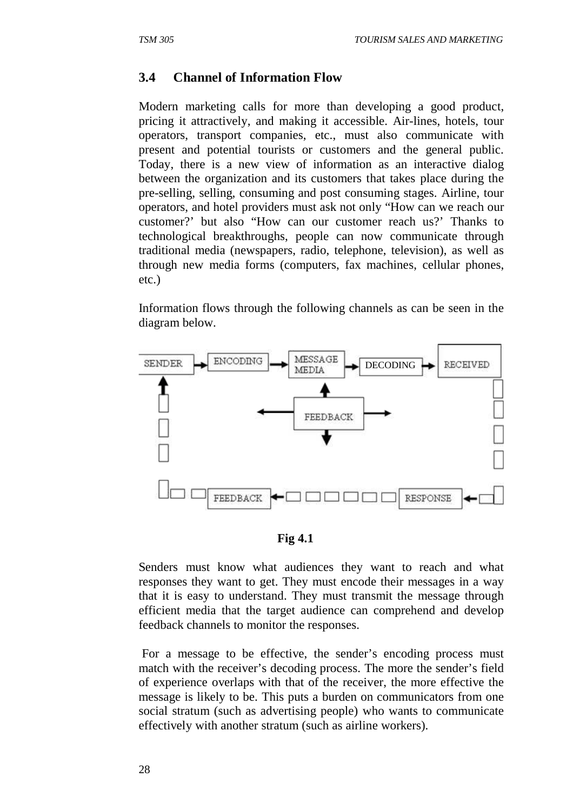## **3.4 Channel of Information Flow**

Modern marketing calls for more than developing a good product, pricing it attractively, and making it accessible. Air-lines, hotels, tour operators, transport companies, etc., must also communicate with present and potential tourists or customers and the general public. Today, there is a new view of information as an interactive dialog between the organization and its customers that takes place during the pre-selling, selling, consuming and post consuming stages. Airline, tour operators, and hotel providers must ask not only "How can we reach our customer?' but also "How can our customer reach us?' Thanks to technological breakthroughs, people can now communicate through traditional media (newspapers, radio, telephone, television), as well as through new media forms (computers, fax machines, cellular phones, etc.)

Information flows through the following channels as can be seen in the diagram below.





Senders must know what audiences they want to reach and what responses they want to get. They must encode their messages in a way that it is easy to understand. They must transmit the message through efficient media that the target audience can comprehend and develop feedback channels to monitor the responses.

 For a message to be effective, the sender's encoding process must match with the receiver's decoding process. The more the sender's field of experience overlaps with that of the receiver, the more effective the message is likely to be. This puts a burden on communicators from one social stratum (such as advertising people) who wants to communicate effectively with another stratum (such as airline workers).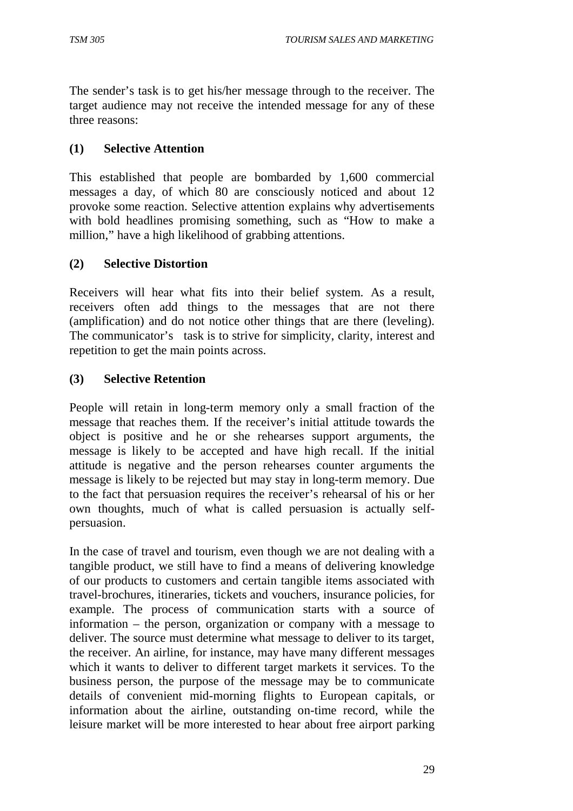The sender's task is to get his/her message through to the receiver. The target audience may not receive the intended message for any of these three reasons:

#### **(1) Selective Attention**

This established that people are bombarded by 1,600 commercial messages a day, of which 80 are consciously noticed and about 12 provoke some reaction. Selective attention explains why advertisements with bold headlines promising something, such as "How to make a million," have a high likelihood of grabbing attentions.

#### **(2) Selective Distortion**

Receivers will hear what fits into their belief system. As a result, receivers often add things to the messages that are not there (amplification) and do not notice other things that are there (leveling). The communicator's task is to strive for simplicity, clarity, interest and repetition to get the main points across.

#### **(3) Selective Retention**

People will retain in long-term memory only a small fraction of the message that reaches them. If the receiver's initial attitude towards the object is positive and he or she rehearses support arguments, the message is likely to be accepted and have high recall. If the initial attitude is negative and the person rehearses counter arguments the message is likely to be rejected but may stay in long-term memory. Due to the fact that persuasion requires the receiver's rehearsal of his or her own thoughts, much of what is called persuasion is actually selfpersuasion.

In the case of travel and tourism, even though we are not dealing with a tangible product, we still have to find a means of delivering knowledge of our products to customers and certain tangible items associated with travel-brochures, itineraries, tickets and vouchers, insurance policies, for example. The process of communication starts with a source of information – the person, organization or company with a message to deliver. The source must determine what message to deliver to its target, the receiver. An airline, for instance, may have many different messages which it wants to deliver to different target markets it services. To the business person, the purpose of the message may be to communicate details of convenient mid-morning flights to European capitals, or information about the airline, outstanding on-time record, while the leisure market will be more interested to hear about free airport parking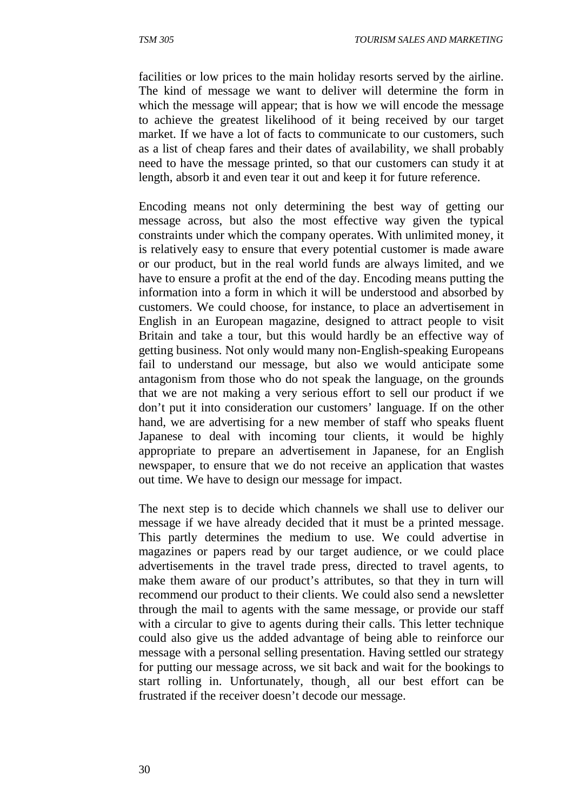facilities or low prices to the main holiday resorts served by the airline. The kind of message we want to deliver will determine the form in which the message will appear; that is how we will encode the message to achieve the greatest likelihood of it being received by our target market. If we have a lot of facts to communicate to our customers, such as a list of cheap fares and their dates of availability, we shall probably need to have the message printed, so that our customers can study it at length, absorb it and even tear it out and keep it for future reference.

Encoding means not only determining the best way of getting our message across, but also the most effective way given the typical constraints under which the company operates. With unlimited money, it is relatively easy to ensure that every potential customer is made aware or our product, but in the real world funds are always limited, and we have to ensure a profit at the end of the day. Encoding means putting the information into a form in which it will be understood and absorbed by customers. We could choose, for instance, to place an advertisement in English in an European magazine, designed to attract people to visit Britain and take a tour, but this would hardly be an effective way of getting business. Not only would many non-English-speaking Europeans fail to understand our message, but also we would anticipate some antagonism from those who do not speak the language, on the grounds that we are not making a very serious effort to sell our product if we don't put it into consideration our customers' language. If on the other hand, we are advertising for a new member of staff who speaks fluent Japanese to deal with incoming tour clients, it would be highly appropriate to prepare an advertisement in Japanese, for an English newspaper, to ensure that we do not receive an application that wastes out time. We have to design our message for impact.

The next step is to decide which channels we shall use to deliver our message if we have already decided that it must be a printed message. This partly determines the medium to use. We could advertise in magazines or papers read by our target audience, or we could place advertisements in the travel trade press, directed to travel agents, to make them aware of our product's attributes, so that they in turn will recommend our product to their clients. We could also send a newsletter through the mail to agents with the same message, or provide our staff with a circular to give to agents during their calls. This letter technique could also give us the added advantage of being able to reinforce our message with a personal selling presentation. Having settled our strategy for putting our message across, we sit back and wait for the bookings to start rolling in. Unfortunately, though all our best effort can be frustrated if the receiver doesn't decode our message.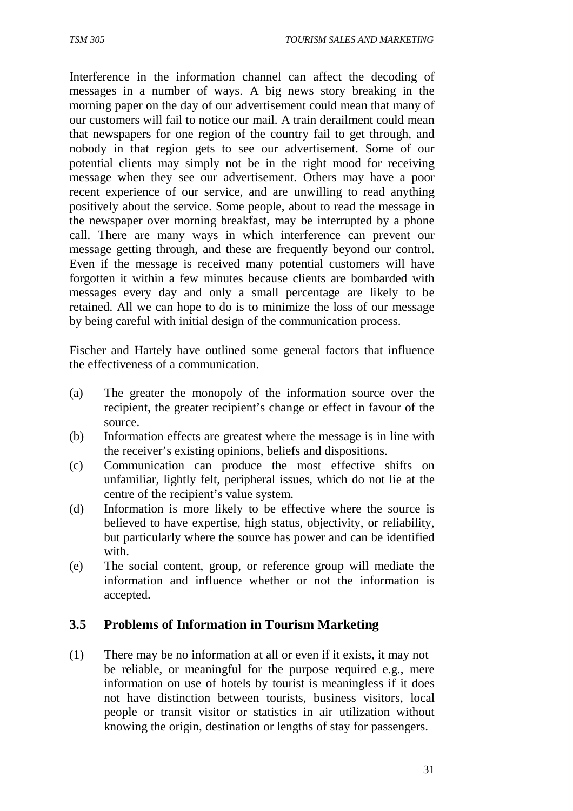Interference in the information channel can affect the decoding of messages in a number of ways. A big news story breaking in the morning paper on the day of our advertisement could mean that many of our customers will fail to notice our mail. A train derailment could mean that newspapers for one region of the country fail to get through, and nobody in that region gets to see our advertisement. Some of our potential clients may simply not be in the right mood for receiving message when they see our advertisement. Others may have a poor recent experience of our service, and are unwilling to read anything positively about the service. Some people, about to read the message in the newspaper over morning breakfast, may be interrupted by a phone call. There are many ways in which interference can prevent our message getting through, and these are frequently beyond our control. Even if the message is received many potential customers will have forgotten it within a few minutes because clients are bombarded with messages every day and only a small percentage are likely to be retained. All we can hope to do is to minimize the loss of our message by being careful with initial design of the communication process.

Fischer and Hartely have outlined some general factors that influence the effectiveness of a communication.

- (a) The greater the monopoly of the information source over the recipient, the greater recipient's change or effect in favour of the source.
- (b) Information effects are greatest where the message is in line with the receiver's existing opinions, beliefs and dispositions.
- (c) Communication can produce the most effective shifts on unfamiliar, lightly felt, peripheral issues, which do not lie at the centre of the recipient's value system.
- (d) Information is more likely to be effective where the source is believed to have expertise, high status, objectivity, or reliability, but particularly where the source has power and can be identified with.
- (e) The social content, group, or reference group will mediate the information and influence whether or not the information is accepted.

### **3.5 Problems of Information in Tourism Marketing**

(1) There may be no information at all or even if it exists, it may not be reliable, or meaningful for the purpose required e.g., mere information on use of hotels by tourist is meaningless if it does not have distinction between tourists, business visitors, local people or transit visitor or statistics in air utilization without knowing the origin, destination or lengths of stay for passengers.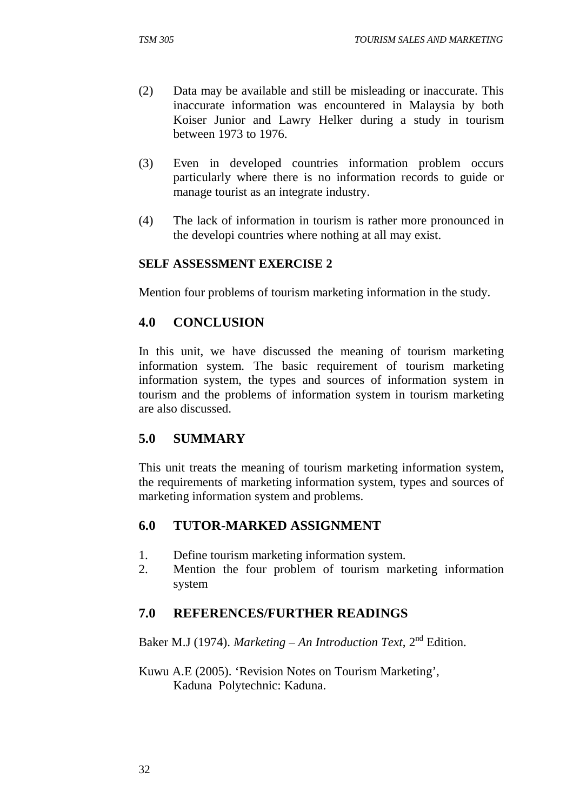- (2) Data may be available and still be misleading or inaccurate. This inaccurate information was encountered in Malaysia by both Koiser Junior and Lawry Helker during a study in tourism between 1973 to 1976.
- (3) Even in developed countries information problem occurs particularly where there is no information records to guide or manage tourist as an integrate industry.
- (4) The lack of information in tourism is rather more pronounced in the developi countries where nothing at all may exist.

### **SELF ASSESSMENT EXERCISE 2**

Mention four problems of tourism marketing information in the study.

## **4.0 CONCLUSION**

In this unit, we have discussed the meaning of tourism marketing information system. The basic requirement of tourism marketing information system, the types and sources of information system in tourism and the problems of information system in tourism marketing are also discussed.

## **5.0 SUMMARY**

This unit treats the meaning of tourism marketing information system, the requirements of marketing information system, types and sources of marketing information system and problems.

### **6.0 TUTOR-MARKED ASSIGNMENT**

- 1. Define tourism marketing information system.
- 2. Mention the four problem of tourism marketing information system

## **7.0 REFERENCES/FURTHER READINGS**

Baker M.J (1974). *Marketing – An Introduction Text*, 2<sup>nd</sup> Edition.

Kuwu A.E (2005). 'Revision Notes on Tourism Marketing', Kaduna Polytechnic: Kaduna.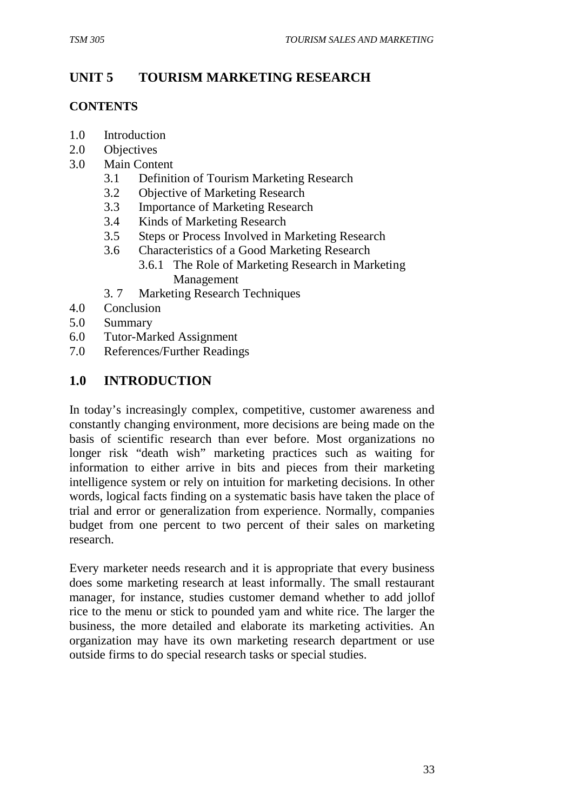# **UNIT 5 TOURISM MARKETING RESEARCH**

### **CONTENTS**

- 1.0 Introduction
- 2.0 Objectives
- 3.0 Main Content
	- 3.1 Definition of Tourism Marketing Research
	- 3.2 Objective of Marketing Research
	- 3.3 Importance of Marketing Research
	- 3.4 Kinds of Marketing Research
	- 3.5 Steps or Process Involved in Marketing Research
	- 3.6 Characteristics of a Good Marketing Research
		- 3.6.1 The Role of Marketing Research in Marketing Management
	- 3. 7 Marketing Research Techniques
- 4.0 Conclusion
- 5.0 Summary
- 6.0 Tutor-Marked Assignment
- 7.0 References/Further Readings

### **1.0 INTRODUCTION**

In today's increasingly complex, competitive, customer awareness and constantly changing environment, more decisions are being made on the basis of scientific research than ever before. Most organizations no longer risk "death wish" marketing practices such as waiting for information to either arrive in bits and pieces from their marketing intelligence system or rely on intuition for marketing decisions. In other words, logical facts finding on a systematic basis have taken the place of trial and error or generalization from experience. Normally, companies budget from one percent to two percent of their sales on marketing research.

Every marketer needs research and it is appropriate that every business does some marketing research at least informally. The small restaurant manager, for instance, studies customer demand whether to add jollof rice to the menu or stick to pounded yam and white rice. The larger the business, the more detailed and elaborate its marketing activities. An organization may have its own marketing research department or use outside firms to do special research tasks or special studies.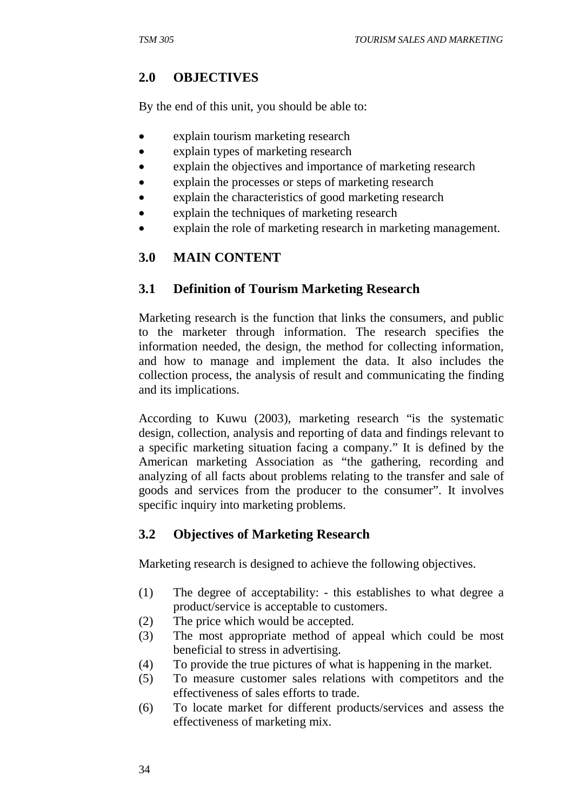# **2.0 OBJECTIVES**

By the end of this unit, you should be able to:

- explain tourism marketing research
- explain types of marketing research
- explain the objectives and importance of marketing research
- explain the processes or steps of marketing research
- explain the characteristics of good marketing research
- explain the techniques of marketing research
- explain the role of marketing research in marketing management.

# **3.0 MAIN CONTENT**

## **3.1 Definition of Tourism Marketing Research**

Marketing research is the function that links the consumers, and public to the marketer through information. The research specifies the information needed, the design, the method for collecting information, and how to manage and implement the data. It also includes the collection process, the analysis of result and communicating the finding and its implications.

According to Kuwu (2003), marketing research "is the systematic design, collection, analysis and reporting of data and findings relevant to a specific marketing situation facing a company." It is defined by the American marketing Association as "the gathering, recording and analyzing of all facts about problems relating to the transfer and sale of goods and services from the producer to the consumer". It involves specific inquiry into marketing problems.

# **3.2 Objectives of Marketing Research**

Marketing research is designed to achieve the following objectives.

- (1) The degree of acceptability: this establishes to what degree a product/service is acceptable to customers.
- (2) The price which would be accepted.
- (3) The most appropriate method of appeal which could be most beneficial to stress in advertising.
- (4) To provide the true pictures of what is happening in the market.
- (5) To measure customer sales relations with competitors and the effectiveness of sales efforts to trade.
- (6) To locate market for different products/services and assess the effectiveness of marketing mix.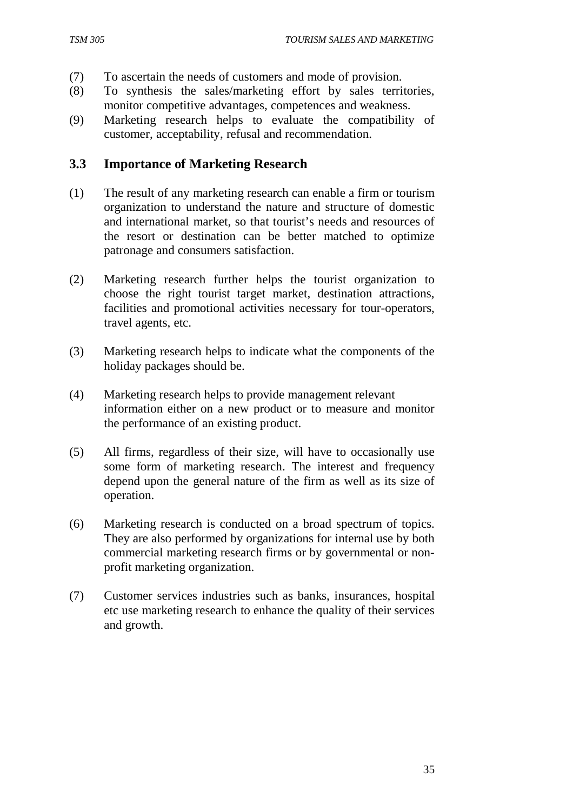- (7) To ascertain the needs of customers and mode of provision.
- (8) To synthesis the sales/marketing effort by sales territories, monitor competitive advantages, competences and weakness.
- (9) Marketing research helps to evaluate the compatibility of customer, acceptability, refusal and recommendation.

### **3.3 Importance of Marketing Research**

- (1) The result of any marketing research can enable a firm or tourism organization to understand the nature and structure of domestic and international market, so that tourist's needs and resources of the resort or destination can be better matched to optimize patronage and consumers satisfaction.
- (2) Marketing research further helps the tourist organization to choose the right tourist target market, destination attractions, facilities and promotional activities necessary for tour-operators, travel agents, etc.
- (3) Marketing research helps to indicate what the components of the holiday packages should be.
- (4) Marketing research helps to provide management relevant information either on a new product or to measure and monitor the performance of an existing product.
- (5) All firms, regardless of their size, will have to occasionally use some form of marketing research. The interest and frequency depend upon the general nature of the firm as well as its size of operation.
- (6) Marketing research is conducted on a broad spectrum of topics. They are also performed by organizations for internal use by both commercial marketing research firms or by governmental or nonprofit marketing organization.
- (7) Customer services industries such as banks, insurances, hospital etc use marketing research to enhance the quality of their services and growth.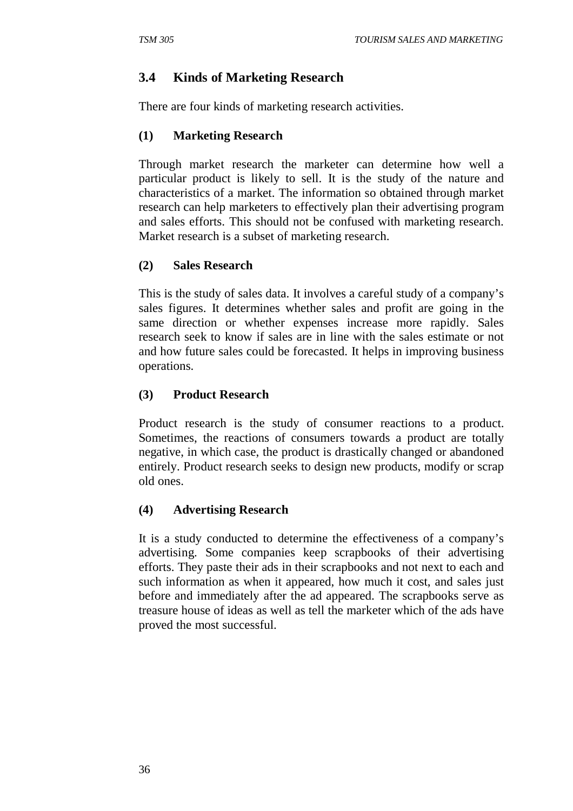# **3.4 Kinds of Marketing Research**

There are four kinds of marketing research activities.

## **(1) Marketing Research**

Through market research the marketer can determine how well a particular product is likely to sell. It is the study of the nature and characteristics of a market. The information so obtained through market research can help marketers to effectively plan their advertising program and sales efforts. This should not be confused with marketing research. Market research is a subset of marketing research.

### **(2) Sales Research**

This is the study of sales data. It involves a careful study of a company's sales figures. It determines whether sales and profit are going in the same direction or whether expenses increase more rapidly. Sales research seek to know if sales are in line with the sales estimate or not and how future sales could be forecasted. It helps in improving business operations.

### **(3) Product Research**

Product research is the study of consumer reactions to a product. Sometimes, the reactions of consumers towards a product are totally negative, in which case, the product is drastically changed or abandoned entirely. Product research seeks to design new products, modify or scrap old ones.

### **(4) Advertising Research**

It is a study conducted to determine the effectiveness of a company's advertising. Some companies keep scrapbooks of their advertising efforts. They paste their ads in their scrapbooks and not next to each and such information as when it appeared, how much it cost, and sales just before and immediately after the ad appeared. The scrapbooks serve as treasure house of ideas as well as tell the marketer which of the ads have proved the most successful.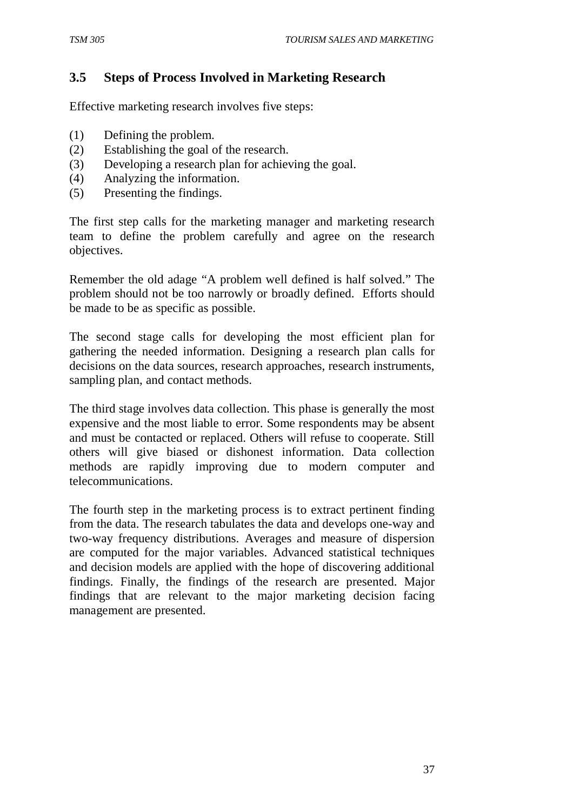### **3.5 Steps of Process Involved in Marketing Research**

Effective marketing research involves five steps:

- (1) Defining the problem.
- (2) Establishing the goal of the research.
- (3) Developing a research plan for achieving the goal.
- (4) Analyzing the information.
- (5) Presenting the findings.

The first step calls for the marketing manager and marketing research team to define the problem carefully and agree on the research objectives.

Remember the old adage "A problem well defined is half solved." The problem should not be too narrowly or broadly defined. Efforts should be made to be as specific as possible.

The second stage calls for developing the most efficient plan for gathering the needed information. Designing a research plan calls for decisions on the data sources, research approaches, research instruments, sampling plan, and contact methods.

The third stage involves data collection. This phase is generally the most expensive and the most liable to error. Some respondents may be absent and must be contacted or replaced. Others will refuse to cooperate. Still others will give biased or dishonest information. Data collection methods are rapidly improving due to modern computer and telecommunications.

The fourth step in the marketing process is to extract pertinent finding from the data. The research tabulates the data and develops one-way and two-way frequency distributions. Averages and measure of dispersion are computed for the major variables. Advanced statistical techniques and decision models are applied with the hope of discovering additional findings. Finally, the findings of the research are presented. Major findings that are relevant to the major marketing decision facing management are presented.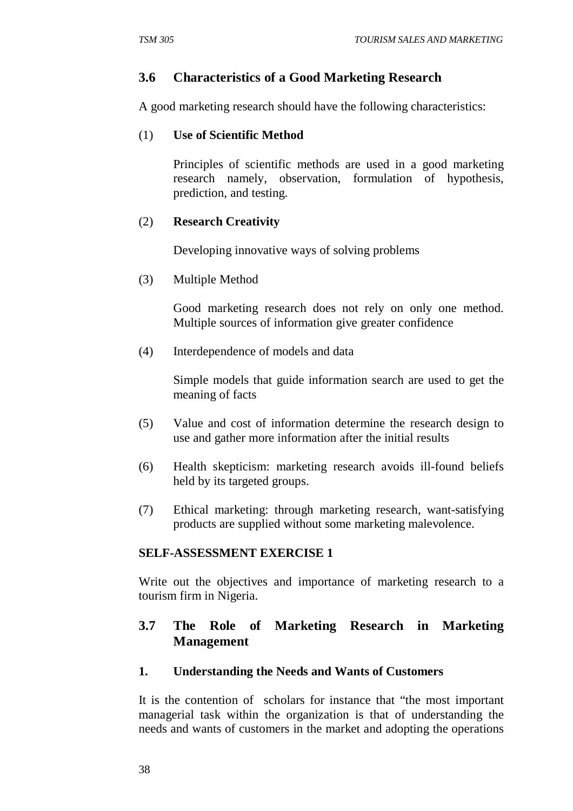### **3.6 Characteristics of a Good Marketing Research**

A good marketing research should have the following characteristics:

#### (1) **Use of Scientific Method**

Principles of scientific methods are used in a good marketing research namely, observation, formulation of hypothesis, prediction, and testing.

#### (2) **Research Creativity**

Developing innovative ways of solving problems

(3) Multiple Method

Good marketing research does not rely on only one method. Multiple sources of information give greater confidence

(4) Interdependence of models and data

Simple models that guide information search are used to get the meaning of facts

- (5) Value and cost of information determine the research design to use and gather more information after the initial results
- (6) Health skepticism: marketing research avoids ill-found beliefs held by its targeted groups.
- (7) Ethical marketing: through marketing research, want-satisfying products are supplied without some marketing malevolence.

#### **SELF-ASSESSMENT EXERCISE 1**

Write out the objectives and importance of marketing research to a tourism firm in Nigeria.

## **3.7 The Role of Marketing Research in Marketing Management**

#### **1. Understanding the Needs and Wants of Customers**

It is the contention of scholars for instance that "the most important managerial task within the organization is that of understanding the needs and wants of customers in the market and adopting the operations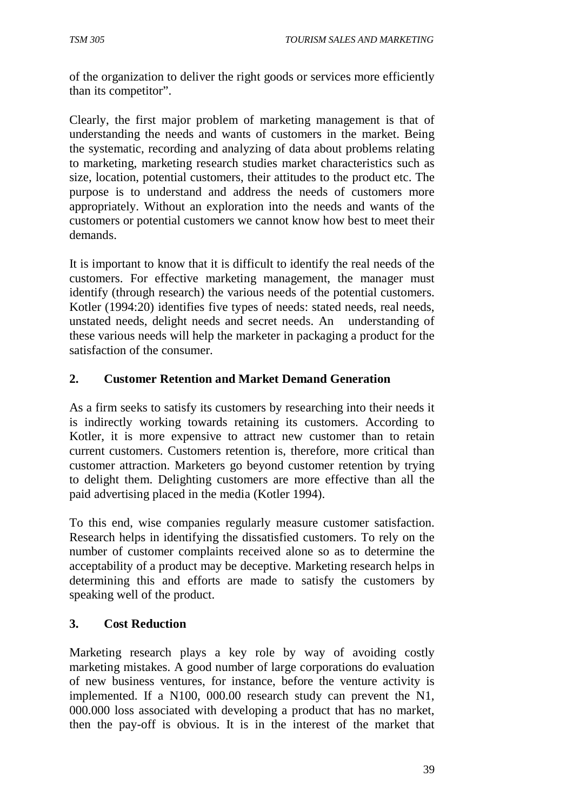of the organization to deliver the right goods or services more efficiently than its competitor".

Clearly, the first major problem of marketing management is that of understanding the needs and wants of customers in the market. Being the systematic, recording and analyzing of data about problems relating to marketing, marketing research studies market characteristics such as size, location, potential customers, their attitudes to the product etc. The purpose is to understand and address the needs of customers more appropriately. Without an exploration into the needs and wants of the customers or potential customers we cannot know how best to meet their demands.

It is important to know that it is difficult to identify the real needs of the customers. For effective marketing management, the manager must identify (through research) the various needs of the potential customers. Kotler (1994:20) identifies five types of needs: stated needs, real needs, unstated needs, delight needs and secret needs. An understanding of these various needs will help the marketer in packaging a product for the satisfaction of the consumer.

### **2. Customer Retention and Market Demand Generation**

As a firm seeks to satisfy its customers by researching into their needs it is indirectly working towards retaining its customers. According to Kotler, it is more expensive to attract new customer than to retain current customers. Customers retention is, therefore, more critical than customer attraction. Marketers go beyond customer retention by trying to delight them. Delighting customers are more effective than all the paid advertising placed in the media (Kotler 1994).

To this end, wise companies regularly measure customer satisfaction. Research helps in identifying the dissatisfied customers. To rely on the number of customer complaints received alone so as to determine the acceptability of a product may be deceptive. Marketing research helps in determining this and efforts are made to satisfy the customers by speaking well of the product.

### **3. Cost Reduction**

Marketing research plays a key role by way of avoiding costly marketing mistakes. A good number of large corporations do evaluation of new business ventures, for instance, before the venture activity is implemented. If a N100, 000.00 research study can prevent the N1, 000.000 loss associated with developing a product that has no market, then the pay-off is obvious. It is in the interest of the market that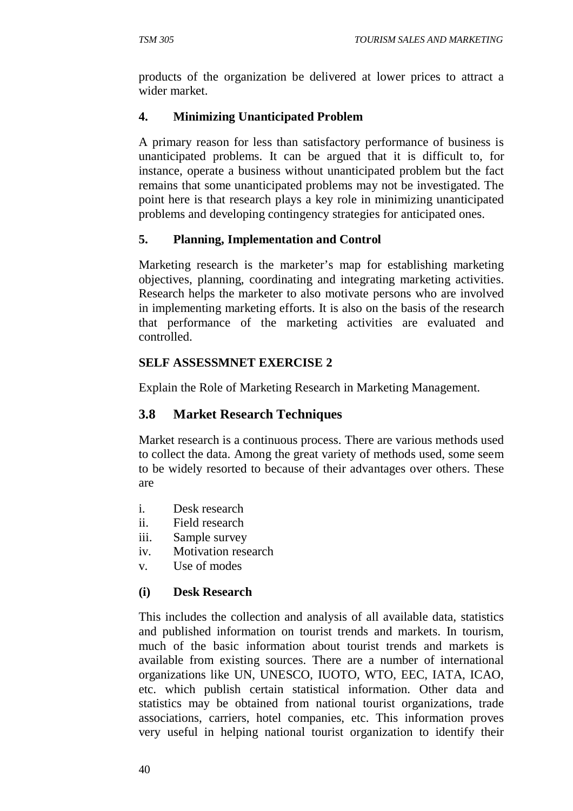products of the organization be delivered at lower prices to attract a wider market.

### **4. Minimizing Unanticipated Problem**

A primary reason for less than satisfactory performance of business is unanticipated problems. It can be argued that it is difficult to, for instance, operate a business without unanticipated problem but the fact remains that some unanticipated problems may not be investigated. The point here is that research plays a key role in minimizing unanticipated problems and developing contingency strategies for anticipated ones.

### **5. Planning, Implementation and Control**

Marketing research is the marketer's map for establishing marketing objectives, planning, coordinating and integrating marketing activities. Research helps the marketer to also motivate persons who are involved in implementing marketing efforts. It is also on the basis of the research that performance of the marketing activities are evaluated and controlled.

### **SELF ASSESSMNET EXERCISE 2**

Explain the Role of Marketing Research in Marketing Management.

## **3.8 Market Research Techniques**

Market research is a continuous process. There are various methods used to collect the data. Among the great variety of methods used, some seem to be widely resorted to because of their advantages over others. These are

- i. Desk research
- ii. Field research
- iii. Sample survey
- iv. Motivation research
- v. Use of modes

## **(i) Desk Research**

This includes the collection and analysis of all available data, statistics and published information on tourist trends and markets. In tourism, much of the basic information about tourist trends and markets is available from existing sources. There are a number of international organizations like UN, UNESCO, IUOTO, WTO, EEC, IATA, ICAO, etc. which publish certain statistical information. Other data and statistics may be obtained from national tourist organizations, trade associations, carriers, hotel companies, etc. This information proves very useful in helping national tourist organization to identify their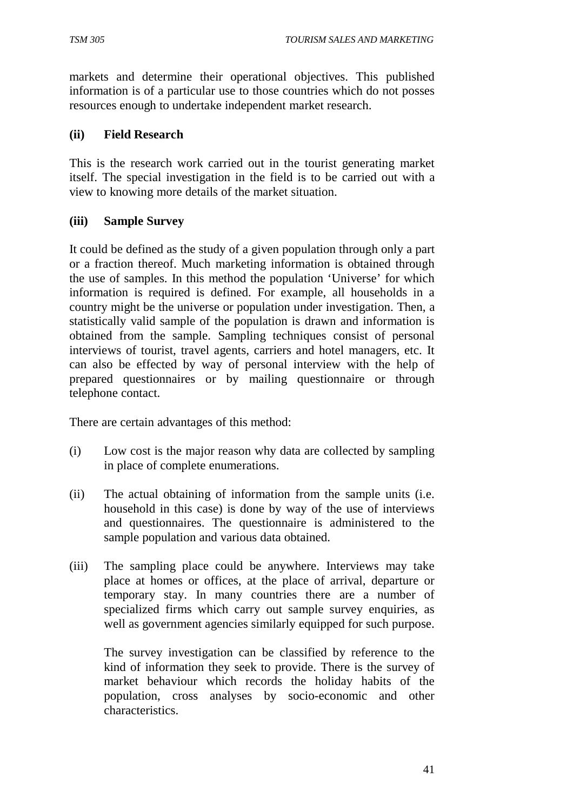markets and determine their operational objectives. This published information is of a particular use to those countries which do not posses resources enough to undertake independent market research.

#### **(ii) Field Research**

This is the research work carried out in the tourist generating market itself. The special investigation in the field is to be carried out with a view to knowing more details of the market situation.

#### **(iii) Sample Survey**

It could be defined as the study of a given population through only a part or a fraction thereof. Much marketing information is obtained through the use of samples. In this method the population 'Universe' for which information is required is defined. For example, all households in a country might be the universe or population under investigation. Then, a statistically valid sample of the population is drawn and information is obtained from the sample. Sampling techniques consist of personal interviews of tourist, travel agents, carriers and hotel managers, etc. It can also be effected by way of personal interview with the help of prepared questionnaires or by mailing questionnaire or through telephone contact.

There are certain advantages of this method:

- (i) Low cost is the major reason why data are collected by sampling in place of complete enumerations.
- (ii) The actual obtaining of information from the sample units (i.e. household in this case) is done by way of the use of interviews and questionnaires. The questionnaire is administered to the sample population and various data obtained.
- (iii) The sampling place could be anywhere. Interviews may take place at homes or offices, at the place of arrival, departure or temporary stay. In many countries there are a number of specialized firms which carry out sample survey enquiries, as well as government agencies similarly equipped for such purpose.

 The survey investigation can be classified by reference to the kind of information they seek to provide. There is the survey of market behaviour which records the holiday habits of the population, cross analyses by socio-economic and other characteristics.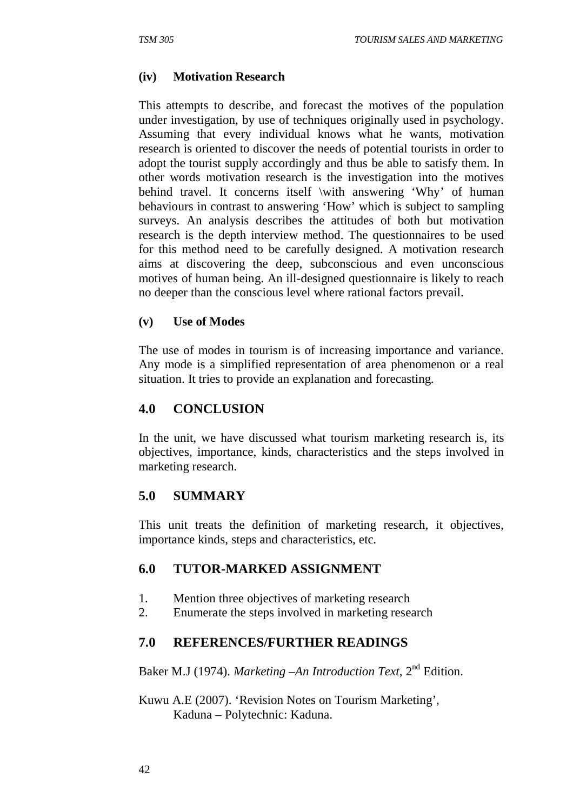### **(iv) Motivation Research**

This attempts to describe, and forecast the motives of the population under investigation, by use of techniques originally used in psychology. Assuming that every individual knows what he wants, motivation research is oriented to discover the needs of potential tourists in order to adopt the tourist supply accordingly and thus be able to satisfy them. In other words motivation research is the investigation into the motives behind travel. It concerns itself \with answering 'Why' of human behaviours in contrast to answering 'How' which is subject to sampling surveys. An analysis describes the attitudes of both but motivation research is the depth interview method. The questionnaires to be used for this method need to be carefully designed. A motivation research aims at discovering the deep, subconscious and even unconscious motives of human being. An ill-designed questionnaire is likely to reach no deeper than the conscious level where rational factors prevail.

#### **(v) Use of Modes**

The use of modes in tourism is of increasing importance and variance. Any mode is a simplified representation of area phenomenon or a real situation. It tries to provide an explanation and forecasting.

### **4.0 CONCLUSION**

In the unit, we have discussed what tourism marketing research is, its objectives, importance, kinds, characteristics and the steps involved in marketing research.

## **5.0 SUMMARY**

This unit treats the definition of marketing research, it objectives, importance kinds, steps and characteristics, etc.

### **6.0 TUTOR-MARKED ASSIGNMENT**

- 1. Mention three objectives of marketing research
- 2. Enumerate the steps involved in marketing research

## **7.0 REFERENCES/FURTHER READINGS**

Baker M.J (1974). *Marketing –An Introduction Text*, 2<sup>nd</sup> Edition.

Kuwu A.E (2007). 'Revision Notes on Tourism Marketing'*,*  Kaduna – Polytechnic: Kaduna.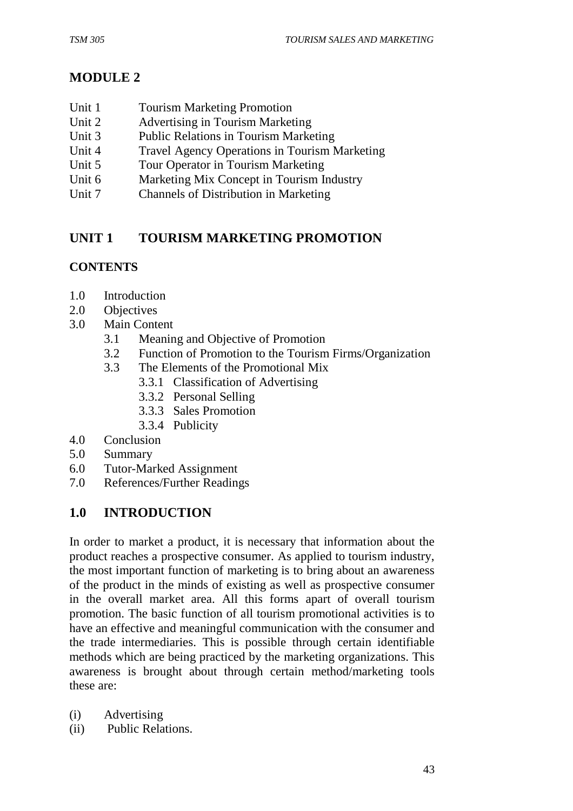# **MODULE 2**

- Unit 1 Tourism Marketing Promotion
- Unit 2 Advertising in Tourism Marketing
- Unit 3 Public Relations in Tourism Marketing
- Unit 4 Travel Agency Operations in Tourism Marketing<br>
Unit 5 Tour Operator in Tourism Marketing
- Tour Operator in Tourism Marketing
- Unit 6 Marketing Mix Concept in Tourism Industry
- Unit 7 Channels of Distribution in Marketing

# **UNIT 1 TOURISM MARKETING PROMOTION**

## **CONTENTS**

- 1.0 Introduction
- 2.0 Objectives
- 3.0 Main Content
	- 3.1 Meaning and Objective of Promotion
	- 3.2 Function of Promotion to the Tourism Firms/Organization
	- 3.3 The Elements of the Promotional Mix
		- 3.3.1 Classification of Advertising
		- 3.3.2 Personal Selling
		- 3.3.3 Sales Promotion
		- 3.3.4 Publicity
- 4.0 Conclusion
- 5.0 Summary
- 6.0 Tutor-Marked Assignment
- 7.0 References/Further Readings

# **1.0 INTRODUCTION**

In order to market a product, it is necessary that information about the product reaches a prospective consumer. As applied to tourism industry, the most important function of marketing is to bring about an awareness of the product in the minds of existing as well as prospective consumer in the overall market area. All this forms apart of overall tourism promotion. The basic function of all tourism promotional activities is to have an effective and meaningful communication with the consumer and the trade intermediaries. This is possible through certain identifiable methods which are being practiced by the marketing organizations. This awareness is brought about through certain method/marketing tools these are:

- (i) Advertising
- (ii) Public Relations.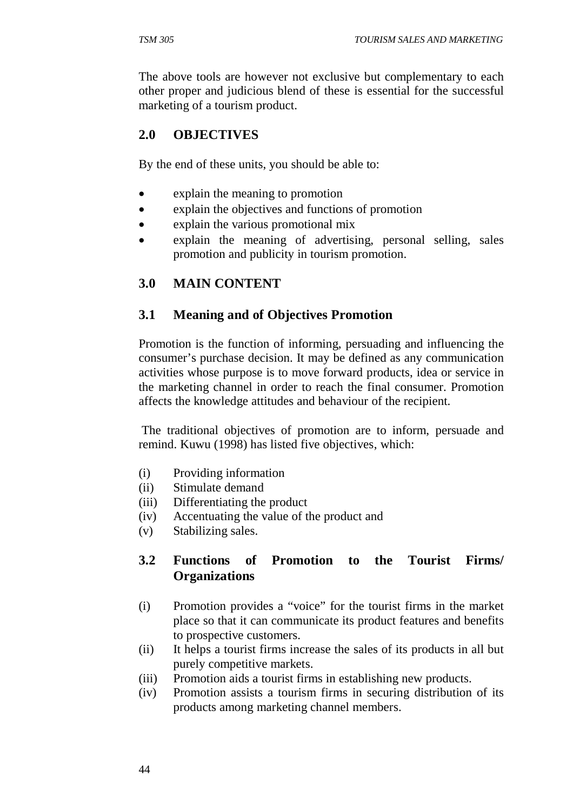The above tools are however not exclusive but complementary to each other proper and judicious blend of these is essential for the successful marketing of a tourism product.

# **2.0 OBJECTIVES**

By the end of these units, you should be able to:

- explain the meaning to promotion
- explain the objectives and functions of promotion
- explain the various promotional mix
- explain the meaning of advertising, personal selling, sales promotion and publicity in tourism promotion.

## **3.0 MAIN CONTENT**

## **3.1 Meaning and of Objectives Promotion**

Promotion is the function of informing, persuading and influencing the consumer's purchase decision. It may be defined as any communication activities whose purpose is to move forward products, idea or service in the marketing channel in order to reach the final consumer. Promotion affects the knowledge attitudes and behaviour of the recipient.

The traditional objectives of promotion are to inform, persuade and remind. Kuwu (1998) has listed five objectives, which:

- (i) Providing information
- (ii) Stimulate demand
- (iii) Differentiating the product
- (iv) Accentuating the value of the product and
- (v) Stabilizing sales.

## **3.2 Functions of Promotion to the Tourist Firms/ Organizations**

- (i) Promotion provides a "voice" for the tourist firms in the market place so that it can communicate its product features and benefits to prospective customers.
- (ii) It helps a tourist firms increase the sales of its products in all but purely competitive markets.
- (iii) Promotion aids a tourist firms in establishing new products.
- (iv) Promotion assists a tourism firms in securing distribution of its products among marketing channel members.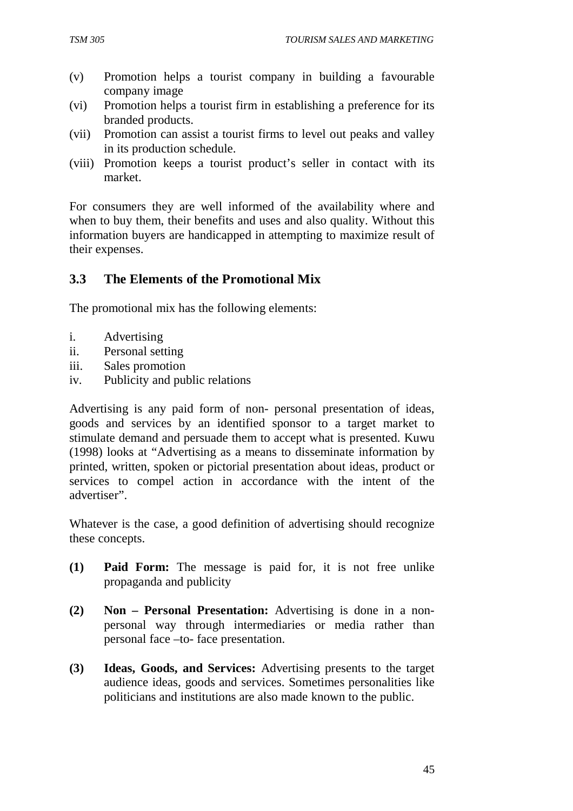- (v) Promotion helps a tourist company in building a favourable company image
- (vi) Promotion helps a tourist firm in establishing a preference for its branded products.
- (vii) Promotion can assist a tourist firms to level out peaks and valley in its production schedule.
- (viii) Promotion keeps a tourist product's seller in contact with its market.

For consumers they are well informed of the availability where and when to buy them, their benefits and uses and also quality. Without this information buyers are handicapped in attempting to maximize result of their expenses.

## **3.3 The Elements of the Promotional Mix**

The promotional mix has the following elements:

- i. Advertising
- ii. Personal setting
- iii. Sales promotion
- iv. Publicity and public relations

Advertising is any paid form of non- personal presentation of ideas, goods and services by an identified sponsor to a target market to stimulate demand and persuade them to accept what is presented. Kuwu (1998) looks at "Advertising as a means to disseminate information by printed, written, spoken or pictorial presentation about ideas, product or services to compel action in accordance with the intent of the advertiser".

Whatever is the case, a good definition of advertising should recognize these concepts.

- **(1) Paid Form:** The message is paid for, it is not free unlike propaganda and publicity
- **(2) Non Personal Presentation:** Advertising is done in a nonpersonal way through intermediaries or media rather than personal face –to- face presentation.
- **(3) Ideas, Goods, and Services:** Advertising presents to the target audience ideas, goods and services. Sometimes personalities like politicians and institutions are also made known to the public.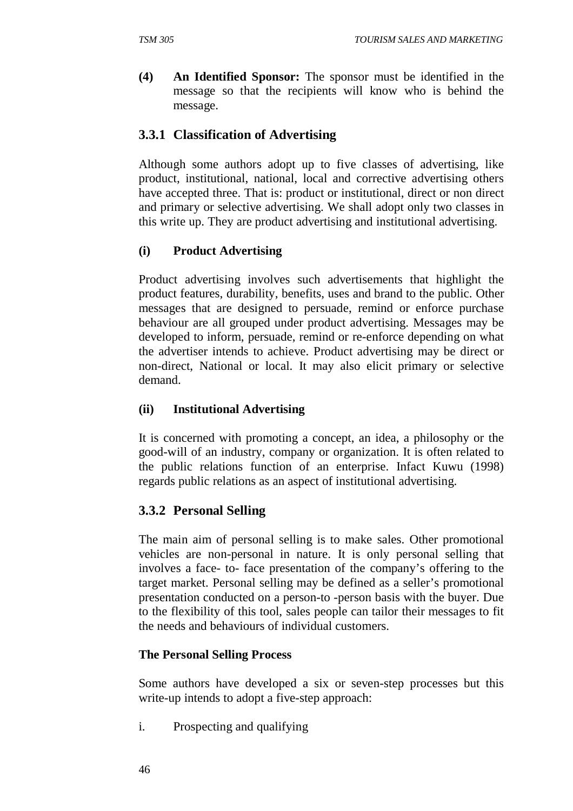**(4) An Identified Sponsor:** The sponsor must be identified in the message so that the recipients will know who is behind the message.

## **3.3.1 Classification of Advertising**

Although some authors adopt up to five classes of advertising, like product, institutional, national, local and corrective advertising others have accepted three. That is: product or institutional, direct or non direct and primary or selective advertising. We shall adopt only two classes in this write up. They are product advertising and institutional advertising.

## **(i) Product Advertising**

Product advertising involves such advertisements that highlight the product features, durability, benefits, uses and brand to the public. Other messages that are designed to persuade, remind or enforce purchase behaviour are all grouped under product advertising. Messages may be developed to inform, persuade, remind or re-enforce depending on what the advertiser intends to achieve. Product advertising may be direct or non-direct, National or local. It may also elicit primary or selective demand.

### **(ii) Institutional Advertising**

It is concerned with promoting a concept, an idea, a philosophy or the good-will of an industry, company or organization. It is often related to the public relations function of an enterprise. Infact Kuwu (1998) regards public relations as an aspect of institutional advertising.

## **3.3.2 Personal Selling**

The main aim of personal selling is to make sales. Other promotional vehicles are non-personal in nature. It is only personal selling that involves a face- to- face presentation of the company's offering to the target market. Personal selling may be defined as a seller's promotional presentation conducted on a person-to -person basis with the buyer. Due to the flexibility of this tool, sales people can tailor their messages to fit the needs and behaviours of individual customers.

### **The Personal Selling Process**

Some authors have developed a six or seven-step processes but this write-up intends to adopt a five-step approach:

i. Prospecting and qualifying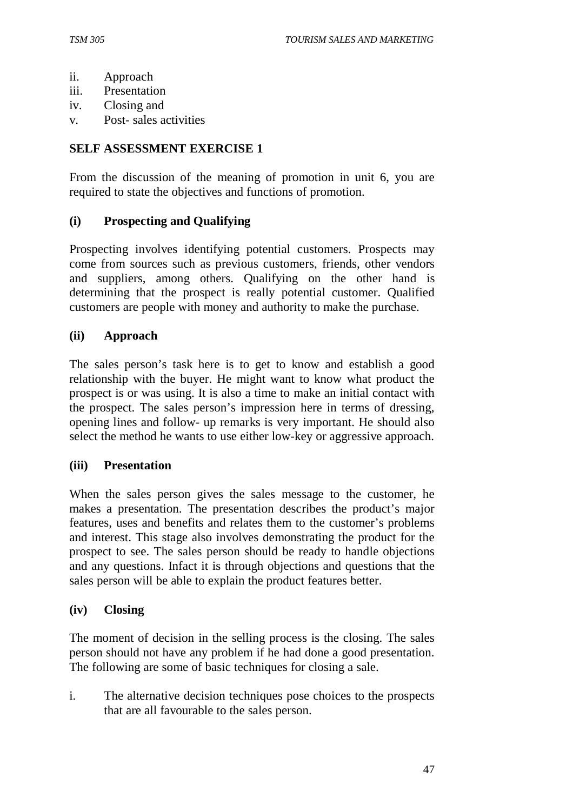- ii. Approach
- iii. Presentation
- iv. Closing and
- v. Post- sales activities

#### **SELF ASSESSMENT EXERCISE 1**

From the discussion of the meaning of promotion in unit 6, you are required to state the objectives and functions of promotion.

#### **(i) Prospecting and Qualifying**

Prospecting involves identifying potential customers. Prospects may come from sources such as previous customers, friends, other vendors and suppliers, among others. Qualifying on the other hand is determining that the prospect is really potential customer. Qualified customers are people with money and authority to make the purchase.

#### **(ii) Approach**

The sales person's task here is to get to know and establish a good relationship with the buyer. He might want to know what product the prospect is or was using. It is also a time to make an initial contact with the prospect. The sales person's impression here in terms of dressing, opening lines and follow- up remarks is very important. He should also select the method he wants to use either low-key or aggressive approach.

#### **(iii) Presentation**

When the sales person gives the sales message to the customer, he makes a presentation. The presentation describes the product's major features, uses and benefits and relates them to the customer's problems and interest. This stage also involves demonstrating the product for the prospect to see. The sales person should be ready to handle objections and any questions. Infact it is through objections and questions that the sales person will be able to explain the product features better.

#### **(iv) Closing**

The moment of decision in the selling process is the closing. The sales person should not have any problem if he had done a good presentation. The following are some of basic techniques for closing a sale.

i. The alternative decision techniques pose choices to the prospects that are all favourable to the sales person.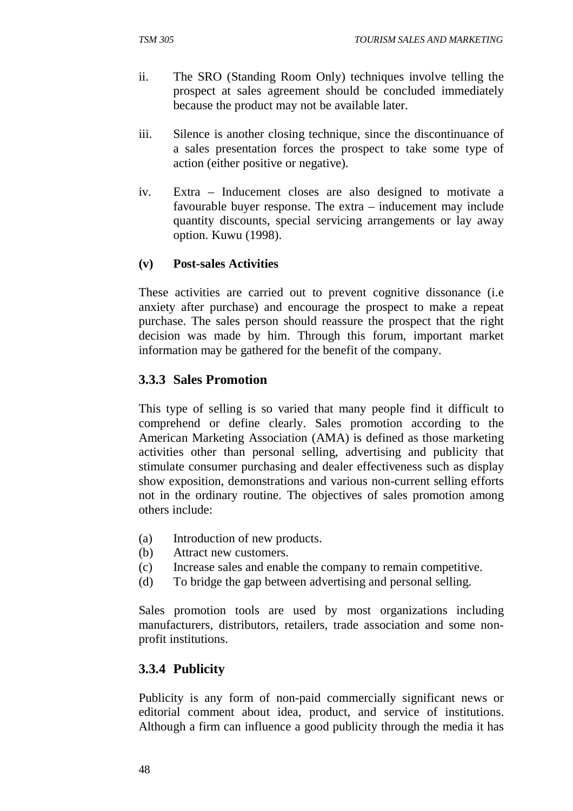- ii. The SRO (Standing Room Only) techniques involve telling the prospect at sales agreement should be concluded immediately because the product may not be available later.
- iii. Silence is another closing technique, since the discontinuance of a sales presentation forces the prospect to take some type of action (either positive or negative).
- iv. Extra Inducement closes are also designed to motivate a favourable buyer response. The extra – inducement may include quantity discounts, special servicing arrangements or lay away option. Kuwu (1998).

### **(v) Post-sales Activities**

These activities are carried out to prevent cognitive dissonance (i.e anxiety after purchase) and encourage the prospect to make a repeat purchase. The sales person should reassure the prospect that the right decision was made by him. Through this forum, important market information may be gathered for the benefit of the company.

## **3.3.3 Sales Promotion**

This type of selling is so varied that many people find it difficult to comprehend or define clearly. Sales promotion according to the American Marketing Association (AMA) is defined as those marketing activities other than personal selling, advertising and publicity that stimulate consumer purchasing and dealer effectiveness such as display show exposition, demonstrations and various non-current selling efforts not in the ordinary routine. The objectives of sales promotion among others include:

- (a) Introduction of new products.
- (b) Attract new customers.
- (c) Increase sales and enable the company to remain competitive.
- (d) To bridge the gap between advertising and personal selling.

Sales promotion tools are used by most organizations including manufacturers, distributors, retailers, trade association and some nonprofit institutions.

## **3.3.4 Publicity**

Publicity is any form of non-paid commercially significant news or editorial comment about idea, product, and service of institutions. Although a firm can influence a good publicity through the media it has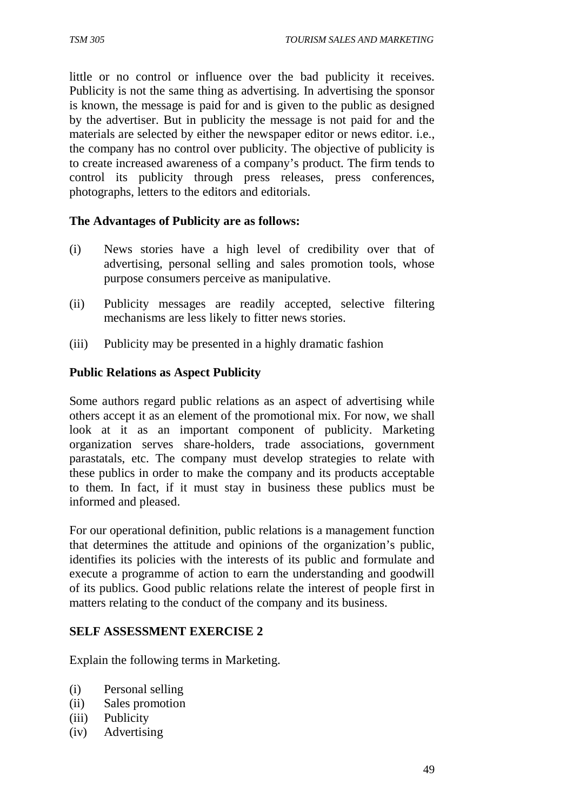little or no control or influence over the bad publicity it receives. Publicity is not the same thing as advertising. In advertising the sponsor is known, the message is paid for and is given to the public as designed by the advertiser. But in publicity the message is not paid for and the materials are selected by either the newspaper editor or news editor. i.e., the company has no control over publicity. The objective of publicity is to create increased awareness of a company's product. The firm tends to control its publicity through press releases, press conferences, photographs, letters to the editors and editorials.

#### **The Advantages of Publicity are as follows:**

- (i) News stories have a high level of credibility over that of advertising, personal selling and sales promotion tools, whose purpose consumers perceive as manipulative.
- (ii) Publicity messages are readily accepted, selective filtering mechanisms are less likely to fitter news stories.
- (iii) Publicity may be presented in a highly dramatic fashion

#### **Public Relations as Aspect Publicity**

Some authors regard public relations as an aspect of advertising while others accept it as an element of the promotional mix. For now, we shall look at it as an important component of publicity. Marketing organization serves share-holders, trade associations, government parastatals, etc. The company must develop strategies to relate with these publics in order to make the company and its products acceptable to them. In fact, if it must stay in business these publics must be informed and pleased.

For our operational definition, public relations is a management function that determines the attitude and opinions of the organization's public, identifies its policies with the interests of its public and formulate and execute a programme of action to earn the understanding and goodwill of its publics. Good public relations relate the interest of people first in matters relating to the conduct of the company and its business.

#### **SELF ASSESSMENT EXERCISE 2**

Explain the following terms in Marketing.

- (i) Personal selling
- (ii) Sales promotion
- (iii) Publicity
- (iv) Advertising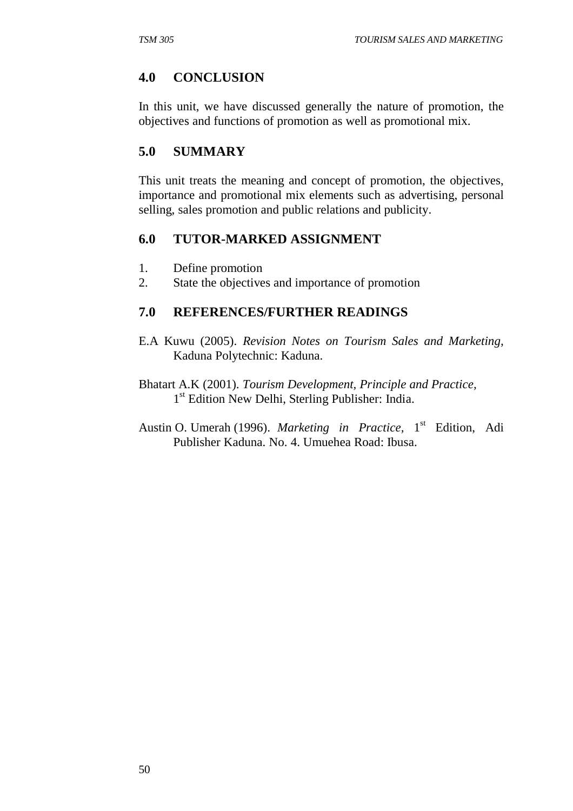# **4.0 CONCLUSION**

In this unit, we have discussed generally the nature of promotion, the objectives and functions of promotion as well as promotional mix.

# **5.0 SUMMARY**

This unit treats the meaning and concept of promotion, the objectives, importance and promotional mix elements such as advertising, personal selling, sales promotion and public relations and publicity.

## **6.0 TUTOR-MARKED ASSIGNMENT**

- 1. Define promotion
- 2. State the objectives and importance of promotion

## **7.0 REFERENCES/FURTHER READINGS**

- E.A Kuwu (2005). *Revision Notes on Tourism Sales and Marketing,* Kaduna Polytechnic: Kaduna.
- Bhatart A.K (2001). *Tourism Development, Principle and Practice,*  1 st Edition New Delhi, Sterling Publisher: India.
- Austin O. Umerah (1996). *Marketing in Practice*, 1<sup>st</sup> Edition, Adi Publisher Kaduna. No. 4. Umuehea Road: Ibusa.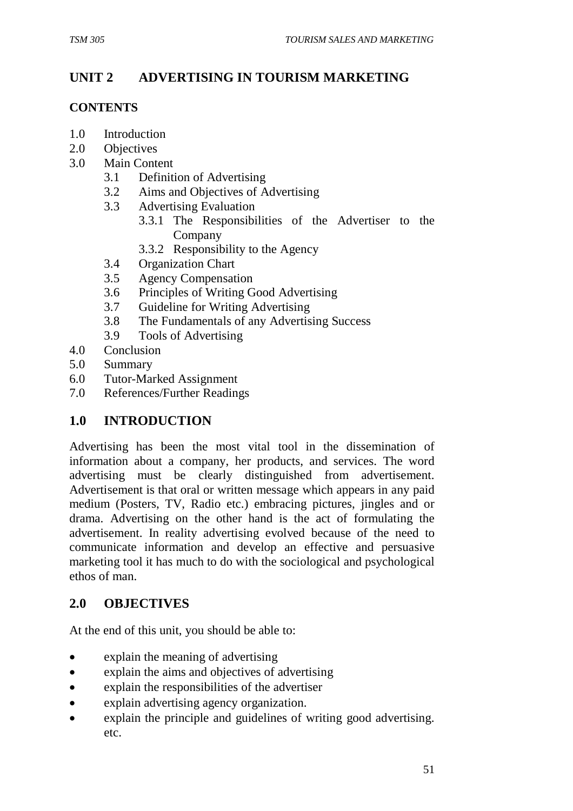# **UNIT 2 ADVERTISING IN TOURISM MARKETING**

#### **CONTENTS**

- 1.0 Introduction
- 2.0 Objectives
- 3.0 Main Content
	- 3.1 Definition of Advertising
	- 3.2 Aims and Objectives of Advertising
	- 3.3 Advertising Evaluation
		- 3.3.1 The Responsibilities of the Advertiser to the Company
		- 3.3.2 Responsibility to the Agency
	- 3.4 Organization Chart
	- 3.5 Agency Compensation
	- 3.6 Principles of Writing Good Advertising
	- 3.7 Guideline for Writing Advertising
	- 3.8 The Fundamentals of any Advertising Success
	- 3.9 Tools of Advertising
- 4.0 Conclusion
- 5.0 Summary
- 6.0 Tutor-Marked Assignment
- 7.0 References/Further Readings

## **1.0 INTRODUCTION**

Advertising has been the most vital tool in the dissemination of information about a company, her products, and services. The word advertising must be clearly distinguished from advertisement. Advertisement is that oral or written message which appears in any paid medium (Posters, TV, Radio etc.) embracing pictures, jingles and or drama. Advertising on the other hand is the act of formulating the advertisement. In reality advertising evolved because of the need to communicate information and develop an effective and persuasive marketing tool it has much to do with the sociological and psychological ethos of man.

## **2.0 OBJECTIVES**

At the end of this unit, you should be able to:

- explain the meaning of advertising
- explain the aims and objectives of advertising
- explain the responsibilities of the advertiser
- explain advertising agency organization.
- explain the principle and guidelines of writing good advertising. etc.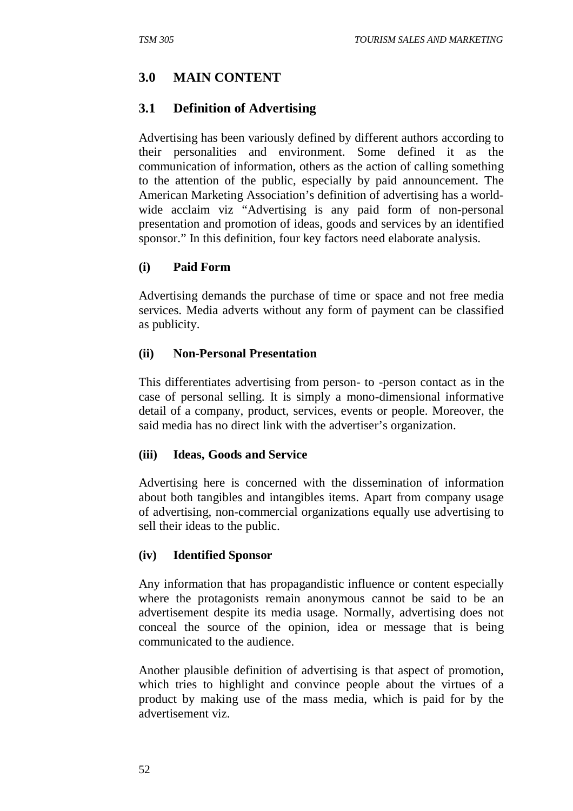# **3.0 MAIN CONTENT**

## **3.1 Definition of Advertising**

Advertising has been variously defined by different authors according to their personalities and environment. Some defined it as the communication of information, others as the action of calling something to the attention of the public, especially by paid announcement. The American Marketing Association's definition of advertising has a worldwide acclaim viz "Advertising is any paid form of non-personal presentation and promotion of ideas, goods and services by an identified sponsor." In this definition, four key factors need elaborate analysis.

### **(i) Paid Form**

Advertising demands the purchase of time or space and not free media services. Media adverts without any form of payment can be classified as publicity.

#### **(ii) Non-Personal Presentation**

This differentiates advertising from person- to -person contact as in the case of personal selling. It is simply a mono-dimensional informative detail of a company, product, services, events or people. Moreover, the said media has no direct link with the advertiser's organization.

#### **(iii) Ideas, Goods and Service**

Advertising here is concerned with the dissemination of information about both tangibles and intangibles items. Apart from company usage of advertising, non-commercial organizations equally use advertising to sell their ideas to the public.

#### **(iv) Identified Sponsor**

Any information that has propagandistic influence or content especially where the protagonists remain anonymous cannot be said to be an advertisement despite its media usage. Normally, advertising does not conceal the source of the opinion, idea or message that is being communicated to the audience.

Another plausible definition of advertising is that aspect of promotion, which tries to highlight and convince people about the virtues of a product by making use of the mass media, which is paid for by the advertisement viz.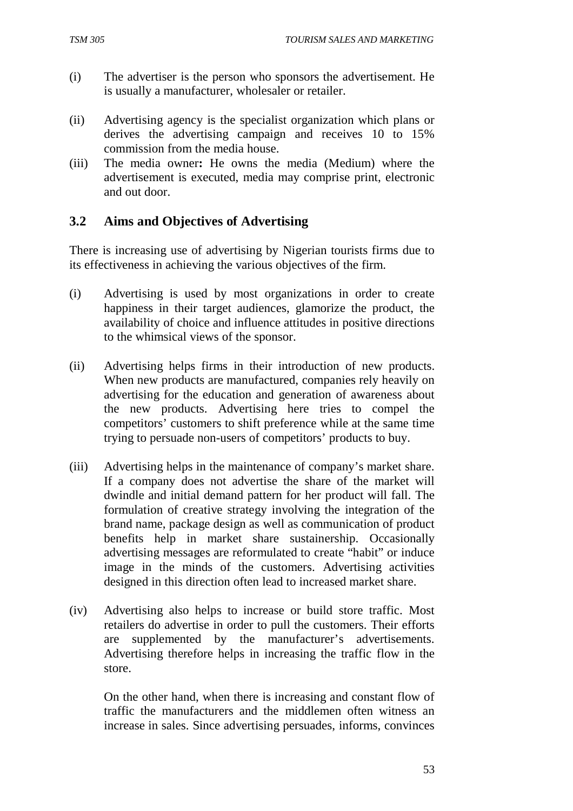- (i) The advertiser is the person who sponsors the advertisement. He is usually a manufacturer, wholesaler or retailer.
- (ii) Advertising agency is the specialist organization which plans or derives the advertising campaign and receives 10 to 15% commission from the media house.
- (iii) The media owner**:** He owns the media (Medium) where the advertisement is executed, media may comprise print, electronic and out door.

## **3.2 Aims and Objectives of Advertising**

There is increasing use of advertising by Nigerian tourists firms due to its effectiveness in achieving the various objectives of the firm.

- (i) Advertising is used by most organizations in order to create happiness in their target audiences, glamorize the product, the availability of choice and influence attitudes in positive directions to the whimsical views of the sponsor.
- (ii) Advertising helps firms in their introduction of new products. When new products are manufactured, companies rely heavily on advertising for the education and generation of awareness about the new products. Advertising here tries to compel the competitors' customers to shift preference while at the same time trying to persuade non-users of competitors' products to buy.
- (iii) Advertising helps in the maintenance of company's market share. If a company does not advertise the share of the market will dwindle and initial demand pattern for her product will fall. The formulation of creative strategy involving the integration of the brand name, package design as well as communication of product benefits help in market share sustainership. Occasionally advertising messages are reformulated to create "habit" or induce image in the minds of the customers. Advertising activities designed in this direction often lead to increased market share.
- (iv) Advertising also helps to increase or build store traffic. Most retailers do advertise in order to pull the customers. Their efforts are supplemented by the manufacturer's advertisements. Advertising therefore helps in increasing the traffic flow in the store.

On the other hand, when there is increasing and constant flow of traffic the manufacturers and the middlemen often witness an increase in sales. Since advertising persuades, informs, convinces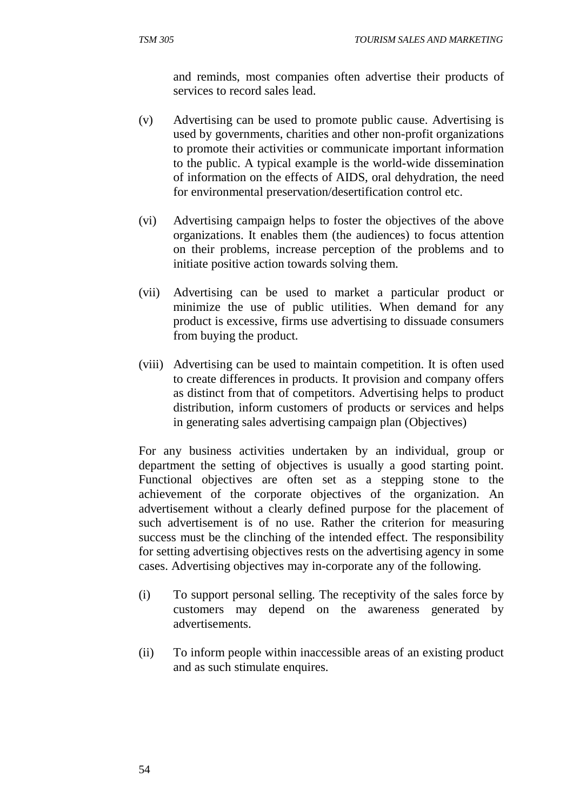and reminds, most companies often advertise their products of services to record sales lead.

- (v) Advertising can be used to promote public cause. Advertising is used by governments, charities and other non-profit organizations to promote their activities or communicate important information to the public. A typical example is the world-wide dissemination of information on the effects of AIDS, oral dehydration, the need for environmental preservation/desertification control etc.
- (vi) Advertising campaign helps to foster the objectives of the above organizations. It enables them (the audiences) to focus attention on their problems, increase perception of the problems and to initiate positive action towards solving them.
- (vii) Advertising can be used to market a particular product or minimize the use of public utilities. When demand for any product is excessive, firms use advertising to dissuade consumers from buying the product.
- (viii) Advertising can be used to maintain competition. It is often used to create differences in products. It provision and company offers as distinct from that of competitors. Advertising helps to product distribution, inform customers of products or services and helps in generating sales advertising campaign plan (Objectives)

 For any business activities undertaken by an individual, group or department the setting of objectives is usually a good starting point. Functional objectives are often set as a stepping stone to the achievement of the corporate objectives of the organization. An advertisement without a clearly defined purpose for the placement of such advertisement is of no use. Rather the criterion for measuring success must be the clinching of the intended effect. The responsibility for setting advertising objectives rests on the advertising agency in some cases. Advertising objectives may in-corporate any of the following.

- (i) To support personal selling. The receptivity of the sales force by customers may depend on the awareness generated by advertisements.
- (ii) To inform people within inaccessible areas of an existing product and as such stimulate enquires.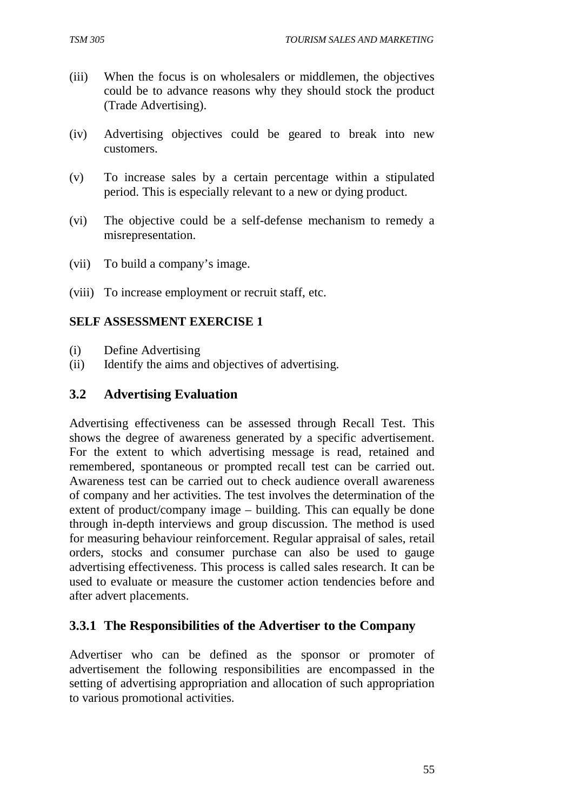- (iii) When the focus is on wholesalers or middlemen, the objectives could be to advance reasons why they should stock the product (Trade Advertising).
- (iv) Advertising objectives could be geared to break into new customers.
- (v) To increase sales by a certain percentage within a stipulated period. This is especially relevant to a new or dying product.
- (vi) The objective could be a self-defense mechanism to remedy a misrepresentation.
- (vii) To build a company's image.
- (viii) To increase employment or recruit staff, etc.

### **SELF ASSESSMENT EXERCISE 1**

- (i) Define Advertising
- (ii) Identify the aims and objectives of advertising.

### **3.2 Advertising Evaluation**

Advertising effectiveness can be assessed through Recall Test. This shows the degree of awareness generated by a specific advertisement. For the extent to which advertising message is read, retained and remembered, spontaneous or prompted recall test can be carried out. Awareness test can be carried out to check audience overall awareness of company and her activities. The test involves the determination of the extent of product/company image – building. This can equally be done through in-depth interviews and group discussion. The method is used for measuring behaviour reinforcement. Regular appraisal of sales, retail orders, stocks and consumer purchase can also be used to gauge advertising effectiveness. This process is called sales research. It can be used to evaluate or measure the customer action tendencies before and after advert placements.

### **3.3.1 The Responsibilities of the Advertiser to the Company**

Advertiser who can be defined as the sponsor or promoter of advertisement the following responsibilities are encompassed in the setting of advertising appropriation and allocation of such appropriation to various promotional activities.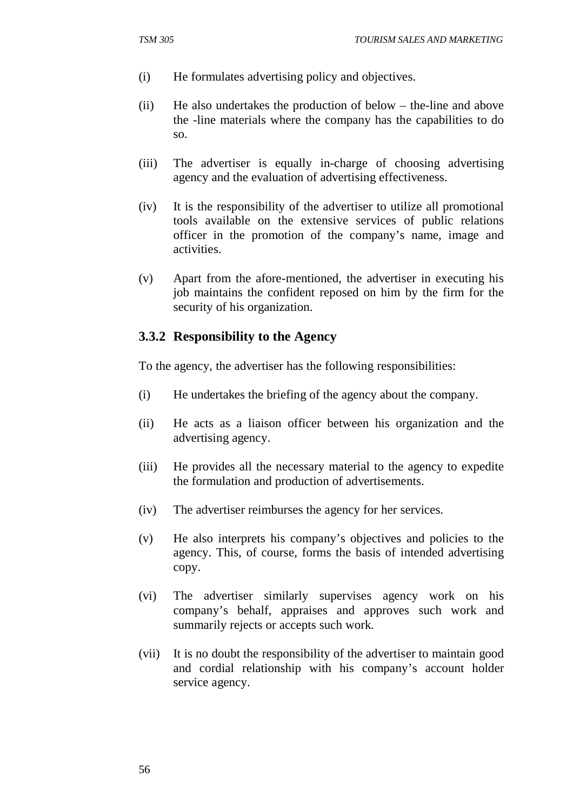- (i) He formulates advertising policy and objectives.
- (ii) He also undertakes the production of below the-line and above the -line materials where the company has the capabilities to do so.
- (iii) The advertiser is equally in-charge of choosing advertising agency and the evaluation of advertising effectiveness.
- (iv) It is the responsibility of the advertiser to utilize all promotional tools available on the extensive services of public relations officer in the promotion of the company's name, image and activities.
- (v) Apart from the afore-mentioned, the advertiser in executing his job maintains the confident reposed on him by the firm for the security of his organization.

### **3.3.2 Responsibility to the Agency**

To the agency, the advertiser has the following responsibilities:

- (i) He undertakes the briefing of the agency about the company.
- (ii) He acts as a liaison officer between his organization and the advertising agency.
- (iii) He provides all the necessary material to the agency to expedite the formulation and production of advertisements.
- (iv) The advertiser reimburses the agency for her services.
- (v) He also interprets his company's objectives and policies to the agency. This, of course, forms the basis of intended advertising copy.
- (vi) The advertiser similarly supervises agency work on his company's behalf, appraises and approves such work and summarily rejects or accepts such work.
- (vii) It is no doubt the responsibility of the advertiser to maintain good and cordial relationship with his company's account holder service agency.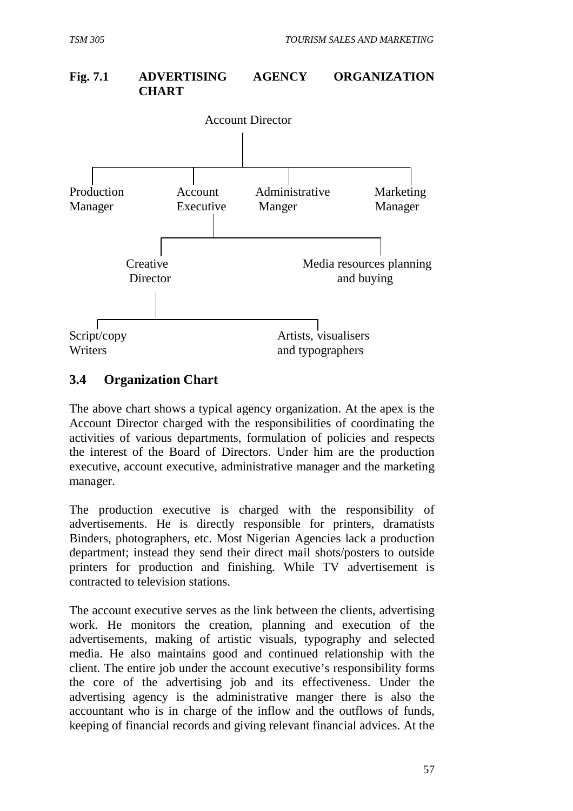

# **Fig. 7.1 ADVERTISING AGENCY ORGANIZATION CHART**

## **3.4 Organization Chart**

The above chart shows a typical agency organization. At the apex is the Account Director charged with the responsibilities of coordinating the activities of various departments, formulation of policies and respects the interest of the Board of Directors. Under him are the production executive, account executive, administrative manager and the marketing manager.

The production executive is charged with the responsibility of advertisements. He is directly responsible for printers, dramatists Binders, photographers, etc. Most Nigerian Agencies lack a production department; instead they send their direct mail shots/posters to outside printers for production and finishing. While TV advertisement is contracted to television stations.

The account executive serves as the link between the clients, advertising work. He monitors the creation, planning and execution of the advertisements, making of artistic visuals, typography and selected media. He also maintains good and continued relationship with the client. The entire job under the account executive's responsibility forms the core of the advertising job and its effectiveness. Under the advertising agency is the administrative manger there is also the accountant who is in charge of the inflow and the outflows of funds, keeping of financial records and giving relevant financial advices. At the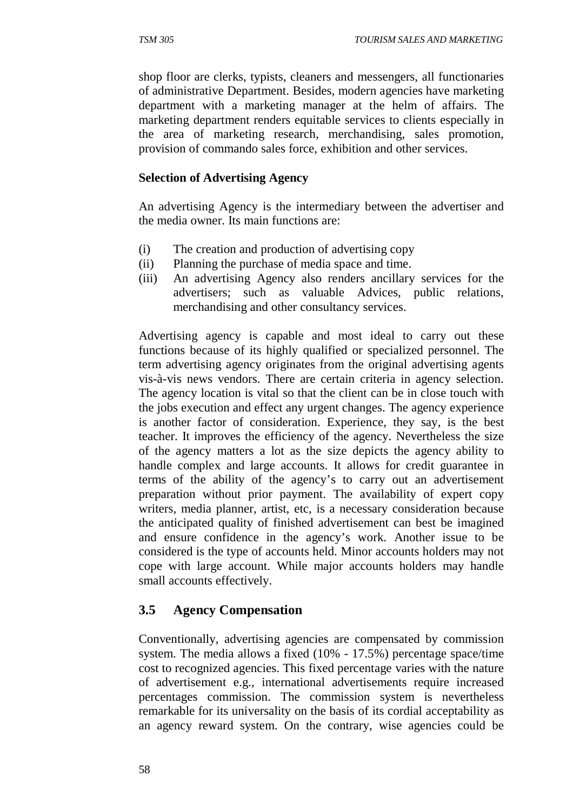shop floor are clerks, typists, cleaners and messengers, all functionaries of administrative Department. Besides, modern agencies have marketing department with a marketing manager at the helm of affairs. The marketing department renders equitable services to clients especially in the area of marketing research, merchandising, sales promotion, provision of commando sales force, exhibition and other services.

### **Selection of Advertising Agency**

An advertising Agency is the intermediary between the advertiser and the media owner. Its main functions are:

- (i) The creation and production of advertising copy
- (ii) Planning the purchase of media space and time.
- (iii) An advertising Agency also renders ancillary services for the advertisers; such as valuable Advices, public relations, merchandising and other consultancy services.

Advertising agency is capable and most ideal to carry out these functions because of its highly qualified or specialized personnel. The term advertising agency originates from the original advertising agents vis-à-vis news vendors. There are certain criteria in agency selection. The agency location is vital so that the client can be in close touch with the jobs execution and effect any urgent changes. The agency experience is another factor of consideration. Experience, they say, is the best teacher. It improves the efficiency of the agency. Nevertheless the size of the agency matters a lot as the size depicts the agency ability to handle complex and large accounts. It allows for credit guarantee in terms of the ability of the agency's to carry out an advertisement preparation without prior payment. The availability of expert copy writers, media planner, artist, etc, is a necessary consideration because the anticipated quality of finished advertisement can best be imagined and ensure confidence in the agency's work. Another issue to be considered is the type of accounts held. Minor accounts holders may not cope with large account. While major accounts holders may handle small accounts effectively.

## **3.5 Agency Compensation**

Conventionally, advertising agencies are compensated by commission system. The media allows a fixed (10% - 17.5%) percentage space/time cost to recognized agencies. This fixed percentage varies with the nature of advertisement e.g., international advertisements require increased percentages commission. The commission system is nevertheless remarkable for its universality on the basis of its cordial acceptability as an agency reward system. On the contrary, wise agencies could be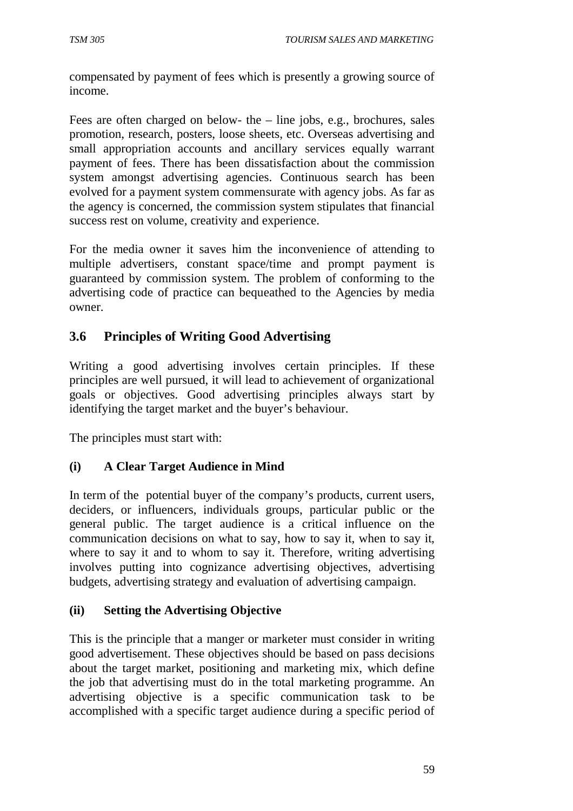compensated by payment of fees which is presently a growing source of income.

Fees are often charged on below- the – line jobs, e.g., brochures, sales promotion, research, posters, loose sheets, etc. Overseas advertising and small appropriation accounts and ancillary services equally warrant payment of fees. There has been dissatisfaction about the commission system amongst advertising agencies. Continuous search has been evolved for a payment system commensurate with agency jobs. As far as the agency is concerned, the commission system stipulates that financial success rest on volume, creativity and experience.

For the media owner it saves him the inconvenience of attending to multiple advertisers, constant space/time and prompt payment is guaranteed by commission system. The problem of conforming to the advertising code of practice can bequeathed to the Agencies by media owner.

## **3.6 Principles of Writing Good Advertising**

Writing a good advertising involves certain principles. If these principles are well pursued, it will lead to achievement of organizational goals or objectives. Good advertising principles always start by identifying the target market and the buyer's behaviour.

The principles must start with:

## **(i) A Clear Target Audience in Mind**

In term of the potential buyer of the company's products, current users, deciders, or influencers, individuals groups, particular public or the general public. The target audience is a critical influence on the communication decisions on what to say, how to say it, when to say it, where to say it and to whom to say it. Therefore, writing advertising involves putting into cognizance advertising objectives, advertising budgets, advertising strategy and evaluation of advertising campaign.

### **(ii) Setting the Advertising Objective**

This is the principle that a manger or marketer must consider in writing good advertisement. These objectives should be based on pass decisions about the target market, positioning and marketing mix, which define the job that advertising must do in the total marketing programme. An advertising objective is a specific communication task to be accomplished with a specific target audience during a specific period of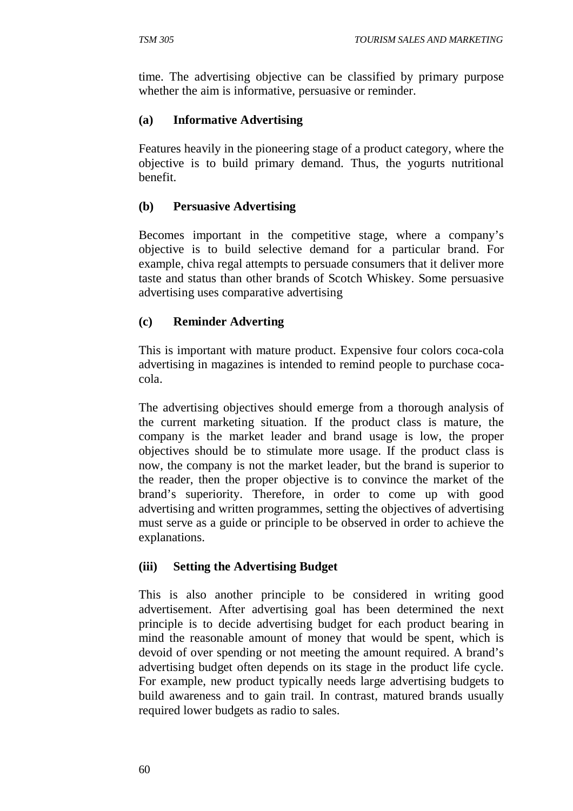time. The advertising objective can be classified by primary purpose whether the aim is informative, persuasive or reminder.

### **(a) Informative Advertising**

Features heavily in the pioneering stage of a product category, where the objective is to build primary demand. Thus, the yogurts nutritional benefit.

## **(b) Persuasive Advertising**

Becomes important in the competitive stage, where a company's objective is to build selective demand for a particular brand. For example, chiva regal attempts to persuade consumers that it deliver more taste and status than other brands of Scotch Whiskey. Some persuasive advertising uses comparative advertising

### **(c) Reminder Adverting**

This is important with mature product. Expensive four colors coca-cola advertising in magazines is intended to remind people to purchase cocacola.

The advertising objectives should emerge from a thorough analysis of the current marketing situation. If the product class is mature, the company is the market leader and brand usage is low, the proper objectives should be to stimulate more usage. If the product class is now, the company is not the market leader, but the brand is superior to the reader, then the proper objective is to convince the market of the brand's superiority. Therefore, in order to come up with good advertising and written programmes, setting the objectives of advertising must serve as a guide or principle to be observed in order to achieve the explanations.

### **(iii) Setting the Advertising Budget**

This is also another principle to be considered in writing good advertisement. After advertising goal has been determined the next principle is to decide advertising budget for each product bearing in mind the reasonable amount of money that would be spent, which is devoid of over spending or not meeting the amount required. A brand's advertising budget often depends on its stage in the product life cycle. For example, new product typically needs large advertising budgets to build awareness and to gain trail. In contrast, matured brands usually required lower budgets as radio to sales.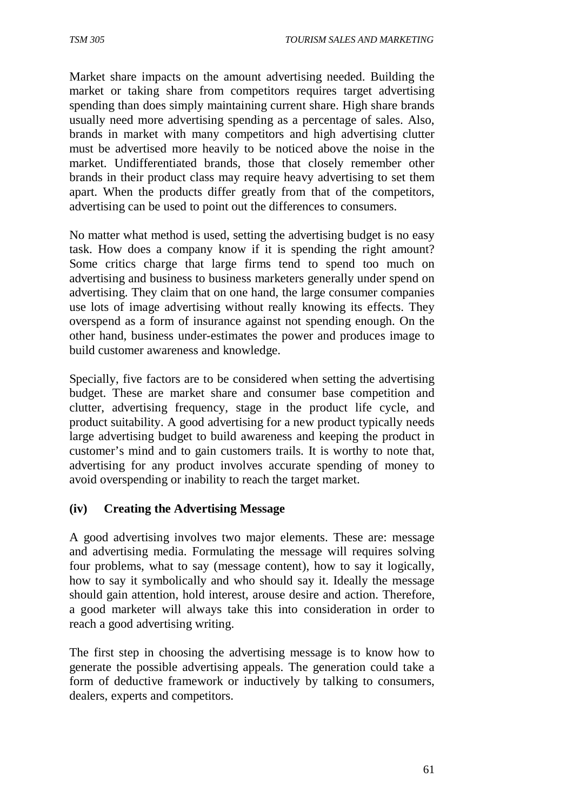Market share impacts on the amount advertising needed. Building the market or taking share from competitors requires target advertising spending than does simply maintaining current share. High share brands usually need more advertising spending as a percentage of sales. Also, brands in market with many competitors and high advertising clutter must be advertised more heavily to be noticed above the noise in the market. Undifferentiated brands, those that closely remember other brands in their product class may require heavy advertising to set them apart. When the products differ greatly from that of the competitors, advertising can be used to point out the differences to consumers.

No matter what method is used, setting the advertising budget is no easy task. How does a company know if it is spending the right amount? Some critics charge that large firms tend to spend too much on advertising and business to business marketers generally under spend on advertising. They claim that on one hand, the large consumer companies use lots of image advertising without really knowing its effects. They overspend as a form of insurance against not spending enough. On the other hand, business under-estimates the power and produces image to build customer awareness and knowledge.

Specially, five factors are to be considered when setting the advertising budget. These are market share and consumer base competition and clutter, advertising frequency, stage in the product life cycle, and product suitability. A good advertising for a new product typically needs large advertising budget to build awareness and keeping the product in customer's mind and to gain customers trails. It is worthy to note that, advertising for any product involves accurate spending of money to avoid overspending or inability to reach the target market.

### **(iv) Creating the Advertising Message**

A good advertising involves two major elements. These are: message and advertising media. Formulating the message will requires solving four problems, what to say (message content), how to say it logically, how to say it symbolically and who should say it. Ideally the message should gain attention, hold interest, arouse desire and action. Therefore, a good marketer will always take this into consideration in order to reach a good advertising writing.

The first step in choosing the advertising message is to know how to generate the possible advertising appeals. The generation could take a form of deductive framework or inductively by talking to consumers, dealers, experts and competitors.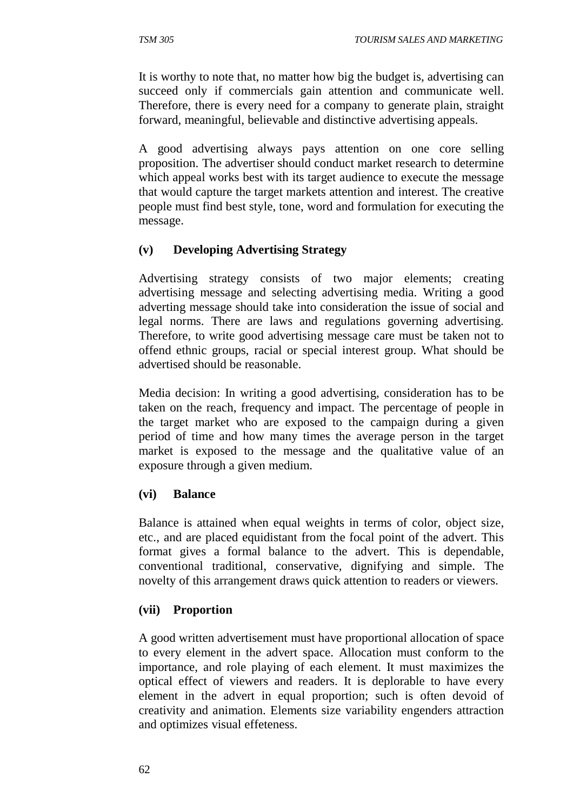It is worthy to note that, no matter how big the budget is, advertising can succeed only if commercials gain attention and communicate well. Therefore, there is every need for a company to generate plain, straight forward, meaningful, believable and distinctive advertising appeals.

A good advertising always pays attention on one core selling proposition. The advertiser should conduct market research to determine which appeal works best with its target audience to execute the message that would capture the target markets attention and interest. The creative people must find best style, tone, word and formulation for executing the message.

### **(v) Developing Advertising Strategy**

Advertising strategy consists of two major elements; creating advertising message and selecting advertising media. Writing a good adverting message should take into consideration the issue of social and legal norms. There are laws and regulations governing advertising. Therefore, to write good advertising message care must be taken not to offend ethnic groups, racial or special interest group. What should be advertised should be reasonable.

Media decision: In writing a good advertising, consideration has to be taken on the reach, frequency and impact. The percentage of people in the target market who are exposed to the campaign during a given period of time and how many times the average person in the target market is exposed to the message and the qualitative value of an exposure through a given medium.

### **(vi) Balance**

Balance is attained when equal weights in terms of color, object size, etc., and are placed equidistant from the focal point of the advert. This format gives a formal balance to the advert. This is dependable, conventional traditional, conservative, dignifying and simple. The novelty of this arrangement draws quick attention to readers or viewers.

### **(vii) Proportion**

A good written advertisement must have proportional allocation of space to every element in the advert space. Allocation must conform to the importance, and role playing of each element. It must maximizes the optical effect of viewers and readers. It is deplorable to have every element in the advert in equal proportion; such is often devoid of creativity and animation. Elements size variability engenders attraction and optimizes visual effeteness.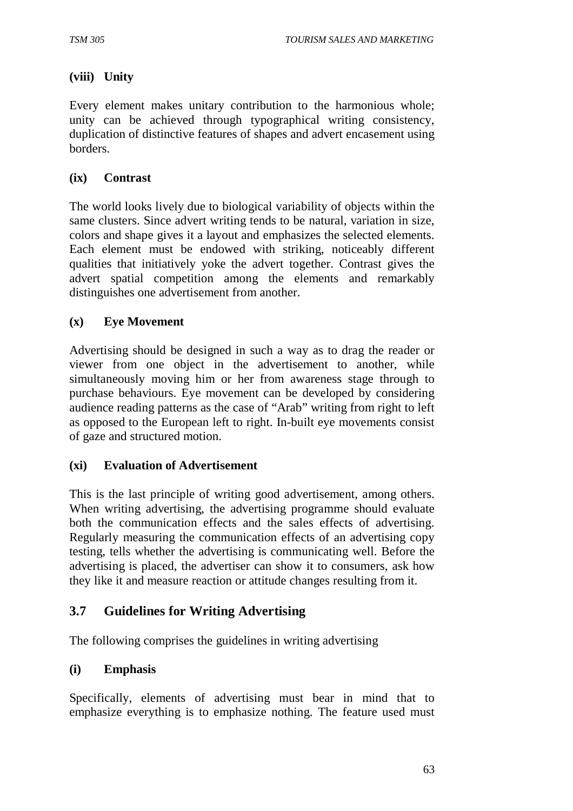### **(viii) Unity**

Every element makes unitary contribution to the harmonious whole; unity can be achieved through typographical writing consistency, duplication of distinctive features of shapes and advert encasement using borders.

#### **(ix) Contrast**

The world looks lively due to biological variability of objects within the same clusters. Since advert writing tends to be natural, variation in size, colors and shape gives it a layout and emphasizes the selected elements. Each element must be endowed with striking, noticeably different qualities that initiatively yoke the advert together. Contrast gives the advert spatial competition among the elements and remarkably distinguishes one advertisement from another.

#### **(x) Eye Movement**

Advertising should be designed in such a way as to drag the reader or viewer from one object in the advertisement to another, while simultaneously moving him or her from awareness stage through to purchase behaviours. Eye movement can be developed by considering audience reading patterns as the case of "Arab" writing from right to left as opposed to the European left to right. In-built eye movements consist of gaze and structured motion.

### **(xi) Evaluation of Advertisement**

This is the last principle of writing good advertisement, among others. When writing advertising, the advertising programme should evaluate both the communication effects and the sales effects of advertising. Regularly measuring the communication effects of an advertising copy testing, tells whether the advertising is communicating well. Before the advertising is placed, the advertiser can show it to consumers, ask how they like it and measure reaction or attitude changes resulting from it.

### **3.7 Guidelines for Writing Advertising**

The following comprises the guidelines in writing advertising

#### **(i) Emphasis**

Specifically, elements of advertising must bear in mind that to emphasize everything is to emphasize nothing. The feature used must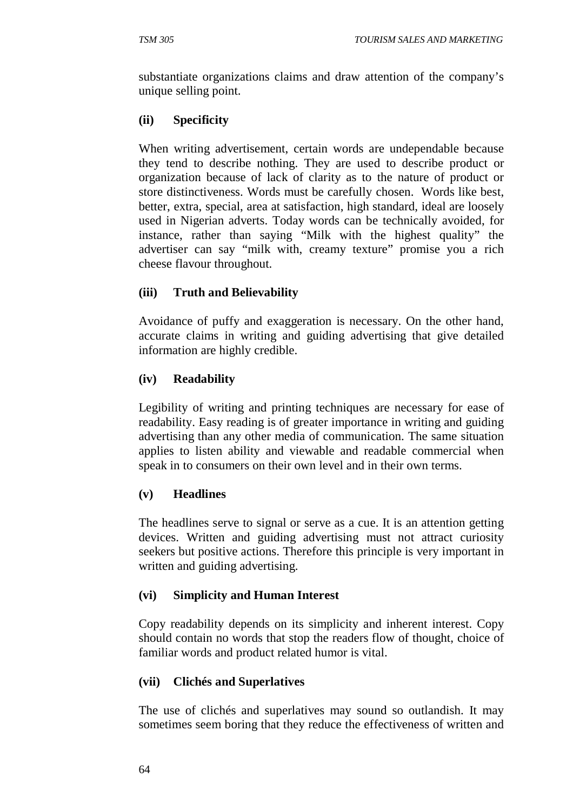substantiate organizations claims and draw attention of the company's unique selling point.

## **(ii) Specificity**

When writing advertisement, certain words are undependable because they tend to describe nothing. They are used to describe product or organization because of lack of clarity as to the nature of product or store distinctiveness. Words must be carefully chosen. Words like best, better, extra, special, area at satisfaction, high standard, ideal are loosely used in Nigerian adverts. Today words can be technically avoided, for instance, rather than saying "Milk with the highest quality" the advertiser can say "milk with, creamy texture" promise you a rich cheese flavour throughout.

## **(iii) Truth and Believability**

Avoidance of puffy and exaggeration is necessary. On the other hand, accurate claims in writing and guiding advertising that give detailed information are highly credible.

### **(iv) Readability**

Legibility of writing and printing techniques are necessary for ease of readability. Easy reading is of greater importance in writing and guiding advertising than any other media of communication. The same situation applies to listen ability and viewable and readable commercial when speak in to consumers on their own level and in their own terms.

### **(v) Headlines**

The headlines serve to signal or serve as a cue. It is an attention getting devices. Written and guiding advertising must not attract curiosity seekers but positive actions. Therefore this principle is very important in written and guiding advertising.

## **(vi) Simplicity and Human Interest**

Copy readability depends on its simplicity and inherent interest. Copy should contain no words that stop the readers flow of thought, choice of familiar words and product related humor is vital.

### **(vii) Clichés and Superlatives**

The use of clichés and superlatives may sound so outlandish. It may sometimes seem boring that they reduce the effectiveness of written and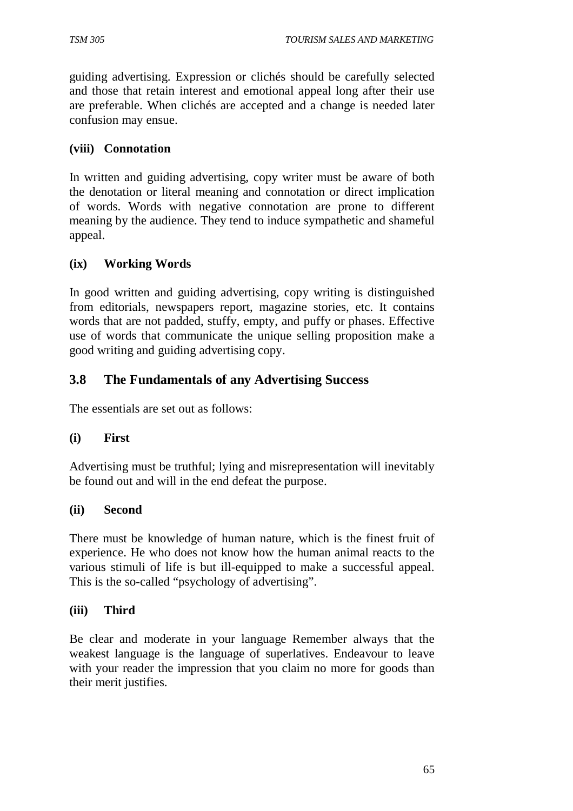guiding advertising. Expression or clichés should be carefully selected and those that retain interest and emotional appeal long after their use are preferable. When clichés are accepted and a change is needed later confusion may ensue.

#### **(viii) Connotation**

In written and guiding advertising, copy writer must be aware of both the denotation or literal meaning and connotation or direct implication of words. Words with negative connotation are prone to different meaning by the audience. They tend to induce sympathetic and shameful appeal.

### **(ix) Working Words**

In good written and guiding advertising, copy writing is distinguished from editorials, newspapers report, magazine stories, etc. It contains words that are not padded, stuffy, empty, and puffy or phases. Effective use of words that communicate the unique selling proposition make a good writing and guiding advertising copy.

## **3.8 The Fundamentals of any Advertising Success**

The essentials are set out as follows:

#### **(i) First**

Advertising must be truthful; lying and misrepresentation will inevitably be found out and will in the end defeat the purpose.

#### **(ii) Second**

There must be knowledge of human nature, which is the finest fruit of experience. He who does not know how the human animal reacts to the various stimuli of life is but ill-equipped to make a successful appeal. This is the so-called "psychology of advertising".

#### **(iii) Third**

Be clear and moderate in your language Remember always that the weakest language is the language of superlatives. Endeavour to leave with your reader the impression that you claim no more for goods than their merit justifies.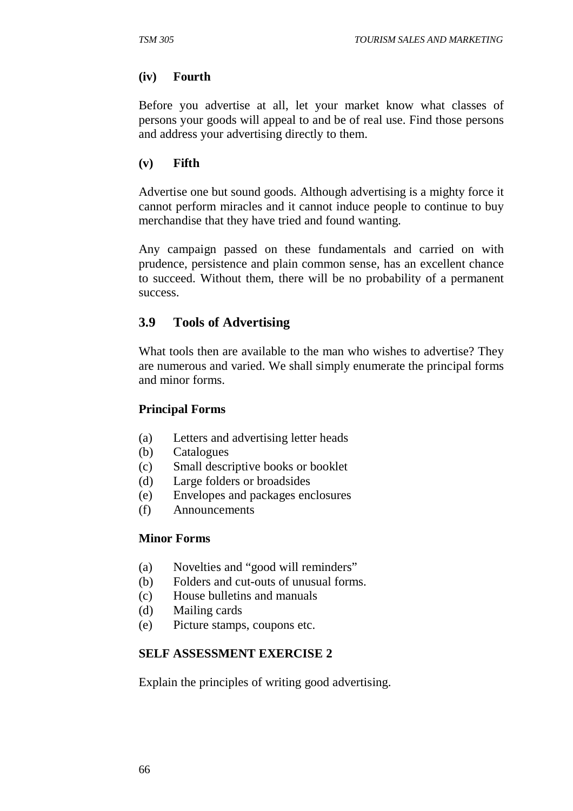## **(iv) Fourth**

Before you advertise at all, let your market know what classes of persons your goods will appeal to and be of real use. Find those persons and address your advertising directly to them.

### **(v) Fifth**

Advertise one but sound goods. Although advertising is a mighty force it cannot perform miracles and it cannot induce people to continue to buy merchandise that they have tried and found wanting.

Any campaign passed on these fundamentals and carried on with prudence, persistence and plain common sense, has an excellent chance to succeed. Without them, there will be no probability of a permanent success.

# **3.9 Tools of Advertising**

What tools then are available to the man who wishes to advertise? They are numerous and varied. We shall simply enumerate the principal forms and minor forms.

### **Principal Forms**

- (a) Letters and advertising letter heads
- (b) Catalogues
- (c) Small descriptive books or booklet
- (d) Large folders or broadsides
- (e) Envelopes and packages enclosures
- (f) Announcements

### **Minor Forms**

- (a) Novelties and "good will reminders"
- (b) Folders and cut-outs of unusual forms.
- (c) House bulletins and manuals
- (d) Mailing cards
- (e) Picture stamps, coupons etc.

### **SELF ASSESSMENT EXERCISE 2**

Explain the principles of writing good advertising.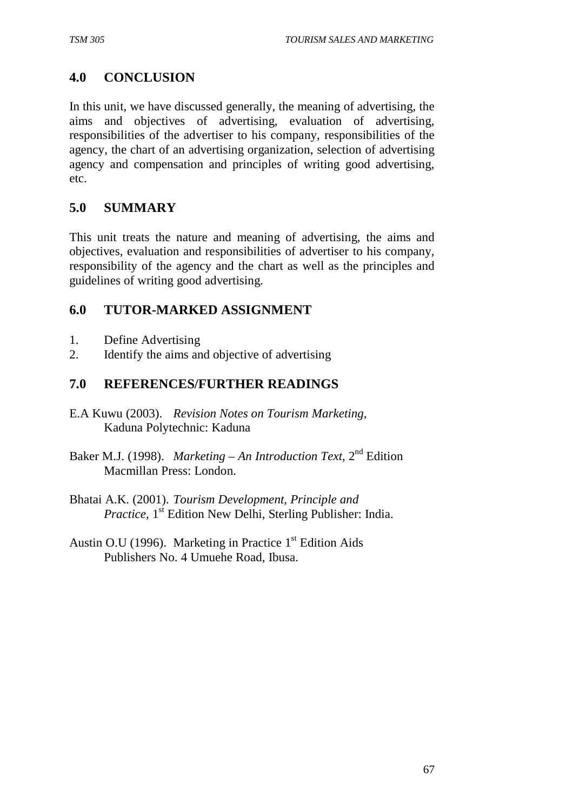# **4.0 CONCLUSION**

In this unit, we have discussed generally, the meaning of advertising, the aims and objectives of advertising, evaluation of advertising, responsibilities of the advertiser to his company, responsibilities of the agency, the chart of an advertising organization, selection of advertising agency and compensation and principles of writing good advertising, etc.

## **5.0 SUMMARY**

This unit treats the nature and meaning of advertising, the aims and objectives, evaluation and responsibilities of advertiser to his company, responsibility of the agency and the chart as well as the principles and guidelines of writing good advertising.

## **6.0 TUTOR-MARKED ASSIGNMENT**

- 1. Define Advertising
- 2. Identify the aims and objective of advertising

## **7.0 REFERENCES/FURTHER READINGS**

- E.A Kuwu (2003). *Revision Notes on Tourism Marketing,*  Kaduna Polytechnic: Kaduna
- Baker M.J. (1998). *Marketing An Introduction Text*, 2<sup>nd</sup> Edition Macmillan Press: London.
- Bhatai A.K. (2001). *Tourism Development, Principle and Practice*, 1<sup>st</sup> Edition New Delhi, Sterling Publisher: India.
- Austin O.U (1996). Marketing in Practice  $1<sup>st</sup>$  Edition Aids Publishers No. 4 Umuehe Road, Ibusa.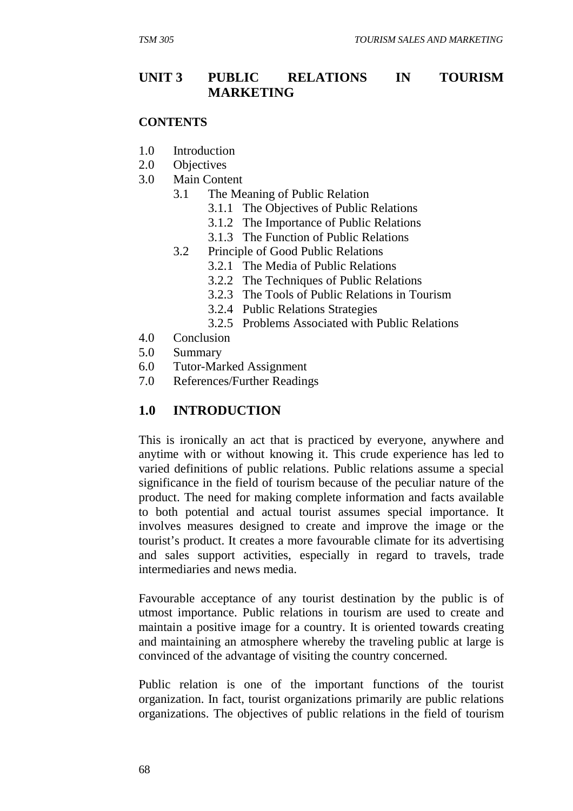# **UNIT 3 PUBLIC RELATIONS IN TOURISM MARKETING**

#### **CONTENTS**

- 1.0 Introduction
- 2.0 Objectives
- 3.0 Main Content
	- 3.1 The Meaning of Public Relation
		- 3.1.1 The Objectives of Public Relations
		- 3.1.2 The Importance of Public Relations
		- 3.1.3 The Function of Public Relations
	- 3.2 Principle of Good Public Relations
		- 3.2.1 The Media of Public Relations
		- 3.2.2 The Techniques of Public Relations
		- 3.2.3 The Tools of Public Relations in Tourism
		- 3.2.4 Public Relations Strategies
		- 3.2.5 Problems Associated with Public Relations
- 4.0 Conclusion
- 5.0 Summary
- 6.0 Tutor-Marked Assignment
- 7.0 References/Further Readings

### **1.0 INTRODUCTION**

This is ironically an act that is practiced by everyone, anywhere and anytime with or without knowing it. This crude experience has led to varied definitions of public relations. Public relations assume a special significance in the field of tourism because of the peculiar nature of the product. The need for making complete information and facts available to both potential and actual tourist assumes special importance. It involves measures designed to create and improve the image or the tourist's product. It creates a more favourable climate for its advertising and sales support activities, especially in regard to travels, trade intermediaries and news media.

Favourable acceptance of any tourist destination by the public is of utmost importance. Public relations in tourism are used to create and maintain a positive image for a country. It is oriented towards creating and maintaining an atmosphere whereby the traveling public at large is convinced of the advantage of visiting the country concerned.

Public relation is one of the important functions of the tourist organization. In fact, tourist organizations primarily are public relations organizations. The objectives of public relations in the field of tourism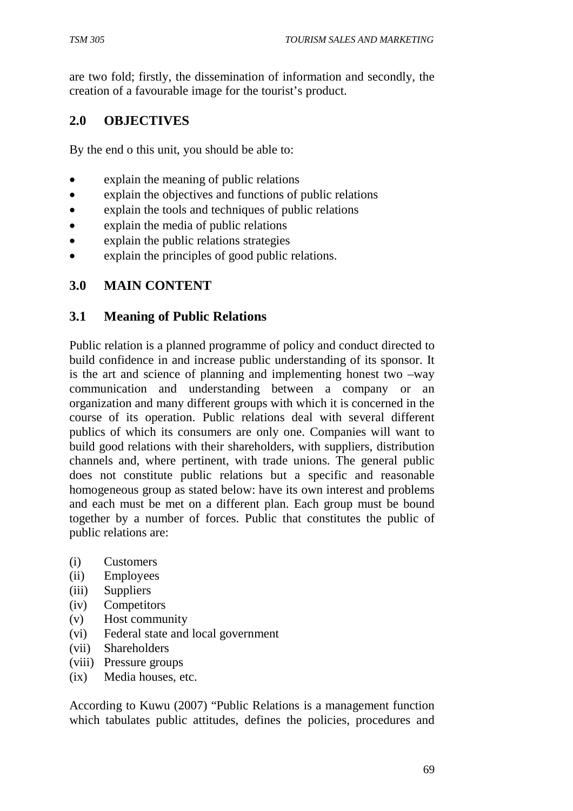are two fold; firstly, the dissemination of information and secondly, the creation of a favourable image for the tourist's product.

# **2.0 OBJECTIVES**

By the end o this unit, you should be able to:

- explain the meaning of public relations
- explain the objectives and functions of public relations
- explain the tools and techniques of public relations
- explain the media of public relations
- explain the public relations strategies
- explain the principles of good public relations.

### **3.0 MAIN CONTENT**

#### **3.1 Meaning of Public Relations**

Public relation is a planned programme of policy and conduct directed to build confidence in and increase public understanding of its sponsor. It is the art and science of planning and implementing honest two –way communication and understanding between a company or an organization and many different groups with which it is concerned in the course of its operation. Public relations deal with several different publics of which its consumers are only one. Companies will want to build good relations with their shareholders, with suppliers, distribution channels and, where pertinent, with trade unions. The general public does not constitute public relations but a specific and reasonable homogeneous group as stated below: have its own interest and problems and each must be met on a different plan. Each group must be bound together by a number of forces. Public that constitutes the public of public relations are:

- (i) Customers
- (ii) Employees
- (iii) Suppliers
- (iv) Competitors
- (v) Host community
- (vi) Federal state and local government
- (vii) Shareholders
- (viii) Pressure groups
- (ix) Media houses, etc.

According to Kuwu (2007) "Public Relations is a management function which tabulates public attitudes, defines the policies, procedures and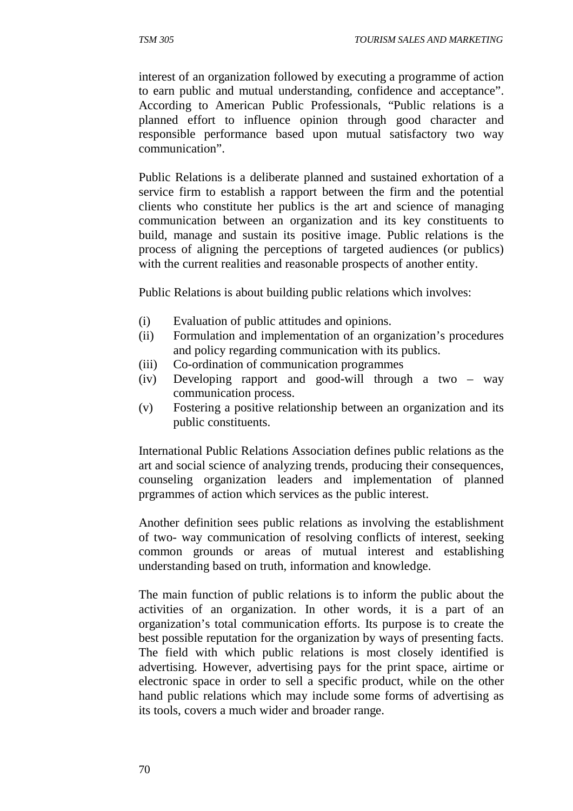interest of an organization followed by executing a programme of action to earn public and mutual understanding, confidence and acceptance". According to American Public Professionals, "Public relations is a planned effort to influence opinion through good character and responsible performance based upon mutual satisfactory two way communication".

Public Relations is a deliberate planned and sustained exhortation of a service firm to establish a rapport between the firm and the potential clients who constitute her publics is the art and science of managing communication between an organization and its key constituents to build, manage and sustain its positive image. Public relations is the process of aligning the perceptions of targeted audiences (or publics) with the current realities and reasonable prospects of another entity.

Public Relations is about building public relations which involves:

- (i) Evaluation of public attitudes and opinions.
- (ii) Formulation and implementation of an organization's procedures and policy regarding communication with its publics.
- (iii) Co-ordination of communication programmes
- (iv) Developing rapport and good-will through a two way communication process.
- (v) Fostering a positive relationship between an organization and its public constituents.

International Public Relations Association defines public relations as the art and social science of analyzing trends, producing their consequences, counseling organization leaders and implementation of planned prgrammes of action which services as the public interest.

Another definition sees public relations as involving the establishment of two- way communication of resolving conflicts of interest, seeking common grounds or areas of mutual interest and establishing understanding based on truth, information and knowledge.

The main function of public relations is to inform the public about the activities of an organization. In other words, it is a part of an organization's total communication efforts. Its purpose is to create the best possible reputation for the organization by ways of presenting facts. The field with which public relations is most closely identified is advertising. However, advertising pays for the print space, airtime or electronic space in order to sell a specific product, while on the other hand public relations which may include some forms of advertising as its tools, covers a much wider and broader range.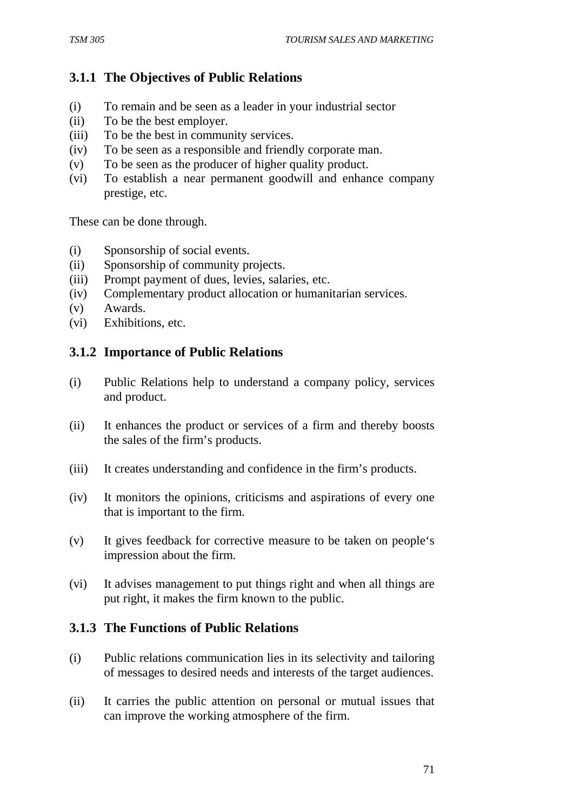# **3.1.1 The Objectives of Public Relations**

- (i) To remain and be seen as a leader in your industrial sector
- (ii) To be the best employer.
- (iii) To be the best in community services.
- (iv) To be seen as a responsible and friendly corporate man.
- (v) To be seen as the producer of higher quality product.
- (vi) To establish a near permanent goodwill and enhance company prestige, etc.

These can be done through.

- (i) Sponsorship of social events.
- (ii) Sponsorship of community projects.
- (iii) Prompt payment of dues, levies, salaries, etc.
- (iv) Complementary product allocation or humanitarian services.
- (v) Awards.
- (vi) Exhibitions, etc.

## **3.1.2 Importance of Public Relations**

- (i) Public Relations help to understand a company policy, services and product.
- (ii) It enhances the product or services of a firm and thereby boosts the sales of the firm's products.
- (iii) It creates understanding and confidence in the firm's products.
- (iv) It monitors the opinions, criticisms and aspirations of every one that is important to the firm.
- (v) It gives feedback for corrective measure to be taken on people's impression about the firm.
- (vi) It advises management to put things right and when all things are put right, it makes the firm known to the public.

### **3.1.3 The Functions of Public Relations**

- (i) Public relations communication lies in its selectivity and tailoring of messages to desired needs and interests of the target audiences.
- (ii) It carries the public attention on personal or mutual issues that can improve the working atmosphere of the firm.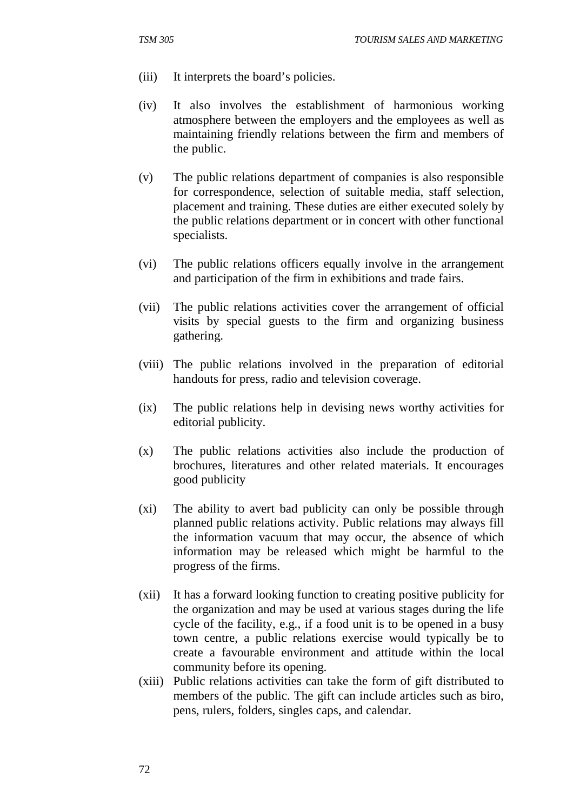- (iii) It interprets the board's policies.
- (iv) It also involves the establishment of harmonious working atmosphere between the employers and the employees as well as maintaining friendly relations between the firm and members of the public.
- (v) The public relations department of companies is also responsible for correspondence, selection of suitable media, staff selection, placement and training. These duties are either executed solely by the public relations department or in concert with other functional specialists.
- (vi) The public relations officers equally involve in the arrangement and participation of the firm in exhibitions and trade fairs.
- (vii) The public relations activities cover the arrangement of official visits by special guests to the firm and organizing business gathering.
- (viii) The public relations involved in the preparation of editorial handouts for press, radio and television coverage.
- (ix) The public relations help in devising news worthy activities for editorial publicity.
- (x) The public relations activities also include the production of brochures, literatures and other related materials. It encourages good publicity
- (xi) The ability to avert bad publicity can only be possible through planned public relations activity. Public relations may always fill the information vacuum that may occur, the absence of which information may be released which might be harmful to the progress of the firms.
- (xii) It has a forward looking function to creating positive publicity for the organization and may be used at various stages during the life cycle of the facility, e.g., if a food unit is to be opened in a busy town centre, a public relations exercise would typically be to create a favourable environment and attitude within the local community before its opening.
- (xiii) Public relations activities can take the form of gift distributed to members of the public. The gift can include articles such as biro, pens, rulers, folders, singles caps, and calendar.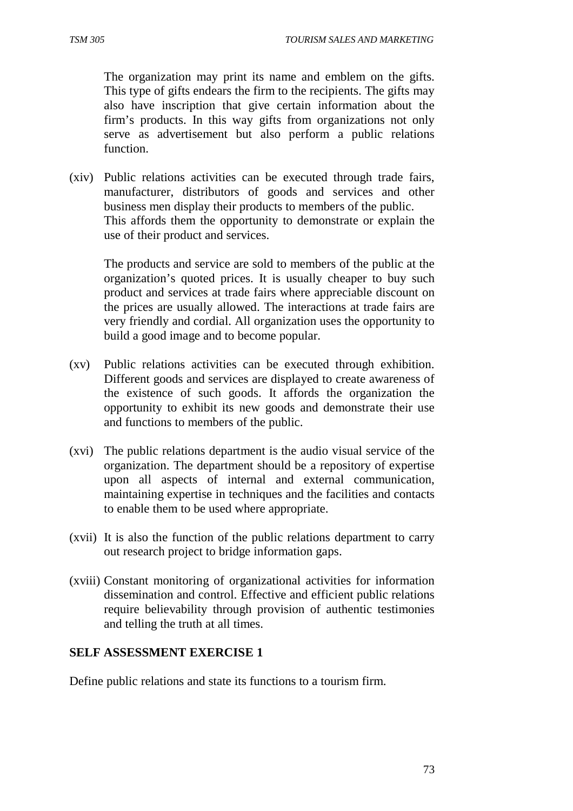The organization may print its name and emblem on the gifts. This type of gifts endears the firm to the recipients. The gifts may also have inscription that give certain information about the firm's products. In this way gifts from organizations not only serve as advertisement but also perform a public relations function.

(xiv) Public relations activities can be executed through trade fairs, manufacturer, distributors of goods and services and other business men display their products to members of the public. This affords them the opportunity to demonstrate or explain the use of their product and services.

The products and service are sold to members of the public at the organization's quoted prices. It is usually cheaper to buy such product and services at trade fairs where appreciable discount on the prices are usually allowed. The interactions at trade fairs are very friendly and cordial. All organization uses the opportunity to build a good image and to become popular.

- (xv) Public relations activities can be executed through exhibition. Different goods and services are displayed to create awareness of the existence of such goods. It affords the organization the opportunity to exhibit its new goods and demonstrate their use and functions to members of the public.
- (xvi) The public relations department is the audio visual service of the organization. The department should be a repository of expertise upon all aspects of internal and external communication, maintaining expertise in techniques and the facilities and contacts to enable them to be used where appropriate.
- (xvii) It is also the function of the public relations department to carry out research project to bridge information gaps.
- (xviii) Constant monitoring of organizational activities for information dissemination and control. Effective and efficient public relations require believability through provision of authentic testimonies and telling the truth at all times.

### **SELF ASSESSMENT EXERCISE 1**

Define public relations and state its functions to a tourism firm.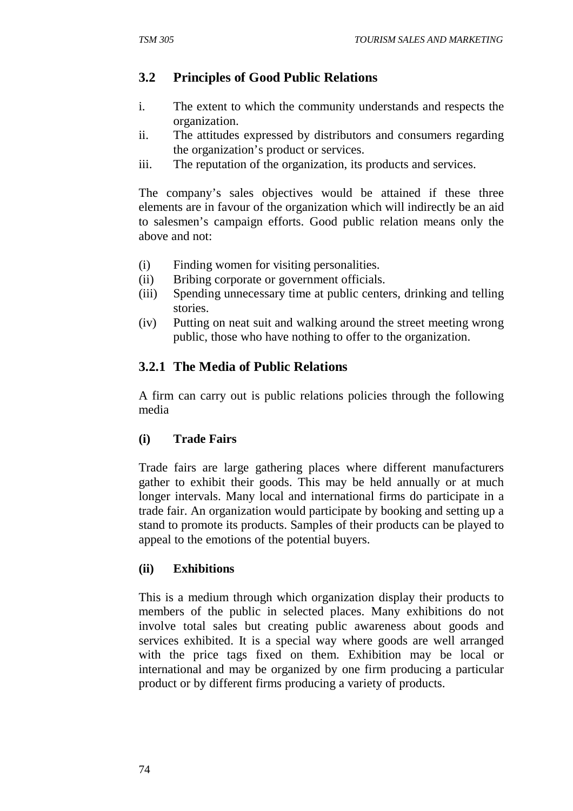# **3.2 Principles of Good Public Relations**

- i. The extent to which the community understands and respects the organization.
- ii. The attitudes expressed by distributors and consumers regarding the organization's product or services.
- iii. The reputation of the organization, its products and services.

The company's sales objectives would be attained if these three elements are in favour of the organization which will indirectly be an aid to salesmen's campaign efforts. Good public relation means only the above and not:

- (i) Finding women for visiting personalities.
- (ii) Bribing corporate or government officials.
- (iii) Spending unnecessary time at public centers, drinking and telling stories.
- (iv) Putting on neat suit and walking around the street meeting wrong public, those who have nothing to offer to the organization.

# **3.2.1 The Media of Public Relations**

A firm can carry out is public relations policies through the following media

# **(i) Trade Fairs**

Trade fairs are large gathering places where different manufacturers gather to exhibit their goods. This may be held annually or at much longer intervals. Many local and international firms do participate in a trade fair. An organization would participate by booking and setting up a stand to promote its products. Samples of their products can be played to appeal to the emotions of the potential buyers.

# **(ii) Exhibitions**

This is a medium through which organization display their products to members of the public in selected places. Many exhibitions do not involve total sales but creating public awareness about goods and services exhibited. It is a special way where goods are well arranged with the price tags fixed on them. Exhibition may be local or international and may be organized by one firm producing a particular product or by different firms producing a variety of products.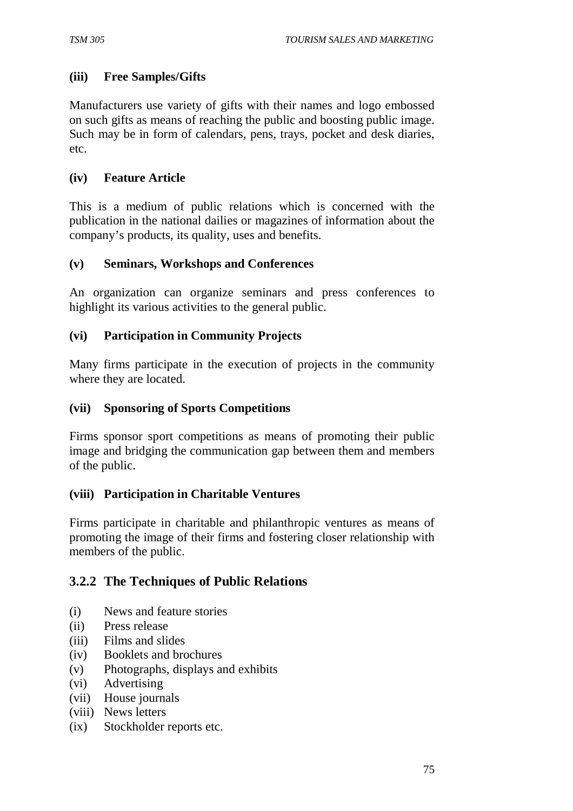#### **(iii) Free Samples/Gifts**

Manufacturers use variety of gifts with their names and logo embossed on such gifts as means of reaching the public and boosting public image. Such may be in form of calendars, pens, trays, pocket and desk diaries, etc.

#### **(iv) Feature Article**

This is a medium of public relations which is concerned with the publication in the national dailies or magazines of information about the company's products, its quality, uses and benefits.

#### **(v) Seminars, Workshops and Conferences**

An organization can organize seminars and press conferences to highlight its various activities to the general public.

#### **(vi) Participation in Community Projects**

Many firms participate in the execution of projects in the community where they are located.

#### **(vii) Sponsoring of Sports Competitions**

Firms sponsor sport competitions as means of promoting their public image and bridging the communication gap between them and members of the public.

### **(viii) Participation in Charitable Ventures**

Firms participate in charitable and philanthropic ventures as means of promoting the image of their firms and fostering closer relationship with members of the public.

### **3.2.2 The Techniques of Public Relations**

- (i) News and feature stories
- (ii) Press release
- (iii) Films and slides
- (iv) Booklets and brochures
- (v) Photographs, displays and exhibits
- (vi) Advertising
- (vii) House journals
- (viii) News letters
- (ix) Stockholder reports etc.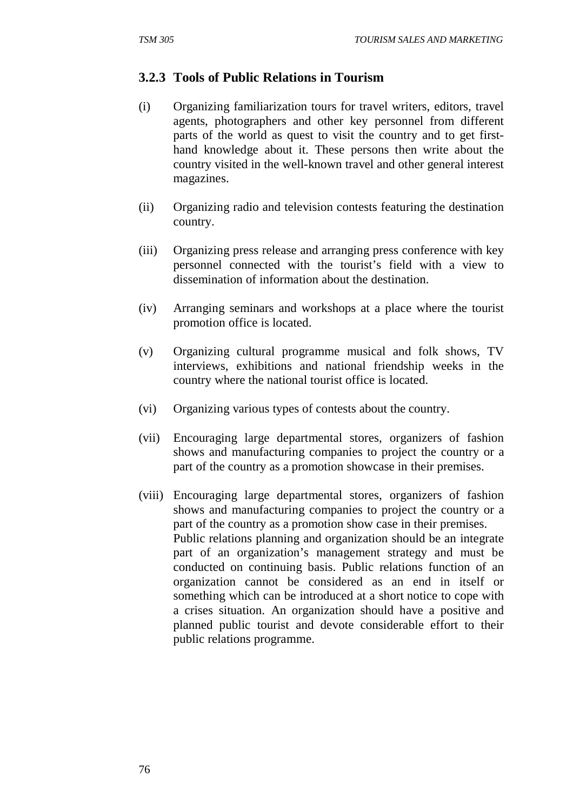#### **3.2.3 Tools of Public Relations in Tourism**

- (i) Organizing familiarization tours for travel writers, editors, travel agents, photographers and other key personnel from different parts of the world as quest to visit the country and to get firsthand knowledge about it. These persons then write about the country visited in the well-known travel and other general interest magazines.
- (ii) Organizing radio and television contests featuring the destination country.
- (iii) Organizing press release and arranging press conference with key personnel connected with the tourist's field with a view to dissemination of information about the destination.
- (iv) Arranging seminars and workshops at a place where the tourist promotion office is located.
- (v) Organizing cultural programme musical and folk shows, TV interviews, exhibitions and national friendship weeks in the country where the national tourist office is located.
- (vi) Organizing various types of contests about the country.
- (vii) Encouraging large departmental stores, organizers of fashion shows and manufacturing companies to project the country or a part of the country as a promotion showcase in their premises.
- (viii) Encouraging large departmental stores, organizers of fashion shows and manufacturing companies to project the country or a part of the country as a promotion show case in their premises. Public relations planning and organization should be an integrate part of an organization's management strategy and must be conducted on continuing basis. Public relations function of an organization cannot be considered as an end in itself or something which can be introduced at a short notice to cope with a crises situation. An organization should have a positive and planned public tourist and devote considerable effort to their public relations programme.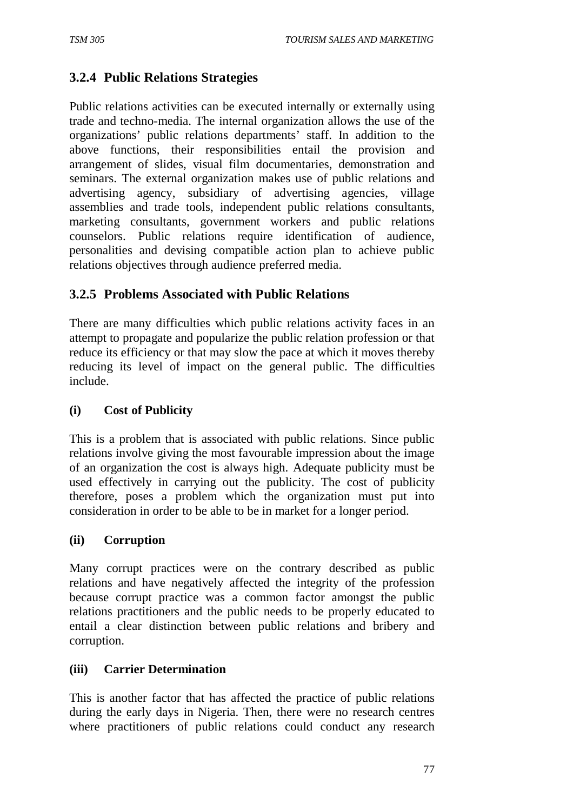## **3.2.4 Public Relations Strategies**

Public relations activities can be executed internally or externally using trade and techno-media. The internal organization allows the use of the organizations' public relations departments' staff. In addition to the above functions, their responsibilities entail the provision and arrangement of slides, visual film documentaries, demonstration and seminars. The external organization makes use of public relations and advertising agency, subsidiary of advertising agencies, village assemblies and trade tools, independent public relations consultants, marketing consultants, government workers and public relations counselors. Public relations require identification of audience, personalities and devising compatible action plan to achieve public relations objectives through audience preferred media.

### **3.2.5 Problems Associated with Public Relations**

There are many difficulties which public relations activity faces in an attempt to propagate and popularize the public relation profession or that reduce its efficiency or that may slow the pace at which it moves thereby reducing its level of impact on the general public. The difficulties include.

#### **(i) Cost of Publicity**

This is a problem that is associated with public relations. Since public relations involve giving the most favourable impression about the image of an organization the cost is always high. Adequate publicity must be used effectively in carrying out the publicity. The cost of publicity therefore, poses a problem which the organization must put into consideration in order to be able to be in market for a longer period.

#### **(ii) Corruption**

Many corrupt practices were on the contrary described as public relations and have negatively affected the integrity of the profession because corrupt practice was a common factor amongst the public relations practitioners and the public needs to be properly educated to entail a clear distinction between public relations and bribery and corruption.

#### **(iii) Carrier Determination**

This is another factor that has affected the practice of public relations during the early days in Nigeria. Then, there were no research centres where practitioners of public relations could conduct any research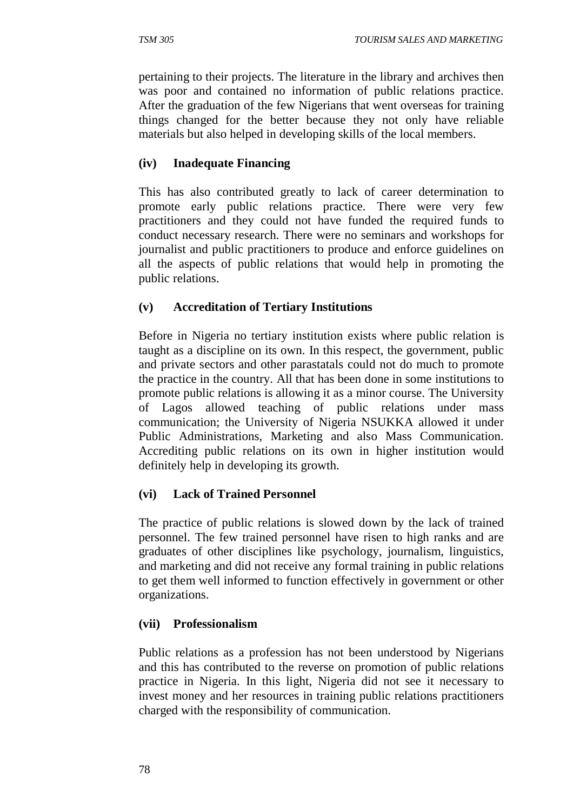pertaining to their projects. The literature in the library and archives then was poor and contained no information of public relations practice. After the graduation of the few Nigerians that went overseas for training things changed for the better because they not only have reliable materials but also helped in developing skills of the local members.

# **(iv) Inadequate Financing**

This has also contributed greatly to lack of career determination to promote early public relations practice. There were very few practitioners and they could not have funded the required funds to conduct necessary research. There were no seminars and workshops for journalist and public practitioners to produce and enforce guidelines on all the aspects of public relations that would help in promoting the public relations.

# **(v) Accreditation of Tertiary Institutions**

Before in Nigeria no tertiary institution exists where public relation is taught as a discipline on its own. In this respect, the government, public and private sectors and other parastatals could not do much to promote the practice in the country. All that has been done in some institutions to promote public relations is allowing it as a minor course. The University of Lagos allowed teaching of public relations under mass communication; the University of Nigeria NSUKKA allowed it under Public Administrations, Marketing and also Mass Communication. Accrediting public relations on its own in higher institution would definitely help in developing its growth.

# **(vi) Lack of Trained Personnel**

The practice of public relations is slowed down by the lack of trained personnel. The few trained personnel have risen to high ranks and are graduates of other disciplines like psychology, journalism, linguistics, and marketing and did not receive any formal training in public relations to get them well informed to function effectively in government or other organizations.

# **(vii) Professionalism**

Public relations as a profession has not been understood by Nigerians and this has contributed to the reverse on promotion of public relations practice in Nigeria. In this light, Nigeria did not see it necessary to invest money and her resources in training public relations practitioners charged with the responsibility of communication.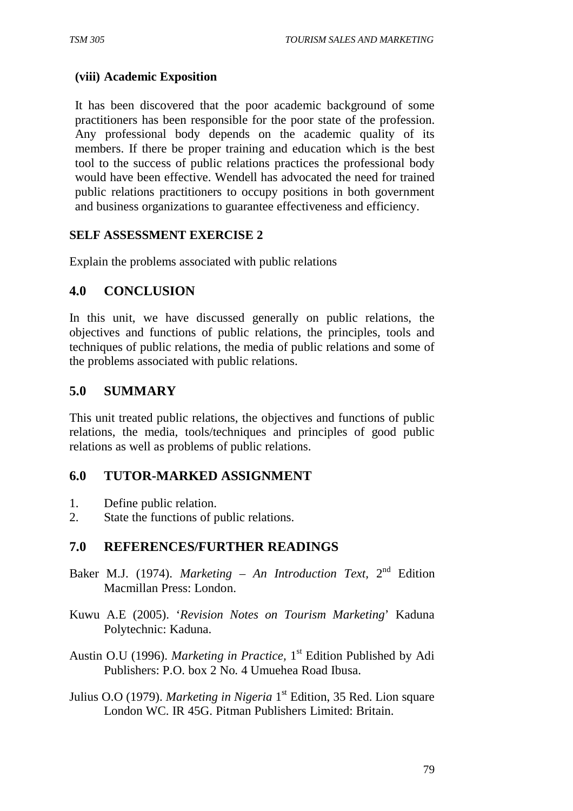#### **(viii) Academic Exposition**

It has been discovered that the poor academic background of some practitioners has been responsible for the poor state of the profession. Any professional body depends on the academic quality of its members. If there be proper training and education which is the best tool to the success of public relations practices the professional body would have been effective. Wendell has advocated the need for trained public relations practitioners to occupy positions in both government and business organizations to guarantee effectiveness and efficiency.

#### **SELF ASSESSMENT EXERCISE 2**

Explain the problems associated with public relations

#### **4.0 CONCLUSION**

In this unit, we have discussed generally on public relations, the objectives and functions of public relations, the principles, tools and techniques of public relations, the media of public relations and some of the problems associated with public relations.

#### **5.0 SUMMARY**

This unit treated public relations, the objectives and functions of public relations, the media, tools/techniques and principles of good public relations as well as problems of public relations.

#### **6.0 TUTOR-MARKED ASSIGNMENT**

- 1. Define public relation.
- 2. State the functions of public relations.

#### **7.0 REFERENCES/FURTHER READINGS**

- Baker M.J. (1974). *Marketing An Introduction Text,* 2nd Edition Macmillan Press: London.
- Kuwu A.E (2005). '*Revision Notes on Tourism Marketing*' Kaduna Polytechnic: Kaduna.
- Austin O.U (1996). *Marketing in Practice*, 1<sup>st</sup> Edition Published by Adi Publishers: P.O. box 2 No. 4 Umuehea Road Ibusa.
- Julius O.O (1979). *Marketing in Nigeria* 1<sup>st</sup> Edition, 35 Red. Lion square London WC. IR 45G. Pitman Publishers Limited: Britain.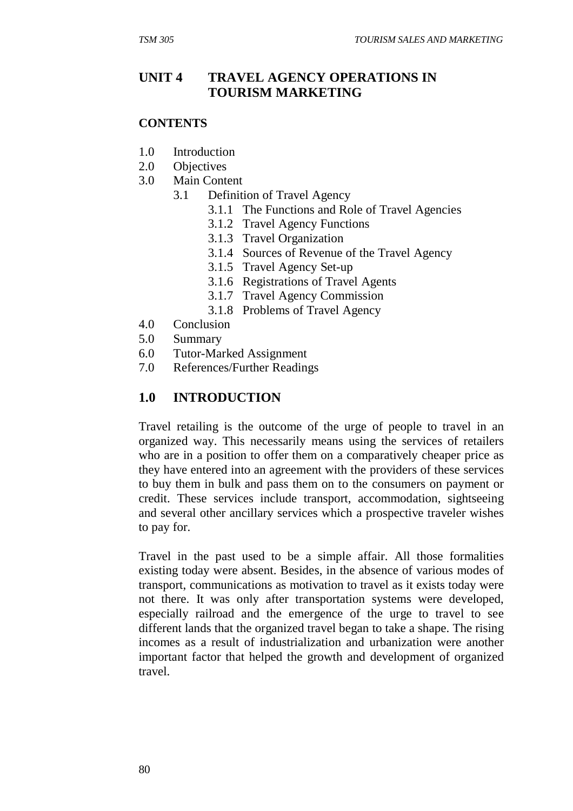## **UNIT 4 TRAVEL AGENCY OPERATIONS IN TOURISM MARKETING**

#### **CONTENTS**

- 1.0 Introduction
- 2.0 Objectives
- 3.0 Main Content
	- 3.1 Definition of Travel Agency
		- 3.1.1 The Functions and Role of Travel Agencies
		- 3.1.2 Travel Agency Functions
		- 3.1.3 Travel Organization
		- 3.1.4 Sources of Revenue of the Travel Agency
		- 3.1.5 Travel Agency Set-up
		- 3.1.6 Registrations of Travel Agents
		- 3.1.7 Travel Agency Commission
		- 3.1.8 Problems of Travel Agency
- 4.0 Conclusion
- 5.0 Summary
- 6.0 Tutor-Marked Assignment
- 7.0 References/Further Readings

## **1.0 INTRODUCTION**

Travel retailing is the outcome of the urge of people to travel in an organized way. This necessarily means using the services of retailers who are in a position to offer them on a comparatively cheaper price as they have entered into an agreement with the providers of these services to buy them in bulk and pass them on to the consumers on payment or credit. These services include transport, accommodation, sightseeing and several other ancillary services which a prospective traveler wishes to pay for.

Travel in the past used to be a simple affair. All those formalities existing today were absent. Besides, in the absence of various modes of transport, communications as motivation to travel as it exists today were not there. It was only after transportation systems were developed, especially railroad and the emergence of the urge to travel to see different lands that the organized travel began to take a shape. The rising incomes as a result of industrialization and urbanization were another important factor that helped the growth and development of organized travel.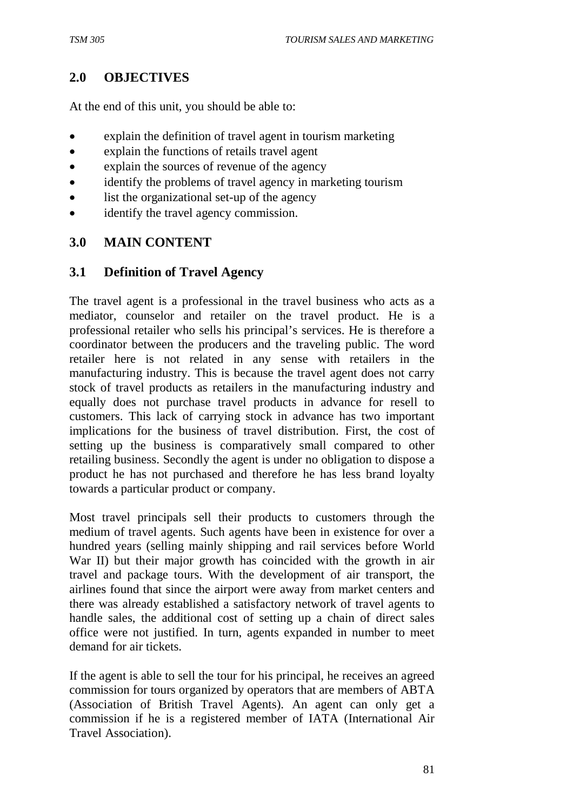## **2.0 OBJECTIVES**

At the end of this unit, you should be able to:

- explain the definition of travel agent in tourism marketing
- explain the functions of retails travel agent
- explain the sources of revenue of the agency
- identify the problems of travel agency in marketing tourism
- list the organizational set-up of the agency
- identify the travel agency commission.

## **3.0 MAIN CONTENT**

#### **3.1 Definition of Travel Agency**

The travel agent is a professional in the travel business who acts as a mediator, counselor and retailer on the travel product. He is a professional retailer who sells his principal's services. He is therefore a coordinator between the producers and the traveling public. The word retailer here is not related in any sense with retailers in the manufacturing industry. This is because the travel agent does not carry stock of travel products as retailers in the manufacturing industry and equally does not purchase travel products in advance for resell to customers. This lack of carrying stock in advance has two important implications for the business of travel distribution. First, the cost of setting up the business is comparatively small compared to other retailing business. Secondly the agent is under no obligation to dispose a product he has not purchased and therefore he has less brand loyalty towards a particular product or company.

Most travel principals sell their products to customers through the medium of travel agents. Such agents have been in existence for over a hundred years (selling mainly shipping and rail services before World War II) but their major growth has coincided with the growth in air travel and package tours. With the development of air transport, the airlines found that since the airport were away from market centers and there was already established a satisfactory network of travel agents to handle sales, the additional cost of setting up a chain of direct sales office were not justified. In turn, agents expanded in number to meet demand for air tickets.

If the agent is able to sell the tour for his principal, he receives an agreed commission for tours organized by operators that are members of ABTA (Association of British Travel Agents). An agent can only get a commission if he is a registered member of IATA (International Air Travel Association).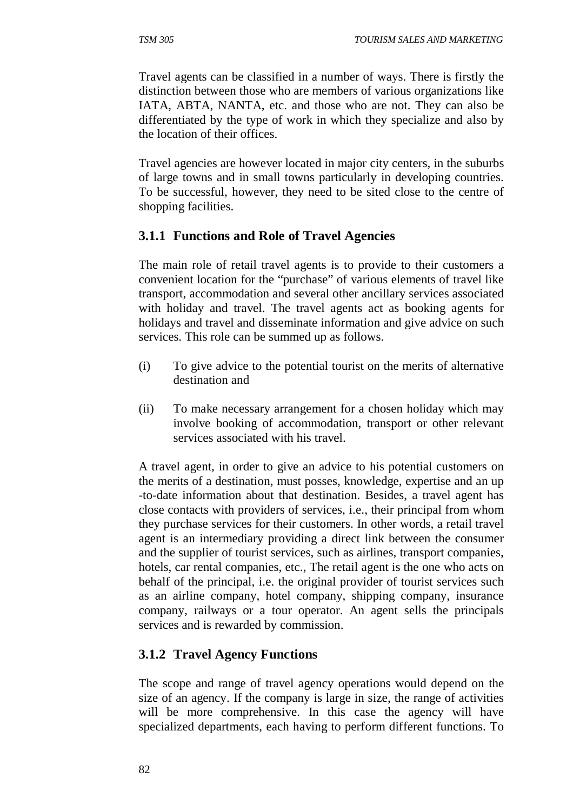Travel agents can be classified in a number of ways. There is firstly the distinction between those who are members of various organizations like IATA, ABTA, NANTA, etc. and those who are not. They can also be differentiated by the type of work in which they specialize and also by the location of their offices.

Travel agencies are however located in major city centers, in the suburbs of large towns and in small towns particularly in developing countries. To be successful, however, they need to be sited close to the centre of shopping facilities.

# **3.1.1 Functions and Role of Travel Agencies**

The main role of retail travel agents is to provide to their customers a convenient location for the "purchase" of various elements of travel like transport, accommodation and several other ancillary services associated with holiday and travel. The travel agents act as booking agents for holidays and travel and disseminate information and give advice on such services. This role can be summed up as follows.

- (i) To give advice to the potential tourist on the merits of alternative destination and
- (ii) To make necessary arrangement for a chosen holiday which may involve booking of accommodation, transport or other relevant services associated with his travel.

A travel agent, in order to give an advice to his potential customers on the merits of a destination, must posses, knowledge, expertise and an up -to-date information about that destination. Besides, a travel agent has close contacts with providers of services, i.e., their principal from whom they purchase services for their customers. In other words, a retail travel agent is an intermediary providing a direct link between the consumer and the supplier of tourist services, such as airlines, transport companies, hotels, car rental companies, etc., The retail agent is the one who acts on behalf of the principal, i.e. the original provider of tourist services such as an airline company, hotel company, shipping company, insurance company, railways or a tour operator. An agent sells the principals services and is rewarded by commission.

# **3.1.2 Travel Agency Functions**

The scope and range of travel agency operations would depend on the size of an agency. If the company is large in size, the range of activities will be more comprehensive. In this case the agency will have specialized departments, each having to perform different functions. To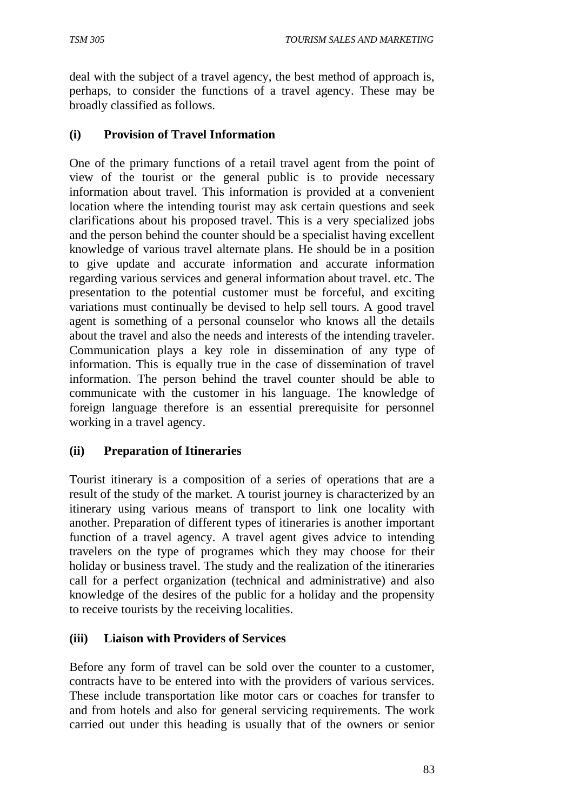deal with the subject of a travel agency, the best method of approach is, perhaps, to consider the functions of a travel agency. These may be broadly classified as follows.

#### **(i) Provision of Travel Information**

One of the primary functions of a retail travel agent from the point of view of the tourist or the general public is to provide necessary information about travel. This information is provided at a convenient location where the intending tourist may ask certain questions and seek clarifications about his proposed travel. This is a very specialized jobs and the person behind the counter should be a specialist having excellent knowledge of various travel alternate plans. He should be in a position to give update and accurate information and accurate information regarding various services and general information about travel. etc. The presentation to the potential customer must be forceful, and exciting variations must continually be devised to help sell tours. A good travel agent is something of a personal counselor who knows all the details about the travel and also the needs and interests of the intending traveler. Communication plays a key role in dissemination of any type of information. This is equally true in the case of dissemination of travel information. The person behind the travel counter should be able to communicate with the customer in his language. The knowledge of foreign language therefore is an essential prerequisite for personnel working in a travel agency.

#### **(ii) Preparation of Itineraries**

Tourist itinerary is a composition of a series of operations that are a result of the study of the market. A tourist journey is characterized by an itinerary using various means of transport to link one locality with another. Preparation of different types of itineraries is another important function of a travel agency. A travel agent gives advice to intending travelers on the type of programes which they may choose for their holiday or business travel. The study and the realization of the itineraries call for a perfect organization (technical and administrative) and also knowledge of the desires of the public for a holiday and the propensity to receive tourists by the receiving localities.

### **(iii) Liaison with Providers of Services**

Before any form of travel can be sold over the counter to a customer, contracts have to be entered into with the providers of various services. These include transportation like motor cars or coaches for transfer to and from hotels and also for general servicing requirements. The work carried out under this heading is usually that of the owners or senior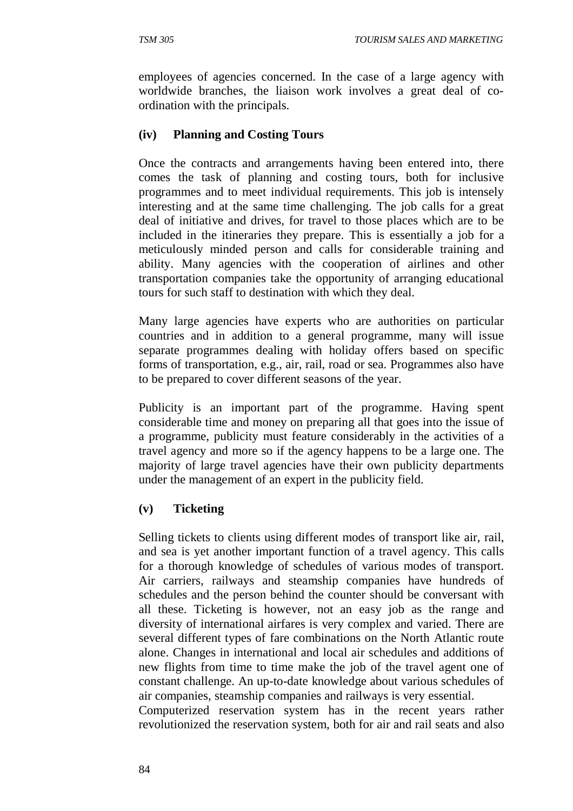employees of agencies concerned. In the case of a large agency with worldwide branches, the liaison work involves a great deal of coordination with the principals.

## **(iv) Planning and Costing Tours**

Once the contracts and arrangements having been entered into, there comes the task of planning and costing tours, both for inclusive programmes and to meet individual requirements. This job is intensely interesting and at the same time challenging. The job calls for a great deal of initiative and drives, for travel to those places which are to be included in the itineraries they prepare. This is essentially a job for a meticulously minded person and calls for considerable training and ability. Many agencies with the cooperation of airlines and other transportation companies take the opportunity of arranging educational tours for such staff to destination with which they deal.

Many large agencies have experts who are authorities on particular countries and in addition to a general programme, many will issue separate programmes dealing with holiday offers based on specific forms of transportation, e.g., air, rail, road or sea. Programmes also have to be prepared to cover different seasons of the year.

Publicity is an important part of the programme. Having spent considerable time and money on preparing all that goes into the issue of a programme, publicity must feature considerably in the activities of a travel agency and more so if the agency happens to be a large one. The majority of large travel agencies have their own publicity departments under the management of an expert in the publicity field.

### **(v) Ticketing**

Selling tickets to clients using different modes of transport like air, rail, and sea is yet another important function of a travel agency. This calls for a thorough knowledge of schedules of various modes of transport. Air carriers, railways and steamship companies have hundreds of schedules and the person behind the counter should be conversant with all these. Ticketing is however, not an easy job as the range and diversity of international airfares is very complex and varied. There are several different types of fare combinations on the North Atlantic route alone. Changes in international and local air schedules and additions of new flights from time to time make the job of the travel agent one of constant challenge. An up-to-date knowledge about various schedules of air companies, steamship companies and railways is very essential.

Computerized reservation system has in the recent years rather revolutionized the reservation system, both for air and rail seats and also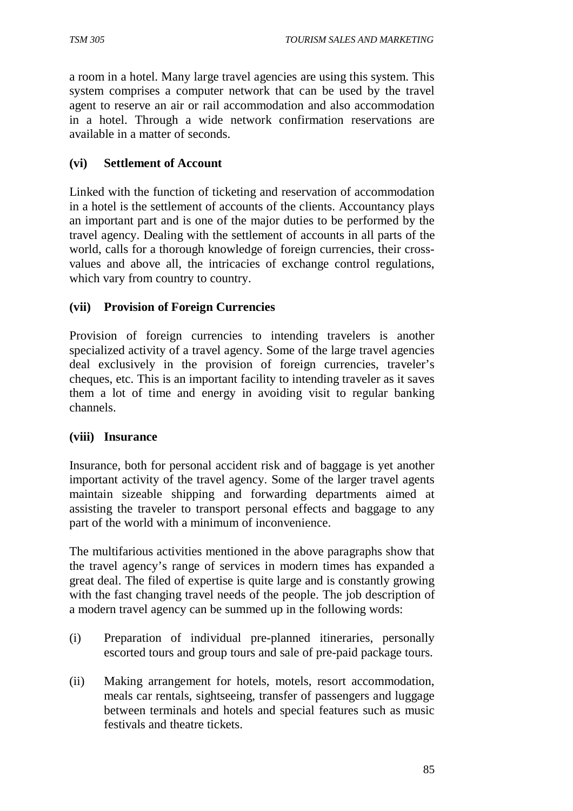a room in a hotel. Many large travel agencies are using this system. This system comprises a computer network that can be used by the travel agent to reserve an air or rail accommodation and also accommodation in a hotel. Through a wide network confirmation reservations are available in a matter of seconds.

#### **(vi) Settlement of Account**

Linked with the function of ticketing and reservation of accommodation in a hotel is the settlement of accounts of the clients. Accountancy plays an important part and is one of the major duties to be performed by the travel agency. Dealing with the settlement of accounts in all parts of the world, calls for a thorough knowledge of foreign currencies, their crossvalues and above all, the intricacies of exchange control regulations, which vary from country to country.

#### **(vii) Provision of Foreign Currencies**

Provision of foreign currencies to intending travelers is another specialized activity of a travel agency. Some of the large travel agencies deal exclusively in the provision of foreign currencies, traveler's cheques, etc. This is an important facility to intending traveler as it saves them a lot of time and energy in avoiding visit to regular banking channels.

#### **(viii) Insurance**

Insurance, both for personal accident risk and of baggage is yet another important activity of the travel agency. Some of the larger travel agents maintain sizeable shipping and forwarding departments aimed at assisting the traveler to transport personal effects and baggage to any part of the world with a minimum of inconvenience.

The multifarious activities mentioned in the above paragraphs show that the travel agency's range of services in modern times has expanded a great deal. The filed of expertise is quite large and is constantly growing with the fast changing travel needs of the people. The job description of a modern travel agency can be summed up in the following words:

- (i) Preparation of individual pre-planned itineraries, personally escorted tours and group tours and sale of pre-paid package tours.
- (ii) Making arrangement for hotels, motels, resort accommodation, meals car rentals, sightseeing, transfer of passengers and luggage between terminals and hotels and special features such as music festivals and theatre tickets.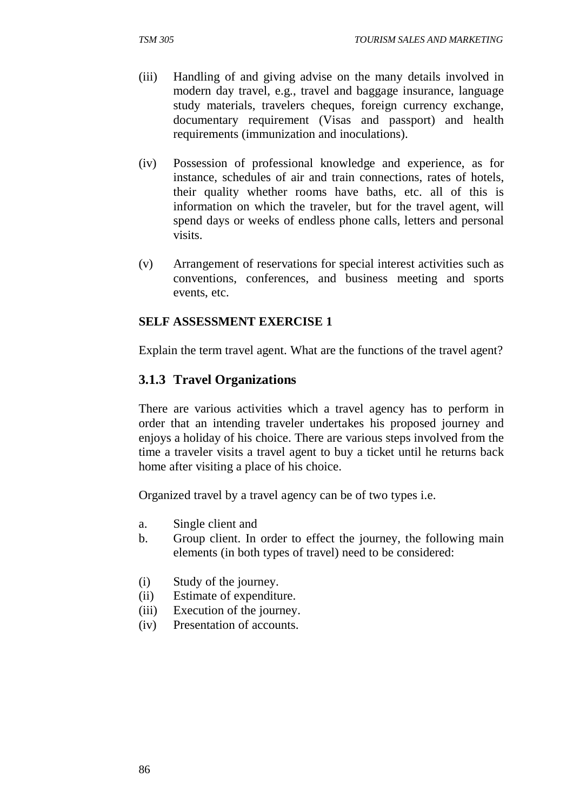- (iii) Handling of and giving advise on the many details involved in modern day travel, e.g., travel and baggage insurance, language study materials, travelers cheques, foreign currency exchange, documentary requirement (Visas and passport) and health requirements (immunization and inoculations).
- (iv) Possession of professional knowledge and experience, as for instance, schedules of air and train connections, rates of hotels, their quality whether rooms have baths, etc. all of this is information on which the traveler, but for the travel agent, will spend days or weeks of endless phone calls, letters and personal visits.
- (v) Arrangement of reservations for special interest activities such as conventions, conferences, and business meeting and sports events, etc.

#### **SELF ASSESSMENT EXERCISE 1**

Explain the term travel agent. What are the functions of the travel agent?

#### **3.1.3 Travel Organizations**

There are various activities which a travel agency has to perform in order that an intending traveler undertakes his proposed journey and enjoys a holiday of his choice. There are various steps involved from the time a traveler visits a travel agent to buy a ticket until he returns back home after visiting a place of his choice.

Organized travel by a travel agency can be of two types i.e.

- a. Single client and
- b. Group client. In order to effect the journey, the following main elements (in both types of travel) need to be considered:
- (i) Study of the journey.
- (ii) Estimate of expenditure.
- (iii) Execution of the journey.
- (iv) Presentation of accounts.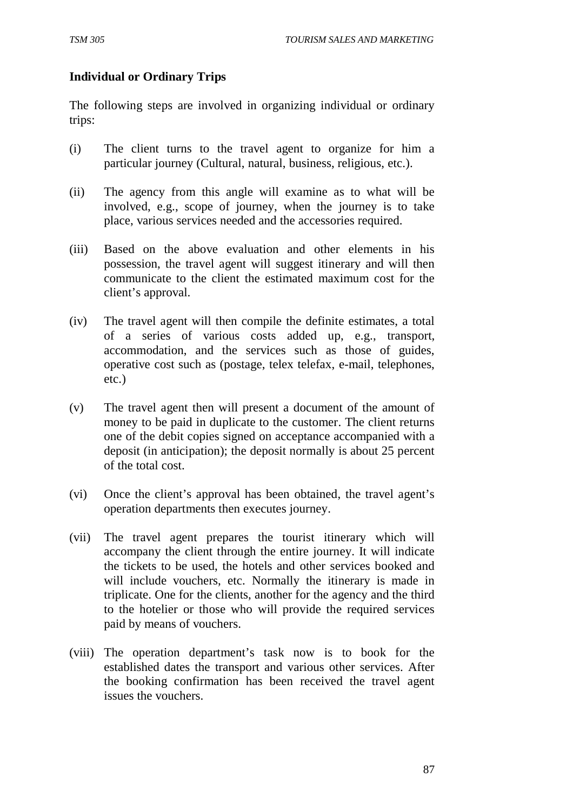### **Individual or Ordinary Trips**

The following steps are involved in organizing individual or ordinary trips:

- (i) The client turns to the travel agent to organize for him a particular journey (Cultural, natural, business, religious, etc.).
- (ii) The agency from this angle will examine as to what will be involved, e.g., scope of journey, when the journey is to take place, various services needed and the accessories required.
- (iii) Based on the above evaluation and other elements in his possession, the travel agent will suggest itinerary and will then communicate to the client the estimated maximum cost for the client's approval.
- (iv) The travel agent will then compile the definite estimates, a total of a series of various costs added up, e.g., transport, accommodation, and the services such as those of guides, operative cost such as (postage, telex telefax, e-mail, telephones, etc.)
- (v) The travel agent then will present a document of the amount of money to be paid in duplicate to the customer. The client returns one of the debit copies signed on acceptance accompanied with a deposit (in anticipation); the deposit normally is about 25 percent of the total cost.
- (vi) Once the client's approval has been obtained, the travel agent's operation departments then executes journey.
- (vii) The travel agent prepares the tourist itinerary which will accompany the client through the entire journey. It will indicate the tickets to be used, the hotels and other services booked and will include vouchers, etc. Normally the itinerary is made in triplicate. One for the clients, another for the agency and the third to the hotelier or those who will provide the required services paid by means of vouchers.
- (viii) The operation department's task now is to book for the established dates the transport and various other services. After the booking confirmation has been received the travel agent issues the vouchers.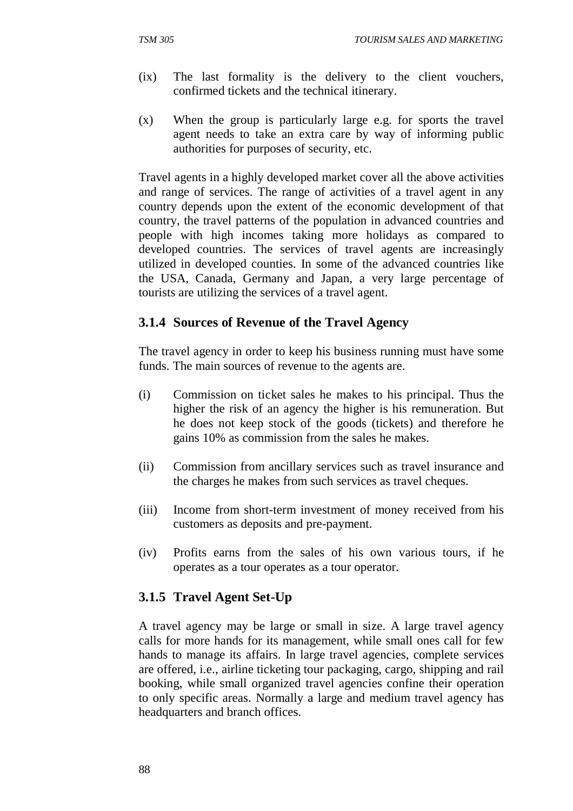- (ix) The last formality is the delivery to the client vouchers, confirmed tickets and the technical itinerary.
- (x) When the group is particularly large e.g. for sports the travel agent needs to take an extra care by way of informing public authorities for purposes of security, etc.

Travel agents in a highly developed market cover all the above activities and range of services. The range of activities of a travel agent in any country depends upon the extent of the economic development of that country, the travel patterns of the population in advanced countries and people with high incomes taking more holidays as compared to developed countries. The services of travel agents are increasingly utilized in developed counties. In some of the advanced countries like the USA, Canada, Germany and Japan, a very large percentage of tourists are utilizing the services of a travel agent.

# **3.1.4 Sources of Revenue of the Travel Agency**

The travel agency in order to keep his business running must have some funds. The main sources of revenue to the agents are.

- (i) Commission on ticket sales he makes to his principal. Thus the higher the risk of an agency the higher is his remuneration. But he does not keep stock of the goods (tickets) and therefore he gains 10% as commission from the sales he makes.
- (ii) Commission from ancillary services such as travel insurance and the charges he makes from such services as travel cheques.
- (iii) Income from short-term investment of money received from his customers as deposits and pre-payment.
- (iv) Profits earns from the sales of his own various tours, if he operates as a tour operates as a tour operator.

# **3.1.5 Travel Agent Set-Up**

A travel agency may be large or small in size. A large travel agency calls for more hands for its management, while small ones call for few hands to manage its affairs. In large travel agencies, complete services are offered, i.e., airline ticketing tour packaging, cargo, shipping and rail booking, while small organized travel agencies confine their operation to only specific areas. Normally a large and medium travel agency has headquarters and branch offices.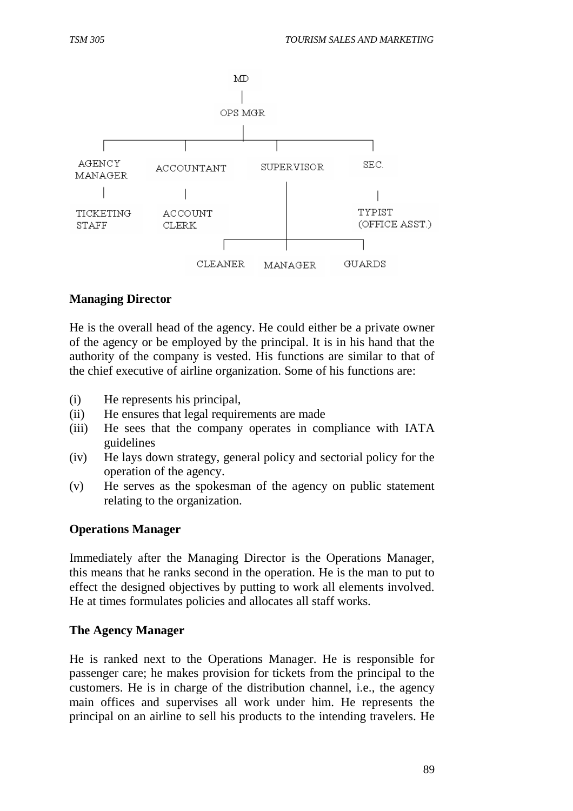

#### **Managing Director**

He is the overall head of the agency. He could either be a private owner of the agency or be employed by the principal. It is in his hand that the authority of the company is vested. His functions are similar to that of the chief executive of airline organization. Some of his functions are:

- (i) He represents his principal,
- (ii) He ensures that legal requirements are made
- (iii) He sees that the company operates in compliance with IATA guidelines
- (iv) He lays down strategy, general policy and sectorial policy for the operation of the agency.
- (v) He serves as the spokesman of the agency on public statement relating to the organization.

#### **Operations Manager**

Immediately after the Managing Director is the Operations Manager, this means that he ranks second in the operation. He is the man to put to effect the designed objectives by putting to work all elements involved. He at times formulates policies and allocates all staff works.

#### **The Agency Manager**

He is ranked next to the Operations Manager. He is responsible for passenger care; he makes provision for tickets from the principal to the customers. He is in charge of the distribution channel, i.e., the agency main offices and supervises all work under him. He represents the principal on an airline to sell his products to the intending travelers. He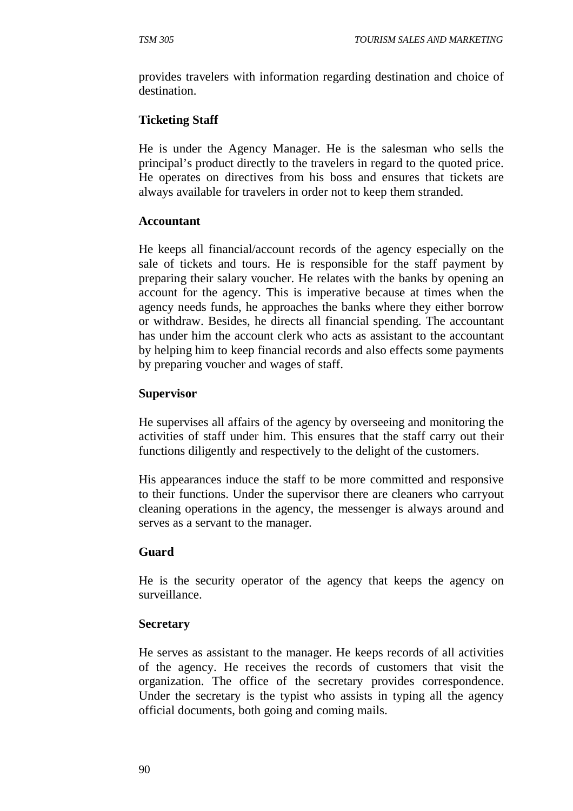provides travelers with information regarding destination and choice of destination.

# **Ticketing Staff**

He is under the Agency Manager. He is the salesman who sells the principal's product directly to the travelers in regard to the quoted price. He operates on directives from his boss and ensures that tickets are always available for travelers in order not to keep them stranded.

## **Accountant**

He keeps all financial/account records of the agency especially on the sale of tickets and tours. He is responsible for the staff payment by preparing their salary voucher. He relates with the banks by opening an account for the agency. This is imperative because at times when the agency needs funds, he approaches the banks where they either borrow or withdraw. Besides, he directs all financial spending. The accountant has under him the account clerk who acts as assistant to the accountant by helping him to keep financial records and also effects some payments by preparing voucher and wages of staff.

## **Supervisor**

He supervises all affairs of the agency by overseeing and monitoring the activities of staff under him. This ensures that the staff carry out their functions diligently and respectively to the delight of the customers.

His appearances induce the staff to be more committed and responsive to their functions. Under the supervisor there are cleaners who carryout cleaning operations in the agency, the messenger is always around and serves as a servant to the manager.

# **Guard**

He is the security operator of the agency that keeps the agency on surveillance.

# **Secretary**

He serves as assistant to the manager. He keeps records of all activities of the agency. He receives the records of customers that visit the organization. The office of the secretary provides correspondence. Under the secretary is the typist who assists in typing all the agency official documents, both going and coming mails.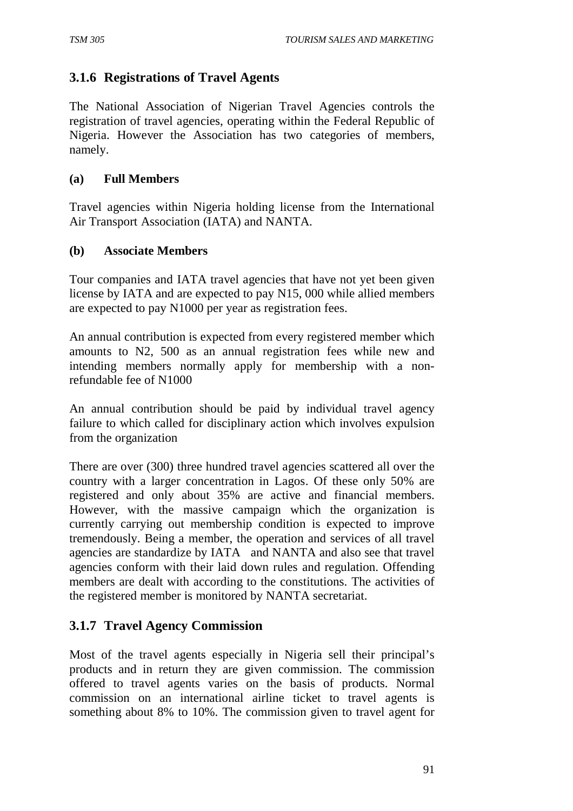## **3.1.6 Registrations of Travel Agents**

The National Association of Nigerian Travel Agencies controls the registration of travel agencies, operating within the Federal Republic of Nigeria. However the Association has two categories of members, namely.

#### **(a) Full Members**

Travel agencies within Nigeria holding license from the International Air Transport Association (IATA) and NANTA.

#### **(b) Associate Members**

Tour companies and IATA travel agencies that have not yet been given license by IATA and are expected to pay N15, 000 while allied members are expected to pay N1000 per year as registration fees.

An annual contribution is expected from every registered member which amounts to N2, 500 as an annual registration fees while new and intending members normally apply for membership with a nonrefundable fee of N1000

An annual contribution should be paid by individual travel agency failure to which called for disciplinary action which involves expulsion from the organization

There are over (300) three hundred travel agencies scattered all over the country with a larger concentration in Lagos. Of these only 50% are registered and only about 35% are active and financial members. However, with the massive campaign which the organization is currently carrying out membership condition is expected to improve tremendously. Being a member, the operation and services of all travel agencies are standardize by IATA and NANTA and also see that travel agencies conform with their laid down rules and regulation. Offending members are dealt with according to the constitutions. The activities of the registered member is monitored by NANTA secretariat.

### **3.1.7 Travel Agency Commission**

Most of the travel agents especially in Nigeria sell their principal's products and in return they are given commission. The commission offered to travel agents varies on the basis of products. Normal commission on an international airline ticket to travel agents is something about 8% to 10%. The commission given to travel agent for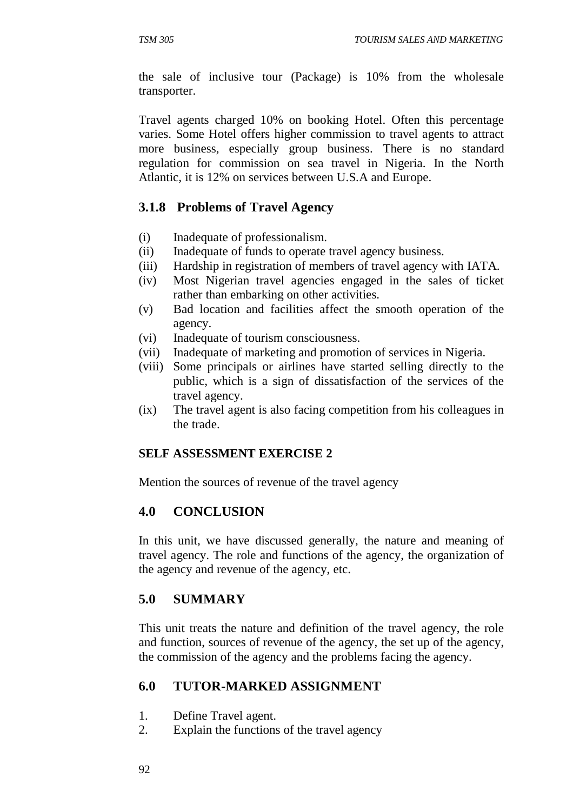the sale of inclusive tour (Package) is 10% from the wholesale transporter.

Travel agents charged 10% on booking Hotel. Often this percentage varies. Some Hotel offers higher commission to travel agents to attract more business, especially group business. There is no standard regulation for commission on sea travel in Nigeria. In the North Atlantic, it is 12% on services between U.S.A and Europe.

# **3.1.8 Problems of Travel Agency**

- (i) Inadequate of professionalism.
- (ii) Inadequate of funds to operate travel agency business.
- (iii) Hardship in registration of members of travel agency with IATA.
- (iv) Most Nigerian travel agencies engaged in the sales of ticket rather than embarking on other activities.
- (v) Bad location and facilities affect the smooth operation of the agency.
- (vi) Inadequate of tourism consciousness.
- (vii) Inadequate of marketing and promotion of services in Nigeria.
- (viii) Some principals or airlines have started selling directly to the public, which is a sign of dissatisfaction of the services of the travel agency.
- (ix) The travel agent is also facing competition from his colleagues in the trade.

# **SELF ASSESSMENT EXERCISE 2**

Mention the sources of revenue of the travel agency

# **4.0 CONCLUSION**

In this unit, we have discussed generally, the nature and meaning of travel agency. The role and functions of the agency, the organization of the agency and revenue of the agency, etc.

# **5.0 SUMMARY**

This unit treats the nature and definition of the travel agency, the role and function, sources of revenue of the agency, the set up of the agency, the commission of the agency and the problems facing the agency.

# **6.0 TUTOR-MARKED ASSIGNMENT**

- 1. Define Travel agent.
- 2. Explain the functions of the travel agency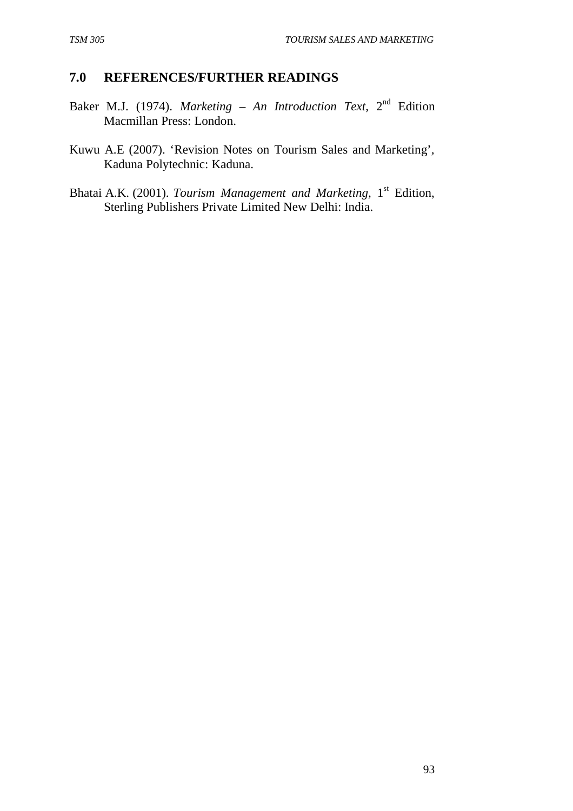### **7.0 REFERENCES/FURTHER READINGS**

- Baker M.J. (1974). *Marketing An Introduction Text*, 2<sup>nd</sup> Edition Macmillan Press: London.
- Kuwu A.E (2007). 'Revision Notes on Tourism Sales and Marketing'*,*  Kaduna Polytechnic: Kaduna.
- Bhatai A.K. (2001). *Tourism Management and Marketing*, 1<sup>st</sup> Edition, Sterling Publishers Private Limited New Delhi: India.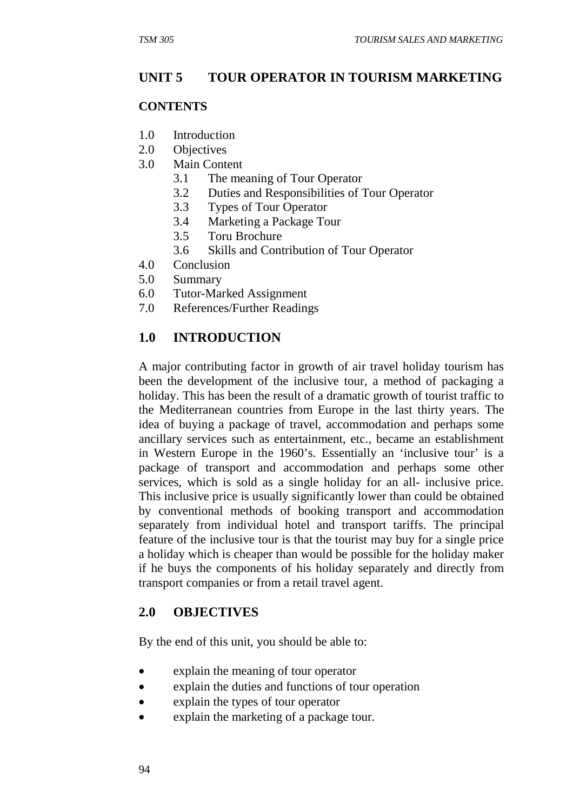# **UNIT 5 TOUR OPERATOR IN TOURISM MARKETING**

#### **CONTENTS**

- 1.0 Introduction
- 2.0 Objectives
- 3.0 Main Content
	- 3.1 The meaning of Tour Operator
	- 3.2 Duties and Responsibilities of Tour Operator
	- 3.3 Types of Tour Operator
	- 3.4 Marketing a Package Tour
	- 3.5 Toru Brochure
	- 3.6 Skills and Contribution of Tour Operator
- 4.0 Conclusion
- 5.0 Summary
- 6.0 Tutor-Marked Assignment
- 7.0 References/Further Readings

## **1.0 INTRODUCTION**

A major contributing factor in growth of air travel holiday tourism has been the development of the inclusive tour, a method of packaging a holiday. This has been the result of a dramatic growth of tourist traffic to the Mediterranean countries from Europe in the last thirty years. The idea of buying a package of travel, accommodation and perhaps some ancillary services such as entertainment, etc., became an establishment in Western Europe in the 1960's. Essentially an 'inclusive tour' is a package of transport and accommodation and perhaps some other services, which is sold as a single holiday for an all- inclusive price. This inclusive price is usually significantly lower than could be obtained by conventional methods of booking transport and accommodation separately from individual hotel and transport tariffs. The principal feature of the inclusive tour is that the tourist may buy for a single price a holiday which is cheaper than would be possible for the holiday maker if he buys the components of his holiday separately and directly from transport companies or from a retail travel agent.

### **2.0 OBJECTIVES**

By the end of this unit, you should be able to:

- explain the meaning of tour operator
- explain the duties and functions of tour operation
- explain the types of tour operator
- explain the marketing of a package tour.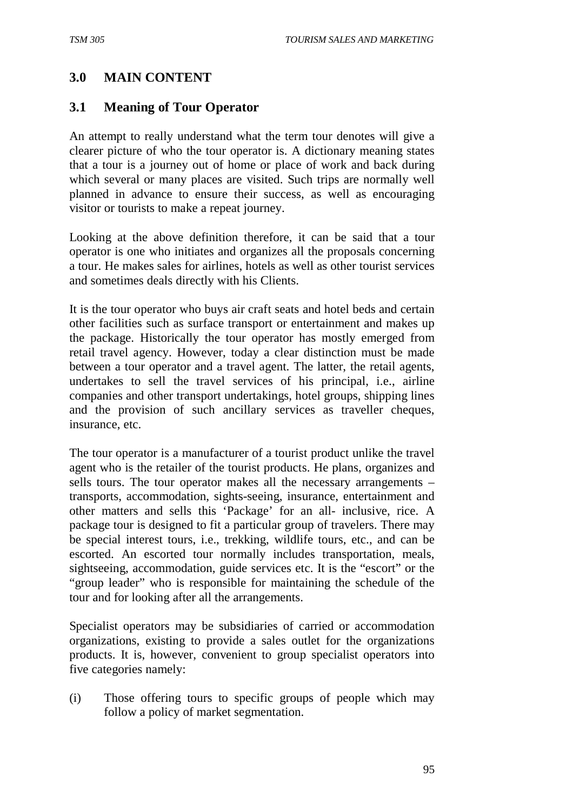## **3.0 MAIN CONTENT**

### **3.1 Meaning of Tour Operator**

An attempt to really understand what the term tour denotes will give a clearer picture of who the tour operator is. A dictionary meaning states that a tour is a journey out of home or place of work and back during which several or many places are visited. Such trips are normally well planned in advance to ensure their success, as well as encouraging visitor or tourists to make a repeat journey.

Looking at the above definition therefore, it can be said that a tour operator is one who initiates and organizes all the proposals concerning a tour. He makes sales for airlines, hotels as well as other tourist services and sometimes deals directly with his Clients.

It is the tour operator who buys air craft seats and hotel beds and certain other facilities such as surface transport or entertainment and makes up the package. Historically the tour operator has mostly emerged from retail travel agency. However, today a clear distinction must be made between a tour operator and a travel agent. The latter, the retail agents, undertakes to sell the travel services of his principal, i.e., airline companies and other transport undertakings, hotel groups, shipping lines and the provision of such ancillary services as traveller cheques, insurance, etc.

The tour operator is a manufacturer of a tourist product unlike the travel agent who is the retailer of the tourist products. He plans, organizes and sells tours. The tour operator makes all the necessary arrangements – transports, accommodation, sights-seeing, insurance, entertainment and other matters and sells this 'Package' for an all- inclusive, rice. A package tour is designed to fit a particular group of travelers. There may be special interest tours, i.e., trekking, wildlife tours, etc., and can be escorted. An escorted tour normally includes transportation, meals, sightseeing, accommodation, guide services etc. It is the "escort" or the "group leader" who is responsible for maintaining the schedule of the tour and for looking after all the arrangements.

Specialist operators may be subsidiaries of carried or accommodation organizations, existing to provide a sales outlet for the organizations products. It is, however, convenient to group specialist operators into five categories namely:

(i) Those offering tours to specific groups of people which may follow a policy of market segmentation.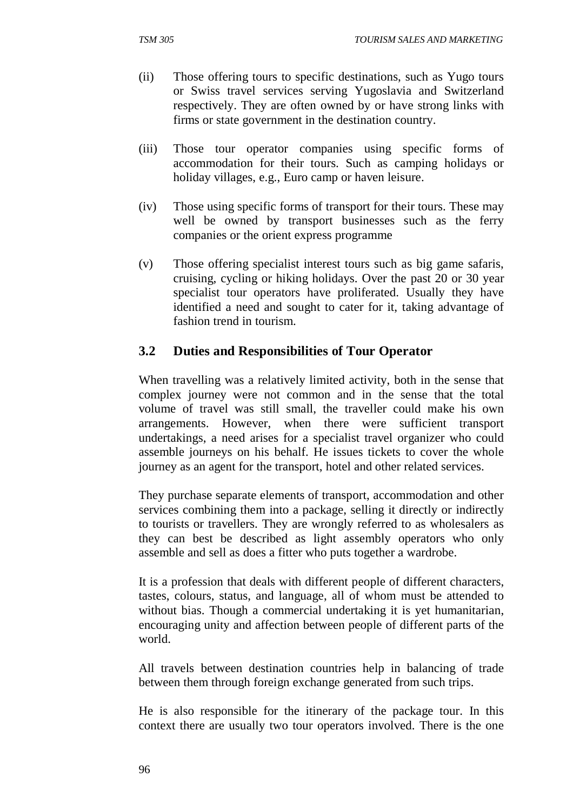- (ii) Those offering tours to specific destinations, such as Yugo tours or Swiss travel services serving Yugoslavia and Switzerland respectively. They are often owned by or have strong links with firms or state government in the destination country.
- (iii) Those tour operator companies using specific forms of accommodation for their tours. Such as camping holidays or holiday villages, e.g., Euro camp or haven leisure.
- (iv) Those using specific forms of transport for their tours. These may well be owned by transport businesses such as the ferry companies or the orient express programme
- (v) Those offering specialist interest tours such as big game safaris, cruising, cycling or hiking holidays. Over the past 20 or 30 year specialist tour operators have proliferated. Usually they have identified a need and sought to cater for it, taking advantage of fashion trend in tourism.

# **3.2 Duties and Responsibilities of Tour Operator**

When travelling was a relatively limited activity, both in the sense that complex journey were not common and in the sense that the total volume of travel was still small, the traveller could make his own arrangements. However, when there were sufficient transport undertakings, a need arises for a specialist travel organizer who could assemble journeys on his behalf. He issues tickets to cover the whole journey as an agent for the transport, hotel and other related services.

They purchase separate elements of transport, accommodation and other services combining them into a package, selling it directly or indirectly to tourists or travellers. They are wrongly referred to as wholesalers as they can best be described as light assembly operators who only assemble and sell as does a fitter who puts together a wardrobe.

It is a profession that deals with different people of different characters, tastes, colours, status, and language, all of whom must be attended to without bias. Though a commercial undertaking it is yet humanitarian, encouraging unity and affection between people of different parts of the world.

All travels between destination countries help in balancing of trade between them through foreign exchange generated from such trips.

He is also responsible for the itinerary of the package tour. In this context there are usually two tour operators involved. There is the one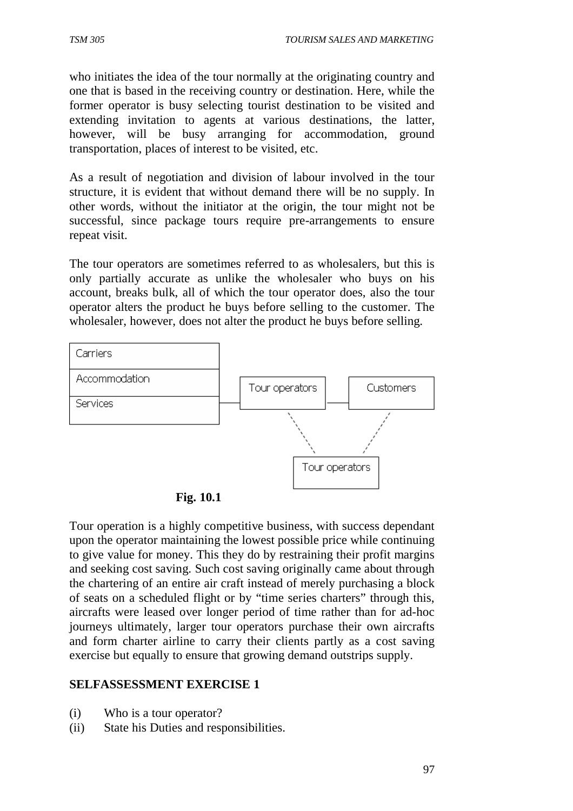who initiates the idea of the tour normally at the originating country and one that is based in the receiving country or destination. Here, while the former operator is busy selecting tourist destination to be visited and extending invitation to agents at various destinations, the latter, however, will be busy arranging for accommodation, ground transportation, places of interest to be visited, etc.

As a result of negotiation and division of labour involved in the tour structure, it is evident that without demand there will be no supply. In other words, without the initiator at the origin, the tour might not be successful, since package tours require pre-arrangements to ensure repeat visit.

The tour operators are sometimes referred to as wholesalers, but this is only partially accurate as unlike the wholesaler who buys on his account, breaks bulk, all of which the tour operator does, also the tour operator alters the product he buys before selling to the customer. The wholesaler, however, does not alter the product he buys before selling.



 **Fig. 10.1** 

Tour operation is a highly competitive business, with success dependant upon the operator maintaining the lowest possible price while continuing to give value for money. This they do by restraining their profit margins and seeking cost saving. Such cost saving originally came about through the chartering of an entire air craft instead of merely purchasing a block of seats on a scheduled flight or by "time series charters" through this, aircrafts were leased over longer period of time rather than for ad-hoc journeys ultimately, larger tour operators purchase their own aircrafts and form charter airline to carry their clients partly as a cost saving exercise but equally to ensure that growing demand outstrips supply.

### **SELFASSESSMENT EXERCISE 1**

- (i) Who is a tour operator?
- (ii) State his Duties and responsibilities.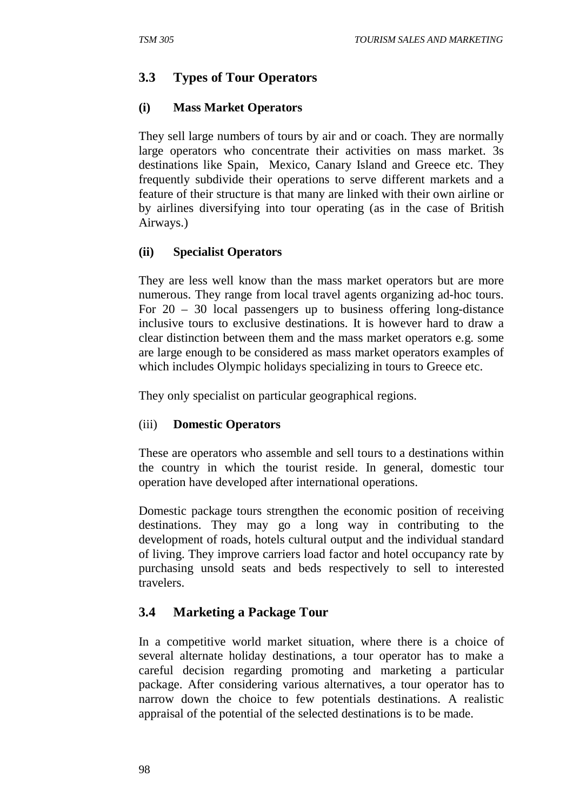# **3.3 Types of Tour Operators**

#### **(i) Mass Market Operators**

They sell large numbers of tours by air and or coach. They are normally large operators who concentrate their activities on mass market. 3s destinations like Spain, Mexico, Canary Island and Greece etc. They frequently subdivide their operations to serve different markets and a feature of their structure is that many are linked with their own airline or by airlines diversifying into tour operating (as in the case of British Airways.)

### **(ii) Specialist Operators**

They are less well know than the mass market operators but are more numerous. They range from local travel agents organizing ad-hoc tours. For 20 – 30 local passengers up to business offering long-distance inclusive tours to exclusive destinations. It is however hard to draw a clear distinction between them and the mass market operators e.g. some are large enough to be considered as mass market operators examples of which includes Olympic holidays specializing in tours to Greece etc.

They only specialist on particular geographical regions.

### (iii) **Domestic Operators**

These are operators who assemble and sell tours to a destinations within the country in which the tourist reside. In general, domestic tour operation have developed after international operations.

Domestic package tours strengthen the economic position of receiving destinations. They may go a long way in contributing to the development of roads, hotels cultural output and the individual standard of living. They improve carriers load factor and hotel occupancy rate by purchasing unsold seats and beds respectively to sell to interested travelers.

### **3.4 Marketing a Package Tour**

In a competitive world market situation, where there is a choice of several alternate holiday destinations, a tour operator has to make a careful decision regarding promoting and marketing a particular package. After considering various alternatives, a tour operator has to narrow down the choice to few potentials destinations. A realistic appraisal of the potential of the selected destinations is to be made.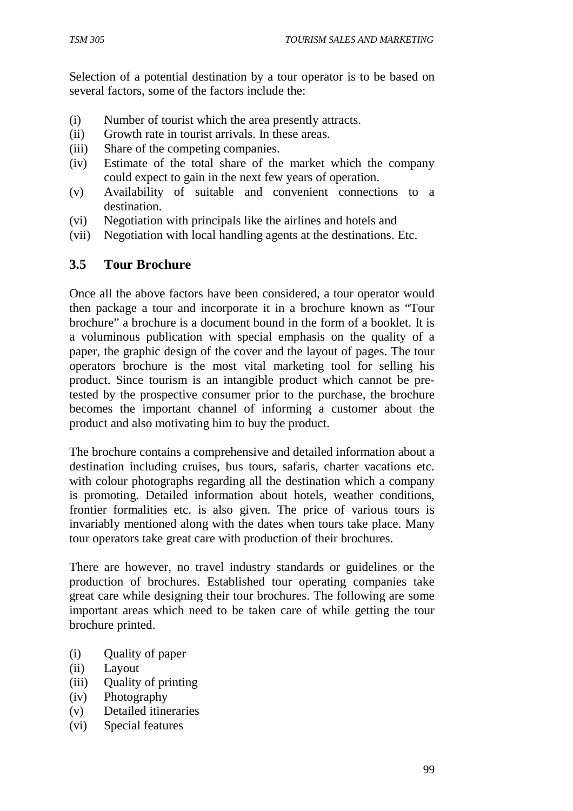Selection of a potential destination by a tour operator is to be based on several factors, some of the factors include the:

- (i) Number of tourist which the area presently attracts.
- (ii) Growth rate in tourist arrivals. In these areas.
- (iii) Share of the competing companies.
- (iv) Estimate of the total share of the market which the company could expect to gain in the next few years of operation.
- (v) Availability of suitable and convenient connections to a destination.
- (vi) Negotiation with principals like the airlines and hotels and
- (vii) Negotiation with local handling agents at the destinations. Etc.

## **3.5 Tour Brochure**

Once all the above factors have been considered, a tour operator would then package a tour and incorporate it in a brochure known as "Tour brochure" a brochure is a document bound in the form of a booklet. It is a voluminous publication with special emphasis on the quality of a paper, the graphic design of the cover and the layout of pages. The tour operators brochure is the most vital marketing tool for selling his product. Since tourism is an intangible product which cannot be pretested by the prospective consumer prior to the purchase, the brochure becomes the important channel of informing a customer about the product and also motivating him to buy the product.

The brochure contains a comprehensive and detailed information about a destination including cruises, bus tours, safaris, charter vacations etc. with colour photographs regarding all the destination which a company is promoting. Detailed information about hotels, weather conditions, frontier formalities etc. is also given. The price of various tours is invariably mentioned along with the dates when tours take place. Many tour operators take great care with production of their brochures.

There are however, no travel industry standards or guidelines or the production of brochures. Established tour operating companies take great care while designing their tour brochures. The following are some important areas which need to be taken care of while getting the tour brochure printed.

- (i) Quality of paper
- (ii) Layout
- (iii) Quality of printing
- (iv) Photography
- (v) Detailed itineraries
- (vi) Special features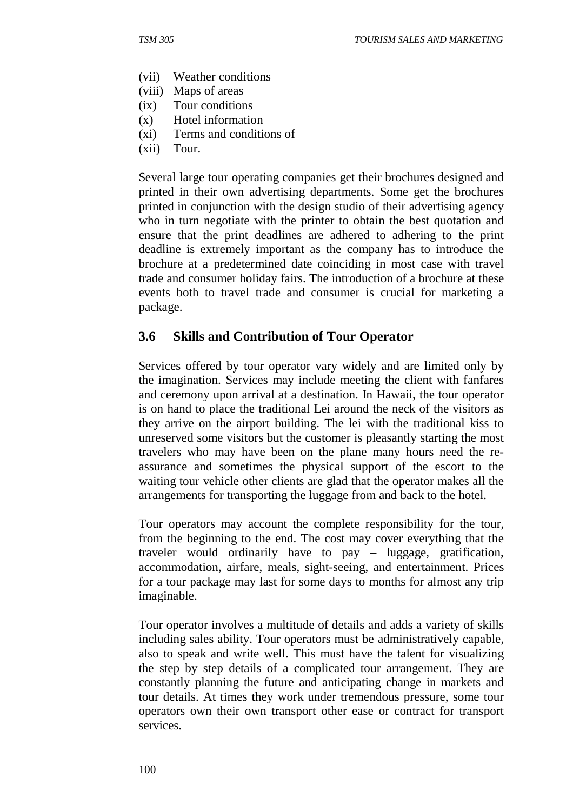- (vii) Weather conditions
- (viii) Maps of areas
- (ix) Tour conditions
- (x) Hotel information
- (xi) Terms and conditions of
- (xii) Tour.

Several large tour operating companies get their brochures designed and printed in their own advertising departments. Some get the brochures printed in conjunction with the design studio of their advertising agency who in turn negotiate with the printer to obtain the best quotation and ensure that the print deadlines are adhered to adhering to the print deadline is extremely important as the company has to introduce the brochure at a predetermined date coinciding in most case with travel trade and consumer holiday fairs. The introduction of a brochure at these events both to travel trade and consumer is crucial for marketing a package.

## **3.6 Skills and Contribution of Tour Operator**

Services offered by tour operator vary widely and are limited only by the imagination. Services may include meeting the client with fanfares and ceremony upon arrival at a destination. In Hawaii, the tour operator is on hand to place the traditional Lei around the neck of the visitors as they arrive on the airport building. The lei with the traditional kiss to unreserved some visitors but the customer is pleasantly starting the most travelers who may have been on the plane many hours need the reassurance and sometimes the physical support of the escort to the waiting tour vehicle other clients are glad that the operator makes all the arrangements for transporting the luggage from and back to the hotel.

Tour operators may account the complete responsibility for the tour, from the beginning to the end. The cost may cover everything that the traveler would ordinarily have to pay – luggage, gratification, accommodation, airfare, meals, sight-seeing, and entertainment. Prices for a tour package may last for some days to months for almost any trip imaginable.

Tour operator involves a multitude of details and adds a variety of skills including sales ability. Tour operators must be administratively capable, also to speak and write well. This must have the talent for visualizing the step by step details of a complicated tour arrangement. They are constantly planning the future and anticipating change in markets and tour details. At times they work under tremendous pressure, some tour operators own their own transport other ease or contract for transport services.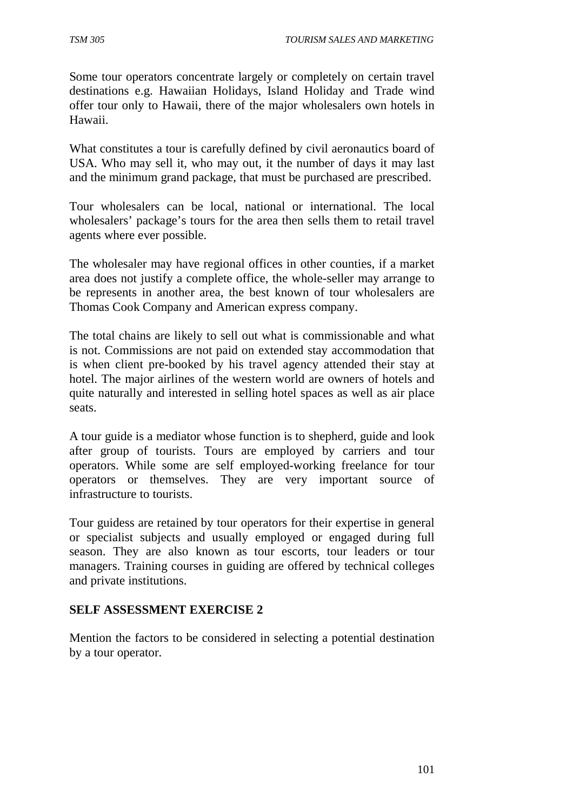Some tour operators concentrate largely or completely on certain travel destinations e.g. Hawaiian Holidays, Island Holiday and Trade wind offer tour only to Hawaii, there of the major wholesalers own hotels in Hawaii.

What constitutes a tour is carefully defined by civil aeronautics board of USA. Who may sell it, who may out, it the number of days it may last and the minimum grand package, that must be purchased are prescribed.

Tour wholesalers can be local, national or international. The local wholesalers' package's tours for the area then sells them to retail travel agents where ever possible.

The wholesaler may have regional offices in other counties, if a market area does not justify a complete office, the whole-seller may arrange to be represents in another area, the best known of tour wholesalers are Thomas Cook Company and American express company.

The total chains are likely to sell out what is commissionable and what is not. Commissions are not paid on extended stay accommodation that is when client pre-booked by his travel agency attended their stay at hotel. The major airlines of the western world are owners of hotels and quite naturally and interested in selling hotel spaces as well as air place seats.

A tour guide is a mediator whose function is to shepherd, guide and look after group of tourists. Tours are employed by carriers and tour operators. While some are self employed-working freelance for tour operators or themselves. They are very important source of infrastructure to tourists.

Tour guidess are retained by tour operators for their expertise in general or specialist subjects and usually employed or engaged during full season. They are also known as tour escorts, tour leaders or tour managers. Training courses in guiding are offered by technical colleges and private institutions.

## **SELF ASSESSMENT EXERCISE 2**

Mention the factors to be considered in selecting a potential destination by a tour operator.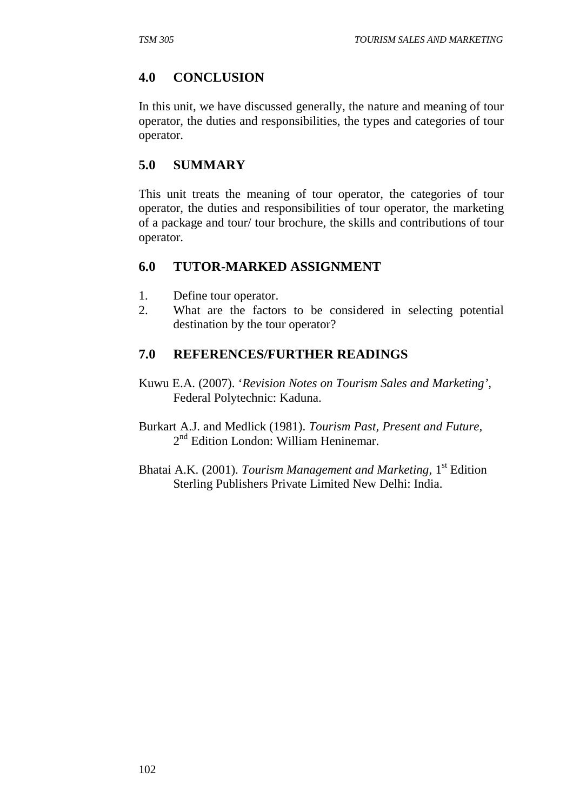# **4.0 CONCLUSION**

In this unit, we have discussed generally, the nature and meaning of tour operator, the duties and responsibilities, the types and categories of tour operator.

# **5.0 SUMMARY**

This unit treats the meaning of tour operator, the categories of tour operator, the duties and responsibilities of tour operator, the marketing of a package and tour/ tour brochure, the skills and contributions of tour operator.

# **6.0 TUTOR-MARKED ASSIGNMENT**

- 1. Define tour operator.
- 2. What are the factors to be considered in selecting potential destination by the tour operator?

# **7.0 REFERENCES/FURTHER READINGS**

- Kuwu E.A. (2007). '*Revision Notes on Tourism Sales and Marketing',* Federal Polytechnic: Kaduna.
- Burkart A.J. and Medlick (1981). *Tourism Past, Present and Future,* 2<sup>nd</sup> Edition London: William Heninemar.
- Bhatai A.K. (2001). *Tourism Management and Marketing*, 1<sup>st</sup> Edition Sterling Publishers Private Limited New Delhi: India.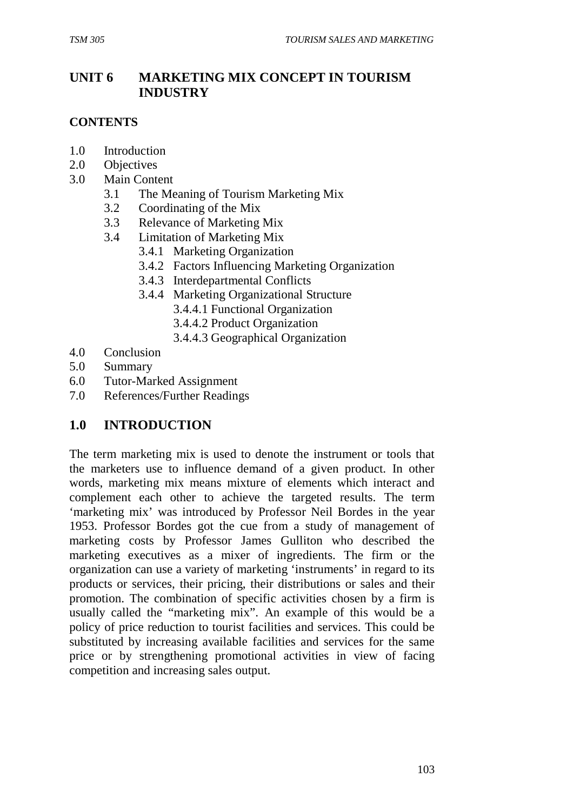# **UNIT 6 MARKETING MIX CONCEPT IN TOURISM INDUSTRY**

## **CONTENTS**

- 1.0 Introduction
- 2.0 Objectives
- 3.0 Main Content
	- 3.1 The Meaning of Tourism Marketing Mix
	- 3.2 Coordinating of the Mix
	- 3.3 Relevance of Marketing Mix
	- 3.4 Limitation of Marketing Mix
		- 3.4.1 Marketing Organization
		- 3.4.2 Factors Influencing Marketing Organization
		- 3.4.3 Interdepartmental Conflicts
		- 3.4.4 Marketing Organizational Structure
			- 3.4.4.1 Functional Organization
			- 3.4.4.2 Product Organization
			- 3.4.4.3 Geographical Organization
- 4.0 Conclusion
- 5.0 Summary
- 6.0 Tutor-Marked Assignment
- 7.0 References/Further Readings

# **1.0 INTRODUCTION**

The term marketing mix is used to denote the instrument or tools that the marketers use to influence demand of a given product. In other words, marketing mix means mixture of elements which interact and complement each other to achieve the targeted results. The term 'marketing mix' was introduced by Professor Neil Bordes in the year 1953. Professor Bordes got the cue from a study of management of marketing costs by Professor James Gulliton who described the marketing executives as a mixer of ingredients. The firm or the organization can use a variety of marketing 'instruments' in regard to its products or services, their pricing, their distributions or sales and their promotion. The combination of specific activities chosen by a firm is usually called the "marketing mix". An example of this would be a policy of price reduction to tourist facilities and services. This could be substituted by increasing available facilities and services for the same price or by strengthening promotional activities in view of facing competition and increasing sales output.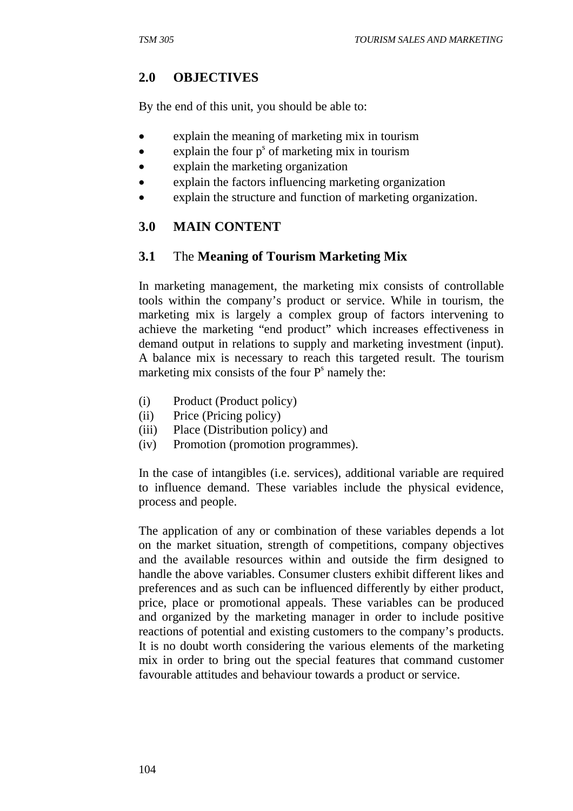# **2.0 OBJECTIVES**

By the end of this unit, you should be able to:

- explain the meaning of marketing mix in tourism
- explain the four  $p<sup>s</sup>$  of marketing mix in tourism
- explain the marketing organization
- explain the factors influencing marketing organization
- explain the structure and function of marketing organization.

# **3.0 MAIN CONTENT**

# **3.1** The **Meaning of Tourism Marketing Mix**

In marketing management, the marketing mix consists of controllable tools within the company's product or service. While in tourism, the marketing mix is largely a complex group of factors intervening to achieve the marketing "end product" which increases effectiveness in demand output in relations to supply and marketing investment (input). A balance mix is necessary to reach this targeted result. The tourism marketing mix consists of the four  $P<sup>s</sup>$  namely the:

- (i) Product (Product policy)
- (ii) Price (Pricing policy)
- (iii) Place (Distribution policy) and
- (iv) Promotion (promotion programmes).

In the case of intangibles (i.e. services), additional variable are required to influence demand. These variables include the physical evidence, process and people.

The application of any or combination of these variables depends a lot on the market situation, strength of competitions, company objectives and the available resources within and outside the firm designed to handle the above variables. Consumer clusters exhibit different likes and preferences and as such can be influenced differently by either product, price, place or promotional appeals. These variables can be produced and organized by the marketing manager in order to include positive reactions of potential and existing customers to the company's products. It is no doubt worth considering the various elements of the marketing mix in order to bring out the special features that command customer favourable attitudes and behaviour towards a product or service.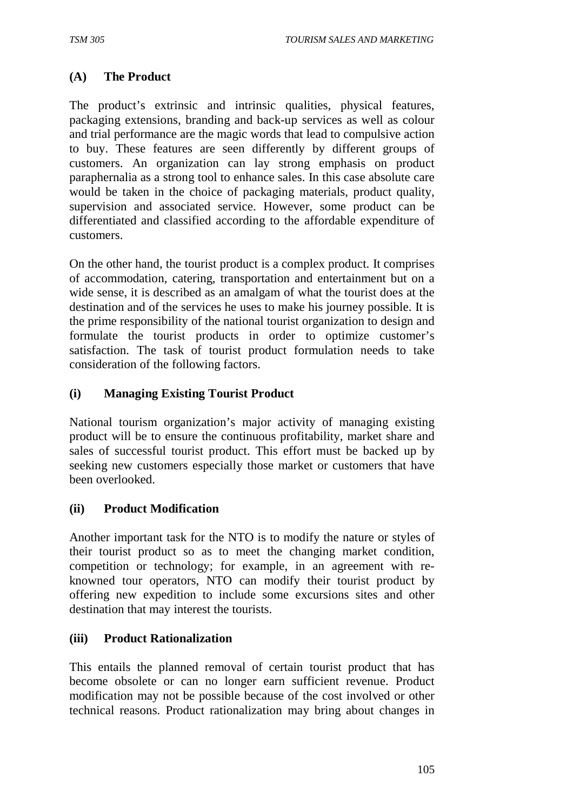#### **(A) The Product**

The product's extrinsic and intrinsic qualities, physical features, packaging extensions, branding and back-up services as well as colour and trial performance are the magic words that lead to compulsive action to buy. These features are seen differently by different groups of customers. An organization can lay strong emphasis on product paraphernalia as a strong tool to enhance sales. In this case absolute care would be taken in the choice of packaging materials, product quality, supervision and associated service. However, some product can be differentiated and classified according to the affordable expenditure of customers.

On the other hand, the tourist product is a complex product. It comprises of accommodation, catering, transportation and entertainment but on a wide sense, it is described as an amalgam of what the tourist does at the destination and of the services he uses to make his journey possible. It is the prime responsibility of the national tourist organization to design and formulate the tourist products in order to optimize customer's satisfaction. The task of tourist product formulation needs to take consideration of the following factors.

#### **(i) Managing Existing Tourist Product**

National tourism organization's major activity of managing existing product will be to ensure the continuous profitability, market share and sales of successful tourist product. This effort must be backed up by seeking new customers especially those market or customers that have been overlooked.

#### **(ii) Product Modification**

Another important task for the NTO is to modify the nature or styles of their tourist product so as to meet the changing market condition, competition or technology; for example, in an agreement with reknowned tour operators, NTO can modify their tourist product by offering new expedition to include some excursions sites and other destination that may interest the tourists.

#### **(iii) Product Rationalization**

This entails the planned removal of certain tourist product that has become obsolete or can no longer earn sufficient revenue. Product modification may not be possible because of the cost involved or other technical reasons. Product rationalization may bring about changes in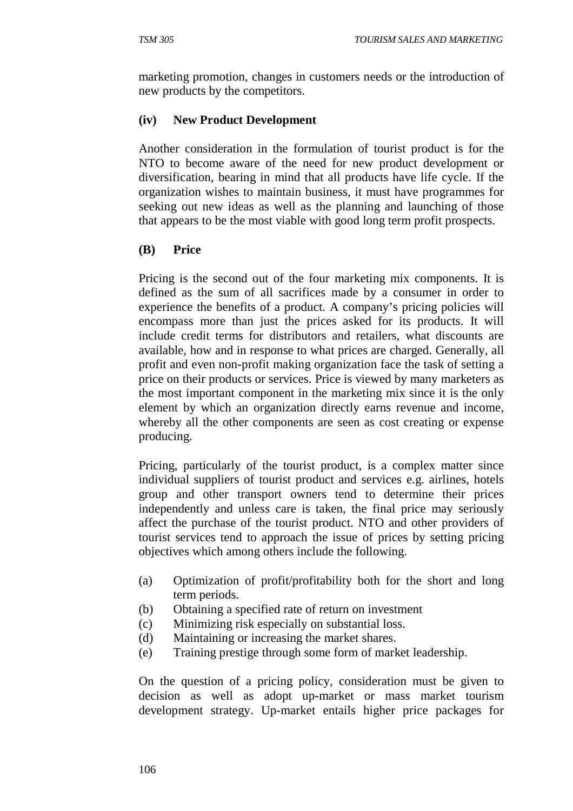marketing promotion, changes in customers needs or the introduction of new products by the competitors.

# **(iv) New Product Development**

Another consideration in the formulation of tourist product is for the NTO to become aware of the need for new product development or diversification, bearing in mind that all products have life cycle. If the organization wishes to maintain business, it must have programmes for seeking out new ideas as well as the planning and launching of those that appears to be the most viable with good long term profit prospects.

## **(B) Price**

Pricing is the second out of the four marketing mix components. It is defined as the sum of all sacrifices made by a consumer in order to experience the benefits of a product. A company's pricing policies will encompass more than just the prices asked for its products. It will include credit terms for distributors and retailers, what discounts are available, how and in response to what prices are charged. Generally, all profit and even non-profit making organization face the task of setting a price on their products or services. Price is viewed by many marketers as the most important component in the marketing mix since it is the only element by which an organization directly earns revenue and income, whereby all the other components are seen as cost creating or expense producing.

Pricing, particularly of the tourist product, is a complex matter since individual suppliers of tourist product and services e.g. airlines, hotels group and other transport owners tend to determine their prices independently and unless care is taken, the final price may seriously affect the purchase of the tourist product. NTO and other providers of tourist services tend to approach the issue of prices by setting pricing objectives which among others include the following.

- (a) Optimization of profit/profitability both for the short and long term periods.
- (b) Obtaining a specified rate of return on investment
- (c) Minimizing risk especially on substantial loss.
- (d) Maintaining or increasing the market shares.
- (e) Training prestige through some form of market leadership.

On the question of a pricing policy, consideration must be given to decision as well as adopt up-market or mass market tourism development strategy. Up-market entails higher price packages for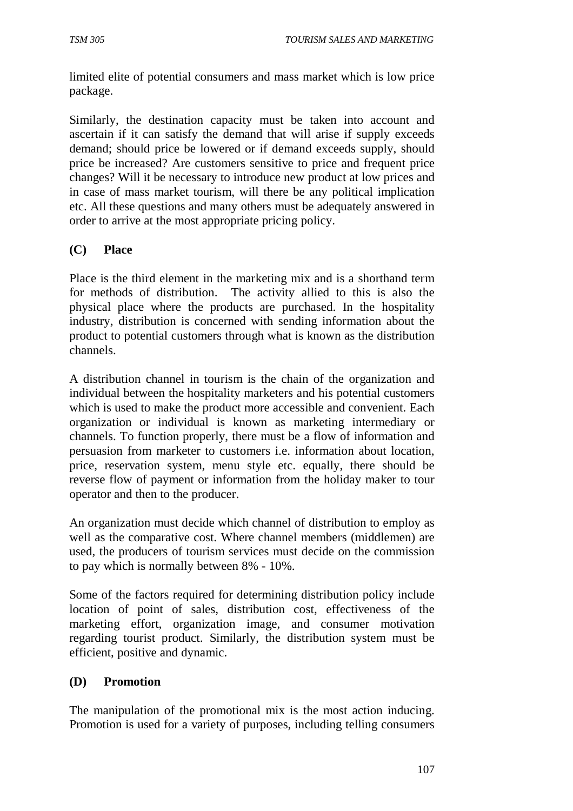limited elite of potential consumers and mass market which is low price package.

Similarly, the destination capacity must be taken into account and ascertain if it can satisfy the demand that will arise if supply exceeds demand; should price be lowered or if demand exceeds supply, should price be increased? Are customers sensitive to price and frequent price changes? Will it be necessary to introduce new product at low prices and in case of mass market tourism, will there be any political implication etc. All these questions and many others must be adequately answered in order to arrive at the most appropriate pricing policy.

## **(C) Place**

Place is the third element in the marketing mix and is a shorthand term for methods of distribution. The activity allied to this is also the physical place where the products are purchased. In the hospitality industry, distribution is concerned with sending information about the product to potential customers through what is known as the distribution channels.

A distribution channel in tourism is the chain of the organization and individual between the hospitality marketers and his potential customers which is used to make the product more accessible and convenient. Each organization or individual is known as marketing intermediary or channels. To function properly, there must be a flow of information and persuasion from marketer to customers i.e. information about location, price, reservation system, menu style etc. equally, there should be reverse flow of payment or information from the holiday maker to tour operator and then to the producer.

An organization must decide which channel of distribution to employ as well as the comparative cost. Where channel members (middlemen) are used, the producers of tourism services must decide on the commission to pay which is normally between 8% - 10%.

Some of the factors required for determining distribution policy include location of point of sales, distribution cost, effectiveness of the marketing effort, organization image, and consumer motivation regarding tourist product. Similarly, the distribution system must be efficient, positive and dynamic.

## **(D) Promotion**

The manipulation of the promotional mix is the most action inducing. Promotion is used for a variety of purposes, including telling consumers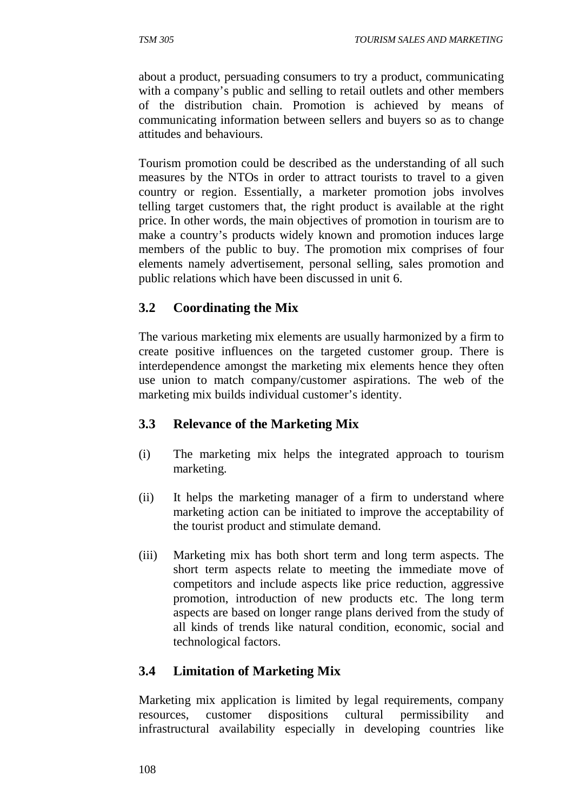about a product, persuading consumers to try a product, communicating with a company's public and selling to retail outlets and other members of the distribution chain. Promotion is achieved by means of communicating information between sellers and buyers so as to change attitudes and behaviours.

 Tourism promotion could be described as the understanding of all such measures by the NTOs in order to attract tourists to travel to a given country or region. Essentially, a marketer promotion jobs involves telling target customers that, the right product is available at the right price. In other words, the main objectives of promotion in tourism are to make a country's products widely known and promotion induces large members of the public to buy. The promotion mix comprises of four elements namely advertisement, personal selling, sales promotion and public relations which have been discussed in unit 6.

# **3.2 Coordinating the Mix**

The various marketing mix elements are usually harmonized by a firm to create positive influences on the targeted customer group. There is interdependence amongst the marketing mix elements hence they often use union to match company/customer aspirations. The web of the marketing mix builds individual customer's identity.

# **3.3 Relevance of the Marketing Mix**

- (i) The marketing mix helps the integrated approach to tourism marketing.
- (ii) It helps the marketing manager of a firm to understand where marketing action can be initiated to improve the acceptability of the tourist product and stimulate demand.
- (iii) Marketing mix has both short term and long term aspects. The short term aspects relate to meeting the immediate move of competitors and include aspects like price reduction, aggressive promotion, introduction of new products etc. The long term aspects are based on longer range plans derived from the study of all kinds of trends like natural condition, economic, social and technological factors.

# **3.4 Limitation of Marketing Mix**

Marketing mix application is limited by legal requirements, company resources, customer dispositions cultural permissibility and infrastructural availability especially in developing countries like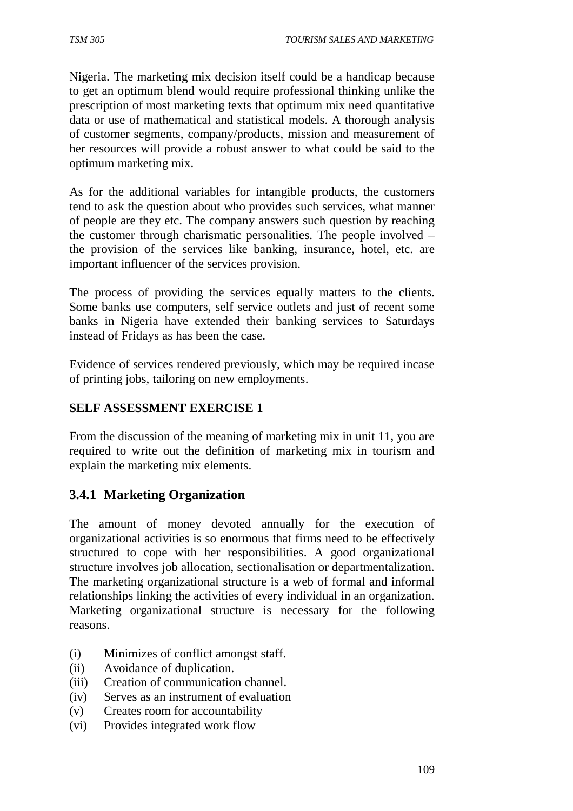Nigeria. The marketing mix decision itself could be a handicap because to get an optimum blend would require professional thinking unlike the prescription of most marketing texts that optimum mix need quantitative data or use of mathematical and statistical models. A thorough analysis of customer segments, company/products, mission and measurement of her resources will provide a robust answer to what could be said to the optimum marketing mix.

As for the additional variables for intangible products, the customers tend to ask the question about who provides such services, what manner of people are they etc. The company answers such question by reaching the customer through charismatic personalities. The people involved – the provision of the services like banking, insurance, hotel, etc. are important influencer of the services provision.

The process of providing the services equally matters to the clients. Some banks use computers, self service outlets and just of recent some banks in Nigeria have extended their banking services to Saturdays instead of Fridays as has been the case.

Evidence of services rendered previously, which may be required incase of printing jobs, tailoring on new employments.

# **SELF ASSESSMENT EXERCISE 1**

From the discussion of the meaning of marketing mix in unit 11, you are required to write out the definition of marketing mix in tourism and explain the marketing mix elements.

# **3.4.1 Marketing Organization**

The amount of money devoted annually for the execution of organizational activities is so enormous that firms need to be effectively structured to cope with her responsibilities. A good organizational structure involves job allocation, sectionalisation or departmentalization. The marketing organizational structure is a web of formal and informal relationships linking the activities of every individual in an organization. Marketing organizational structure is necessary for the following reasons.

- (i) Minimizes of conflict amongst staff.
- (ii) Avoidance of duplication.
- (iii) Creation of communication channel.
- (iv) Serves as an instrument of evaluation
- (v) Creates room for accountability
- (vi) Provides integrated work flow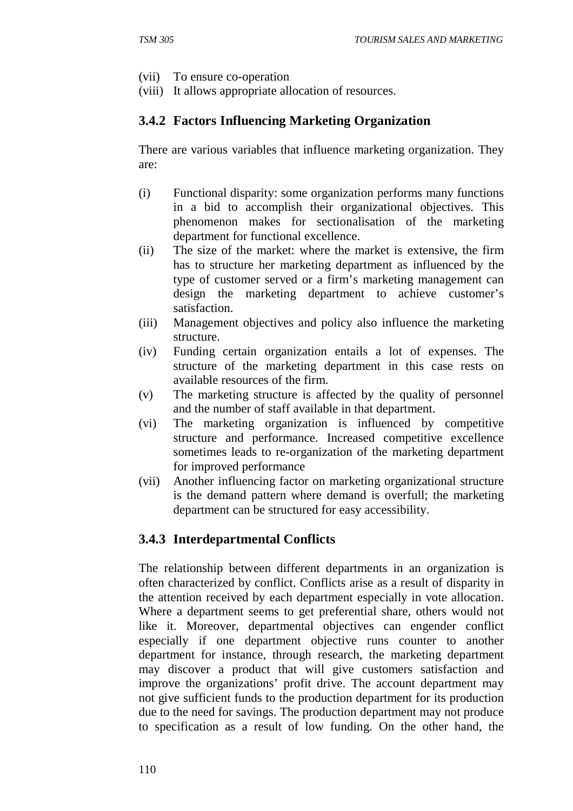- (vii) To ensure co-operation
- (viii) It allows appropriate allocation of resources.

# **3.4.2 Factors Influencing Marketing Organization**

There are various variables that influence marketing organization. They are:

- (i) Functional disparity: some organization performs many functions in a bid to accomplish their organizational objectives. This phenomenon makes for sectionalisation of the marketing department for functional excellence.
- (ii) The size of the market: where the market is extensive, the firm has to structure her marketing department as influenced by the type of customer served or a firm's marketing management can design the marketing department to achieve customer's satisfaction.
- (iii) Management objectives and policy also influence the marketing structure.
- (iv) Funding certain organization entails a lot of expenses. The structure of the marketing department in this case rests on available resources of the firm.
- (v) The marketing structure is affected by the quality of personnel and the number of staff available in that department.
- (vi) The marketing organization is influenced by competitive structure and performance. Increased competitive excellence sometimes leads to re-organization of the marketing department for improved performance
- (vii) Another influencing factor on marketing organizational structure is the demand pattern where demand is overfull; the marketing department can be structured for easy accessibility.

# **3.4.3 Interdepartmental Conflicts**

The relationship between different departments in an organization is often characterized by conflict. Conflicts arise as a result of disparity in the attention received by each department especially in vote allocation. Where a department seems to get preferential share, others would not like it. Moreover, departmental objectives can engender conflict especially if one department objective runs counter to another department for instance, through research, the marketing department may discover a product that will give customers satisfaction and improve the organizations' profit drive. The account department may not give sufficient funds to the production department for its production due to the need for savings. The production department may not produce to specification as a result of low funding. On the other hand, the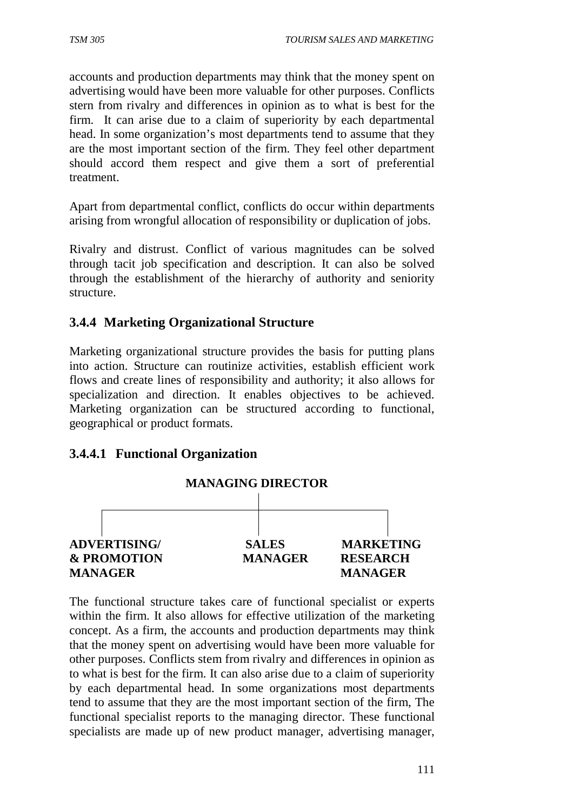accounts and production departments may think that the money spent on advertising would have been more valuable for other purposes. Conflicts stern from rivalry and differences in opinion as to what is best for the firm. It can arise due to a claim of superiority by each departmental head. In some organization's most departments tend to assume that they are the most important section of the firm. They feel other department should accord them respect and give them a sort of preferential treatment.

Apart from departmental conflict, conflicts do occur within departments arising from wrongful allocation of responsibility or duplication of jobs.

Rivalry and distrust. Conflict of various magnitudes can be solved through tacit job specification and description. It can also be solved through the establishment of the hierarchy of authority and seniority structure.

# **3.4.4 Marketing Organizational Structure**

Marketing organizational structure provides the basis for putting plans into action. Structure can routinize activities, establish efficient work flows and create lines of responsibility and authority; it also allows for specialization and direction. It enables objectives to be achieved. Marketing organization can be structured according to functional, geographical or product formats.

# **3.4.4.1 Functional Organization**



The functional structure takes care of functional specialist or experts within the firm. It also allows for effective utilization of the marketing concept. As a firm, the accounts and production departments may think that the money spent on advertising would have been more valuable for other purposes. Conflicts stem from rivalry and differences in opinion as to what is best for the firm. It can also arise due to a claim of superiority by each departmental head. In some organizations most departments tend to assume that they are the most important section of the firm, The functional specialist reports to the managing director. These functional specialists are made up of new product manager, advertising manager,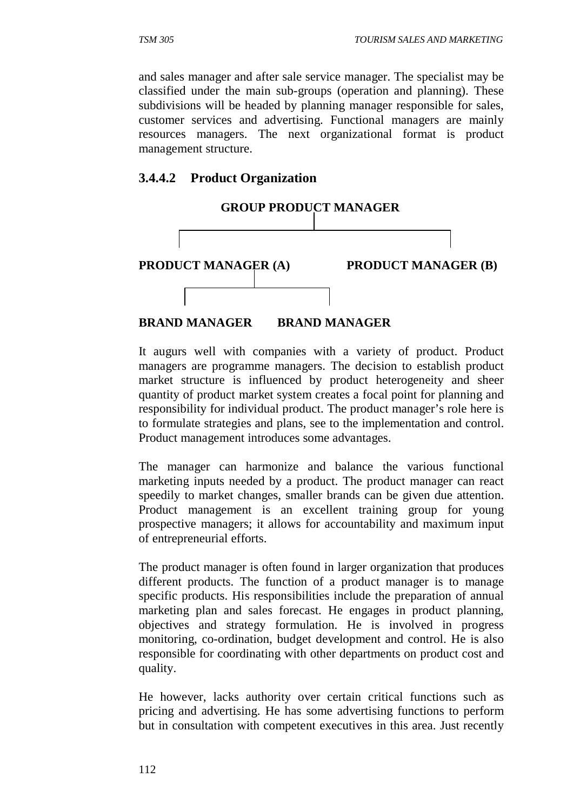and sales manager and after sale service manager. The specialist may be classified under the main sub-groups (operation and planning). These subdivisions will be headed by planning manager responsible for sales, customer services and advertising. Functional managers are mainly resources managers. The next organizational format is product management structure.

#### **3.4.4.2 Product Organization**



#### **BRAND MANAGER BRAND MANAGER**

It augurs well with companies with a variety of product. Product managers are programme managers. The decision to establish product market structure is influenced by product heterogeneity and sheer quantity of product market system creates a focal point for planning and responsibility for individual product. The product manager's role here is to formulate strategies and plans, see to the implementation and control. Product management introduces some advantages.

The manager can harmonize and balance the various functional marketing inputs needed by a product. The product manager can react speedily to market changes, smaller brands can be given due attention. Product management is an excellent training group for young prospective managers; it allows for accountability and maximum input of entrepreneurial efforts.

The product manager is often found in larger organization that produces different products. The function of a product manager is to manage specific products. His responsibilities include the preparation of annual marketing plan and sales forecast. He engages in product planning, objectives and strategy formulation. He is involved in progress monitoring, co-ordination, budget development and control. He is also responsible for coordinating with other departments on product cost and quality.

He however, lacks authority over certain critical functions such as pricing and advertising. He has some advertising functions to perform but in consultation with competent executives in this area. Just recently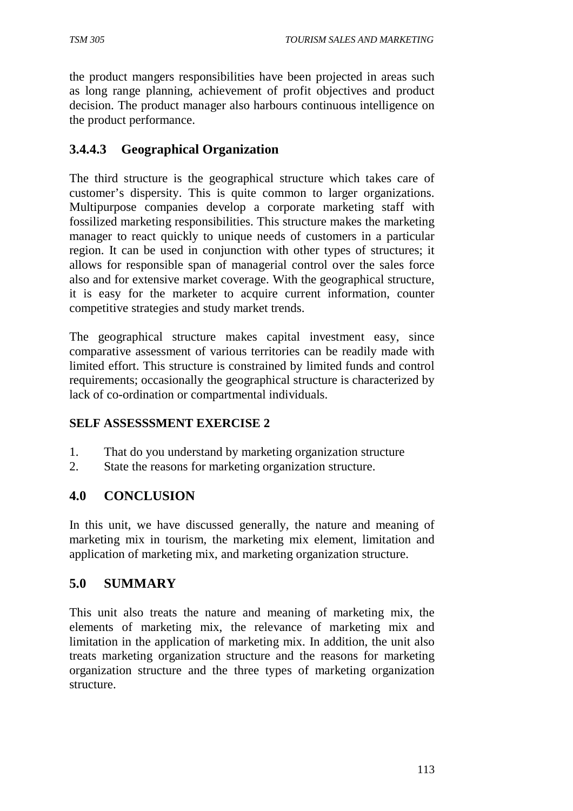the product mangers responsibilities have been projected in areas such as long range planning, achievement of profit objectives and product decision. The product manager also harbours continuous intelligence on the product performance.

# **3.4.4.3 Geographical Organization**

The third structure is the geographical structure which takes care of customer's dispersity. This is quite common to larger organizations. Multipurpose companies develop a corporate marketing staff with fossilized marketing responsibilities. This structure makes the marketing manager to react quickly to unique needs of customers in a particular region. It can be used in conjunction with other types of structures; it allows for responsible span of managerial control over the sales force also and for extensive market coverage. With the geographical structure, it is easy for the marketer to acquire current information, counter competitive strategies and study market trends.

The geographical structure makes capital investment easy, since comparative assessment of various territories can be readily made with limited effort. This structure is constrained by limited funds and control requirements; occasionally the geographical structure is characterized by lack of co-ordination or compartmental individuals.

## **SELF ASSESSSMENT EXERCISE 2**

- 1. That do you understand by marketing organization structure
- 2. State the reasons for marketing organization structure.

## **4.0 CONCLUSION**

In this unit, we have discussed generally, the nature and meaning of marketing mix in tourism, the marketing mix element, limitation and application of marketing mix, and marketing organization structure.

## **5.0 SUMMARY**

This unit also treats the nature and meaning of marketing mix, the elements of marketing mix, the relevance of marketing mix and limitation in the application of marketing mix. In addition, the unit also treats marketing organization structure and the reasons for marketing organization structure and the three types of marketing organization structure.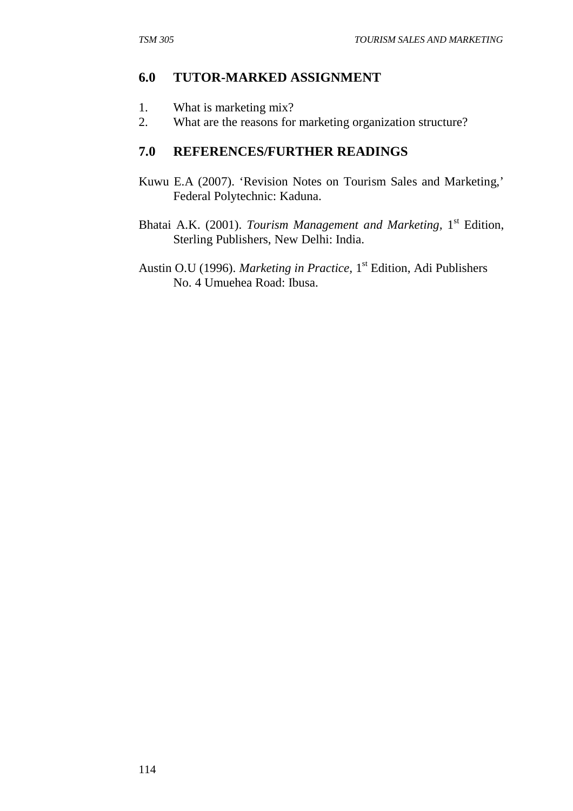## **6.0 TUTOR-MARKED ASSIGNMENT**

- 1. What is marketing mix?
- 2. What are the reasons for marketing organization structure?

# **7.0 REFERENCES/FURTHER READINGS**

- Kuwu E.A (2007). 'Revision Notes on Tourism Sales and Marketing,' Federal Polytechnic: Kaduna.
- Bhatai A.K. (2001). *Tourism Management and Marketing*, 1<sup>st</sup> Edition, Sterling Publishers, New Delhi: India.
- Austin O.U (1996). *Marketing in Practice*, 1<sup>st</sup> Edition, Adi Publishers No. 4 Umuehea Road: Ibusa.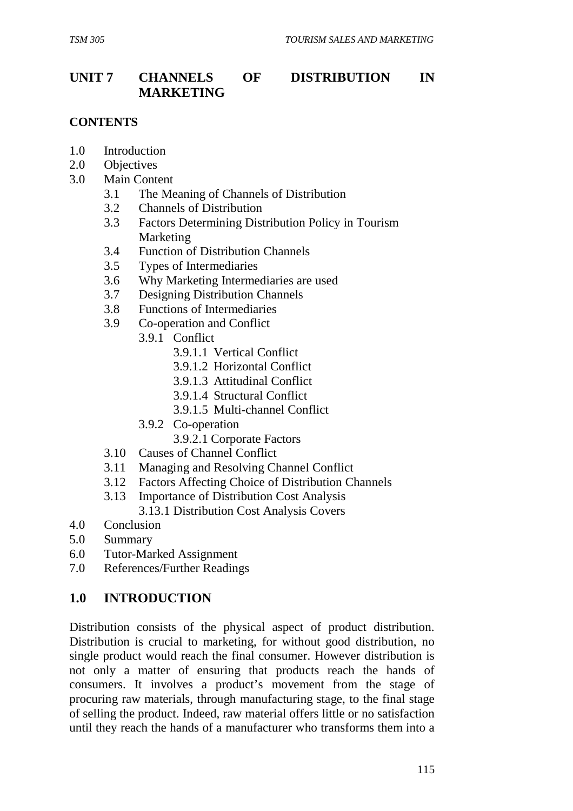# **UNIT 7 CHANNELS OF DISTRIBUTION IN MARKETING**

#### **CONTENTS**

- 1.0 Introduction
- 2.0 Objectives
- 3.0 Main Content
	- 3.1 The Meaning of Channels of Distribution
	- 3.2 Channels of Distribution
	- 3.3 Factors Determining Distribution Policy in Tourism Marketing
	- 3.4 Function of Distribution Channels
	- 3.5 Types of Intermediaries
	- 3.6 Why Marketing Intermediaries are used
	- 3.7 Designing Distribution Channels
	- 3.8 Functions of Intermediaries
	- 3.9 Co-operation and Conflict
		- 3.9.1 Conflict
			- 3.9.1.1 Vertical Conflict
			- 3.9.1.2 Horizontal Conflict
			- 3.9.1.3 Attitudinal Conflict
			- 3.9.1.4 Structural Conflict
			- 3.9.1.5 Multi-channel Conflict
		- 3.9.2 Co-operation
			- 3.9.2.1 Corporate Factors
	- 3.10 Causes of Channel Conflict
	- 3.11 Managing and Resolving Channel Conflict
	- 3.12 Factors Affecting Choice of Distribution Channels
	- 3.13 Importance of Distribution Cost Analysis
		- 3.13.1 Distribution Cost Analysis Covers
- 4.0 Conclusion
- 5.0 Summary
- 6.0 Tutor-Marked Assignment
- 7.0 References/Further Readings

# **1.0 INTRODUCTION**

Distribution consists of the physical aspect of product distribution. Distribution is crucial to marketing, for without good distribution, no single product would reach the final consumer. However distribution is not only a matter of ensuring that products reach the hands of consumers. It involves a product's movement from the stage of procuring raw materials, through manufacturing stage, to the final stage of selling the product. Indeed, raw material offers little or no satisfaction until they reach the hands of a manufacturer who transforms them into a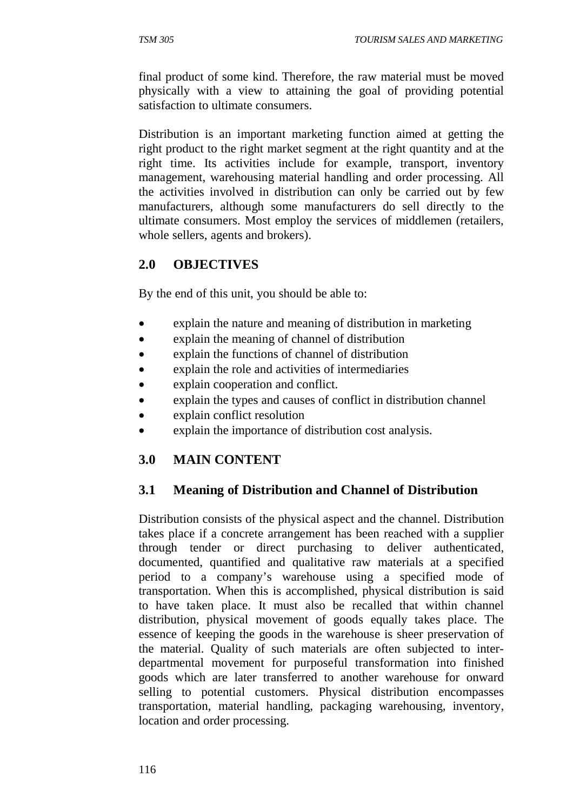final product of some kind. Therefore, the raw material must be moved physically with a view to attaining the goal of providing potential satisfaction to ultimate consumers.

Distribution is an important marketing function aimed at getting the right product to the right market segment at the right quantity and at the right time. Its activities include for example, transport, inventory management, warehousing material handling and order processing. All the activities involved in distribution can only be carried out by few manufacturers, although some manufacturers do sell directly to the ultimate consumers. Most employ the services of middlemen (retailers, whole sellers, agents and brokers).

# **2.0 OBJECTIVES**

By the end of this unit, you should be able to:

- explain the nature and meaning of distribution in marketing
- explain the meaning of channel of distribution
- explain the functions of channel of distribution
- explain the role and activities of intermediaries
- explain cooperation and conflict.
- explain the types and causes of conflict in distribution channel
- explain conflict resolution
- explain the importance of distribution cost analysis.

# **3.0 MAIN CONTENT**

# **3.1 Meaning of Distribution and Channel of Distribution**

Distribution consists of the physical aspect and the channel. Distribution takes place if a concrete arrangement has been reached with a supplier through tender or direct purchasing to deliver authenticated, documented, quantified and qualitative raw materials at a specified period to a company's warehouse using a specified mode of transportation. When this is accomplished, physical distribution is said to have taken place. It must also be recalled that within channel distribution, physical movement of goods equally takes place. The essence of keeping the goods in the warehouse is sheer preservation of the material. Quality of such materials are often subjected to interdepartmental movement for purposeful transformation into finished goods which are later transferred to another warehouse for onward selling to potential customers. Physical distribution encompasses transportation, material handling, packaging warehousing, inventory, location and order processing.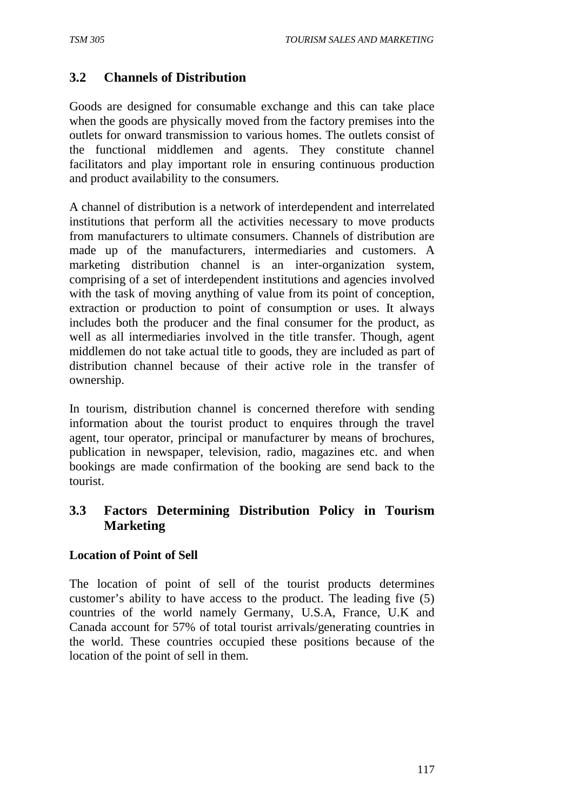## **3.2 Channels of Distribution**

Goods are designed for consumable exchange and this can take place when the goods are physically moved from the factory premises into the outlets for onward transmission to various homes. The outlets consist of the functional middlemen and agents. They constitute channel facilitators and play important role in ensuring continuous production and product availability to the consumers.

A channel of distribution is a network of interdependent and interrelated institutions that perform all the activities necessary to move products from manufacturers to ultimate consumers. Channels of distribution are made up of the manufacturers, intermediaries and customers. A marketing distribution channel is an inter-organization system, comprising of a set of interdependent institutions and agencies involved with the task of moving anything of value from its point of conception, extraction or production to point of consumption or uses. It always includes both the producer and the final consumer for the product, as well as all intermediaries involved in the title transfer. Though, agent middlemen do not take actual title to goods, they are included as part of distribution channel because of their active role in the transfer of ownership.

In tourism, distribution channel is concerned therefore with sending information about the tourist product to enquires through the travel agent, tour operator, principal or manufacturer by means of brochures, publication in newspaper, television, radio, magazines etc. and when bookings are made confirmation of the booking are send back to the tourist.

# **3.3 Factors Determining Distribution Policy in Tourism Marketing**

## **Location of Point of Sell**

The location of point of sell of the tourist products determines customer's ability to have access to the product. The leading five (5) countries of the world namely Germany, U.S.A, France, U.K and Canada account for 57% of total tourist arrivals/generating countries in the world. These countries occupied these positions because of the location of the point of sell in them.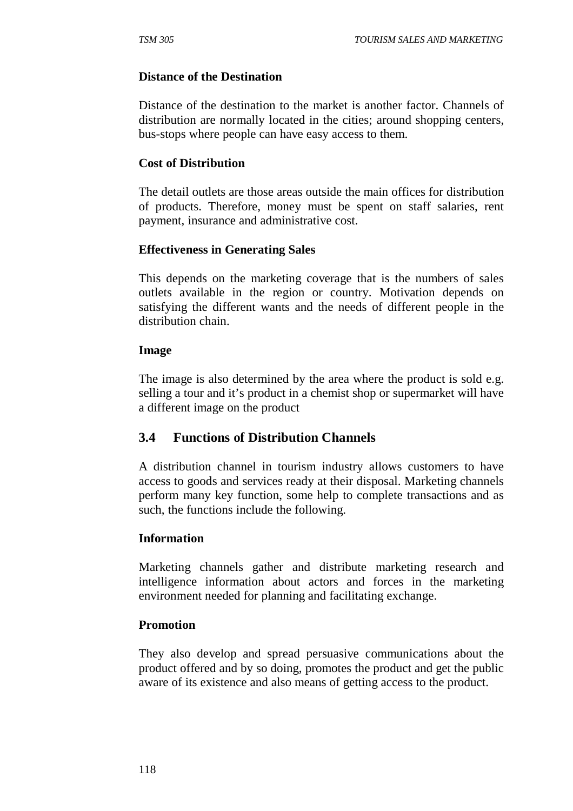#### **Distance of the Destination**

Distance of the destination to the market is another factor. Channels of distribution are normally located in the cities; around shopping centers, bus-stops where people can have easy access to them.

#### **Cost of Distribution**

The detail outlets are those areas outside the main offices for distribution of products. Therefore, money must be spent on staff salaries, rent payment, insurance and administrative cost.

#### **Effectiveness in Generating Sales**

This depends on the marketing coverage that is the numbers of sales outlets available in the region or country. Motivation depends on satisfying the different wants and the needs of different people in the distribution chain.

#### **Image**

The image is also determined by the area where the product is sold e.g. selling a tour and it's product in a chemist shop or supermarket will have a different image on the product

## **3.4 Functions of Distribution Channels**

A distribution channel in tourism industry allows customers to have access to goods and services ready at their disposal. Marketing channels perform many key function, some help to complete transactions and as such, the functions include the following.

#### **Information**

Marketing channels gather and distribute marketing research and intelligence information about actors and forces in the marketing environment needed for planning and facilitating exchange.

#### **Promotion**

They also develop and spread persuasive communications about the product offered and by so doing, promotes the product and get the public aware of its existence and also means of getting access to the product.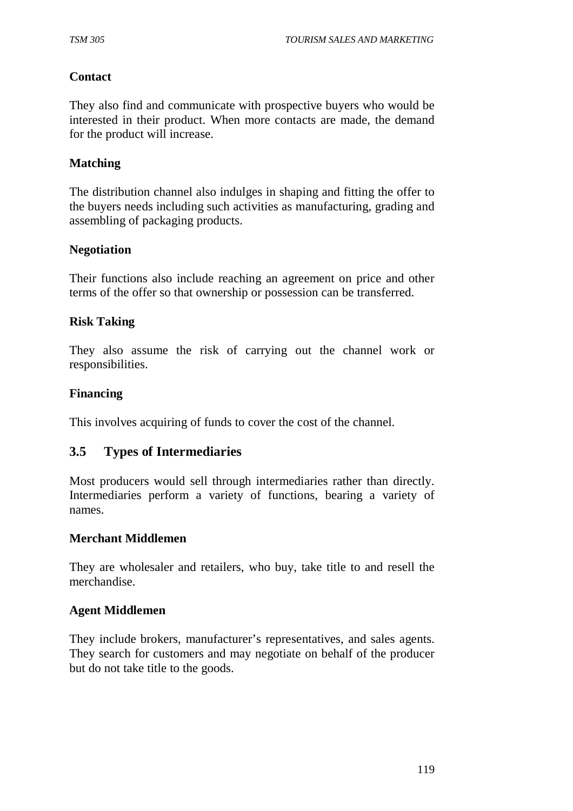#### **Contact**

They also find and communicate with prospective buyers who would be interested in their product. When more contacts are made, the demand for the product will increase.

#### **Matching**

The distribution channel also indulges in shaping and fitting the offer to the buyers needs including such activities as manufacturing, grading and assembling of packaging products.

#### **Negotiation**

Their functions also include reaching an agreement on price and other terms of the offer so that ownership or possession can be transferred.

#### **Risk Taking**

They also assume the risk of carrying out the channel work or responsibilities.

#### **Financing**

This involves acquiring of funds to cover the cost of the channel.

## **3.5 Types of Intermediaries**

Most producers would sell through intermediaries rather than directly. Intermediaries perform a variety of functions, bearing a variety of names.

#### **Merchant Middlemen**

They are wholesaler and retailers, who buy, take title to and resell the merchandise.

#### **Agent Middlemen**

They include brokers, manufacturer's representatives, and sales agents. They search for customers and may negotiate on behalf of the producer but do not take title to the goods.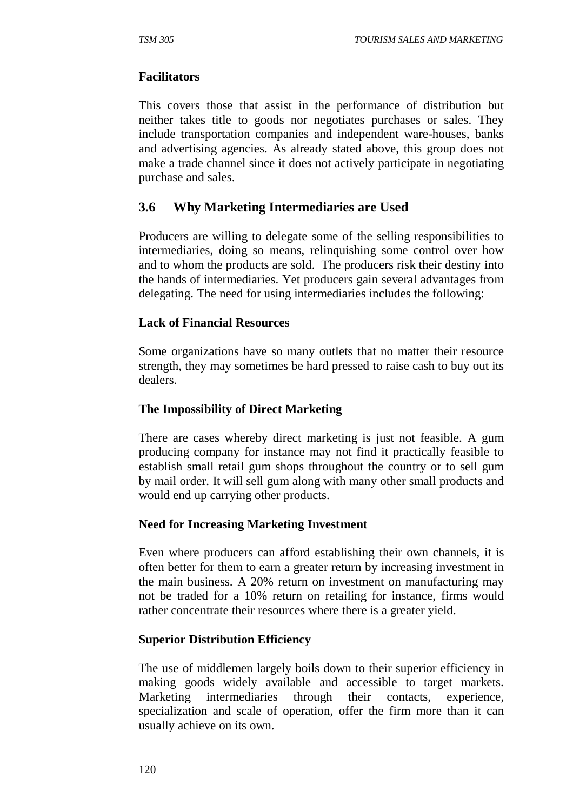#### **Facilitators**

This covers those that assist in the performance of distribution but neither takes title to goods nor negotiates purchases or sales. They include transportation companies and independent ware-houses, banks and advertising agencies. As already stated above, this group does not make a trade channel since it does not actively participate in negotiating purchase and sales.

## **3.6 Why Marketing Intermediaries are Used**

Producers are willing to delegate some of the selling responsibilities to intermediaries, doing so means, relinquishing some control over how and to whom the products are sold. The producers risk their destiny into the hands of intermediaries. Yet producers gain several advantages from delegating. The need for using intermediaries includes the following:

#### **Lack of Financial Resources**

Some organizations have so many outlets that no matter their resource strength, they may sometimes be hard pressed to raise cash to buy out its dealers.

#### **The Impossibility of Direct Marketing**

There are cases whereby direct marketing is just not feasible. A gum producing company for instance may not find it practically feasible to establish small retail gum shops throughout the country or to sell gum by mail order. It will sell gum along with many other small products and would end up carrying other products.

## **Need for Increasing Marketing Investment**

Even where producers can afford establishing their own channels, it is often better for them to earn a greater return by increasing investment in the main business. A 20% return on investment on manufacturing may not be traded for a 10% return on retailing for instance, firms would rather concentrate their resources where there is a greater yield.

#### **Superior Distribution Efficiency**

The use of middlemen largely boils down to their superior efficiency in making goods widely available and accessible to target markets. Marketing intermediaries through their contacts, experience, specialization and scale of operation, offer the firm more than it can usually achieve on its own.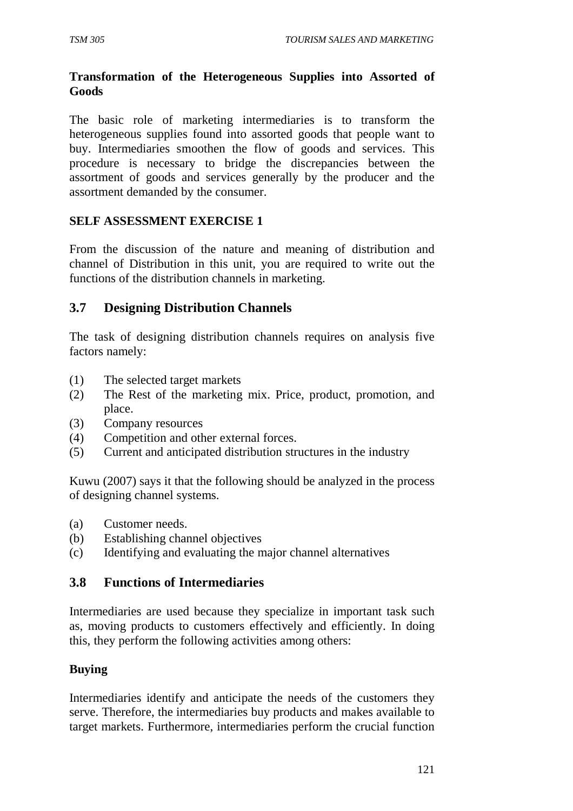# **Transformation of the Heterogeneous Supplies into Assorted of Goods**

The basic role of marketing intermediaries is to transform the heterogeneous supplies found into assorted goods that people want to buy. Intermediaries smoothen the flow of goods and services. This procedure is necessary to bridge the discrepancies between the assortment of goods and services generally by the producer and the assortment demanded by the consumer.

## **SELF ASSESSMENT EXERCISE 1**

From the discussion of the nature and meaning of distribution and channel of Distribution in this unit, you are required to write out the functions of the distribution channels in marketing.

# **3.7 Designing Distribution Channels**

The task of designing distribution channels requires on analysis five factors namely:

- (1) The selected target markets
- (2) The Rest of the marketing mix. Price, product, promotion, and place.
- (3) Company resources
- (4) Competition and other external forces.
- (5) Current and anticipated distribution structures in the industry

Kuwu (2007) says it that the following should be analyzed in the process of designing channel systems.

- (a) Customer needs.
- (b) Establishing channel objectives
- (c) Identifying and evaluating the major channel alternatives

## **3.8 Functions of Intermediaries**

Intermediaries are used because they specialize in important task such as, moving products to customers effectively and efficiently. In doing this, they perform the following activities among others:

## **Buying**

Intermediaries identify and anticipate the needs of the customers they serve. Therefore, the intermediaries buy products and makes available to target markets. Furthermore, intermediaries perform the crucial function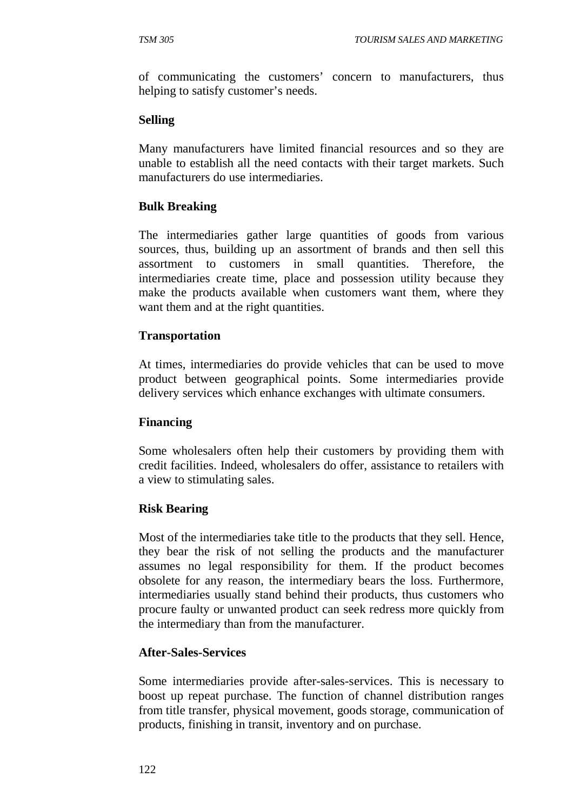of communicating the customers' concern to manufacturers, thus helping to satisfy customer's needs.

#### **Selling**

Many manufacturers have limited financial resources and so they are unable to establish all the need contacts with their target markets. Such manufacturers do use intermediaries.

## **Bulk Breaking**

The intermediaries gather large quantities of goods from various sources, thus, building up an assortment of brands and then sell this assortment to customers in small quantities. Therefore, the intermediaries create time, place and possession utility because they make the products available when customers want them, where they want them and at the right quantities.

## **Transportation**

At times, intermediaries do provide vehicles that can be used to move product between geographical points. Some intermediaries provide delivery services which enhance exchanges with ultimate consumers.

## **Financing**

Some wholesalers often help their customers by providing them with credit facilities. Indeed, wholesalers do offer, assistance to retailers with a view to stimulating sales.

## **Risk Bearing**

Most of the intermediaries take title to the products that they sell. Hence, they bear the risk of not selling the products and the manufacturer assumes no legal responsibility for them. If the product becomes obsolete for any reason, the intermediary bears the loss. Furthermore, intermediaries usually stand behind their products, thus customers who procure faulty or unwanted product can seek redress more quickly from the intermediary than from the manufacturer.

## **After-Sales-Services**

Some intermediaries provide after-sales-services. This is necessary to boost up repeat purchase. The function of channel distribution ranges from title transfer, physical movement, goods storage, communication of products, finishing in transit, inventory and on purchase.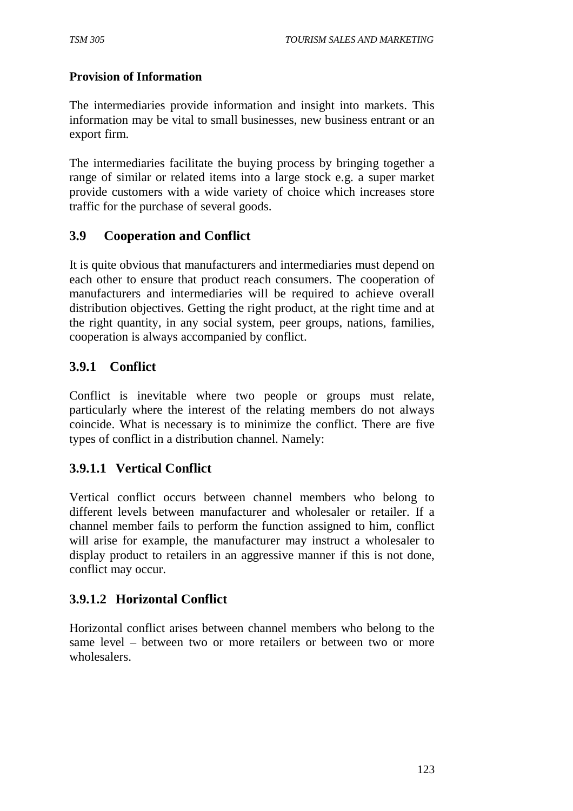#### **Provision of Information**

The intermediaries provide information and insight into markets. This information may be vital to small businesses, new business entrant or an export firm.

The intermediaries facilitate the buying process by bringing together a range of similar or related items into a large stock e.g. a super market provide customers with a wide variety of choice which increases store traffic for the purchase of several goods.

## **3.9 Cooperation and Conflict**

It is quite obvious that manufacturers and intermediaries must depend on each other to ensure that product reach consumers. The cooperation of manufacturers and intermediaries will be required to achieve overall distribution objectives. Getting the right product, at the right time and at the right quantity, in any social system, peer groups, nations, families, cooperation is always accompanied by conflict.

## **3.9.1 Conflict**

Conflict is inevitable where two people or groups must relate, particularly where the interest of the relating members do not always coincide. What is necessary is to minimize the conflict. There are five types of conflict in a distribution channel. Namely:

# **3.9.1.1 Vertical Conflict**

Vertical conflict occurs between channel members who belong to different levels between manufacturer and wholesaler or retailer. If a channel member fails to perform the function assigned to him, conflict will arise for example, the manufacturer may instruct a wholesaler to display product to retailers in an aggressive manner if this is not done, conflict may occur.

## **3.9.1.2 Horizontal Conflict**

Horizontal conflict arises between channel members who belong to the same level – between two or more retailers or between two or more wholesalers.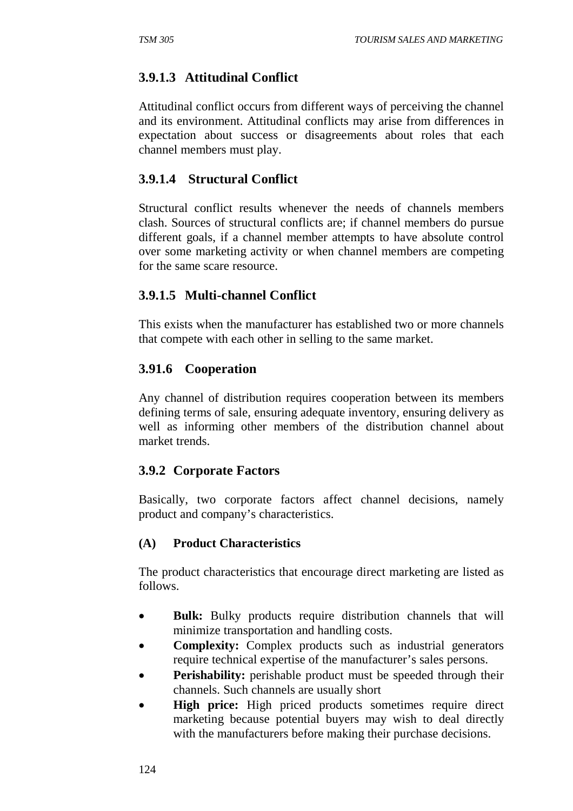## **3.9.1.3 Attitudinal Conflict**

Attitudinal conflict occurs from different ways of perceiving the channel and its environment. Attitudinal conflicts may arise from differences in expectation about success or disagreements about roles that each channel members must play.

#### **3.9.1.4 Structural Conflict**

Structural conflict results whenever the needs of channels members clash. Sources of structural conflicts are; if channel members do pursue different goals, if a channel member attempts to have absolute control over some marketing activity or when channel members are competing for the same scare resource.

#### **3.9.1.5 Multi-channel Conflict**

This exists when the manufacturer has established two or more channels that compete with each other in selling to the same market.

#### **3.91.6 Cooperation**

Any channel of distribution requires cooperation between its members defining terms of sale, ensuring adequate inventory, ensuring delivery as well as informing other members of the distribution channel about market trends.

#### **3.9.2 Corporate Factors**

Basically, two corporate factors affect channel decisions, namely product and company's characteristics.

#### **(A) Product Characteristics**

The product characteristics that encourage direct marketing are listed as follows.

- **Bulk:** Bulky products require distribution channels that will minimize transportation and handling costs.
- **Complexity:** Complex products such as industrial generators require technical expertise of the manufacturer's sales persons.
- **Perishability:** perishable product must be speeded through their channels. Such channels are usually short
- **High price:** High priced products sometimes require direct marketing because potential buyers may wish to deal directly with the manufacturers before making their purchase decisions.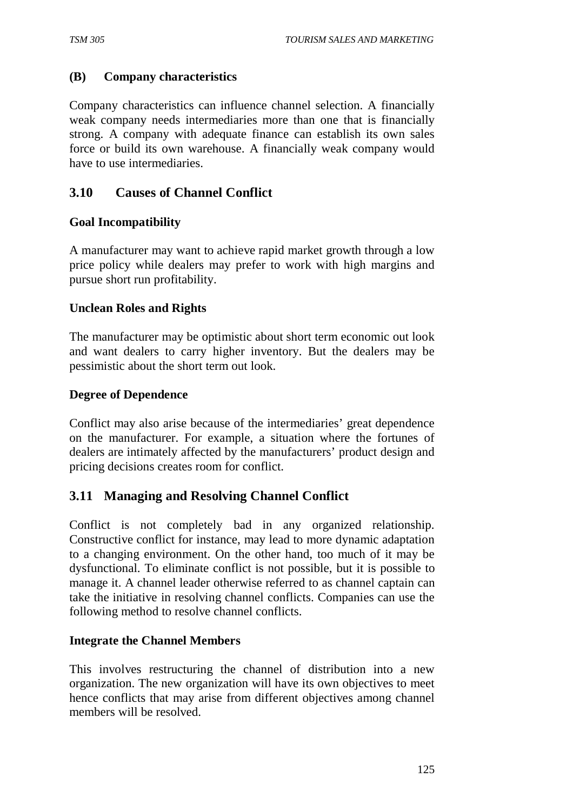#### **(B) Company characteristics**

Company characteristics can influence channel selection. A financially weak company needs intermediaries more than one that is financially strong. A company with adequate finance can establish its own sales force or build its own warehouse. A financially weak company would have to use intermediaries.

## **3.10 Causes of Channel Conflict**

#### **Goal Incompatibility**

A manufacturer may want to achieve rapid market growth through a low price policy while dealers may prefer to work with high margins and pursue short run profitability.

#### **Unclean Roles and Rights**

The manufacturer may be optimistic about short term economic out look and want dealers to carry higher inventory. But the dealers may be pessimistic about the short term out look.

#### **Degree of Dependence**

Conflict may also arise because of the intermediaries' great dependence on the manufacturer. For example, a situation where the fortunes of dealers are intimately affected by the manufacturers' product design and pricing decisions creates room for conflict.

# **3.11 Managing and Resolving Channel Conflict**

Conflict is not completely bad in any organized relationship. Constructive conflict for instance, may lead to more dynamic adaptation to a changing environment. On the other hand, too much of it may be dysfunctional. To eliminate conflict is not possible, but it is possible to manage it. A channel leader otherwise referred to as channel captain can take the initiative in resolving channel conflicts. Companies can use the following method to resolve channel conflicts.

#### **Integrate the Channel Members**

This involves restructuring the channel of distribution into a new organization. The new organization will have its own objectives to meet hence conflicts that may arise from different objectives among channel members will be resolved.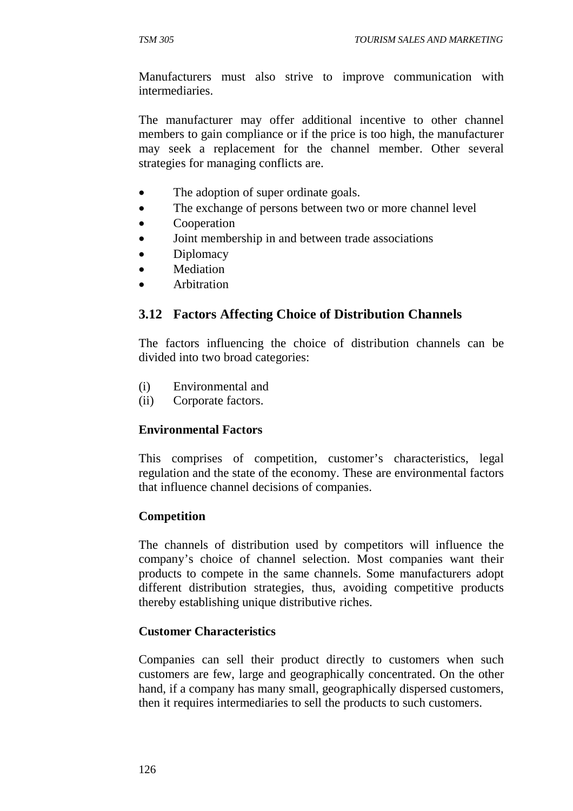Manufacturers must also strive to improve communication with intermediaries.

The manufacturer may offer additional incentive to other channel members to gain compliance or if the price is too high, the manufacturer may seek a replacement for the channel member. Other several strategies for managing conflicts are.

- The adoption of super ordinate goals.
- The exchange of persons between two or more channel level
- Cooperation
- Joint membership in and between trade associations
- Diplomacy
- **Mediation**
- Arbitration

## **3.12 Factors Affecting Choice of Distribution Channels**

The factors influencing the choice of distribution channels can be divided into two broad categories:

- (i) Environmental and
- (ii) Corporate factors.

#### **Environmental Factors**

This comprises of competition, customer's characteristics, legal regulation and the state of the economy. These are environmental factors that influence channel decisions of companies.

#### **Competition**

The channels of distribution used by competitors will influence the company's choice of channel selection. Most companies want their products to compete in the same channels. Some manufacturers adopt different distribution strategies, thus, avoiding competitive products thereby establishing unique distributive riches.

#### **Customer Characteristics**

Companies can sell their product directly to customers when such customers are few, large and geographically concentrated. On the other hand, if a company has many small, geographically dispersed customers, then it requires intermediaries to sell the products to such customers.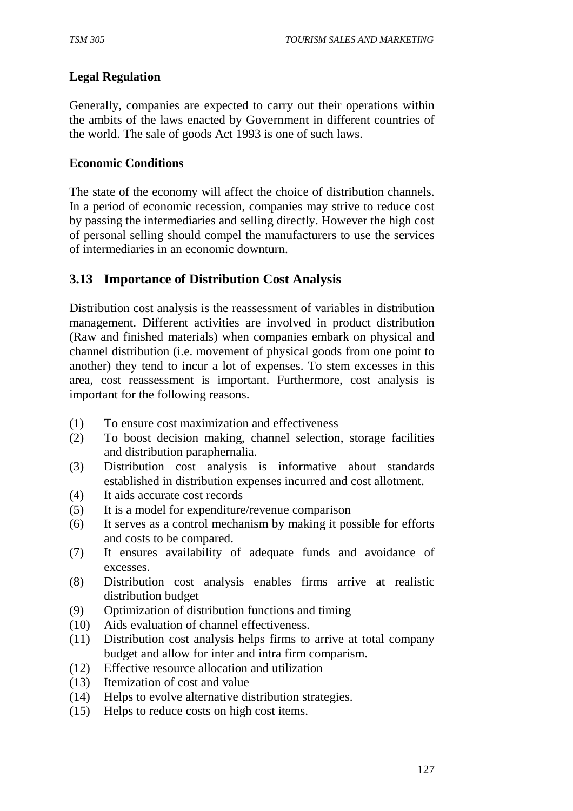## **Legal Regulation**

Generally, companies are expected to carry out their operations within the ambits of the laws enacted by Government in different countries of the world. The sale of goods Act 1993 is one of such laws.

#### **Economic Conditions**

The state of the economy will affect the choice of distribution channels. In a period of economic recession, companies may strive to reduce cost by passing the intermediaries and selling directly. However the high cost of personal selling should compel the manufacturers to use the services of intermediaries in an economic downturn.

## **3.13 Importance of Distribution Cost Analysis**

Distribution cost analysis is the reassessment of variables in distribution management. Different activities are involved in product distribution (Raw and finished materials) when companies embark on physical and channel distribution (i.e. movement of physical goods from one point to another) they tend to incur a lot of expenses. To stem excesses in this area, cost reassessment is important. Furthermore, cost analysis is important for the following reasons.

- (1) To ensure cost maximization and effectiveness
- (2) To boost decision making, channel selection, storage facilities and distribution paraphernalia.
- (3) Distribution cost analysis is informative about standards established in distribution expenses incurred and cost allotment.
- (4) It aids accurate cost records
- (5) It is a model for expenditure/revenue comparison
- (6) It serves as a control mechanism by making it possible for efforts and costs to be compared.
- (7) It ensures availability of adequate funds and avoidance of excesses.
- (8) Distribution cost analysis enables firms arrive at realistic distribution budget
- (9) Optimization of distribution functions and timing
- (10) Aids evaluation of channel effectiveness.
- (11) Distribution cost analysis helps firms to arrive at total company budget and allow for inter and intra firm comparism.
- (12) Effective resource allocation and utilization
- (13) Itemization of cost and value
- (14) Helps to evolve alternative distribution strategies.
- (15) Helps to reduce costs on high cost items.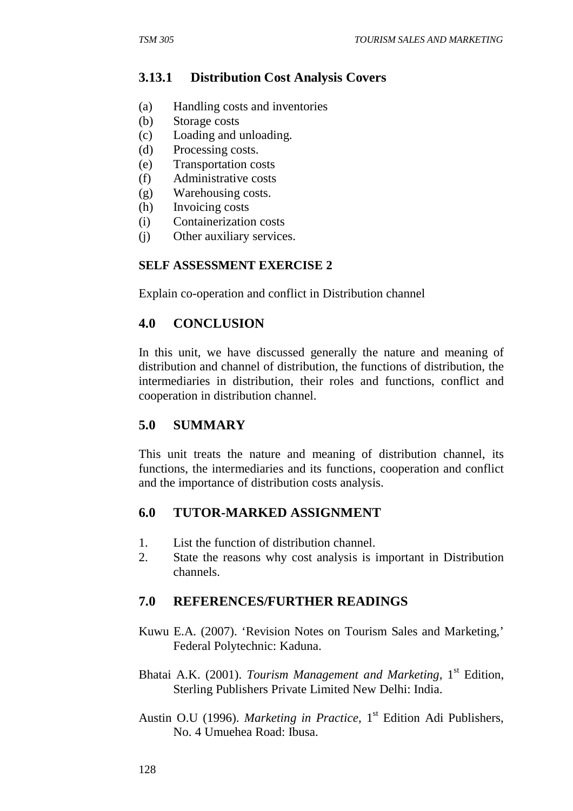# **3.13.1 Distribution Cost Analysis Covers**

- (a) Handling costs and inventories
- (b) Storage costs
- (c) Loading and unloading.
- (d) Processing costs.
- (e) Transportation costs
- (f) Administrative costs
- (g) Warehousing costs.
- (h) Invoicing costs
- (i) Containerization costs
- (j) Other auxiliary services.

#### **SELF ASSESSMENT EXERCISE 2**

Explain co-operation and conflict in Distribution channel

## **4.0 CONCLUSION**

In this unit, we have discussed generally the nature and meaning of distribution and channel of distribution, the functions of distribution, the intermediaries in distribution, their roles and functions, conflict and cooperation in distribution channel.

## **5.0 SUMMARY**

This unit treats the nature and meaning of distribution channel, its functions, the intermediaries and its functions, cooperation and conflict and the importance of distribution costs analysis.

## **6.0 TUTOR-MARKED ASSIGNMENT**

- 1. List the function of distribution channel.
- 2. State the reasons why cost analysis is important in Distribution channels.

#### **7.0 REFERENCES/FURTHER READINGS**

- Kuwu E.A. (2007). 'Revision Notes on Tourism Sales and Marketing,' Federal Polytechnic: Kaduna.
- Bhatai A.K. (2001). *Tourism Management and Marketing*, 1<sup>st</sup> Edition, Sterling Publishers Private Limited New Delhi: India.
- Austin O.U (1996). *Marketing in Practice*, 1<sup>st</sup> Edition Adi Publishers, No. 4 Umuehea Road: Ibusa.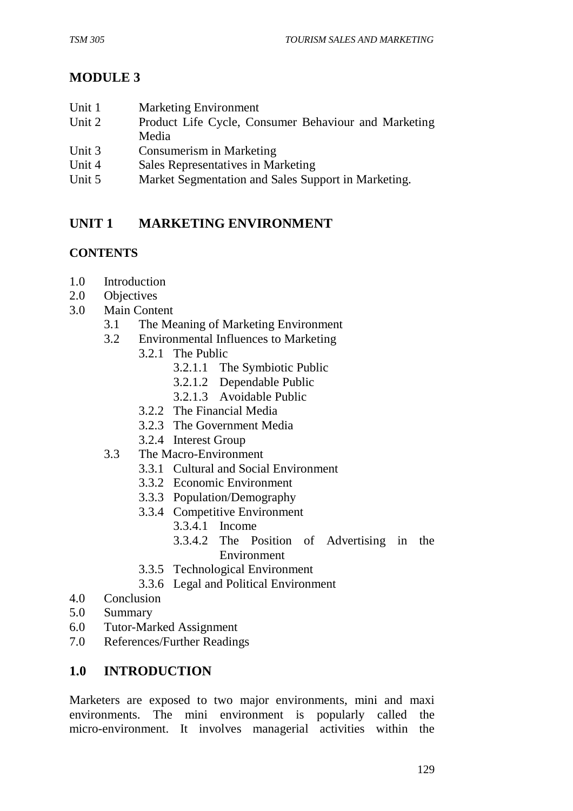# **MODULE 3**

| Unit 1 | <b>Marketing Environment</b>                         |
|--------|------------------------------------------------------|
| Unit 2 | Product Life Cycle, Consumer Behaviour and Marketing |
|        | Media                                                |
| Unit 3 | Consumerism in Marketing                             |
| Unit 4 | Sales Representatives in Marketing                   |
| Unit 5 | Market Segmentation and Sales Support in Marketing.  |

# **UNIT 1 MARKETING ENVIRONMENT**

## **CONTENTS**

- 1.0 Introduction
- 2.0 Objectives
- 3.0 Main Content
	- 3.1 The Meaning of Marketing Environment
	- 3.2 Environmental Influences to Marketing
		- 3.2.1 The Public
			- 3.2.1.1 The Symbiotic Public
			- 3.2.1.2 Dependable Public
			- 3.2.1.3 Avoidable Public
		- 3.2.2 The Financial Media
		- 3.2.3 The Government Media
		- 3.2.4 Interest Group
	- 3.3 The Macro-Environment
		- 3.3.1 Cultural and Social Environment
		- 3.3.2 Economic Environment
		- 3.3.3 Population/Demography
		- 3.3.4 Competitive Environment
			- 3.3.4.1 Income
			- 3.3.4.2 The Position of Advertising in the Environment
		- 3.3.5 Technological Environment
		- 3.3.6 Legal and Political Environment
- 4.0 Conclusion
- 5.0 Summary
- 6.0 Tutor-Marked Assignment
- 7.0 References/Further Readings

## **1.0 INTRODUCTION**

Marketers are exposed to two major environments, mini and maxi environments. The mini environment is popularly called the micro-environment. It involves managerial activities within the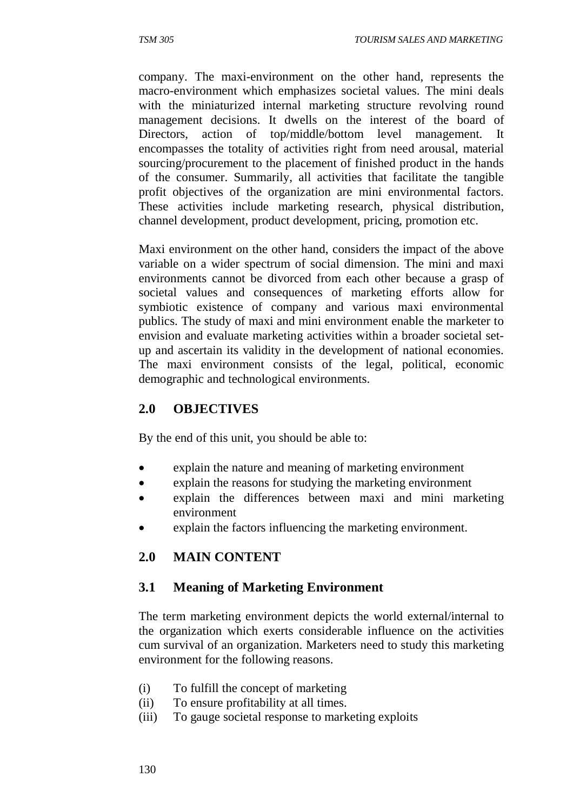company. The maxi-environment on the other hand, represents the macro-environment which emphasizes societal values. The mini deals with the miniaturized internal marketing structure revolving round management decisions. It dwells on the interest of the board of Directors, action of top/middle/bottom level management. It encompasses the totality of activities right from need arousal, material sourcing/procurement to the placement of finished product in the hands of the consumer. Summarily, all activities that facilitate the tangible profit objectives of the organization are mini environmental factors. These activities include marketing research, physical distribution, channel development, product development, pricing, promotion etc.

 Maxi environment on the other hand, considers the impact of the above variable on a wider spectrum of social dimension. The mini and maxi environments cannot be divorced from each other because a grasp of societal values and consequences of marketing efforts allow for symbiotic existence of company and various maxi environmental publics. The study of maxi and mini environment enable the marketer to envision and evaluate marketing activities within a broader societal setup and ascertain its validity in the development of national economies. The maxi environment consists of the legal, political, economic demographic and technological environments.

# **2.0 OBJECTIVES**

By the end of this unit, you should be able to:

- explain the nature and meaning of marketing environment
- explain the reasons for studying the marketing environment
- explain the differences between maxi and mini marketing environment
- explain the factors influencing the marketing environment.

# **2.0 MAIN CONTENT**

## **3.1 Meaning of Marketing Environment**

The term marketing environment depicts the world external/internal to the organization which exerts considerable influence on the activities cum survival of an organization. Marketers need to study this marketing environment for the following reasons.

- (i) To fulfill the concept of marketing
- (ii) To ensure profitability at all times.
- (iii) To gauge societal response to marketing exploits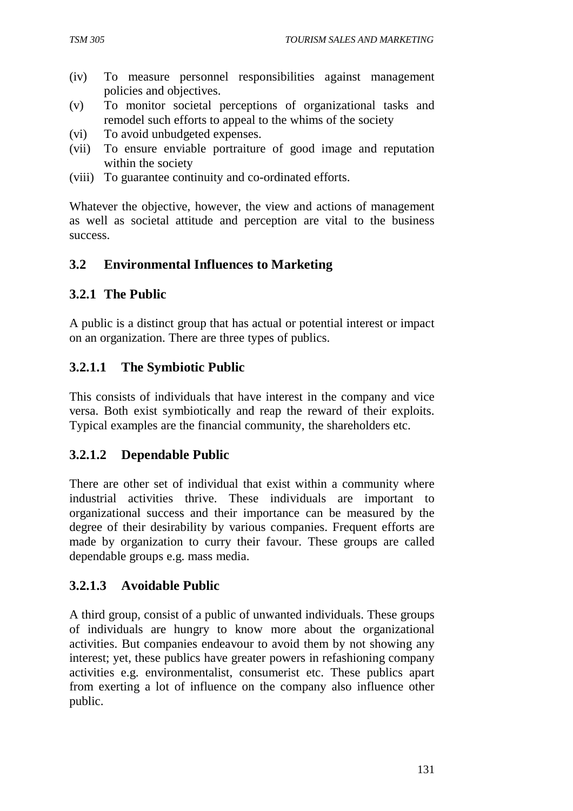- (iv) To measure personnel responsibilities against management policies and objectives.
- (v) To monitor societal perceptions of organizational tasks and remodel such efforts to appeal to the whims of the society
- (vi) To avoid unbudgeted expenses.
- (vii) To ensure enviable portraiture of good image and reputation within the society
- (viii) To guarantee continuity and co-ordinated efforts.

Whatever the objective, however, the view and actions of management as well as societal attitude and perception are vital to the business success.

## **3.2 Environmental Influences to Marketing**

## **3.2.1 The Public**

A public is a distinct group that has actual or potential interest or impact on an organization. There are three types of publics.

# **3.2.1.1 The Symbiotic Public**

This consists of individuals that have interest in the company and vice versa. Both exist symbiotically and reap the reward of their exploits. Typical examples are the financial community, the shareholders etc.

# **3.2.1.2 Dependable Public**

There are other set of individual that exist within a community where industrial activities thrive. These individuals are important to organizational success and their importance can be measured by the degree of their desirability by various companies. Frequent efforts are made by organization to curry their favour. These groups are called dependable groups e.g. mass media.

# **3.2.1.3 Avoidable Public**

A third group, consist of a public of unwanted individuals. These groups of individuals are hungry to know more about the organizational activities. But companies endeavour to avoid them by not showing any interest; yet, these publics have greater powers in refashioning company activities e.g. environmentalist, consumerist etc. These publics apart from exerting a lot of influence on the company also influence other public.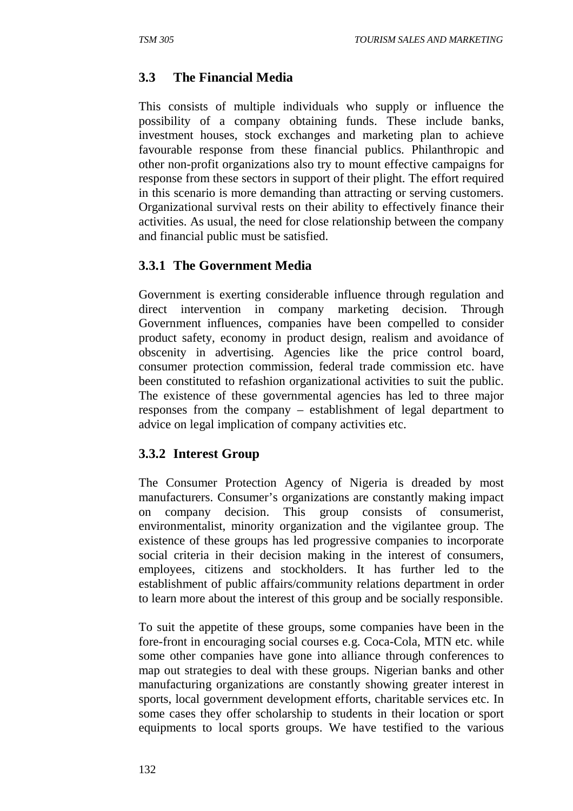## **3.3 The Financial Media**

This consists of multiple individuals who supply or influence the possibility of a company obtaining funds. These include banks, investment houses, stock exchanges and marketing plan to achieve favourable response from these financial publics. Philanthropic and other non-profit organizations also try to mount effective campaigns for response from these sectors in support of their plight. The effort required in this scenario is more demanding than attracting or serving customers. Organizational survival rests on their ability to effectively finance their activities. As usual, the need for close relationship between the company and financial public must be satisfied.

## **3.3.1 The Government Media**

Government is exerting considerable influence through regulation and direct intervention in company marketing decision. Through Government influences, companies have been compelled to consider product safety, economy in product design, realism and avoidance of obscenity in advertising. Agencies like the price control board, consumer protection commission, federal trade commission etc. have been constituted to refashion organizational activities to suit the public. The existence of these governmental agencies has led to three major responses from the company – establishment of legal department to advice on legal implication of company activities etc.

## **3.3.2 Interest Group**

The Consumer Protection Agency of Nigeria is dreaded by most manufacturers. Consumer's organizations are constantly making impact on company decision. This group consists of consumerist, environmentalist, minority organization and the vigilantee group. The existence of these groups has led progressive companies to incorporate social criteria in their decision making in the interest of consumers, employees, citizens and stockholders. It has further led to the establishment of public affairs/community relations department in order to learn more about the interest of this group and be socially responsible.

To suit the appetite of these groups, some companies have been in the fore-front in encouraging social courses e.g. Coca-Cola, MTN etc. while some other companies have gone into alliance through conferences to map out strategies to deal with these groups. Nigerian banks and other manufacturing organizations are constantly showing greater interest in sports, local government development efforts, charitable services etc. In some cases they offer scholarship to students in their location or sport equipments to local sports groups. We have testified to the various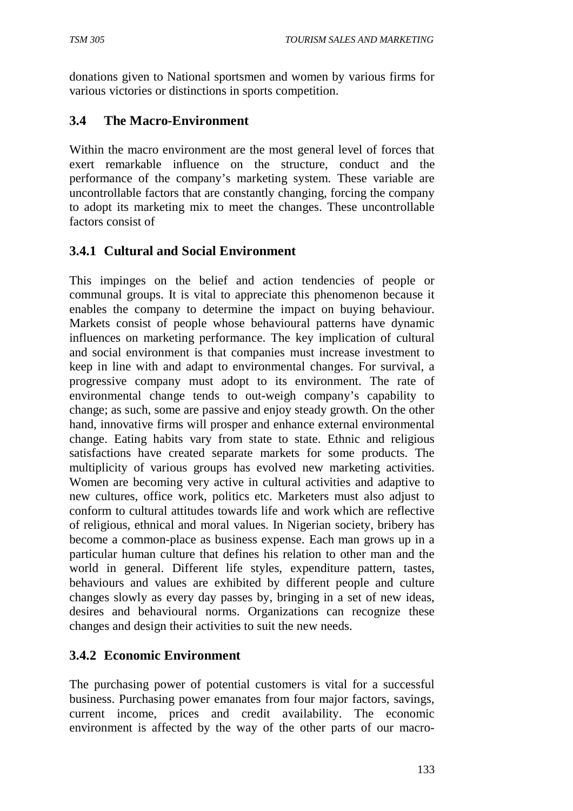donations given to National sportsmen and women by various firms for various victories or distinctions in sports competition.

## **3.4 The Macro-Environment**

Within the macro environment are the most general level of forces that exert remarkable influence on the structure, conduct and the performance of the company's marketing system. These variable are uncontrollable factors that are constantly changing, forcing the company to adopt its marketing mix to meet the changes. These uncontrollable factors consist of

# **3.4.1 Cultural and Social Environment**

This impinges on the belief and action tendencies of people or communal groups. It is vital to appreciate this phenomenon because it enables the company to determine the impact on buying behaviour. Markets consist of people whose behavioural patterns have dynamic influences on marketing performance. The key implication of cultural and social environment is that companies must increase investment to keep in line with and adapt to environmental changes. For survival, a progressive company must adopt to its environment. The rate of environmental change tends to out-weigh company's capability to change; as such, some are passive and enjoy steady growth. On the other hand, innovative firms will prosper and enhance external environmental change. Eating habits vary from state to state. Ethnic and religious satisfactions have created separate markets for some products. The multiplicity of various groups has evolved new marketing activities. Women are becoming very active in cultural activities and adaptive to new cultures, office work, politics etc. Marketers must also adjust to conform to cultural attitudes towards life and work which are reflective of religious, ethnical and moral values. In Nigerian society, bribery has become a common-place as business expense. Each man grows up in a particular human culture that defines his relation to other man and the world in general. Different life styles, expenditure pattern, tastes, behaviours and values are exhibited by different people and culture changes slowly as every day passes by, bringing in a set of new ideas, desires and behavioural norms. Organizations can recognize these changes and design their activities to suit the new needs.

# **3.4.2 Economic Environment**

The purchasing power of potential customers is vital for a successful business. Purchasing power emanates from four major factors, savings, current income, prices and credit availability. The economic environment is affected by the way of the other parts of our macro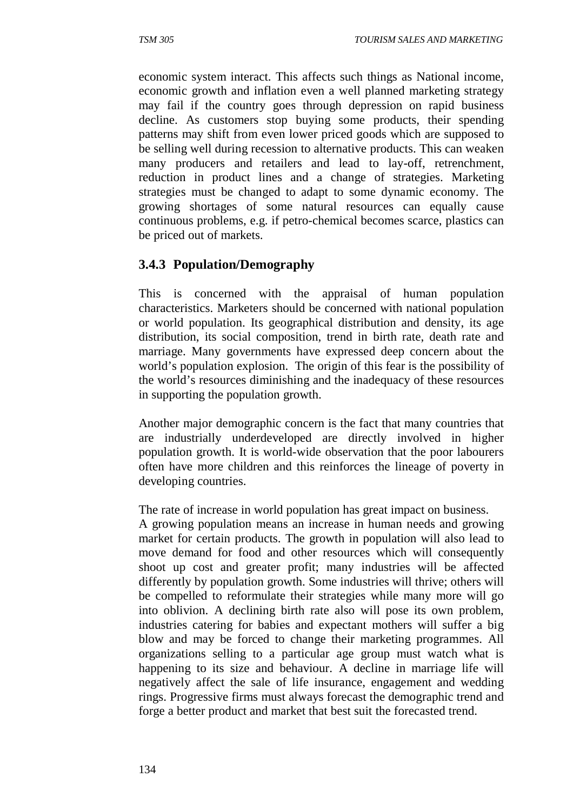economic system interact. This affects such things as National income, economic growth and inflation even a well planned marketing strategy may fail if the country goes through depression on rapid business decline. As customers stop buying some products, their spending patterns may shift from even lower priced goods which are supposed to be selling well during recession to alternative products. This can weaken many producers and retailers and lead to lay-off, retrenchment, reduction in product lines and a change of strategies. Marketing strategies must be changed to adapt to some dynamic economy. The growing shortages of some natural resources can equally cause continuous problems, e.g. if petro-chemical becomes scarce, plastics can be priced out of markets.

# **3.4.3 Population/Demography**

This is concerned with the appraisal of human population characteristics. Marketers should be concerned with national population or world population. Its geographical distribution and density, its age distribution, its social composition, trend in birth rate, death rate and marriage. Many governments have expressed deep concern about the world's population explosion. The origin of this fear is the possibility of the world's resources diminishing and the inadequacy of these resources in supporting the population growth.

 Another major demographic concern is the fact that many countries that are industrially underdeveloped are directly involved in higher population growth. It is world-wide observation that the poor labourers often have more children and this reinforces the lineage of poverty in developing countries.

The rate of increase in world population has great impact on business.

 A growing population means an increase in human needs and growing market for certain products. The growth in population will also lead to move demand for food and other resources which will consequently shoot up cost and greater profit; many industries will be affected differently by population growth. Some industries will thrive; others will be compelled to reformulate their strategies while many more will go into oblivion. A declining birth rate also will pose its own problem, industries catering for babies and expectant mothers will suffer a big blow and may be forced to change their marketing programmes. All organizations selling to a particular age group must watch what is happening to its size and behaviour. A decline in marriage life will negatively affect the sale of life insurance, engagement and wedding rings. Progressive firms must always forecast the demographic trend and forge a better product and market that best suit the forecasted trend.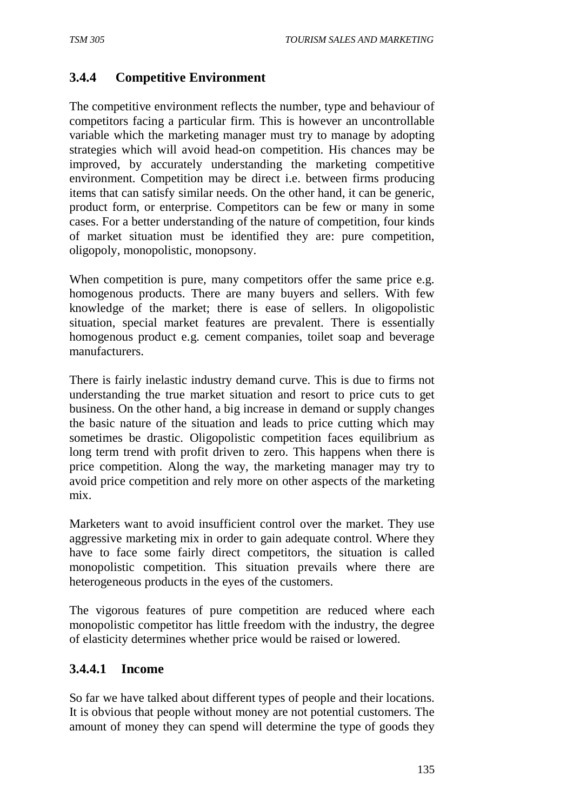# **3.4.4 Competitive Environment**

The competitive environment reflects the number, type and behaviour of competitors facing a particular firm. This is however an uncontrollable variable which the marketing manager must try to manage by adopting strategies which will avoid head-on competition. His chances may be improved, by accurately understanding the marketing competitive environment. Competition may be direct i.e. between firms producing items that can satisfy similar needs. On the other hand, it can be generic, product form, or enterprise. Competitors can be few or many in some cases. For a better understanding of the nature of competition, four kinds of market situation must be identified they are: pure competition, oligopoly, monopolistic, monopsony.

When competition is pure, many competitors offer the same price e.g. homogenous products. There are many buyers and sellers. With few knowledge of the market; there is ease of sellers. In oligopolistic situation, special market features are prevalent. There is essentially homogenous product e.g. cement companies, toilet soap and beverage manufacturers.

There is fairly inelastic industry demand curve. This is due to firms not understanding the true market situation and resort to price cuts to get business. On the other hand, a big increase in demand or supply changes the basic nature of the situation and leads to price cutting which may sometimes be drastic. Oligopolistic competition faces equilibrium as long term trend with profit driven to zero. This happens when there is price competition. Along the way, the marketing manager may try to avoid price competition and rely more on other aspects of the marketing mix.

Marketers want to avoid insufficient control over the market. They use aggressive marketing mix in order to gain adequate control. Where they have to face some fairly direct competitors, the situation is called monopolistic competition. This situation prevails where there are heterogeneous products in the eyes of the customers.

The vigorous features of pure competition are reduced where each monopolistic competitor has little freedom with the industry, the degree of elasticity determines whether price would be raised or lowered.

## **3.4.4.1 Income**

So far we have talked about different types of people and their locations. It is obvious that people without money are not potential customers. The amount of money they can spend will determine the type of goods they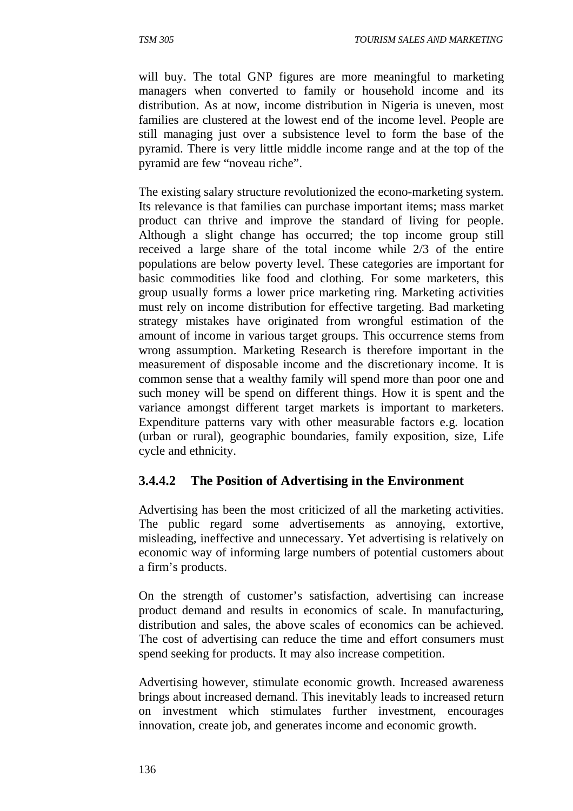will buy. The total GNP figures are more meaningful to marketing managers when converted to family or household income and its distribution. As at now, income distribution in Nigeria is uneven, most families are clustered at the lowest end of the income level. People are still managing just over a subsistence level to form the base of the pyramid. There is very little middle income range and at the top of the pyramid are few "noveau riche".

The existing salary structure revolutionized the econo-marketing system. Its relevance is that families can purchase important items; mass market product can thrive and improve the standard of living for people. Although a slight change has occurred; the top income group still received a large share of the total income while 2/3 of the entire populations are below poverty level. These categories are important for basic commodities like food and clothing. For some marketers, this group usually forms a lower price marketing ring. Marketing activities must rely on income distribution for effective targeting. Bad marketing strategy mistakes have originated from wrongful estimation of the amount of income in various target groups. This occurrence stems from wrong assumption. Marketing Research is therefore important in the measurement of disposable income and the discretionary income. It is common sense that a wealthy family will spend more than poor one and such money will be spend on different things. How it is spent and the variance amongst different target markets is important to marketers. Expenditure patterns vary with other measurable factors e.g. location (urban or rural), geographic boundaries, family exposition, size, Life cycle and ethnicity.

# **3.4.4.2 The Position of Advertising in the Environment**

Advertising has been the most criticized of all the marketing activities. The public regard some advertisements as annoying, extortive, misleading, ineffective and unnecessary. Yet advertising is relatively on economic way of informing large numbers of potential customers about a firm's products.

 On the strength of customer's satisfaction, advertising can increase product demand and results in economics of scale. In manufacturing, distribution and sales, the above scales of economics can be achieved. The cost of advertising can reduce the time and effort consumers must spend seeking for products. It may also increase competition.

 Advertising however, stimulate economic growth. Increased awareness brings about increased demand. This inevitably leads to increased return on investment which stimulates further investment, encourages innovation, create job, and generates income and economic growth.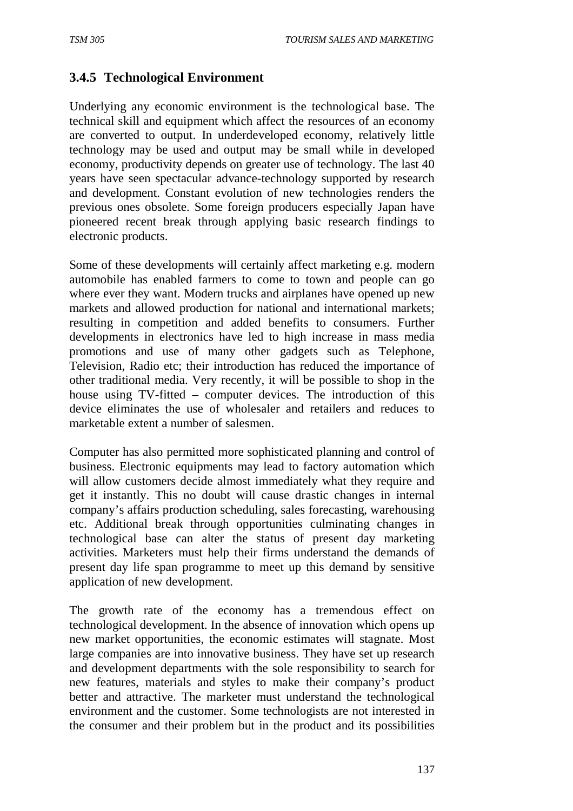# **3.4.5 Technological Environment**

Underlying any economic environment is the technological base. The technical skill and equipment which affect the resources of an economy are converted to output. In underdeveloped economy, relatively little technology may be used and output may be small while in developed economy, productivity depends on greater use of technology. The last 40 years have seen spectacular advance-technology supported by research and development. Constant evolution of new technologies renders the previous ones obsolete. Some foreign producers especially Japan have pioneered recent break through applying basic research findings to electronic products.

 Some of these developments will certainly affect marketing e.g. modern automobile has enabled farmers to come to town and people can go where ever they want. Modern trucks and airplanes have opened up new markets and allowed production for national and international markets; resulting in competition and added benefits to consumers. Further developments in electronics have led to high increase in mass media promotions and use of many other gadgets such as Telephone, Television, Radio etc; their introduction has reduced the importance of other traditional media. Very recently, it will be possible to shop in the house using TV-fitted – computer devices. The introduction of this device eliminates the use of wholesaler and retailers and reduces to marketable extent a number of salesmen.

 Computer has also permitted more sophisticated planning and control of business. Electronic equipments may lead to factory automation which will allow customers decide almost immediately what they require and get it instantly. This no doubt will cause drastic changes in internal company's affairs production scheduling, sales forecasting, warehousing etc. Additional break through opportunities culminating changes in technological base can alter the status of present day marketing activities. Marketers must help their firms understand the demands of present day life span programme to meet up this demand by sensitive application of new development.

 The growth rate of the economy has a tremendous effect on technological development. In the absence of innovation which opens up new market opportunities, the economic estimates will stagnate. Most large companies are into innovative business. They have set up research and development departments with the sole responsibility to search for new features, materials and styles to make their company's product better and attractive. The marketer must understand the technological environment and the customer. Some technologists are not interested in the consumer and their problem but in the product and its possibilities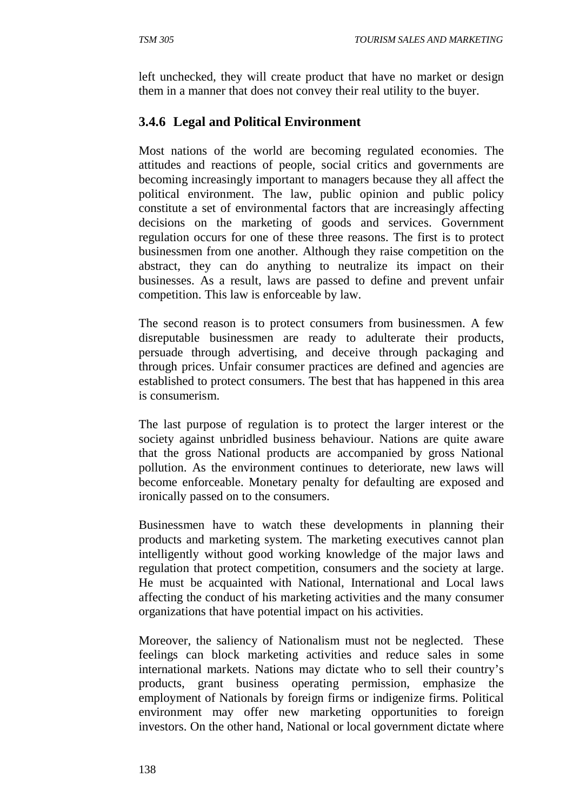left unchecked, they will create product that have no market or design them in a manner that does not convey their real utility to the buyer.

# **3.4.6 Legal and Political Environment**

Most nations of the world are becoming regulated economies. The attitudes and reactions of people, social critics and governments are becoming increasingly important to managers because they all affect the political environment. The law, public opinion and public policy constitute a set of environmental factors that are increasingly affecting decisions on the marketing of goods and services. Government regulation occurs for one of these three reasons. The first is to protect businessmen from one another. Although they raise competition on the abstract, they can do anything to neutralize its impact on their businesses. As a result, laws are passed to define and prevent unfair competition. This law is enforceable by law.

 The second reason is to protect consumers from businessmen. A few disreputable businessmen are ready to adulterate their products, persuade through advertising, and deceive through packaging and through prices. Unfair consumer practices are defined and agencies are established to protect consumers. The best that has happened in this area is consumerism.

 The last purpose of regulation is to protect the larger interest or the society against unbridled business behaviour. Nations are quite aware that the gross National products are accompanied by gross National pollution. As the environment continues to deteriorate, new laws will become enforceable. Monetary penalty for defaulting are exposed and ironically passed on to the consumers.

 Businessmen have to watch these developments in planning their products and marketing system. The marketing executives cannot plan intelligently without good working knowledge of the major laws and regulation that protect competition, consumers and the society at large. He must be acquainted with National, International and Local laws affecting the conduct of his marketing activities and the many consumer organizations that have potential impact on his activities.

 Moreover, the saliency of Nationalism must not be neglected. These feelings can block marketing activities and reduce sales in some international markets. Nations may dictate who to sell their country's products, grant business operating permission, emphasize the employment of Nationals by foreign firms or indigenize firms. Political environment may offer new marketing opportunities to foreign investors. On the other hand, National or local government dictate where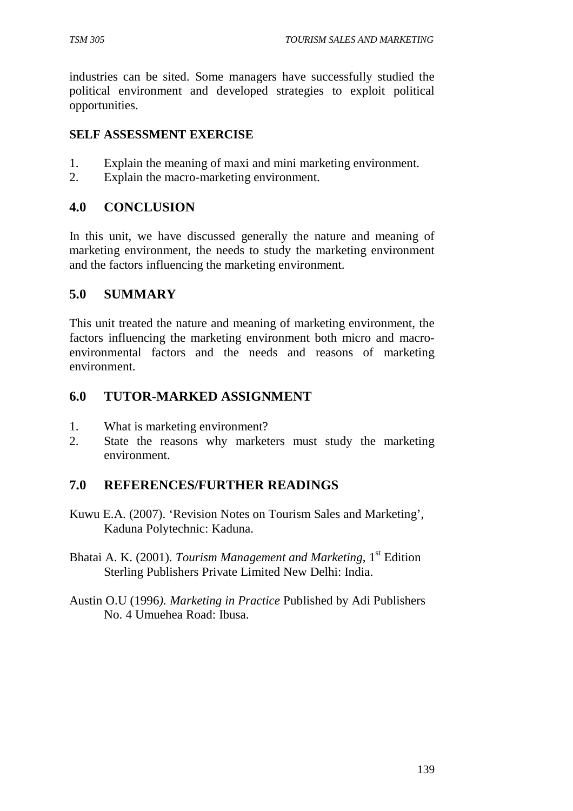industries can be sited. Some managers have successfully studied the political environment and developed strategies to exploit political opportunities.

#### **SELF ASSESSMENT EXERCISE**

- 1. Explain the meaning of maxi and mini marketing environment.
- 2. Explain the macro-marketing environment.

## **4.0 CONCLUSION**

In this unit, we have discussed generally the nature and meaning of marketing environment, the needs to study the marketing environment and the factors influencing the marketing environment.

#### **5.0 SUMMARY**

This unit treated the nature and meaning of marketing environment, the factors influencing the marketing environment both micro and macroenvironmental factors and the needs and reasons of marketing environment.

## **6.0 TUTOR-MARKED ASSIGNMENT**

- 1. What is marketing environment?
- 2. State the reasons why marketers must study the marketing environment.

# **7.0 REFERENCES/FURTHER READINGS**

- Kuwu E.A. (2007). 'Revision Notes on Tourism Sales and Marketing', Kaduna Polytechnic: Kaduna.
- Bhatai A. K. (2001). *Tourism Management and Marketing*, 1<sup>st</sup> Edition Sterling Publishers Private Limited New Delhi: India.
- Austin O.U (1996*). Marketing in Practice* Published by Adi Publishers No. 4 Umuehea Road: Ibusa.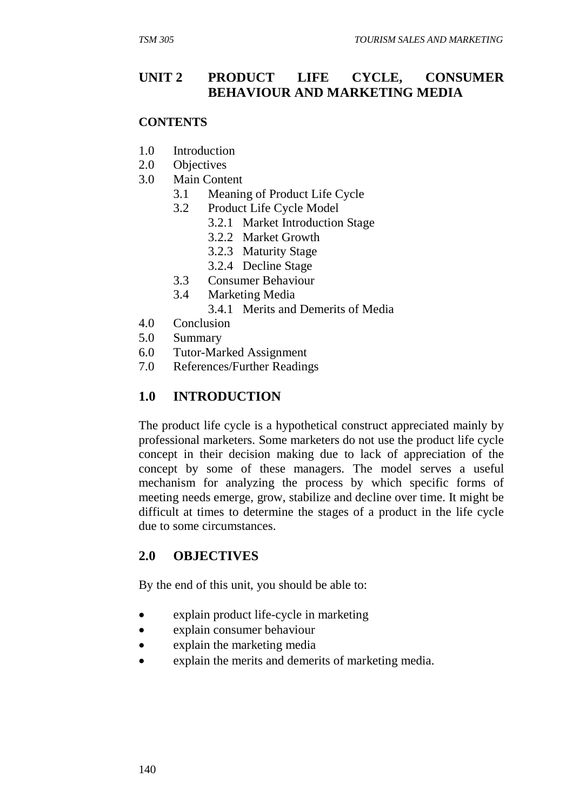# **UNIT 2 PRODUCT LIFE CYCLE, CONSUMER BEHAVIOUR AND MARKETING MEDIA**

#### **CONTENTS**

- 1.0 Introduction
- 2.0 Objectives
- 3.0 Main Content
	- 3.1 Meaning of Product Life Cycle
	- 3.2 Product Life Cycle Model
		- 3.2.1 Market Introduction Stage
		- 3.2.2 Market Growth
		- 3.2.3 Maturity Stage
		- 3.2.4 Decline Stage
	- 3.3 Consumer Behaviour
	- 3.4 Marketing Media
		- 3.4.1 Merits and Demerits of Media
- 4.0 Conclusion
- 5.0 Summary
- 6.0 Tutor-Marked Assignment
- 7.0 References/Further Readings

#### **1.0 INTRODUCTION**

The product life cycle is a hypothetical construct appreciated mainly by professional marketers. Some marketers do not use the product life cycle concept in their decision making due to lack of appreciation of the concept by some of these managers. The model serves a useful mechanism for analyzing the process by which specific forms of meeting needs emerge, grow, stabilize and decline over time. It might be difficult at times to determine the stages of a product in the life cycle due to some circumstances.

## **2.0 OBJECTIVES**

By the end of this unit, you should be able to:

- explain product life-cycle in marketing
- explain consumer behaviour
- explain the marketing media
- explain the merits and demerits of marketing media.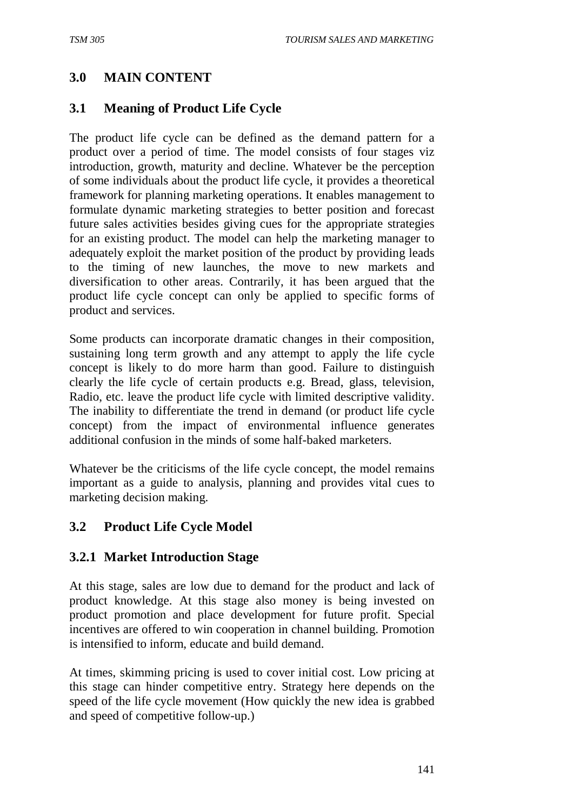# **3.0 MAIN CONTENT**

# **3.1 Meaning of Product Life Cycle**

The product life cycle can be defined as the demand pattern for a product over a period of time. The model consists of four stages viz introduction, growth, maturity and decline. Whatever be the perception of some individuals about the product life cycle, it provides a theoretical framework for planning marketing operations. It enables management to formulate dynamic marketing strategies to better position and forecast future sales activities besides giving cues for the appropriate strategies for an existing product. The model can help the marketing manager to adequately exploit the market position of the product by providing leads to the timing of new launches, the move to new markets and diversification to other areas. Contrarily, it has been argued that the product life cycle concept can only be applied to specific forms of product and services.

Some products can incorporate dramatic changes in their composition, sustaining long term growth and any attempt to apply the life cycle concept is likely to do more harm than good. Failure to distinguish clearly the life cycle of certain products e.g. Bread, glass, television, Radio, etc. leave the product life cycle with limited descriptive validity. The inability to differentiate the trend in demand (or product life cycle concept) from the impact of environmental influence generates additional confusion in the minds of some half-baked marketers.

Whatever be the criticisms of the life cycle concept, the model remains important as a guide to analysis, planning and provides vital cues to marketing decision making.

# **3.2 Product Life Cycle Model**

#### **3.2.1 Market Introduction Stage**

At this stage, sales are low due to demand for the product and lack of product knowledge. At this stage also money is being invested on product promotion and place development for future profit. Special incentives are offered to win cooperation in channel building. Promotion is intensified to inform, educate and build demand.

At times, skimming pricing is used to cover initial cost. Low pricing at this stage can hinder competitive entry. Strategy here depends on the speed of the life cycle movement (How quickly the new idea is grabbed and speed of competitive follow-up.)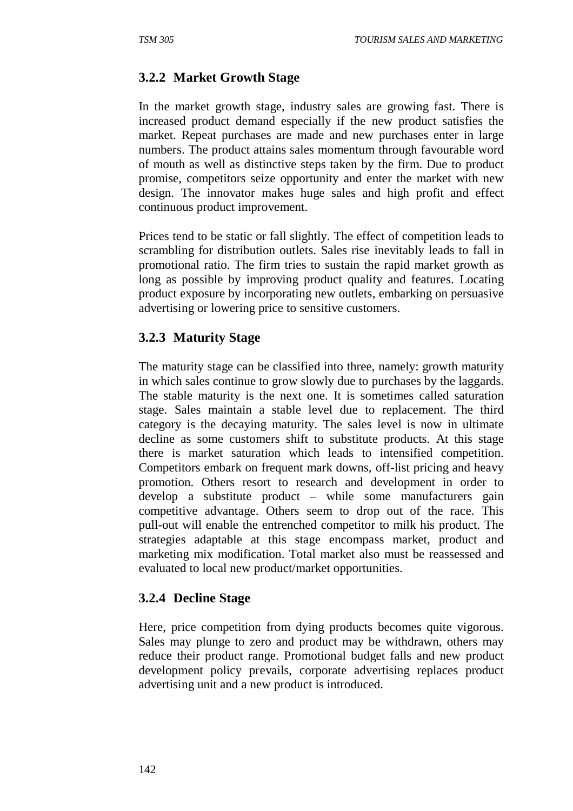# **3.2.2 Market Growth Stage**

In the market growth stage, industry sales are growing fast. There is increased product demand especially if the new product satisfies the market. Repeat purchases are made and new purchases enter in large numbers. The product attains sales momentum through favourable word of mouth as well as distinctive steps taken by the firm. Due to product promise, competitors seize opportunity and enter the market with new design. The innovator makes huge sales and high profit and effect continuous product improvement.

Prices tend to be static or fall slightly. The effect of competition leads to scrambling for distribution outlets. Sales rise inevitably leads to fall in promotional ratio. The firm tries to sustain the rapid market growth as long as possible by improving product quality and features. Locating product exposure by incorporating new outlets, embarking on persuasive advertising or lowering price to sensitive customers.

#### **3.2.3 Maturity Stage**

The maturity stage can be classified into three, namely: growth maturity in which sales continue to grow slowly due to purchases by the laggards. The stable maturity is the next one. It is sometimes called saturation stage. Sales maintain a stable level due to replacement. The third category is the decaying maturity. The sales level is now in ultimate decline as some customers shift to substitute products. At this stage there is market saturation which leads to intensified competition. Competitors embark on frequent mark downs, off-list pricing and heavy promotion. Others resort to research and development in order to develop a substitute product – while some manufacturers gain competitive advantage. Others seem to drop out of the race. This pull-out will enable the entrenched competitor to milk his product. The strategies adaptable at this stage encompass market, product and marketing mix modification. Total market also must be reassessed and evaluated to local new product/market opportunities.

#### **3.2.4 Decline Stage**

Here, price competition from dying products becomes quite vigorous. Sales may plunge to zero and product may be withdrawn, others may reduce their product range. Promotional budget falls and new product development policy prevails, corporate advertising replaces product advertising unit and a new product is introduced.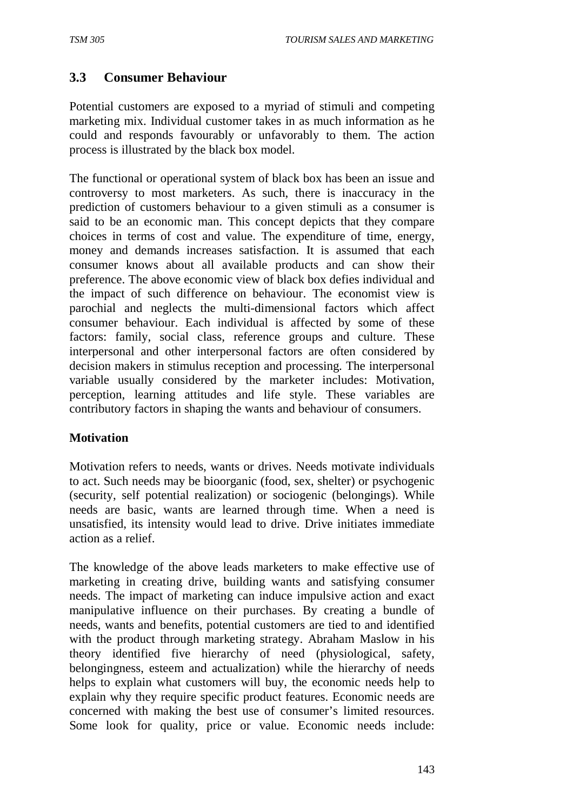# **3.3 Consumer Behaviour**

Potential customers are exposed to a myriad of stimuli and competing marketing mix. Individual customer takes in as much information as he could and responds favourably or unfavorably to them. The action process is illustrated by the black box model.

The functional or operational system of black box has been an issue and controversy to most marketers. As such, there is inaccuracy in the prediction of customers behaviour to a given stimuli as a consumer is said to be an economic man. This concept depicts that they compare choices in terms of cost and value. The expenditure of time, energy, money and demands increases satisfaction. It is assumed that each consumer knows about all available products and can show their preference. The above economic view of black box defies individual and the impact of such difference on behaviour. The economist view is parochial and neglects the multi-dimensional factors which affect consumer behaviour. Each individual is affected by some of these factors: family, social class, reference groups and culture. These interpersonal and other interpersonal factors are often considered by decision makers in stimulus reception and processing. The interpersonal variable usually considered by the marketer includes: Motivation, perception, learning attitudes and life style. These variables are contributory factors in shaping the wants and behaviour of consumers.

#### **Motivation**

Motivation refers to needs, wants or drives. Needs motivate individuals to act. Such needs may be bioorganic (food, sex, shelter) or psychogenic (security, self potential realization) or sociogenic (belongings). While needs are basic, wants are learned through time. When a need is unsatisfied, its intensity would lead to drive. Drive initiates immediate action as a relief.

The knowledge of the above leads marketers to make effective use of marketing in creating drive, building wants and satisfying consumer needs. The impact of marketing can induce impulsive action and exact manipulative influence on their purchases. By creating a bundle of needs, wants and benefits, potential customers are tied to and identified with the product through marketing strategy. Abraham Maslow in his theory identified five hierarchy of need (physiological, safety, belongingness, esteem and actualization) while the hierarchy of needs helps to explain what customers will buy, the economic needs help to explain why they require specific product features. Economic needs are concerned with making the best use of consumer's limited resources. Some look for quality, price or value. Economic needs include: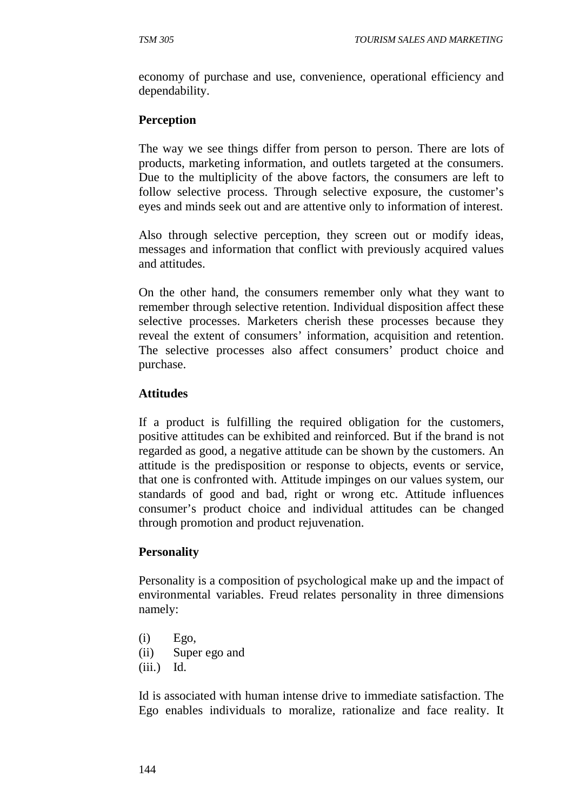economy of purchase and use, convenience, operational efficiency and dependability.

## **Perception**

The way we see things differ from person to person. There are lots of products, marketing information, and outlets targeted at the consumers. Due to the multiplicity of the above factors, the consumers are left to follow selective process. Through selective exposure, the customer's eyes and minds seek out and are attentive only to information of interest.

Also through selective perception, they screen out or modify ideas, messages and information that conflict with previously acquired values and attitudes.

On the other hand, the consumers remember only what they want to remember through selective retention. Individual disposition affect these selective processes. Marketers cherish these processes because they reveal the extent of consumers' information, acquisition and retention. The selective processes also affect consumers' product choice and purchase.

## **Attitudes**

If a product is fulfilling the required obligation for the customers, positive attitudes can be exhibited and reinforced. But if the brand is not regarded as good, a negative attitude can be shown by the customers. An attitude is the predisposition or response to objects, events or service, that one is confronted with. Attitude impinges on our values system, our standards of good and bad, right or wrong etc. Attitude influences consumer's product choice and individual attitudes can be changed through promotion and product rejuvenation.

#### **Personality**

Personality is a composition of psychological make up and the impact of environmental variables. Freud relates personality in three dimensions namely:

- $(i)$  Ego,
- (ii) Super ego and
- (iii.) Id.

Id is associated with human intense drive to immediate satisfaction. The Ego enables individuals to moralize, rationalize and face reality. It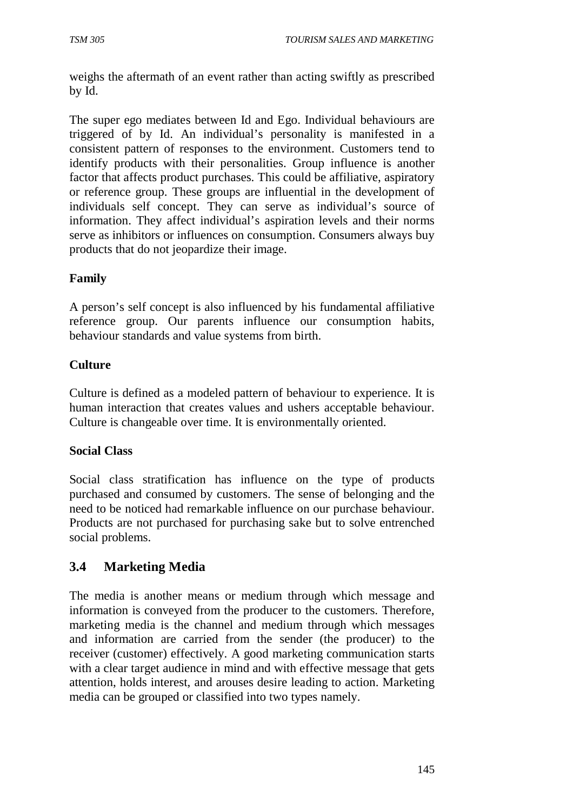weighs the aftermath of an event rather than acting swiftly as prescribed by Id.

The super ego mediates between Id and Ego. Individual behaviours are triggered of by Id. An individual's personality is manifested in a consistent pattern of responses to the environment. Customers tend to identify products with their personalities. Group influence is another factor that affects product purchases. This could be affiliative, aspiratory or reference group. These groups are influential in the development of individuals self concept. They can serve as individual's source of information. They affect individual's aspiration levels and their norms serve as inhibitors or influences on consumption. Consumers always buy products that do not jeopardize their image.

## **Family**

A person's self concept is also influenced by his fundamental affiliative reference group. Our parents influence our consumption habits, behaviour standards and value systems from birth.

## **Culture**

Culture is defined as a modeled pattern of behaviour to experience. It is human interaction that creates values and ushers acceptable behaviour. Culture is changeable over time. It is environmentally oriented.

#### **Social Class**

Social class stratification has influence on the type of products purchased and consumed by customers. The sense of belonging and the need to be noticed had remarkable influence on our purchase behaviour. Products are not purchased for purchasing sake but to solve entrenched social problems.

# **3.4 Marketing Media**

The media is another means or medium through which message and information is conveyed from the producer to the customers. Therefore, marketing media is the channel and medium through which messages and information are carried from the sender (the producer) to the receiver (customer) effectively. A good marketing communication starts with a clear target audience in mind and with effective message that gets attention, holds interest, and arouses desire leading to action. Marketing media can be grouped or classified into two types namely.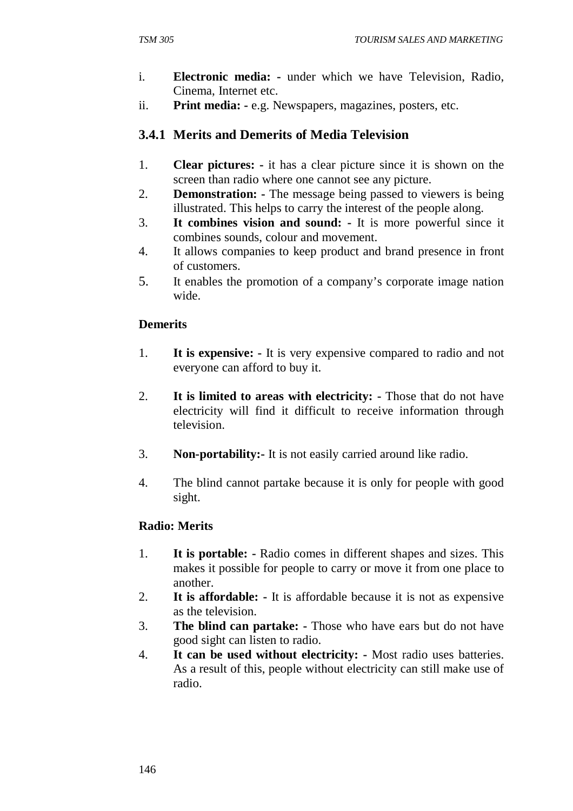- i. **Electronic media: -** under which we have Television, Radio, Cinema, Internet etc.
- ii. **Print media:** e.g. Newspapers, magazines, posters, etc.

# **3.4.1 Merits and Demerits of Media Television**

- 1. **Clear pictures: -** it has a clear picture since it is shown on the screen than radio where one cannot see any picture.
- 2. **Demonstration: -** The message being passed to viewers is being illustrated. This helps to carry the interest of the people along.
- 3. **It combines vision and sound: -** It is more powerful since it combines sounds, colour and movement.
- 4. It allows companies to keep product and brand presence in front of customers.
- 5. It enables the promotion of a company's corporate image nation wide.

# **Demerits**

- 1. **It is expensive: -** It is very expensive compared to radio and not everyone can afford to buy it.
- 2. **It is limited to areas with electricity:** Those that do not have electricity will find it difficult to receive information through television.
- 3. **Non-portability:-** It is not easily carried around like radio.
- 4. The blind cannot partake because it is only for people with good sight.

# **Radio: Merits**

- 1. **It is portable: -** Radio comes in different shapes and sizes. This makes it possible for people to carry or move it from one place to another.
- 2. **It is affordable: -** It is affordable because it is not as expensive as the television.
- 3. **The blind can partake: -** Those who have ears but do not have good sight can listen to radio.
- 4. **It can be used without electricity: -** Most radio uses batteries. As a result of this, people without electricity can still make use of radio.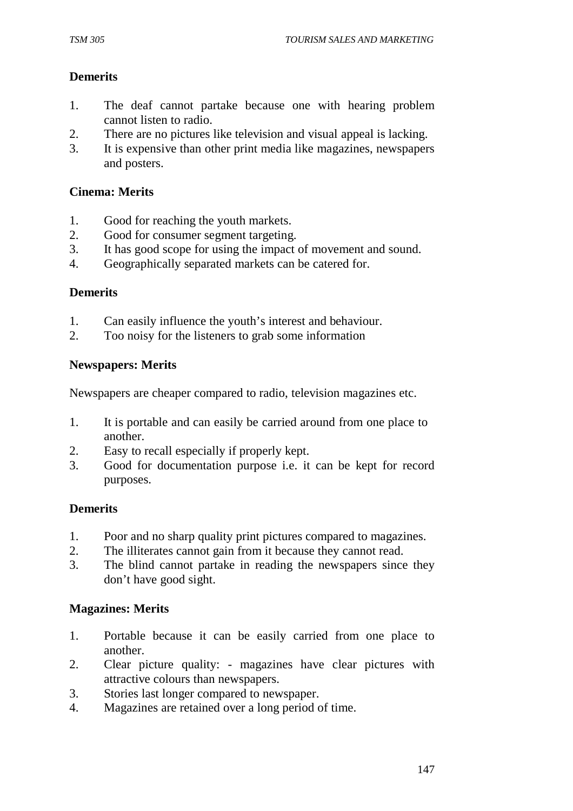#### **Demerits**

- 1. The deaf cannot partake because one with hearing problem cannot listen to radio.
- 2. There are no pictures like television and visual appeal is lacking.
- 3. It is expensive than other print media like magazines, newspapers and posters.

#### **Cinema: Merits**

- 1. Good for reaching the youth markets.
- 2. Good for consumer segment targeting.
- 3. It has good scope for using the impact of movement and sound.
- 4. Geographically separated markets can be catered for.

#### **Demerits**

- 1. Can easily influence the youth's interest and behaviour.
- 2. Too noisy for the listeners to grab some information

#### **Newspapers: Merits**

Newspapers are cheaper compared to radio, television magazines etc.

- 1. It is portable and can easily be carried around from one place to another.
- 2. Easy to recall especially if properly kept.
- 3. Good for documentation purpose i.e. it can be kept for record purposes.

#### **Demerits**

- 1. Poor and no sharp quality print pictures compared to magazines.
- 2. The illiterates cannot gain from it because they cannot read.
- 3. The blind cannot partake in reading the newspapers since they don't have good sight.

#### **Magazines: Merits**

- 1. Portable because it can be easily carried from one place to another.
- 2. Clear picture quality: magazines have clear pictures with attractive colours than newspapers.
- 3. Stories last longer compared to newspaper.
- 4. Magazines are retained over a long period of time.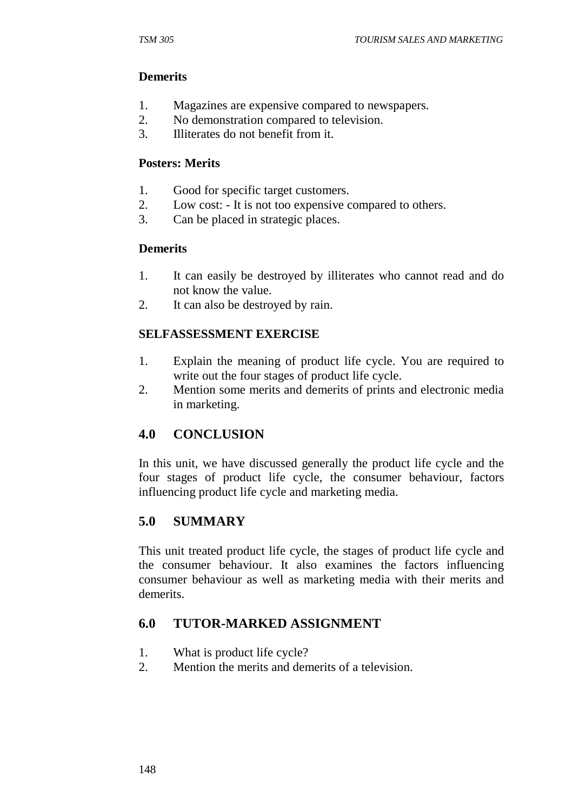## **Demerits**

- 1. Magazines are expensive compared to newspapers.
- 2. No demonstration compared to television.
- 3. Illiterates do not benefit from it.

# **Posters: Merits**

- 1. Good for specific target customers.
- 2. Low cost: It is not too expensive compared to others.
- 3. Can be placed in strategic places.

## **Demerits**

- 1. It can easily be destroyed by illiterates who cannot read and do not know the value.
- 2. It can also be destroyed by rain.

# **SELFASSESSMENT EXERCISE**

- 1. Explain the meaning of product life cycle. You are required to write out the four stages of product life cycle.
- 2. Mention some merits and demerits of prints and electronic media in marketing.

# **4.0 CONCLUSION**

In this unit, we have discussed generally the product life cycle and the four stages of product life cycle, the consumer behaviour, factors influencing product life cycle and marketing media.

# **5.0 SUMMARY**

This unit treated product life cycle, the stages of product life cycle and the consumer behaviour. It also examines the factors influencing consumer behaviour as well as marketing media with their merits and demerits.

# **6.0 TUTOR-MARKED ASSIGNMENT**

- 1. What is product life cycle?
- 2. Mention the merits and demerits of a television.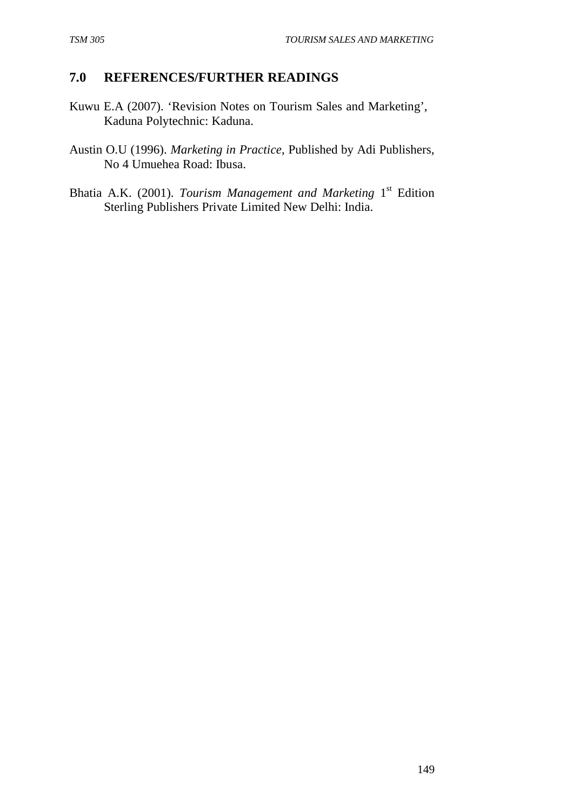# **7.0 REFERENCES/FURTHER READINGS**

- Kuwu E.A (2007). 'Revision Notes on Tourism Sales and Marketing', Kaduna Polytechnic: Kaduna.
- Austin O.U (1996). *Marketing in Practice*, Published by Adi Publishers, No 4 Umuehea Road: Ibusa.
- Bhatia A.K. (2001). *Tourism Management and Marketing* 1<sup>st</sup> Edition Sterling Publishers Private Limited New Delhi: India.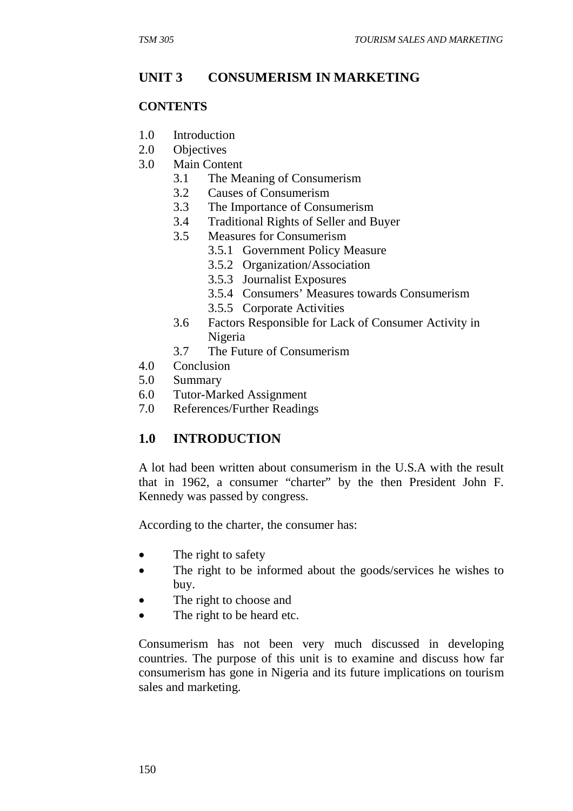# **UNIT 3 CONSUMERISM IN MARKETING**

#### **CONTENTS**

- 1.0 Introduction
- 2.0 Objectives
- 3.0 Main Content
	- 3.1 The Meaning of Consumerism
	- 3.2 Causes of Consumerism
	- 3.3 The Importance of Consumerism
	- 3.4 Traditional Rights of Seller and Buyer
	- 3.5 Measures for Consumerism
		- 3.5.1 Government Policy Measure
		- 3.5.2 Organization/Association
		- 3.5.3 Journalist Exposures
		- 3.5.4 Consumers' Measures towards Consumerism
		- 3.5.5 Corporate Activities
	- 3.6 Factors Responsible for Lack of Consumer Activity in Nigeria
	- 3.7 The Future of Consumerism
- 4.0 Conclusion
- 5.0 Summary
- 6.0 Tutor-Marked Assignment
- 7.0 References/Further Readings

# **1.0 INTRODUCTION**

A lot had been written about consumerism in the U.S.A with the result that in 1962, a consumer "charter" by the then President John F. Kennedy was passed by congress.

According to the charter, the consumer has:

- The right to safety
- The right to be informed about the goods/services he wishes to buy.
- The right to choose and
- The right to be heard etc.

Consumerism has not been very much discussed in developing countries. The purpose of this unit is to examine and discuss how far consumerism has gone in Nigeria and its future implications on tourism sales and marketing.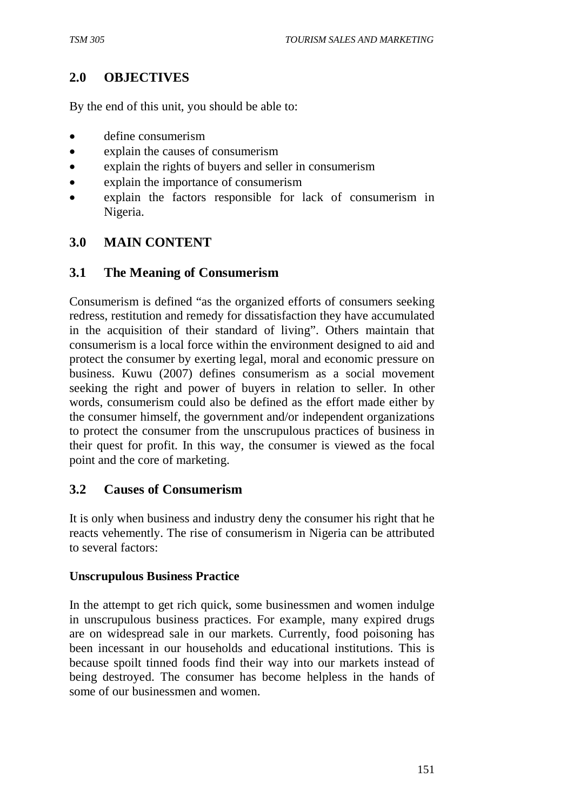## **2.0 OBJECTIVES**

By the end of this unit, you should be able to:

- define consumerism
- explain the causes of consumerism
- explain the rights of buyers and seller in consumerism
- explain the importance of consumerism
- explain the factors responsible for lack of consumerism in Nigeria.

## **3.0 MAIN CONTENT**

#### **3.1 The Meaning of Consumerism**

Consumerism is defined "as the organized efforts of consumers seeking redress, restitution and remedy for dissatisfaction they have accumulated in the acquisition of their standard of living". Others maintain that consumerism is a local force within the environment designed to aid and protect the consumer by exerting legal, moral and economic pressure on business. Kuwu (2007) defines consumerism as a social movement seeking the right and power of buyers in relation to seller. In other words, consumerism could also be defined as the effort made either by the consumer himself, the government and/or independent organizations to protect the consumer from the unscrupulous practices of business in their quest for profit. In this way, the consumer is viewed as the focal point and the core of marketing.

#### **3.2 Causes of Consumerism**

It is only when business and industry deny the consumer his right that he reacts vehemently. The rise of consumerism in Nigeria can be attributed to several factors:

#### **Unscrupulous Business Practice**

In the attempt to get rich quick, some businessmen and women indulge in unscrupulous business practices. For example, many expired drugs are on widespread sale in our markets. Currently, food poisoning has been incessant in our households and educational institutions. This is because spoilt tinned foods find their way into our markets instead of being destroyed. The consumer has become helpless in the hands of some of our businessmen and women.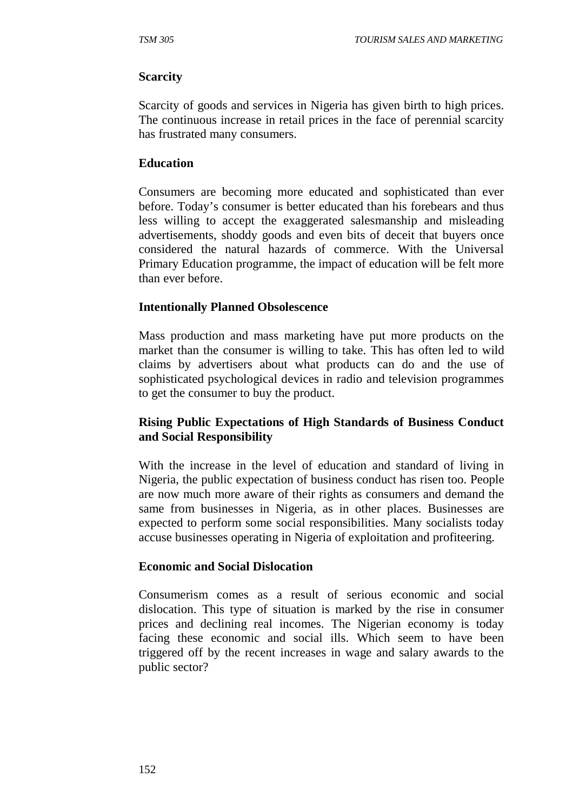#### **Scarcity**

Scarcity of goods and services in Nigeria has given birth to high prices. The continuous increase in retail prices in the face of perennial scarcity has frustrated many consumers.

#### **Education**

Consumers are becoming more educated and sophisticated than ever before. Today's consumer is better educated than his forebears and thus less willing to accept the exaggerated salesmanship and misleading advertisements, shoddy goods and even bits of deceit that buyers once considered the natural hazards of commerce. With the Universal Primary Education programme, the impact of education will be felt more than ever before.

#### **Intentionally Planned Obsolescence**

Mass production and mass marketing have put more products on the market than the consumer is willing to take. This has often led to wild claims by advertisers about what products can do and the use of sophisticated psychological devices in radio and television programmes to get the consumer to buy the product.

#### **Rising Public Expectations of High Standards of Business Conduct and Social Responsibility**

With the increase in the level of education and standard of living in Nigeria, the public expectation of business conduct has risen too. People are now much more aware of their rights as consumers and demand the same from businesses in Nigeria, as in other places. Businesses are expected to perform some social responsibilities. Many socialists today accuse businesses operating in Nigeria of exploitation and profiteering.

#### **Economic and Social Dislocation**

Consumerism comes as a result of serious economic and social dislocation. This type of situation is marked by the rise in consumer prices and declining real incomes. The Nigerian economy is today facing these economic and social ills. Which seem to have been triggered off by the recent increases in wage and salary awards to the public sector?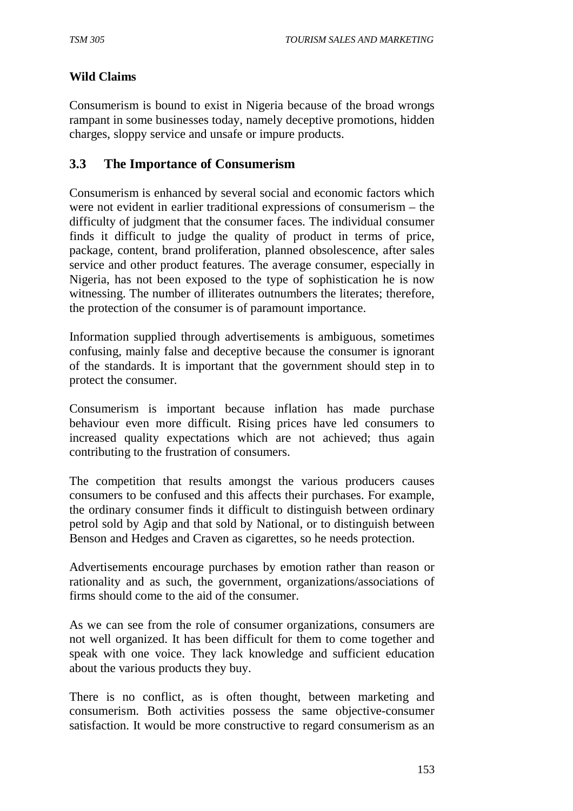#### **Wild Claims**

Consumerism is bound to exist in Nigeria because of the broad wrongs rampant in some businesses today, namely deceptive promotions, hidden charges, sloppy service and unsafe or impure products.

#### **3.3 The Importance of Consumerism**

Consumerism is enhanced by several social and economic factors which were not evident in earlier traditional expressions of consumerism – the difficulty of judgment that the consumer faces. The individual consumer finds it difficult to judge the quality of product in terms of price, package, content, brand proliferation, planned obsolescence, after sales service and other product features. The average consumer, especially in Nigeria, has not been exposed to the type of sophistication he is now witnessing. The number of illiterates outnumbers the literates; therefore, the protection of the consumer is of paramount importance.

Information supplied through advertisements is ambiguous, sometimes confusing, mainly false and deceptive because the consumer is ignorant of the standards. It is important that the government should step in to protect the consumer.

Consumerism is important because inflation has made purchase behaviour even more difficult. Rising prices have led consumers to increased quality expectations which are not achieved; thus again contributing to the frustration of consumers.

The competition that results amongst the various producers causes consumers to be confused and this affects their purchases. For example, the ordinary consumer finds it difficult to distinguish between ordinary petrol sold by Agip and that sold by National, or to distinguish between Benson and Hedges and Craven as cigarettes, so he needs protection.

Advertisements encourage purchases by emotion rather than reason or rationality and as such, the government, organizations/associations of firms should come to the aid of the consumer.

As we can see from the role of consumer organizations, consumers are not well organized. It has been difficult for them to come together and speak with one voice. They lack knowledge and sufficient education about the various products they buy.

There is no conflict, as is often thought, between marketing and consumerism. Both activities possess the same objective-consumer satisfaction. It would be more constructive to regard consumerism as an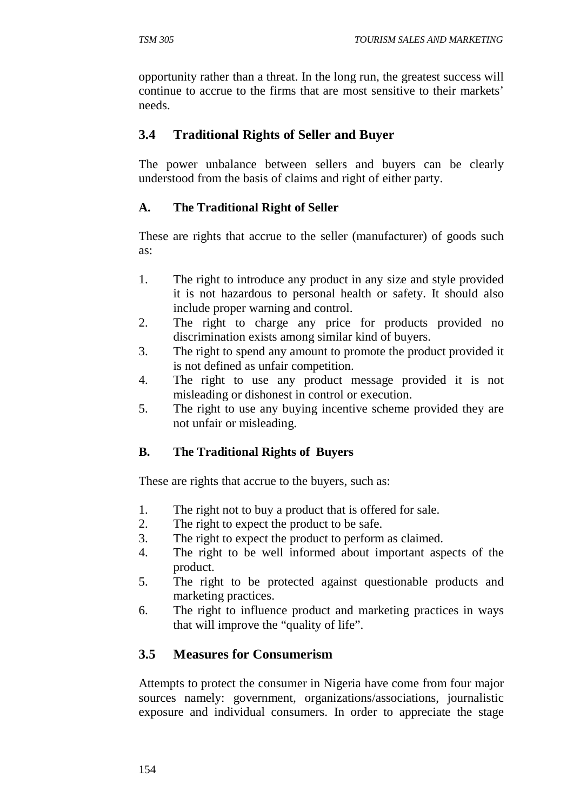opportunity rather than a threat. In the long run, the greatest success will continue to accrue to the firms that are most sensitive to their markets' needs.

# **3.4 Traditional Rights of Seller and Buyer**

The power unbalance between sellers and buyers can be clearly understood from the basis of claims and right of either party.

# **A. The Traditional Right of Seller**

These are rights that accrue to the seller (manufacturer) of goods such as:

- 1. The right to introduce any product in any size and style provided it is not hazardous to personal health or safety. It should also include proper warning and control.
- 2. The right to charge any price for products provided no discrimination exists among similar kind of buyers.
- 3. The right to spend any amount to promote the product provided it is not defined as unfair competition.
- 4. The right to use any product message provided it is not misleading or dishonest in control or execution.
- 5. The right to use any buying incentive scheme provided they are not unfair or misleading.

#### **B. The Traditional Rights of Buyers**

These are rights that accrue to the buyers, such as:

- 1. The right not to buy a product that is offered for sale.
- 2. The right to expect the product to be safe.
- 3. The right to expect the product to perform as claimed.
- 4. The right to be well informed about important aspects of the product.
- 5. The right to be protected against questionable products and marketing practices.
- 6. The right to influence product and marketing practices in ways that will improve the "quality of life".

# **3.5 Measures for Consumerism**

Attempts to protect the consumer in Nigeria have come from four major sources namely: government, organizations/associations, journalistic exposure and individual consumers. In order to appreciate the stage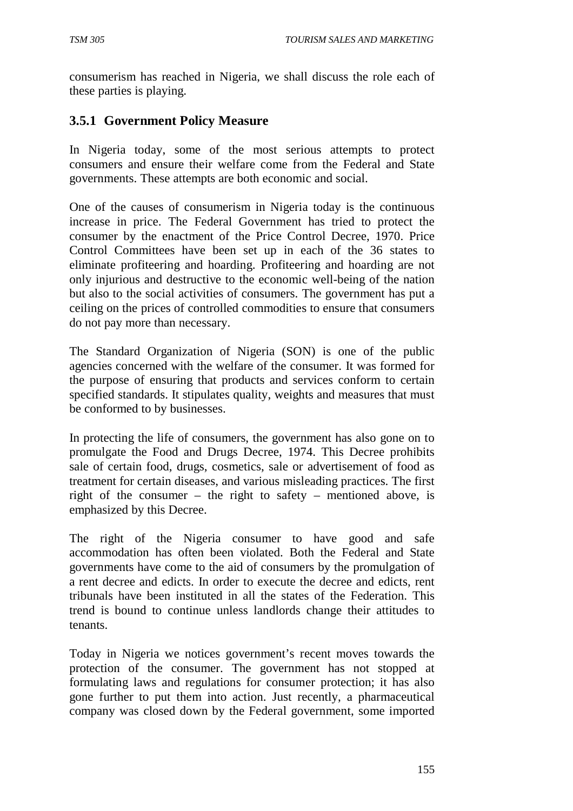consumerism has reached in Nigeria, we shall discuss the role each of these parties is playing.

# **3.5.1 Government Policy Measure**

In Nigeria today, some of the most serious attempts to protect consumers and ensure their welfare come from the Federal and State governments. These attempts are both economic and social.

One of the causes of consumerism in Nigeria today is the continuous increase in price. The Federal Government has tried to protect the consumer by the enactment of the Price Control Decree, 1970. Price Control Committees have been set up in each of the 36 states to eliminate profiteering and hoarding. Profiteering and hoarding are not only injurious and destructive to the economic well-being of the nation but also to the social activities of consumers. The government has put a ceiling on the prices of controlled commodities to ensure that consumers do not pay more than necessary.

The Standard Organization of Nigeria (SON) is one of the public agencies concerned with the welfare of the consumer. It was formed for the purpose of ensuring that products and services conform to certain specified standards. It stipulates quality, weights and measures that must be conformed to by businesses.

In protecting the life of consumers, the government has also gone on to promulgate the Food and Drugs Decree, 1974. This Decree prohibits sale of certain food, drugs, cosmetics, sale or advertisement of food as treatment for certain diseases, and various misleading practices. The first right of the consumer – the right to safety – mentioned above, is emphasized by this Decree.

The right of the Nigeria consumer to have good and safe accommodation has often been violated. Both the Federal and State governments have come to the aid of consumers by the promulgation of a rent decree and edicts. In order to execute the decree and edicts, rent tribunals have been instituted in all the states of the Federation. This trend is bound to continue unless landlords change their attitudes to tenants.

Today in Nigeria we notices government's recent moves towards the protection of the consumer. The government has not stopped at formulating laws and regulations for consumer protection; it has also gone further to put them into action. Just recently, a pharmaceutical company was closed down by the Federal government, some imported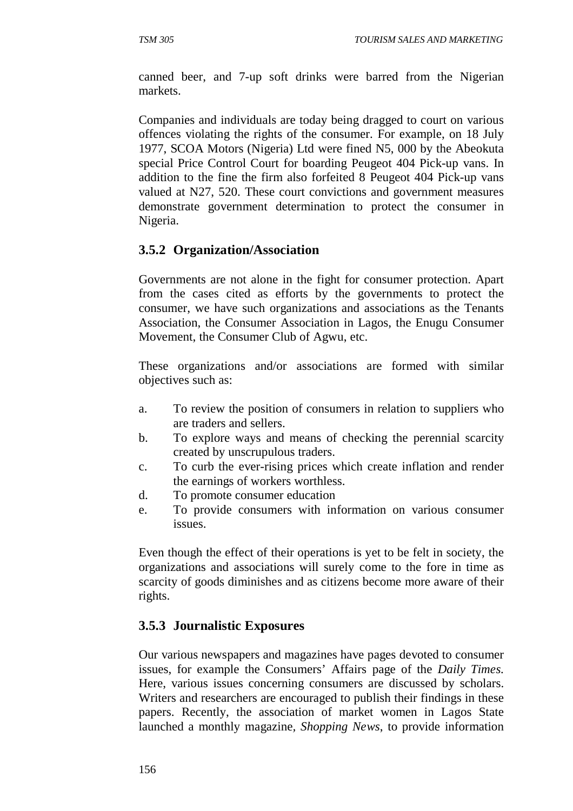canned beer, and 7-up soft drinks were barred from the Nigerian markets.

Companies and individuals are today being dragged to court on various offences violating the rights of the consumer. For example, on 18 July 1977, SCOA Motors (Nigeria) Ltd were fined N5, 000 by the Abeokuta special Price Control Court for boarding Peugeot 404 Pick-up vans. In addition to the fine the firm also forfeited 8 Peugeot 404 Pick-up vans valued at N27, 520. These court convictions and government measures demonstrate government determination to protect the consumer in Nigeria.

# **3.5.2 Organization/Association**

Governments are not alone in the fight for consumer protection. Apart from the cases cited as efforts by the governments to protect the consumer, we have such organizations and associations as the Tenants Association, the Consumer Association in Lagos, the Enugu Consumer Movement, the Consumer Club of Agwu, etc.

These organizations and/or associations are formed with similar objectives such as:

- a. To review the position of consumers in relation to suppliers who are traders and sellers.
- b. To explore ways and means of checking the perennial scarcity created by unscrupulous traders.
- c. To curb the ever-rising prices which create inflation and render the earnings of workers worthless.
- d. To promote consumer education
- e. To provide consumers with information on various consumer issues.

Even though the effect of their operations is yet to be felt in society, the organizations and associations will surely come to the fore in time as scarcity of goods diminishes and as citizens become more aware of their rights.

# **3.5.3 Journalistic Exposures**

Our various newspapers and magazines have pages devoted to consumer issues, for example the Consumers' Affairs page of the *Daily Times.* Here, various issues concerning consumers are discussed by scholars. Writers and researchers are encouraged to publish their findings in these papers. Recently, the association of market women in Lagos State launched a monthly magazine*, Shopping News*, to provide information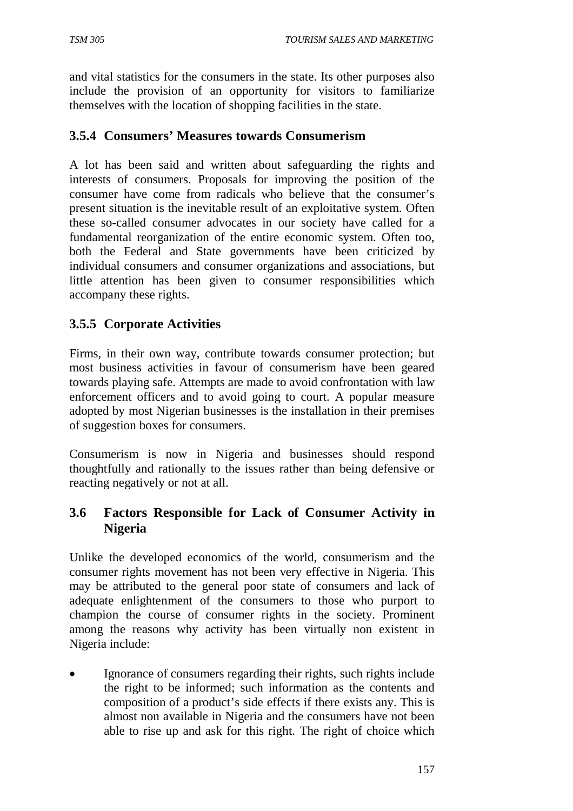and vital statistics for the consumers in the state. Its other purposes also include the provision of an opportunity for visitors to familiarize themselves with the location of shopping facilities in the state.

#### **3.5.4 Consumers' Measures towards Consumerism**

A lot has been said and written about safeguarding the rights and interests of consumers. Proposals for improving the position of the consumer have come from radicals who believe that the consumer's present situation is the inevitable result of an exploitative system. Often these so-called consumer advocates in our society have called for a fundamental reorganization of the entire economic system. Often too, both the Federal and State governments have been criticized by individual consumers and consumer organizations and associations, but little attention has been given to consumer responsibilities which accompany these rights.

# **3.5.5 Corporate Activities**

Firms, in their own way, contribute towards consumer protection; but most business activities in favour of consumerism have been geared towards playing safe. Attempts are made to avoid confrontation with law enforcement officers and to avoid going to court. A popular measure adopted by most Nigerian businesses is the installation in their premises of suggestion boxes for consumers.

Consumerism is now in Nigeria and businesses should respond thoughtfully and rationally to the issues rather than being defensive or reacting negatively or not at all.

# **3.6 Factors Responsible for Lack of Consumer Activity in Nigeria**

Unlike the developed economics of the world, consumerism and the consumer rights movement has not been very effective in Nigeria. This may be attributed to the general poor state of consumers and lack of adequate enlightenment of the consumers to those who purport to champion the course of consumer rights in the society. Prominent among the reasons why activity has been virtually non existent in Nigeria include:

• Ignorance of consumers regarding their rights, such rights include the right to be informed; such information as the contents and composition of a product's side effects if there exists any. This is almost non available in Nigeria and the consumers have not been able to rise up and ask for this right. The right of choice which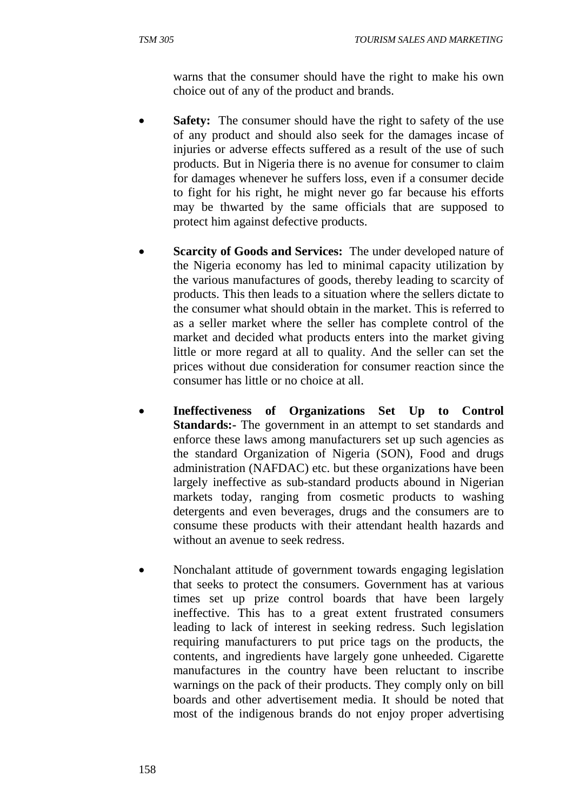warns that the consumer should have the right to make his own choice out of any of the product and brands.

- **Safety:** The consumer should have the right to safety of the use of any product and should also seek for the damages incase of injuries or adverse effects suffered as a result of the use of such products. But in Nigeria there is no avenue for consumer to claim for damages whenever he suffers loss, even if a consumer decide to fight for his right, he might never go far because his efforts may be thwarted by the same officials that are supposed to protect him against defective products.
- **Scarcity of Goods and Services:** The under developed nature of the Nigeria economy has led to minimal capacity utilization by the various manufactures of goods, thereby leading to scarcity of products. This then leads to a situation where the sellers dictate to the consumer what should obtain in the market. This is referred to as a seller market where the seller has complete control of the market and decided what products enters into the market giving little or more regard at all to quality. And the seller can set the prices without due consideration for consumer reaction since the consumer has little or no choice at all.
- **Ineffectiveness of Organizations Set Up to Control Standards:** The government in an attempt to set standards and enforce these laws among manufacturers set up such agencies as the standard Organization of Nigeria (SON), Food and drugs administration (NAFDAC) etc. but these organizations have been largely ineffective as sub-standard products abound in Nigerian markets today, ranging from cosmetic products to washing detergents and even beverages, drugs and the consumers are to consume these products with their attendant health hazards and without an avenue to seek redress.
- Nonchalant attitude of government towards engaging legislation that seeks to protect the consumers. Government has at various times set up prize control boards that have been largely ineffective. This has to a great extent frustrated consumers leading to lack of interest in seeking redress. Such legislation requiring manufacturers to put price tags on the products, the contents, and ingredients have largely gone unheeded. Cigarette manufactures in the country have been reluctant to inscribe warnings on the pack of their products. They comply only on bill boards and other advertisement media. It should be noted that most of the indigenous brands do not enjoy proper advertising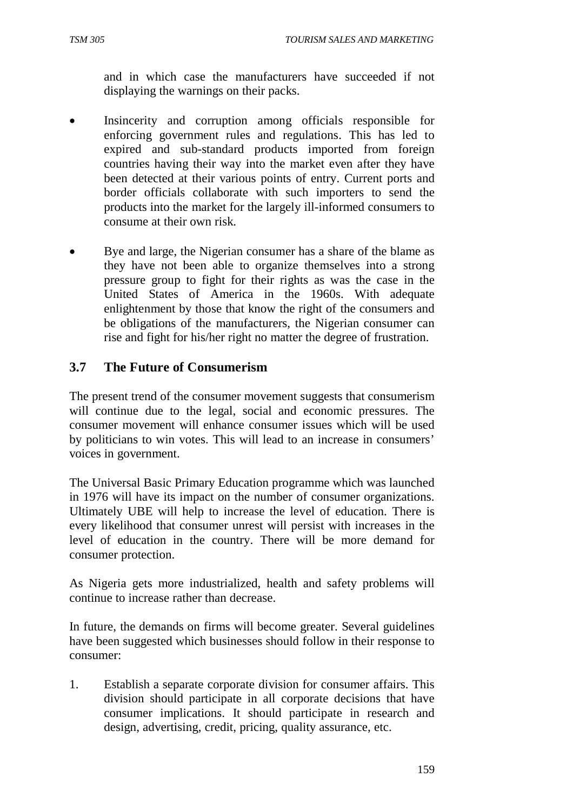and in which case the manufacturers have succeeded if not displaying the warnings on their packs.

- Insincerity and corruption among officials responsible for enforcing government rules and regulations. This has led to expired and sub-standard products imported from foreign countries having their way into the market even after they have been detected at their various points of entry. Current ports and border officials collaborate with such importers to send the products into the market for the largely ill-informed consumers to consume at their own risk.
- Bye and large, the Nigerian consumer has a share of the blame as they have not been able to organize themselves into a strong pressure group to fight for their rights as was the case in the United States of America in the 1960s. With adequate enlightenment by those that know the right of the consumers and be obligations of the manufacturers, the Nigerian consumer can rise and fight for his/her right no matter the degree of frustration.

## **3.7 The Future of Consumerism**

The present trend of the consumer movement suggests that consumerism will continue due to the legal, social and economic pressures. The consumer movement will enhance consumer issues which will be used by politicians to win votes. This will lead to an increase in consumers' voices in government.

 The Universal Basic Primary Education programme which was launched in 1976 will have its impact on the number of consumer organizations. Ultimately UBE will help to increase the level of education. There is every likelihood that consumer unrest will persist with increases in the level of education in the country. There will be more demand for consumer protection.

 As Nigeria gets more industrialized, health and safety problems will continue to increase rather than decrease.

 In future, the demands on firms will become greater. Several guidelines have been suggested which businesses should follow in their response to consumer:

1. Establish a separate corporate division for consumer affairs. This division should participate in all corporate decisions that have consumer implications. It should participate in research and design, advertising, credit, pricing, quality assurance, etc.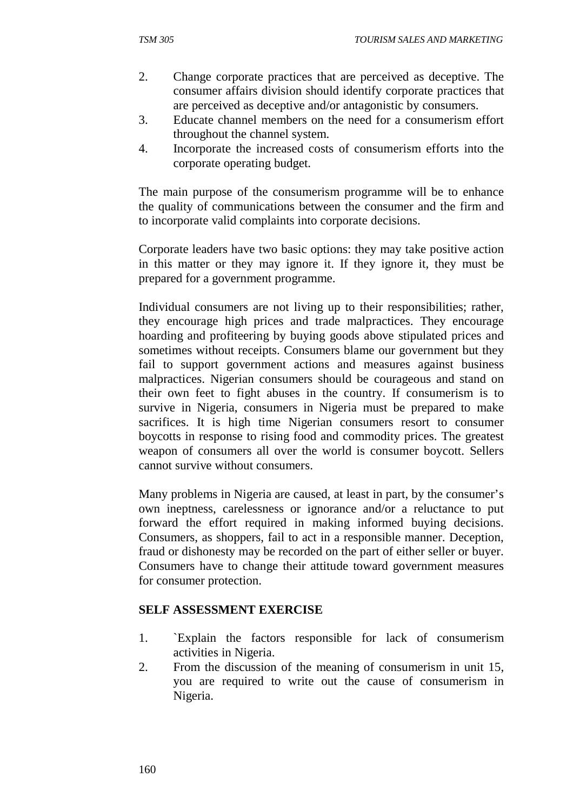- 2. Change corporate practices that are perceived as deceptive. The consumer affairs division should identify corporate practices that are perceived as deceptive and/or antagonistic by consumers.
- 3. Educate channel members on the need for a consumerism effort throughout the channel system.
- 4. Incorporate the increased costs of consumerism efforts into the corporate operating budget.

The main purpose of the consumerism programme will be to enhance the quality of communications between the consumer and the firm and to incorporate valid complaints into corporate decisions.

Corporate leaders have two basic options: they may take positive action in this matter or they may ignore it. If they ignore it, they must be prepared for a government programme.

Individual consumers are not living up to their responsibilities; rather, they encourage high prices and trade malpractices. They encourage hoarding and profiteering by buying goods above stipulated prices and sometimes without receipts. Consumers blame our government but they fail to support government actions and measures against business malpractices. Nigerian consumers should be courageous and stand on their own feet to fight abuses in the country. If consumerism is to survive in Nigeria, consumers in Nigeria must be prepared to make sacrifices. It is high time Nigerian consumers resort to consumer boycotts in response to rising food and commodity prices. The greatest weapon of consumers all over the world is consumer boycott. Sellers cannot survive without consumers.

Many problems in Nigeria are caused, at least in part, by the consumer's own ineptness, carelessness or ignorance and/or a reluctance to put forward the effort required in making informed buying decisions. Consumers, as shoppers, fail to act in a responsible manner. Deception, fraud or dishonesty may be recorded on the part of either seller or buyer. Consumers have to change their attitude toward government measures for consumer protection.

#### **SELF ASSESSMENT EXERCISE**

- 1. `Explain the factors responsible for lack of consumerism activities in Nigeria.
- 2. From the discussion of the meaning of consumerism in unit 15, you are required to write out the cause of consumerism in Nigeria.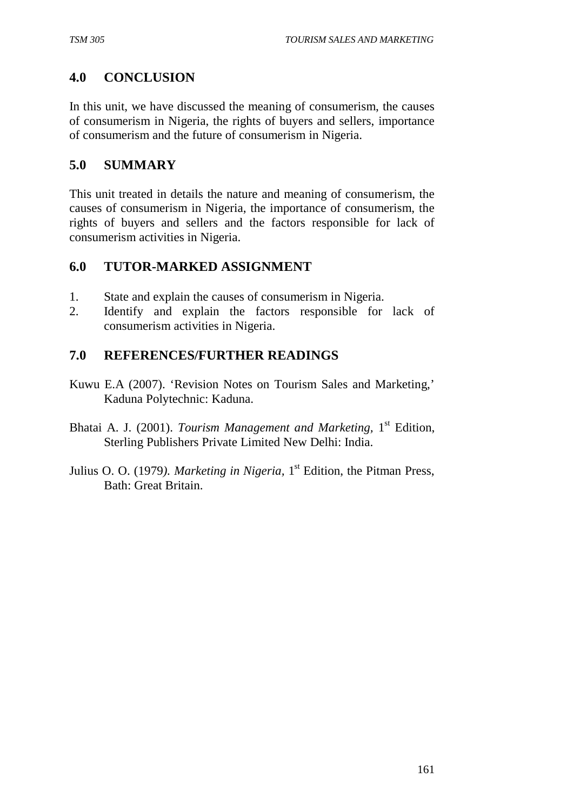# **4.0 CONCLUSION**

In this unit, we have discussed the meaning of consumerism, the causes of consumerism in Nigeria, the rights of buyers and sellers, importance of consumerism and the future of consumerism in Nigeria.

## **5.0 SUMMARY**

This unit treated in details the nature and meaning of consumerism, the causes of consumerism in Nigeria, the importance of consumerism, the rights of buyers and sellers and the factors responsible for lack of consumerism activities in Nigeria.

# **6.0 TUTOR-MARKED ASSIGNMENT**

- 1. State and explain the causes of consumerism in Nigeria.
- 2. Identify and explain the factors responsible for lack of consumerism activities in Nigeria.

# **7.0 REFERENCES/FURTHER READINGS**

- Kuwu E.A (2007). 'Revision Notes on Tourism Sales and Marketing,' Kaduna Polytechnic: Kaduna.
- Bhatai A. J. (2001). *Tourism Management and Marketing*, 1<sup>st</sup> Edition, Sterling Publishers Private Limited New Delhi: India.
- Julius O. O. (1979). *Marketing in Nigeria*, 1<sup>st</sup> Edition, the Pitman Press, Bath: Great Britain.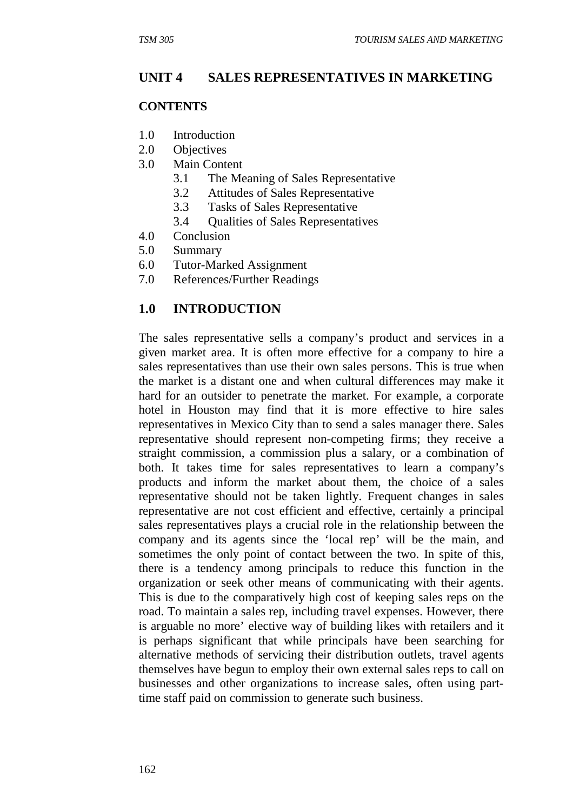#### **UNIT 4 SALES REPRESENTATIVES IN MARKETING**

#### **CONTENTS**

- 1.0 Introduction
- 2.0 Objectives
- 3.0 Main Content
	- 3.1 The Meaning of Sales Representative
	- 3.2 Attitudes of Sales Representative
	- 3.3 Tasks of Sales Representative
	- 3.4 Qualities of Sales Representatives
- 4.0 Conclusion
- 5.0 Summary
- 6.0 Tutor-Marked Assignment
- 7.0 References/Further Readings

#### **1.0 INTRODUCTION**

The sales representative sells a company's product and services in a given market area. It is often more effective for a company to hire a sales representatives than use their own sales persons. This is true when the market is a distant one and when cultural differences may make it hard for an outsider to penetrate the market. For example, a corporate hotel in Houston may find that it is more effective to hire sales representatives in Mexico City than to send a sales manager there. Sales representative should represent non-competing firms; they receive a straight commission, a commission plus a salary, or a combination of both. It takes time for sales representatives to learn a company's products and inform the market about them, the choice of a sales representative should not be taken lightly. Frequent changes in sales representative are not cost efficient and effective, certainly a principal sales representatives plays a crucial role in the relationship between the company and its agents since the 'local rep' will be the main, and sometimes the only point of contact between the two. In spite of this, there is a tendency among principals to reduce this function in the organization or seek other means of communicating with their agents. This is due to the comparatively high cost of keeping sales reps on the road. To maintain a sales rep, including travel expenses. However, there is arguable no more' elective way of building likes with retailers and it is perhaps significant that while principals have been searching for alternative methods of servicing their distribution outlets, travel agents themselves have begun to employ their own external sales reps to call on businesses and other organizations to increase sales, often using parttime staff paid on commission to generate such business.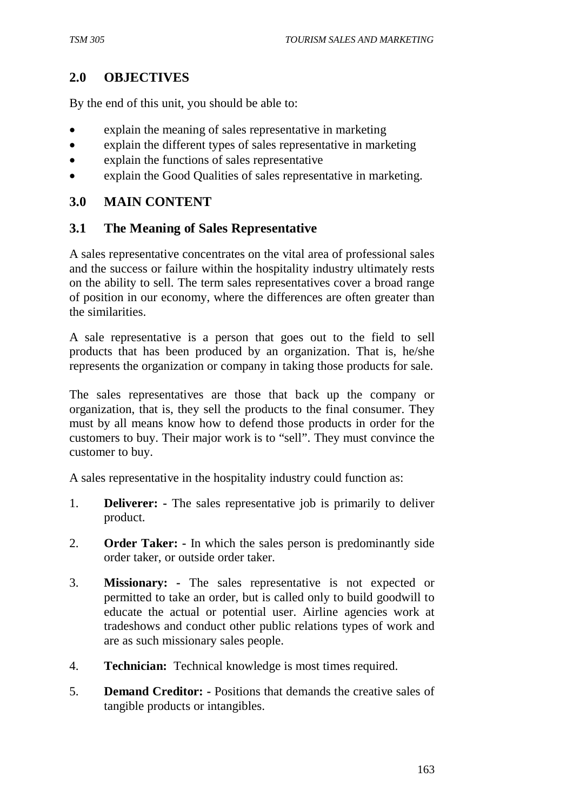#### **2.0 OBJECTIVES**

By the end of this unit, you should be able to:

- explain the meaning of sales representative in marketing
- explain the different types of sales representative in marketing
- explain the functions of sales representative
- explain the Good Qualities of sales representative in marketing.

#### **3.0 MAIN CONTENT**

#### **3.1 The Meaning of Sales Representative**

A sales representative concentrates on the vital area of professional sales and the success or failure within the hospitality industry ultimately rests on the ability to sell. The term sales representatives cover a broad range of position in our economy, where the differences are often greater than the similarities.

A sale representative is a person that goes out to the field to sell products that has been produced by an organization. That is, he/she represents the organization or company in taking those products for sale.

The sales representatives are those that back up the company or organization, that is, they sell the products to the final consumer. They must by all means know how to defend those products in order for the customers to buy. Their major work is to "sell". They must convince the customer to buy.

A sales representative in the hospitality industry could function as:

- 1. **Deliverer: -** The sales representative job is primarily to deliver product.
- 2. **Order Taker: -** In which the sales person is predominantly side order taker, or outside order taker.
- 3. **Missionary: -** The sales representative is not expected or permitted to take an order, but is called only to build goodwill to educate the actual or potential user. Airline agencies work at tradeshows and conduct other public relations types of work and are as such missionary sales people.
- 4. **Technician:** Technical knowledge is most times required.
- 5. **Demand Creditor: -** Positions that demands the creative sales of tangible products or intangibles.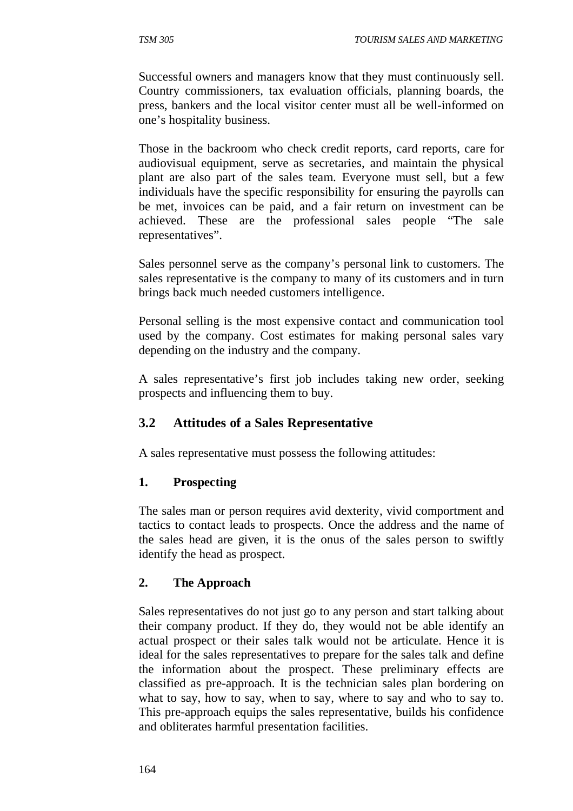Successful owners and managers know that they must continuously sell. Country commissioners, tax evaluation officials, planning boards, the press, bankers and the local visitor center must all be well-informed on one's hospitality business.

Those in the backroom who check credit reports, card reports, care for audiovisual equipment, serve as secretaries, and maintain the physical plant are also part of the sales team. Everyone must sell, but a few individuals have the specific responsibility for ensuring the payrolls can be met, invoices can be paid, and a fair return on investment can be achieved. These are the professional sales people "The sale representatives".

Sales personnel serve as the company's personal link to customers. The sales representative is the company to many of its customers and in turn brings back much needed customers intelligence.

Personal selling is the most expensive contact and communication tool used by the company. Cost estimates for making personal sales vary depending on the industry and the company.

A sales representative's first job includes taking new order, seeking prospects and influencing them to buy.

# **3.2 Attitudes of a Sales Representative**

A sales representative must possess the following attitudes:

# **1. Prospecting**

The sales man or person requires avid dexterity, vivid comportment and tactics to contact leads to prospects. Once the address and the name of the sales head are given, it is the onus of the sales person to swiftly identify the head as prospect.

# **2. The Approach**

Sales representatives do not just go to any person and start talking about their company product. If they do, they would not be able identify an actual prospect or their sales talk would not be articulate. Hence it is ideal for the sales representatives to prepare for the sales talk and define the information about the prospect. These preliminary effects are classified as pre-approach. It is the technician sales plan bordering on what to say, how to say, when to say, where to say and who to say to. This pre-approach equips the sales representative, builds his confidence and obliterates harmful presentation facilities.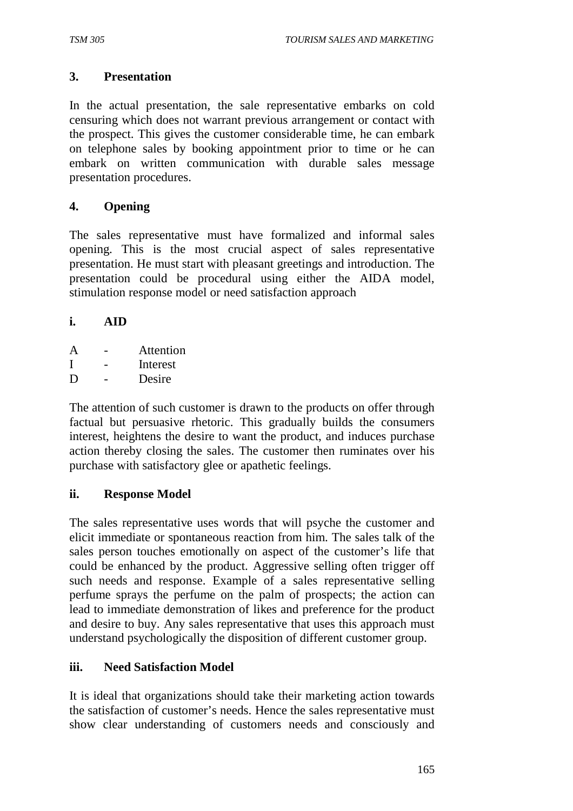#### **3. Presentation**

In the actual presentation, the sale representative embarks on cold censuring which does not warrant previous arrangement or contact with the prospect. This gives the customer considerable time, he can embark on telephone sales by booking appointment prior to time or he can embark on written communication with durable sales message presentation procedures.

## **4. Opening**

The sales representative must have formalized and informal sales opening. This is the most crucial aspect of sales representative presentation. He must start with pleasant greetings and introduction. The presentation could be procedural using either the AIDA model, stimulation response model or need satisfaction approach

## **i. AID**

- A Attention
- I Interest
- D Desire

The attention of such customer is drawn to the products on offer through factual but persuasive rhetoric. This gradually builds the consumers interest, heightens the desire to want the product, and induces purchase action thereby closing the sales. The customer then ruminates over his purchase with satisfactory glee or apathetic feelings.

#### **ii. Response Model**

The sales representative uses words that will psyche the customer and elicit immediate or spontaneous reaction from him. The sales talk of the sales person touches emotionally on aspect of the customer's life that could be enhanced by the product. Aggressive selling often trigger off such needs and response. Example of a sales representative selling perfume sprays the perfume on the palm of prospects; the action can lead to immediate demonstration of likes and preference for the product and desire to buy. Any sales representative that uses this approach must understand psychologically the disposition of different customer group.

#### **iii. Need Satisfaction Model**

It is ideal that organizations should take their marketing action towards the satisfaction of customer's needs. Hence the sales representative must show clear understanding of customers needs and consciously and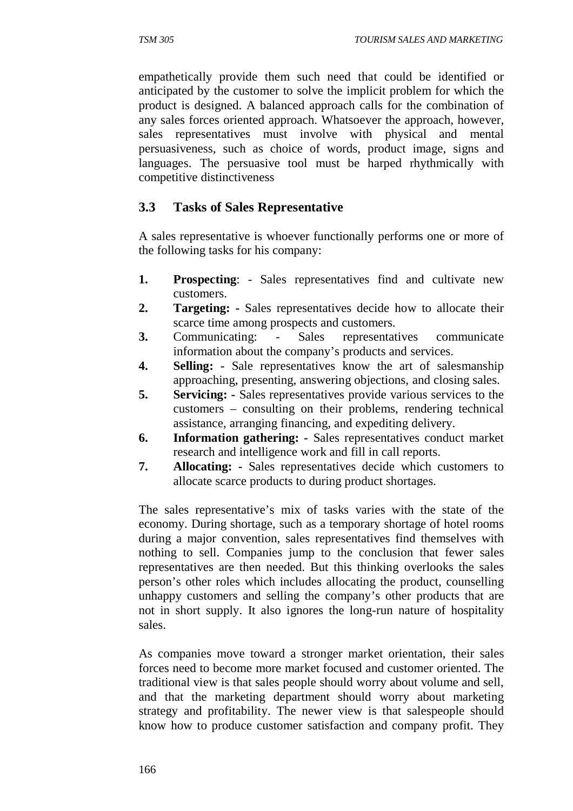empathetically provide them such need that could be identified or anticipated by the customer to solve the implicit problem for which the product is designed. A balanced approach calls for the combination of any sales forces oriented approach. Whatsoever the approach, however, sales representatives must involve with physical and mental persuasiveness, such as choice of words, product image, signs and languages. The persuasive tool must be harped rhythmically with competitive distinctiveness

# **3.3 Tasks of Sales Representative**

A sales representative is whoever functionally performs one or more of the following tasks for his company:

- **1. Prospecting**: Sales representatives find and cultivate new customers.
- **2. Targeting: -** Sales representatives decide how to allocate their scarce time among prospects and customers.
- **3.** Communicating: Sales representatives communicate information about the company's products and services.
- **4. Selling: -** Sale representatives know the art of salesmanship approaching, presenting, answering objections, and closing sales.
- **5. Servicing:** Sales representatives provide various services to the customers – consulting on their problems, rendering technical assistance, arranging financing, and expediting delivery.
- **6. Information gathering: -** Sales representatives conduct market research and intelligence work and fill in call reports.
- **7. Allocating: -** Sales representatives decide which customers to allocate scarce products to during product shortages.

The sales representative's mix of tasks varies with the state of the economy. During shortage, such as a temporary shortage of hotel rooms during a major convention, sales representatives find themselves with nothing to sell. Companies jump to the conclusion that fewer sales representatives are then needed. But this thinking overlooks the sales person's other roles which includes allocating the product, counselling unhappy customers and selling the company's other products that are not in short supply. It also ignores the long-run nature of hospitality sales.

As companies move toward a stronger market orientation, their sales forces need to become more market focused and customer oriented. The traditional view is that sales people should worry about volume and sell, and that the marketing department should worry about marketing strategy and profitability. The newer view is that salespeople should know how to produce customer satisfaction and company profit. They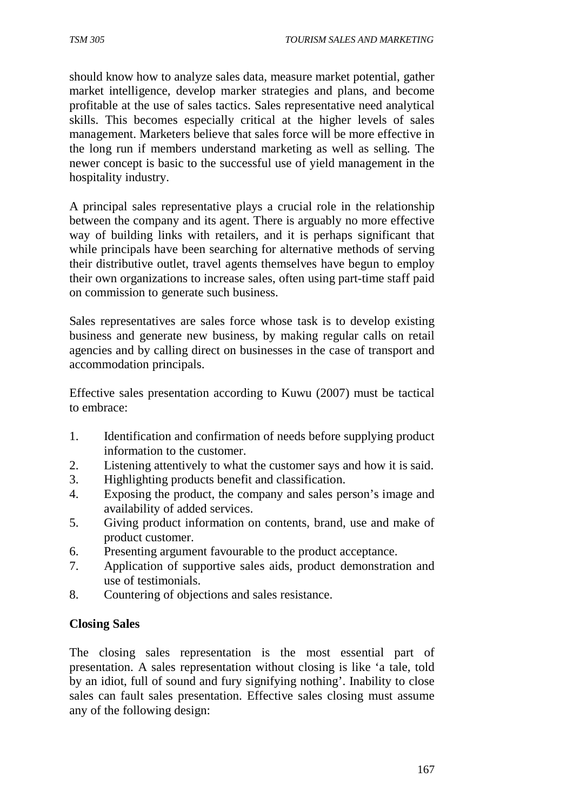should know how to analyze sales data, measure market potential, gather market intelligence, develop marker strategies and plans, and become profitable at the use of sales tactics. Sales representative need analytical skills. This becomes especially critical at the higher levels of sales management. Marketers believe that sales force will be more effective in the long run if members understand marketing as well as selling. The newer concept is basic to the successful use of yield management in the hospitality industry.

A principal sales representative plays a crucial role in the relationship between the company and its agent. There is arguably no more effective way of building links with retailers, and it is perhaps significant that while principals have been searching for alternative methods of serving their distributive outlet, travel agents themselves have begun to employ their own organizations to increase sales, often using part-time staff paid on commission to generate such business.

Sales representatives are sales force whose task is to develop existing business and generate new business, by making regular calls on retail agencies and by calling direct on businesses in the case of transport and accommodation principals.

Effective sales presentation according to Kuwu (2007) must be tactical to embrace:

- 1. Identification and confirmation of needs before supplying product information to the customer.
- 2. Listening attentively to what the customer says and how it is said.
- 3. Highlighting products benefit and classification.
- 4. Exposing the product, the company and sales person's image and availability of added services.
- 5. Giving product information on contents, brand, use and make of product customer.
- 6. Presenting argument favourable to the product acceptance.
- 7. Application of supportive sales aids, product demonstration and use of testimonials.
- 8. Countering of objections and sales resistance.

#### **Closing Sales**

The closing sales representation is the most essential part of presentation. A sales representation without closing is like 'a tale, told by an idiot, full of sound and fury signifying nothing'. Inability to close sales can fault sales presentation. Effective sales closing must assume any of the following design: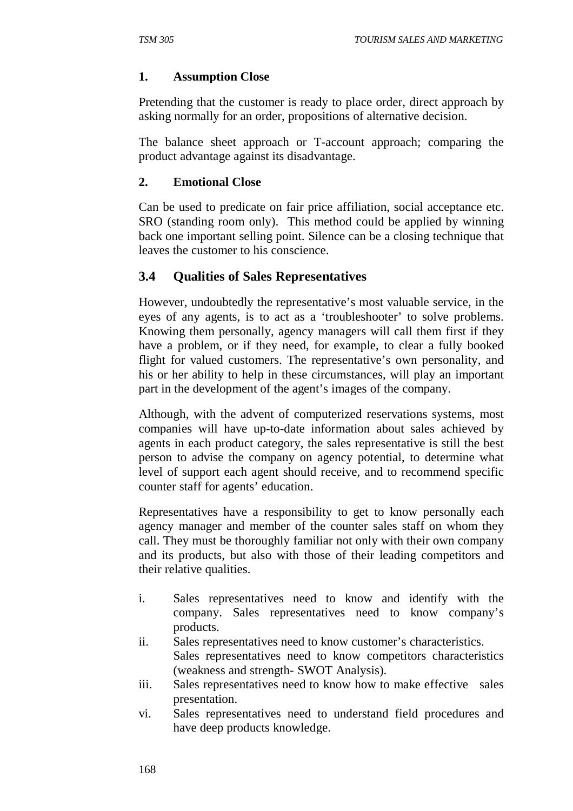## **1. Assumption Close**

Pretending that the customer is ready to place order, direct approach by asking normally for an order, propositions of alternative decision.

The balance sheet approach or T-account approach; comparing the product advantage against its disadvantage.

# **2. Emotional Close**

Can be used to predicate on fair price affiliation, social acceptance etc. SRO (standing room only). This method could be applied by winning back one important selling point. Silence can be a closing technique that leaves the customer to his conscience.

# **3.4 Qualities of Sales Representatives**

However, undoubtedly the representative's most valuable service, in the eyes of any agents, is to act as a 'troubleshooter' to solve problems. Knowing them personally, agency managers will call them first if they have a problem, or if they need, for example, to clear a fully booked flight for valued customers. The representative's own personality, and his or her ability to help in these circumstances, will play an important part in the development of the agent's images of the company.

Although, with the advent of computerized reservations systems, most companies will have up-to-date information about sales achieved by agents in each product category, the sales representative is still the best person to advise the company on agency potential, to determine what level of support each agent should receive, and to recommend specific counter staff for agents' education.

Representatives have a responsibility to get to know personally each agency manager and member of the counter sales staff on whom they call. They must be thoroughly familiar not only with their own company and its products, but also with those of their leading competitors and their relative qualities.

- i. Sales representatives need to know and identify with the company. Sales representatives need to know company's products.
- ii. Sales representatives need to know customer's characteristics. Sales representatives need to know competitors characteristics (weakness and strength- SWOT Analysis).
- iii. Sales representatives need to know how to make effective sales presentation.
- vi. Sales representatives need to understand field procedures and have deep products knowledge.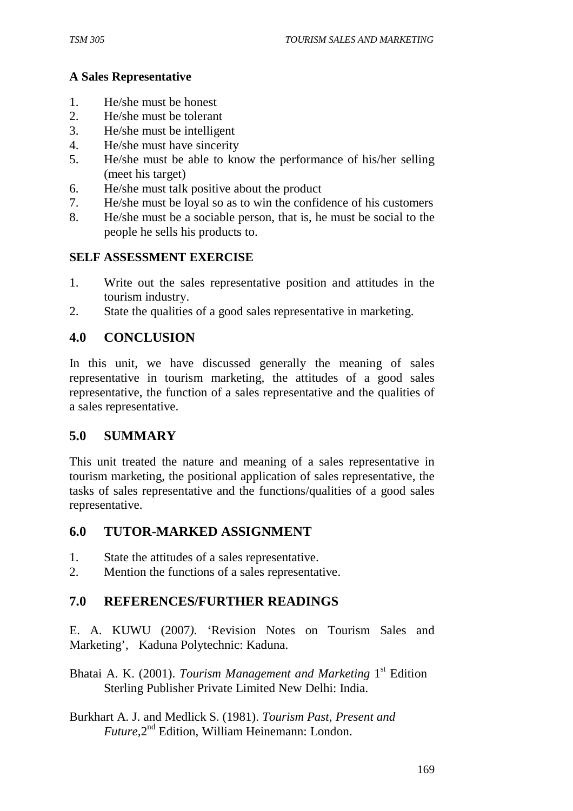#### **A Sales Representative**

- 1. He/she must be honest
- 2. He/she must be tolerant
- 3. He/she must be intelligent
- 4. He/she must have sincerity
- 5. He/she must be able to know the performance of his/her selling (meet his target)
- 6. He/she must talk positive about the product
- 7. He/she must be loyal so as to win the confidence of his customers
- 8. He/she must be a sociable person, that is, he must be social to the people he sells his products to.

#### **SELF ASSESSMENT EXERCISE**

- 1. Write out the sales representative position and attitudes in the tourism industry.
- 2. State the qualities of a good sales representative in marketing.

## **4.0 CONCLUSION**

In this unit, we have discussed generally the meaning of sales representative in tourism marketing, the attitudes of a good sales representative, the function of a sales representative and the qualities of a sales representative.

#### **5.0 SUMMARY**

This unit treated the nature and meaning of a sales representative in tourism marketing, the positional application of sales representative, the tasks of sales representative and the functions/qualities of a good sales representative.

#### **6.0 TUTOR-MARKED ASSIGNMENT**

- 1. State the attitudes of a sales representative.
- 2. Mention the functions of a sales representative.

#### **7.0 REFERENCES/FURTHER READINGS**

E. A. KUWU (2007*).* 'Revision Notes on Tourism Sales and Marketing', Kaduna Polytechnic: Kaduna.

Bhatai A. K. (2001). *Tourism Management and Marketing* 1<sup>st</sup> Edition Sterling Publisher Private Limited New Delhi: India.

Burkhart A. J. and Medlick S. (1981). *Tourism Past, Present and*  Future, 2<sup>nd</sup> Edition, William Heinemann: London.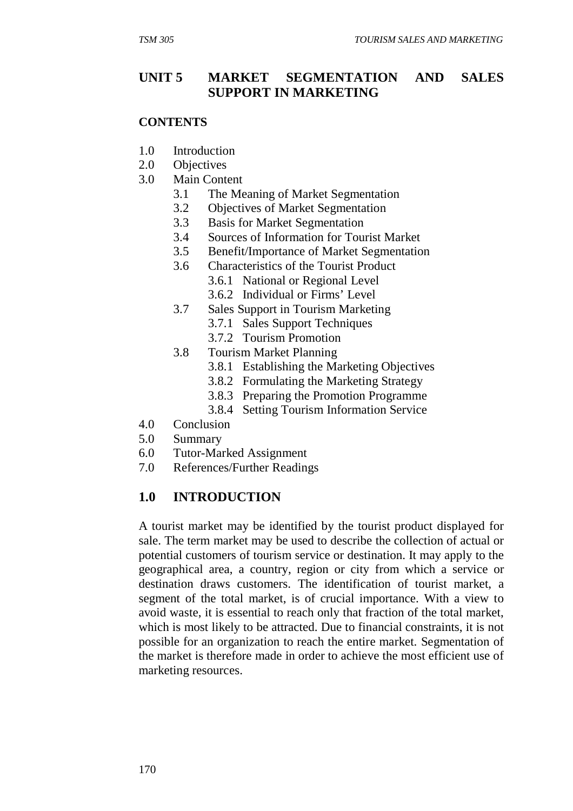# **UNIT 5 MARKET SEGMENTATION AND SALES SUPPORT IN MARKETING**

#### **CONTENTS**

- 1.0 Introduction
- 2.0 Objectives
- 3.0 Main Content
	- 3.1 The Meaning of Market Segmentation
	- 3.2 Objectives of Market Segmentation
	- 3.3 Basis for Market Segmentation
	- 3.4 Sources of Information for Tourist Market
	- 3.5 Benefit/Importance of Market Segmentation
	- 3.6 Characteristics of the Tourist Product
		- 3.6.1 National or Regional Level
		- 3.6.2 Individual or Firms' Level
	- 3.7 Sales Support in Tourism Marketing
		- 3.7.1 Sales Support Techniques
		- 3.7.2 Tourism Promotion
	- 3.8 Tourism Market Planning
		- 3.8.1 Establishing the Marketing Objectives
		- 3.8.2 Formulating the Marketing Strategy
		- 3.8.3 Preparing the Promotion Programme
		- 3.8.4 Setting Tourism Information Service
- 4.0 Conclusion
- 5.0 Summary
- 6.0 Tutor-Marked Assignment
- 7.0 References/Further Readings

# **1.0 INTRODUCTION**

A tourist market may be identified by the tourist product displayed for sale. The term market may be used to describe the collection of actual or potential customers of tourism service or destination. It may apply to the geographical area, a country, region or city from which a service or destination draws customers. The identification of tourist market, a segment of the total market, is of crucial importance. With a view to avoid waste, it is essential to reach only that fraction of the total market, which is most likely to be attracted. Due to financial constraints, it is not possible for an organization to reach the entire market. Segmentation of the market is therefore made in order to achieve the most efficient use of marketing resources.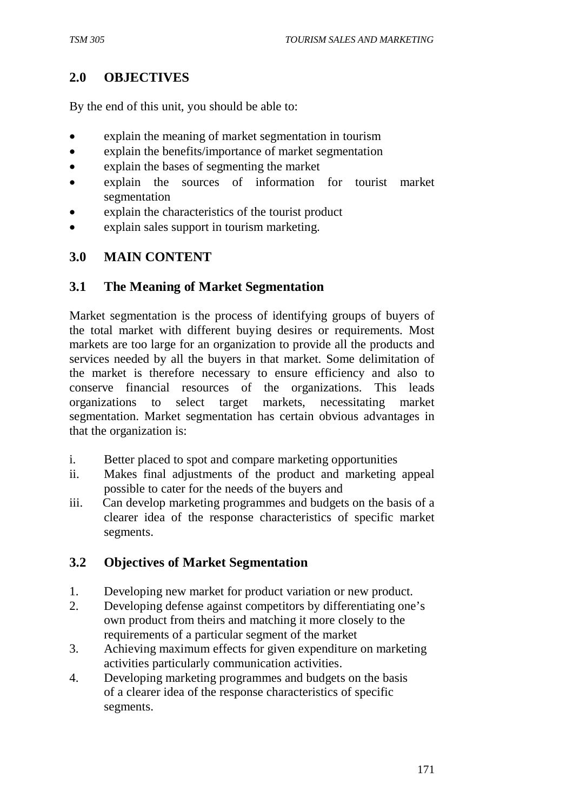# **2.0 OBJECTIVES**

By the end of this unit, you should be able to:

- explain the meaning of market segmentation in tourism
- explain the benefits/importance of market segmentation
- explain the bases of segmenting the market
- explain the sources of information for tourist market segmentation
- explain the characteristics of the tourist product
- explain sales support in tourism marketing.

#### **3.0 MAIN CONTENT**

#### **3.1 The Meaning of Market Segmentation**

Market segmentation is the process of identifying groups of buyers of the total market with different buying desires or requirements. Most markets are too large for an organization to provide all the products and services needed by all the buyers in that market. Some delimitation of the market is therefore necessary to ensure efficiency and also to conserve financial resources of the organizations. This leads organizations to select target markets, necessitating market segmentation. Market segmentation has certain obvious advantages in that the organization is:

- i. Better placed to spot and compare marketing opportunities
- ii. Makes final adjustments of the product and marketing appeal possible to cater for the needs of the buyers and
- iii. Can develop marketing programmes and budgets on the basis of a clearer idea of the response characteristics of specific market segments.

# **3.2 Objectives of Market Segmentation**

- 1. Developing new market for product variation or new product.
- 2. Developing defense against competitors by differentiating one's own product from theirs and matching it more closely to the requirements of a particular segment of the market<br>3. Achieving maximum effects for given expenditure
- Achieving maximum effects for given expenditure on marketing activities particularly communication activities.
- 4. Developing marketing programmes and budgets on the basis of a clearer idea of the response characteristics of specific segments.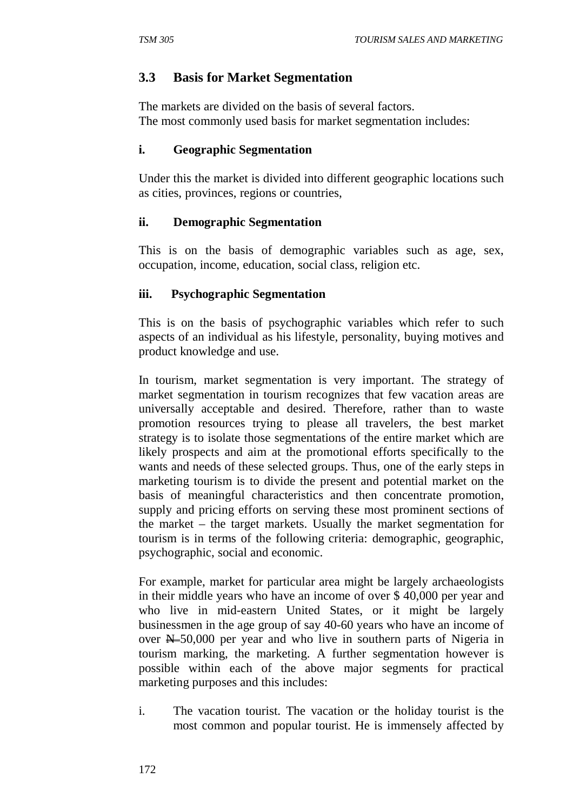# **3.3 Basis for Market Segmentation**

The markets are divided on the basis of several factors. The most commonly used basis for market segmentation includes:

#### **i. Geographic Segmentation**

Under this the market is divided into different geographic locations such as cities, provinces, regions or countries,

## **ii. Demographic Segmentation**

This is on the basis of demographic variables such as age, sex, occupation, income, education, social class, religion etc.

## **iii. Psychographic Segmentation**

This is on the basis of psychographic variables which refer to such aspects of an individual as his lifestyle, personality, buying motives and product knowledge and use.

In tourism, market segmentation is very important. The strategy of market segmentation in tourism recognizes that few vacation areas are universally acceptable and desired. Therefore, rather than to waste promotion resources trying to please all travelers, the best market strategy is to isolate those segmentations of the entire market which are likely prospects and aim at the promotional efforts specifically to the wants and needs of these selected groups. Thus, one of the early steps in marketing tourism is to divide the present and potential market on the basis of meaningful characteristics and then concentrate promotion, supply and pricing efforts on serving these most prominent sections of the market – the target markets. Usually the market segmentation for tourism is in terms of the following criteria: demographic, geographic, psychographic, social and economic.

For example, market for particular area might be largely archaeologists in their middle years who have an income of over \$ 40,000 per year and who live in mid-eastern United States, or it might be largely businessmen in the age group of say 40-60 years who have an income of over  $N = 50,000$  per year and who live in southern parts of Nigeria in tourism marking, the marketing. A further segmentation however is possible within each of the above major segments for practical marketing purposes and this includes:

i. The vacation tourist. The vacation or the holiday tourist is the most common and popular tourist. He is immensely affected by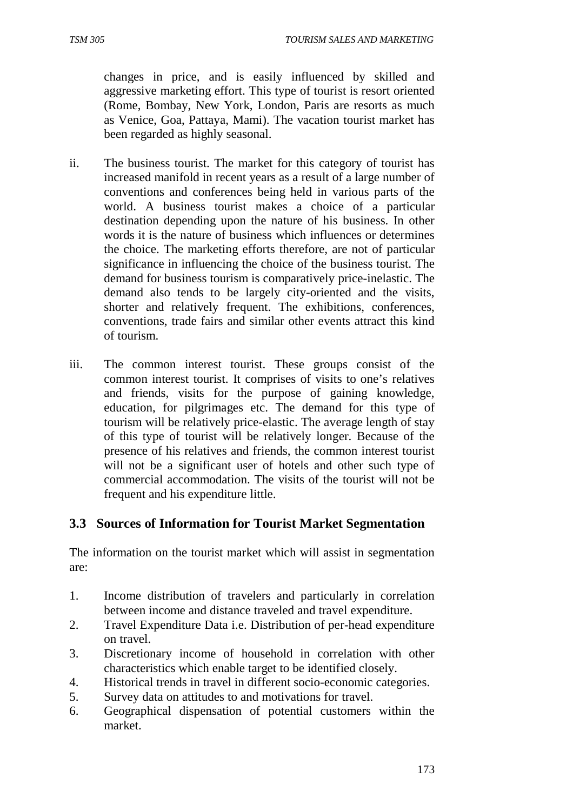changes in price, and is easily influenced by skilled and aggressive marketing effort. This type of tourist is resort oriented (Rome, Bombay, New York, London, Paris are resorts as much as Venice, Goa, Pattaya, Mami). The vacation tourist market has been regarded as highly seasonal.

- ii. The business tourist. The market for this category of tourist has increased manifold in recent years as a result of a large number of conventions and conferences being held in various parts of the world. A business tourist makes a choice of a particular destination depending upon the nature of his business. In other words it is the nature of business which influences or determines the choice. The marketing efforts therefore, are not of particular significance in influencing the choice of the business tourist. The demand for business tourism is comparatively price-inelastic. The demand also tends to be largely city-oriented and the visits, shorter and relatively frequent. The exhibitions, conferences, conventions, trade fairs and similar other events attract this kind of tourism.
- iii. The common interest tourist. These groups consist of the common interest tourist. It comprises of visits to one's relatives and friends, visits for the purpose of gaining knowledge, education, for pilgrimages etc. The demand for this type of tourism will be relatively price-elastic. The average length of stay of this type of tourist will be relatively longer. Because of the presence of his relatives and friends, the common interest tourist will not be a significant user of hotels and other such type of commercial accommodation. The visits of the tourist will not be frequent and his expenditure little.

### **3.3 Sources of Information for Tourist Market Segmentation**

The information on the tourist market which will assist in segmentation are:

- 1. Income distribution of travelers and particularly in correlation between income and distance traveled and travel expenditure.
- 2. Travel Expenditure Data i.e. Distribution of per-head expenditure on travel.
- 3. Discretionary income of household in correlation with other characteristics which enable target to be identified closely.
- 4. Historical trends in travel in different socio-economic categories.
- 5. Survey data on attitudes to and motivations for travel.
- 6. Geographical dispensation of potential customers within the market.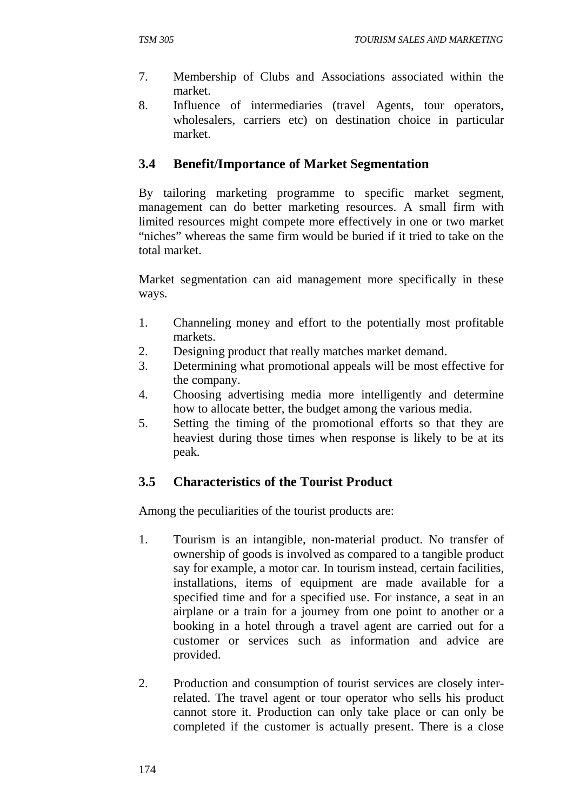- 7. Membership of Clubs and Associations associated within the market.
- 8. Influence of intermediaries (travel Agents, tour operators, wholesalers, carriers etc) on destination choice in particular market.

### **3.4 Benefit/Importance of Market Segmentation**

By tailoring marketing programme to specific market segment, management can do better marketing resources. A small firm with limited resources might compete more effectively in one or two market "niches" whereas the same firm would be buried if it tried to take on the total market.

Market segmentation can aid management more specifically in these ways.

- 1. Channeling money and effort to the potentially most profitable markets.
- 2. Designing product that really matches market demand.
- 3. Determining what promotional appeals will be most effective for the company.
- 4. Choosing advertising media more intelligently and determine how to allocate better, the budget among the various media.
- 5. Setting the timing of the promotional efforts so that they are heaviest during those times when response is likely to be at its peak.

# **3.5 Characteristics of the Tourist Product**

Among the peculiarities of the tourist products are:

- 1. Tourism is an intangible, non-material product. No transfer of ownership of goods is involved as compared to a tangible product say for example, a motor car. In tourism instead, certain facilities, installations, items of equipment are made available for a specified time and for a specified use. For instance, a seat in an airplane or a train for a journey from one point to another or a booking in a hotel through a travel agent are carried out for a customer or services such as information and advice are provided.
- 2. Production and consumption of tourist services are closely interrelated. The travel agent or tour operator who sells his product cannot store it. Production can only take place or can only be completed if the customer is actually present. There is a close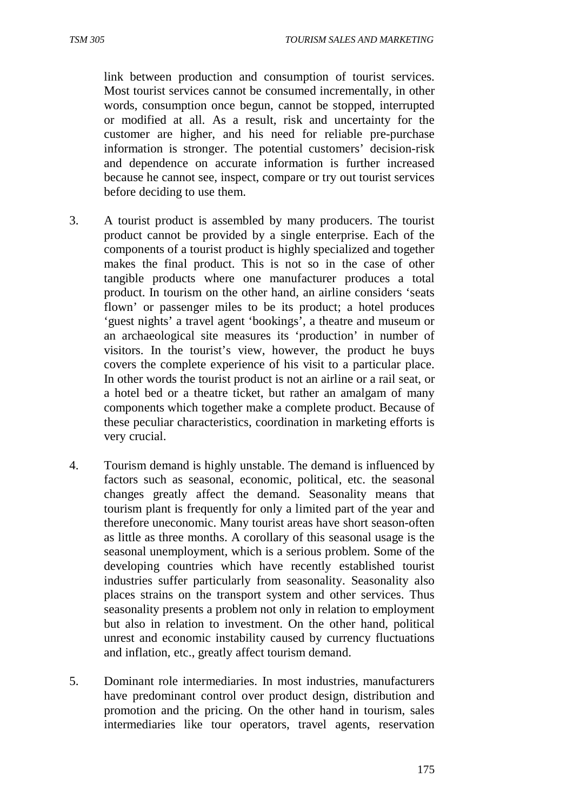link between production and consumption of tourist services. Most tourist services cannot be consumed incrementally, in other words, consumption once begun, cannot be stopped, interrupted or modified at all. As a result, risk and uncertainty for the customer are higher, and his need for reliable pre-purchase information is stronger. The potential customers' decision-risk and dependence on accurate information is further increased because he cannot see, inspect, compare or try out tourist services before deciding to use them.

- 3. A tourist product is assembled by many producers. The tourist product cannot be provided by a single enterprise. Each of the components of a tourist product is highly specialized and together makes the final product. This is not so in the case of other tangible products where one manufacturer produces a total product. In tourism on the other hand, an airline considers 'seats flown' or passenger miles to be its product; a hotel produces 'guest nights' a travel agent 'bookings', a theatre and museum or an archaeological site measures its 'production' in number of visitors. In the tourist's view, however, the product he buys covers the complete experience of his visit to a particular place. In other words the tourist product is not an airline or a rail seat, or a hotel bed or a theatre ticket, but rather an amalgam of many components which together make a complete product. Because of these peculiar characteristics, coordination in marketing efforts is very crucial.
- 4. Tourism demand is highly unstable. The demand is influenced by factors such as seasonal, economic, political, etc. the seasonal changes greatly affect the demand. Seasonality means that tourism plant is frequently for only a limited part of the year and therefore uneconomic. Many tourist areas have short season-often as little as three months. A corollary of this seasonal usage is the seasonal unemployment, which is a serious problem. Some of the developing countries which have recently established tourist industries suffer particularly from seasonality. Seasonality also places strains on the transport system and other services. Thus seasonality presents a problem not only in relation to employment but also in relation to investment. On the other hand, political unrest and economic instability caused by currency fluctuations and inflation, etc., greatly affect tourism demand.
- 5. Dominant role intermediaries. In most industries, manufacturers have predominant control over product design, distribution and promotion and the pricing. On the other hand in tourism, sales intermediaries like tour operators, travel agents, reservation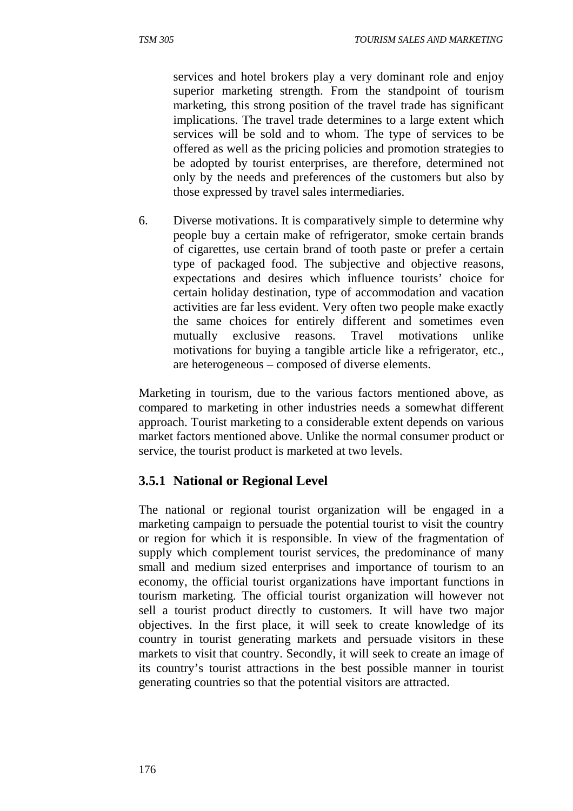services and hotel brokers play a very dominant role and enjoy superior marketing strength. From the standpoint of tourism marketing, this strong position of the travel trade has significant implications. The travel trade determines to a large extent which services will be sold and to whom. The type of services to be offered as well as the pricing policies and promotion strategies to be adopted by tourist enterprises, are therefore, determined not only by the needs and preferences of the customers but also by those expressed by travel sales intermediaries.

6. Diverse motivations. It is comparatively simple to determine why people buy a certain make of refrigerator, smoke certain brands of cigarettes, use certain brand of tooth paste or prefer a certain type of packaged food. The subjective and objective reasons, expectations and desires which influence tourists' choice for certain holiday destination, type of accommodation and vacation activities are far less evident. Very often two people make exactly the same choices for entirely different and sometimes even mutually exclusive reasons. Travel motivations unlike motivations for buying a tangible article like a refrigerator, etc., are heterogeneous – composed of diverse elements.

Marketing in tourism, due to the various factors mentioned above, as compared to marketing in other industries needs a somewhat different approach. Tourist marketing to a considerable extent depends on various market factors mentioned above. Unlike the normal consumer product or service, the tourist product is marketed at two levels.

# **3.5.1 National or Regional Level**

The national or regional tourist organization will be engaged in a marketing campaign to persuade the potential tourist to visit the country or region for which it is responsible. In view of the fragmentation of supply which complement tourist services, the predominance of many small and medium sized enterprises and importance of tourism to an economy, the official tourist organizations have important functions in tourism marketing. The official tourist organization will however not sell a tourist product directly to customers. It will have two major objectives. In the first place, it will seek to create knowledge of its country in tourist generating markets and persuade visitors in these markets to visit that country. Secondly, it will seek to create an image of its country's tourist attractions in the best possible manner in tourist generating countries so that the potential visitors are attracted.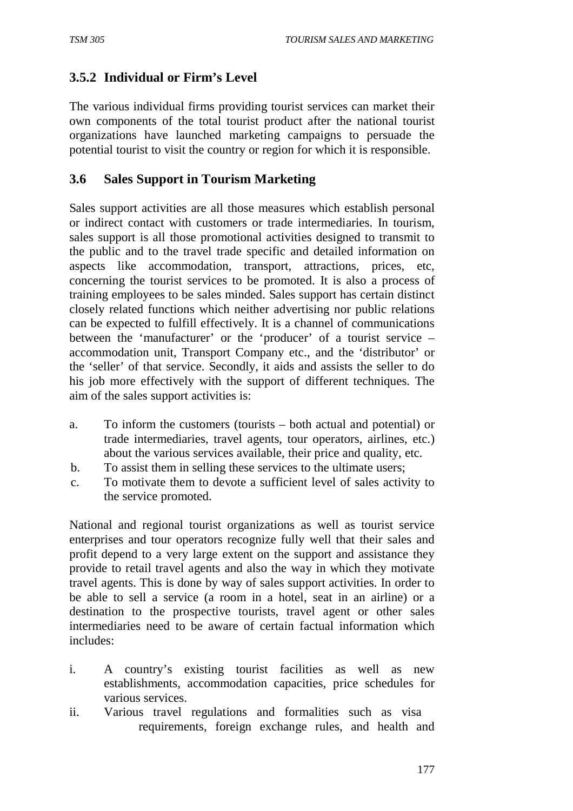### **3.5.2 Individual or Firm's Level**

The various individual firms providing tourist services can market their own components of the total tourist product after the national tourist organizations have launched marketing campaigns to persuade the potential tourist to visit the country or region for which it is responsible.

#### **3.6 Sales Support in Tourism Marketing**

Sales support activities are all those measures which establish personal or indirect contact with customers or trade intermediaries. In tourism, sales support is all those promotional activities designed to transmit to the public and to the travel trade specific and detailed information on aspects like accommodation, transport, attractions, prices, etc, concerning the tourist services to be promoted. It is also a process of training employees to be sales minded. Sales support has certain distinct closely related functions which neither advertising nor public relations can be expected to fulfill effectively. It is a channel of communications between the 'manufacturer' or the 'producer' of a tourist service – accommodation unit, Transport Company etc., and the 'distributor' or the 'seller' of that service. Secondly, it aids and assists the seller to do his job more effectively with the support of different techniques. The aim of the sales support activities is:

- a. To inform the customers (tourists both actual and potential) or trade intermediaries, travel agents, tour operators, airlines, etc.) about the various services available, their price and quality, etc.
- b. To assist them in selling these services to the ultimate users;
- c. To motivate them to devote a sufficient level of sales activity to the service promoted.

National and regional tourist organizations as well as tourist service enterprises and tour operators recognize fully well that their sales and profit depend to a very large extent on the support and assistance they provide to retail travel agents and also the way in which they motivate travel agents. This is done by way of sales support activities. In order to be able to sell a service (a room in a hotel, seat in an airline) or a destination to the prospective tourists, travel agent or other sales intermediaries need to be aware of certain factual information which includes:

- i. A country's existing tourist facilities as well as new establishments, accommodation capacities, price schedules for various services.
- ii. Various travel regulations and formalities such as visa requirements, foreign exchange rules, and health and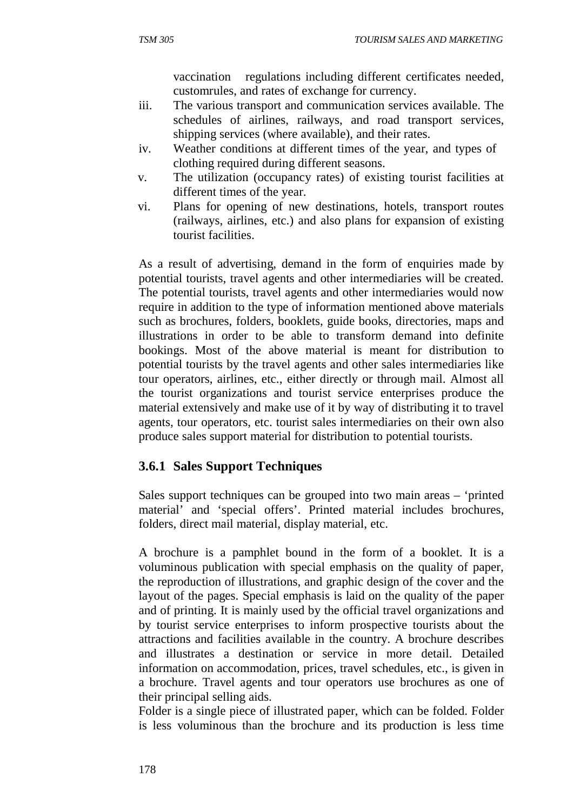vaccination regulations including different certificates needed, customrules, and rates of exchange for currency.

- iii. The various transport and communication services available. The schedules of airlines, railways, and road transport services, shipping services (where available), and their rates.
- iv.Weather conditions at different times of the year, and types of clothing required during different seasons.
- v. The utilization (occupancy rates) of existing tourist facilities at different times of the year.
- vi. Plans for opening of new destinations, hotels, transport routes (railways, airlines, etc.) and also plans for expansion of existing tourist facilities.

As a result of advertising, demand in the form of enquiries made by potential tourists, travel agents and other intermediaries will be created. The potential tourists, travel agents and other intermediaries would now require in addition to the type of information mentioned above materials such as brochures, folders, booklets, guide books, directories, maps and illustrations in order to be able to transform demand into definite bookings. Most of the above material is meant for distribution to potential tourists by the travel agents and other sales intermediaries like tour operators, airlines, etc., either directly or through mail. Almost all the tourist organizations and tourist service enterprises produce the material extensively and make use of it by way of distributing it to travel agents, tour operators, etc. tourist sales intermediaries on their own also produce sales support material for distribution to potential tourists.

# **3.6.1 Sales Support Techniques**

Sales support techniques can be grouped into two main areas – 'printed material' and 'special offers'. Printed material includes brochures, folders, direct mail material, display material, etc.

A brochure is a pamphlet bound in the form of a booklet. It is a voluminous publication with special emphasis on the quality of paper, the reproduction of illustrations, and graphic design of the cover and the layout of the pages. Special emphasis is laid on the quality of the paper and of printing. It is mainly used by the official travel organizations and by tourist service enterprises to inform prospective tourists about the attractions and facilities available in the country. A brochure describes and illustrates a destination or service in more detail. Detailed information on accommodation, prices, travel schedules, etc., is given in a brochure. Travel agents and tour operators use brochures as one of their principal selling aids.

Folder is a single piece of illustrated paper, which can be folded. Folder is less voluminous than the brochure and its production is less time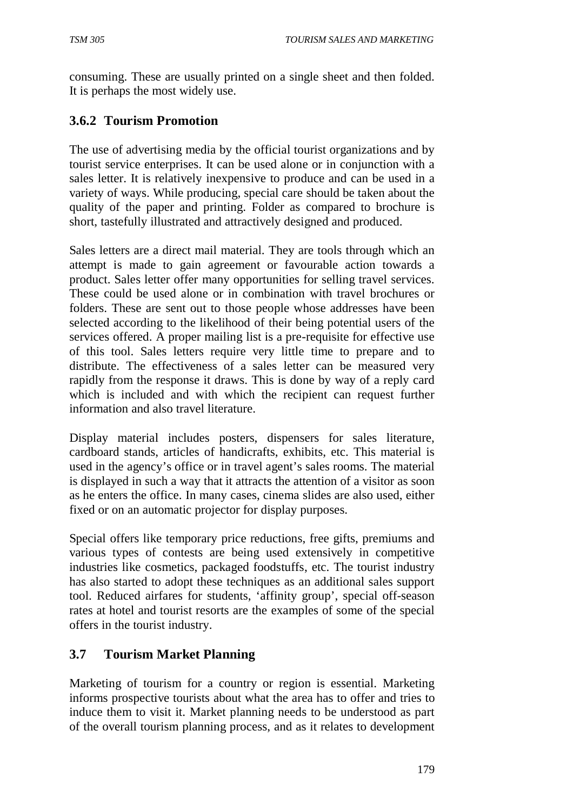consuming. These are usually printed on a single sheet and then folded. It is perhaps the most widely use.

### **3.6.2 Tourism Promotion**

The use of advertising media by the official tourist organizations and by tourist service enterprises. It can be used alone or in conjunction with a sales letter. It is relatively inexpensive to produce and can be used in a variety of ways. While producing, special care should be taken about the quality of the paper and printing. Folder as compared to brochure is short, tastefully illustrated and attractively designed and produced.

Sales letters are a direct mail material. They are tools through which an attempt is made to gain agreement or favourable action towards a product. Sales letter offer many opportunities for selling travel services. These could be used alone or in combination with travel brochures or folders. These are sent out to those people whose addresses have been selected according to the likelihood of their being potential users of the services offered. A proper mailing list is a pre-requisite for effective use of this tool. Sales letters require very little time to prepare and to distribute. The effectiveness of a sales letter can be measured very rapidly from the response it draws. This is done by way of a reply card which is included and with which the recipient can request further information and also travel literature.

Display material includes posters, dispensers for sales literature, cardboard stands, articles of handicrafts, exhibits, etc. This material is used in the agency's office or in travel agent's sales rooms. The material is displayed in such a way that it attracts the attention of a visitor as soon as he enters the office. In many cases, cinema slides are also used, either fixed or on an automatic projector for display purposes.

Special offers like temporary price reductions, free gifts, premiums and various types of contests are being used extensively in competitive industries like cosmetics, packaged foodstuffs, etc. The tourist industry has also started to adopt these techniques as an additional sales support tool. Reduced airfares for students, 'affinity group', special off-season rates at hotel and tourist resorts are the examples of some of the special offers in the tourist industry.

# **3.7 Tourism Market Planning**

Marketing of tourism for a country or region is essential. Marketing informs prospective tourists about what the area has to offer and tries to induce them to visit it. Market planning needs to be understood as part of the overall tourism planning process, and as it relates to development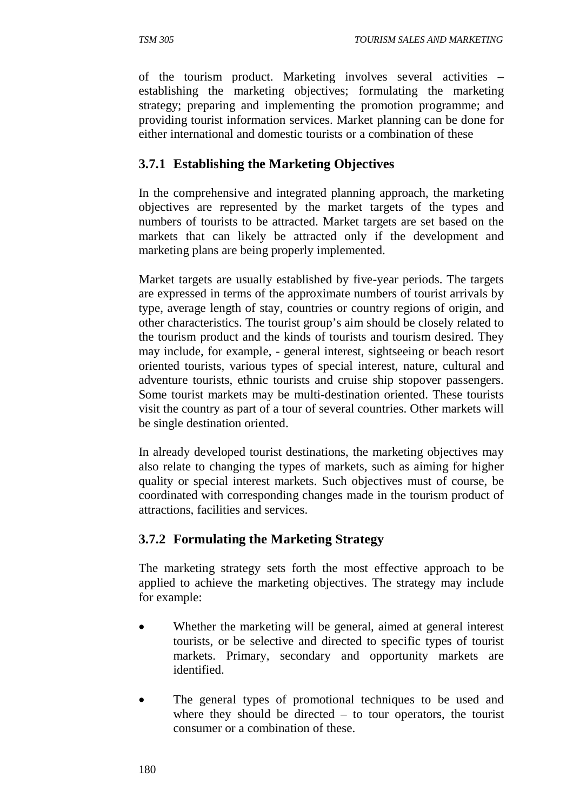of the tourism product. Marketing involves several activities – establishing the marketing objectives; formulating the marketing strategy; preparing and implementing the promotion programme; and providing tourist information services. Market planning can be done for either international and domestic tourists or a combination of these

## **3.7.1 Establishing the Marketing Objectives**

In the comprehensive and integrated planning approach, the marketing objectives are represented by the market targets of the types and numbers of tourists to be attracted. Market targets are set based on the markets that can likely be attracted only if the development and marketing plans are being properly implemented.

Market targets are usually established by five-year periods. The targets are expressed in terms of the approximate numbers of tourist arrivals by type, average length of stay, countries or country regions of origin, and other characteristics. The tourist group's aim should be closely related to the tourism product and the kinds of tourists and tourism desired. They may include, for example, - general interest, sightseeing or beach resort oriented tourists, various types of special interest, nature, cultural and adventure tourists, ethnic tourists and cruise ship stopover passengers. Some tourist markets may be multi-destination oriented. These tourists visit the country as part of a tour of several countries. Other markets will be single destination oriented.

In already developed tourist destinations, the marketing objectives may also relate to changing the types of markets, such as aiming for higher quality or special interest markets. Such objectives must of course, be coordinated with corresponding changes made in the tourism product of attractions, facilities and services.

# **3.7.2 Formulating the Marketing Strategy**

The marketing strategy sets forth the most effective approach to be applied to achieve the marketing objectives. The strategy may include for example:

- Whether the marketing will be general, aimed at general interest tourists, or be selective and directed to specific types of tourist markets. Primary, secondary and opportunity markets are identified.
- The general types of promotional techniques to be used and where they should be directed  $-$  to tour operators, the tourist consumer or a combination of these.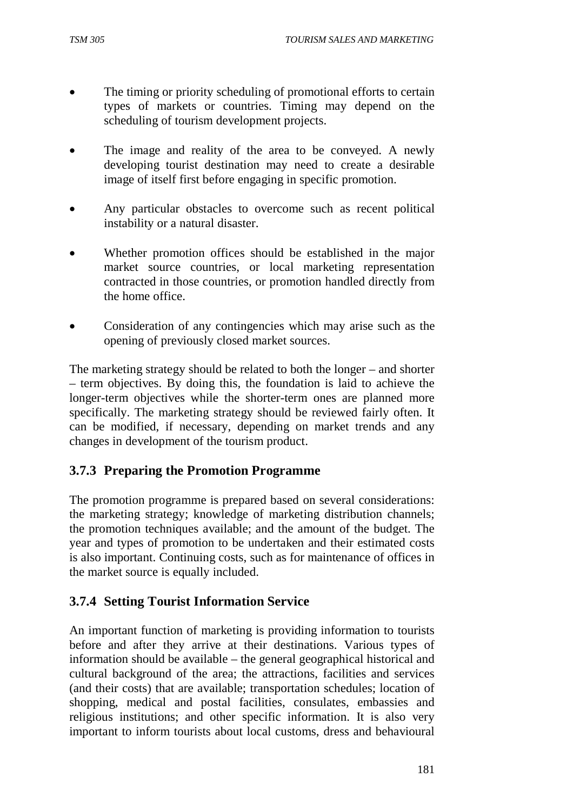- The timing or priority scheduling of promotional efforts to certain types of markets or countries. Timing may depend on the scheduling of tourism development projects.
- The image and reality of the area to be conveyed. A newly developing tourist destination may need to create a desirable image of itself first before engaging in specific promotion.
- Any particular obstacles to overcome such as recent political instability or a natural disaster.
- Whether promotion offices should be established in the major market source countries, or local marketing representation contracted in those countries, or promotion handled directly from the home office.
- Consideration of any contingencies which may arise such as the opening of previously closed market sources.

The marketing strategy should be related to both the longer – and shorter – term objectives. By doing this, the foundation is laid to achieve the longer-term objectives while the shorter-term ones are planned more specifically. The marketing strategy should be reviewed fairly often. It can be modified, if necessary, depending on market trends and any changes in development of the tourism product.

### **3.7.3 Preparing the Promotion Programme**

The promotion programme is prepared based on several considerations: the marketing strategy; knowledge of marketing distribution channels; the promotion techniques available; and the amount of the budget. The year and types of promotion to be undertaken and their estimated costs is also important. Continuing costs, such as for maintenance of offices in the market source is equally included.

### **3.7.4 Setting Tourist Information Service**

An important function of marketing is providing information to tourists before and after they arrive at their destinations. Various types of information should be available – the general geographical historical and cultural background of the area; the attractions, facilities and services (and their costs) that are available; transportation schedules; location of shopping, medical and postal facilities, consulates, embassies and religious institutions; and other specific information. It is also very important to inform tourists about local customs, dress and behavioural